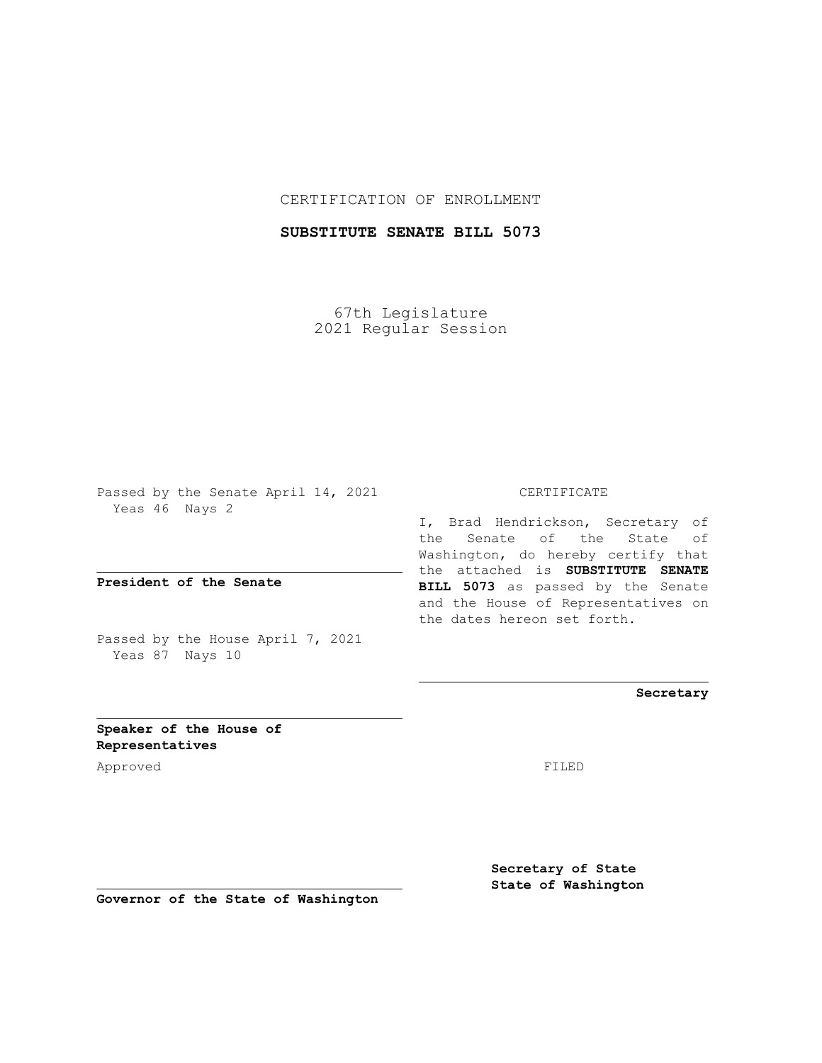## CERTIFICATION OF ENROLLMENT

## **SUBSTITUTE SENATE BILL 5073**

67th Legislature 2021 Regular Session

Passed by the Senate April 14, 2021 Yeas 46 Nays 2

**President of the Senate**

Passed by the House April 7, 2021 Yeas 87 Nays 10

CERTIFICATE

I, Brad Hendrickson, Secretary of the Senate of the State of Washington, do hereby certify that the attached is **SUBSTITUTE SENATE BILL 5073** as passed by the Senate and the House of Representatives on the dates hereon set forth.

**Secretary**

**Speaker of the House of Representatives**

Approved FILED

**Secretary of State State of Washington**

**Governor of the State of Washington**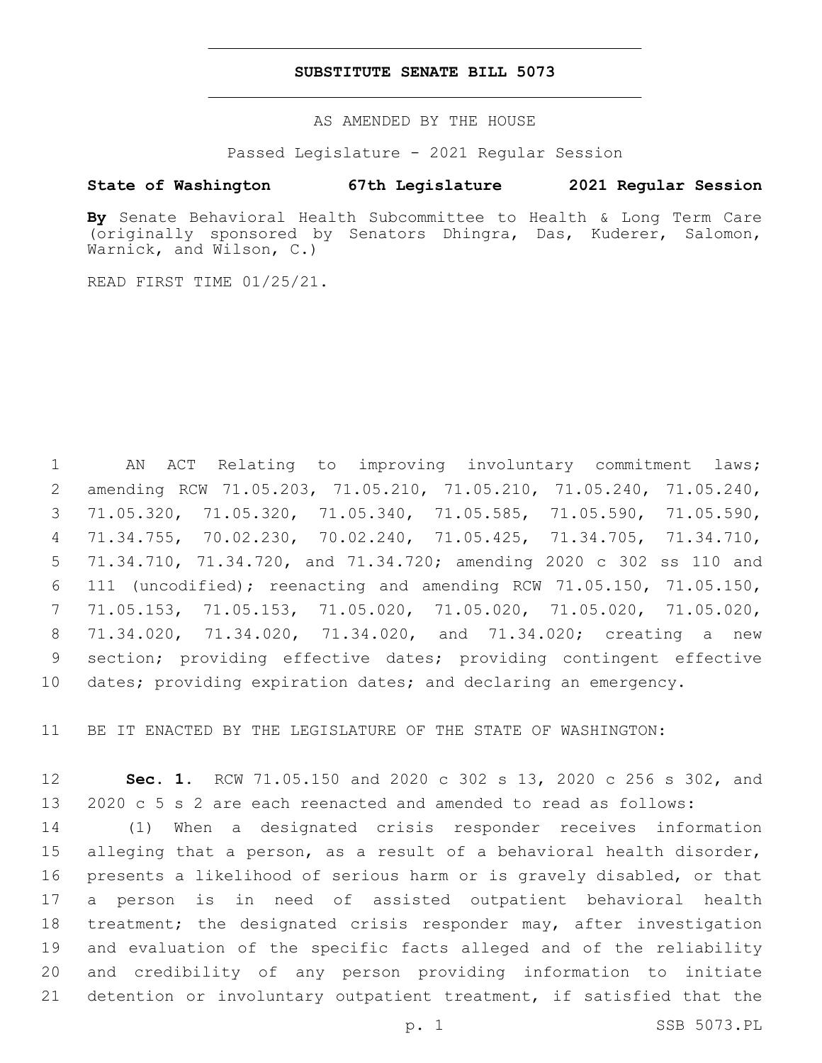## **SUBSTITUTE SENATE BILL 5073**

AS AMENDED BY THE HOUSE

Passed Legislature - 2021 Regular Session

## **State of Washington 67th Legislature 2021 Regular Session**

**By** Senate Behavioral Health Subcommittee to Health & Long Term Care (originally sponsored by Senators Dhingra, Das, Kuderer, Salomon, Warnick, and Wilson, C.)

READ FIRST TIME 01/25/21.

 AN ACT Relating to improving involuntary commitment laws; amending RCW 71.05.203, 71.05.210, 71.05.210, 71.05.240, 71.05.240, 71.05.320, 71.05.320, 71.05.340, 71.05.585, 71.05.590, 71.05.590, 71.34.755, 70.02.230, 70.02.240, 71.05.425, 71.34.705, 71.34.710, 71.34.710, 71.34.720, and 71.34.720; amending 2020 c 302 ss 110 and 111 (uncodified); reenacting and amending RCW 71.05.150, 71.05.150, 71.05.153, 71.05.153, 71.05.020, 71.05.020, 71.05.020, 71.05.020, 71.34.020, 71.34.020, 71.34.020, and 71.34.020; creating a new section; providing effective dates; providing contingent effective dates; providing expiration dates; and declaring an emergency.

BE IT ENACTED BY THE LEGISLATURE OF THE STATE OF WASHINGTON:

 **Sec. 1.** RCW 71.05.150 and 2020 c 302 s 13, 2020 c 256 s 302, and 2020 c 5 s 2 are each reenacted and amended to read as follows:

 (1) When a designated crisis responder receives information alleging that a person, as a result of a behavioral health disorder, presents a likelihood of serious harm or is gravely disabled, or that a person is in need of assisted outpatient behavioral health treatment; the designated crisis responder may, after investigation and evaluation of the specific facts alleged and of the reliability and credibility of any person providing information to initiate detention or involuntary outpatient treatment, if satisfied that the

p. 1 SSB 5073.PL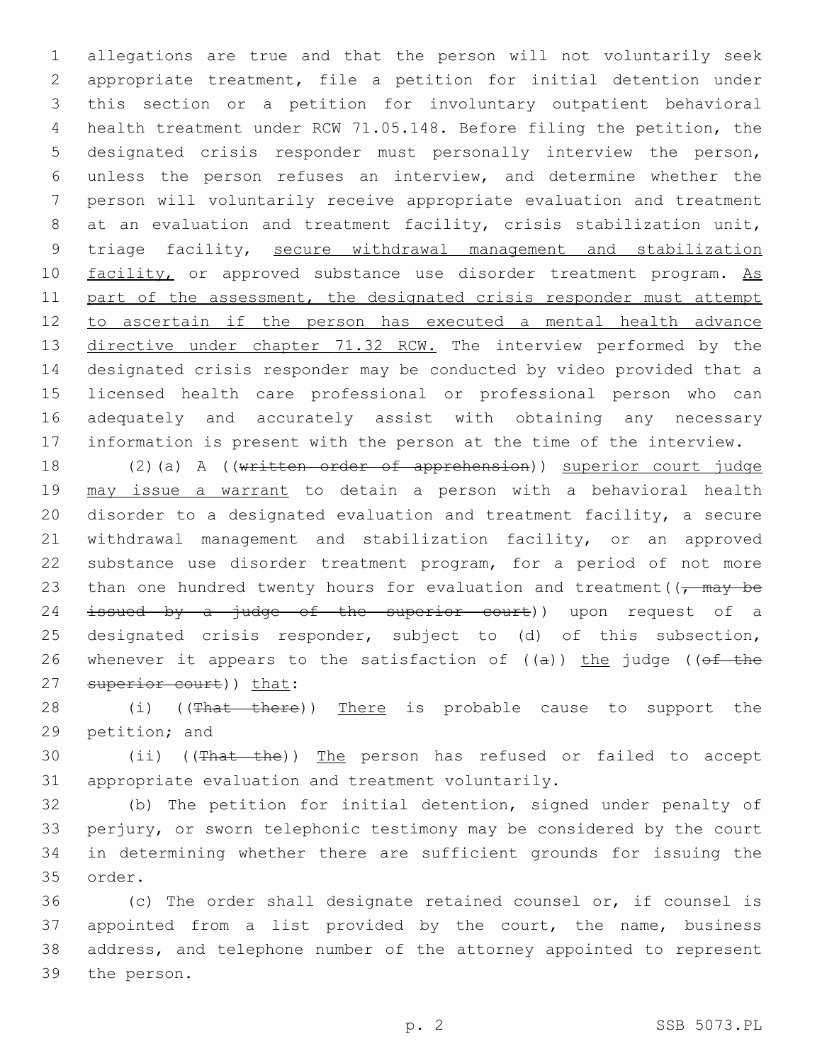allegations are true and that the person will not voluntarily seek appropriate treatment, file a petition for initial detention under this section or a petition for involuntary outpatient behavioral health treatment under RCW 71.05.148. Before filing the petition, the designated crisis responder must personally interview the person, unless the person refuses an interview, and determine whether the person will voluntarily receive appropriate evaluation and treatment 8 at an evaluation and treatment facility, crisis stabilization unit, triage facility, secure withdrawal management and stabilization 10 facility, or approved substance use disorder treatment program. As 11 part of the assessment, the designated crisis responder must attempt to ascertain if the person has executed a mental health advance 13 directive under chapter 71.32 RCW. The interview performed by the designated crisis responder may be conducted by video provided that a licensed health care professional or professional person who can adequately and accurately assist with obtaining any necessary information is present with the person at the time of the interview.

18 (2)(a) A ((written order of apprehension)) superior court judge 19 may issue a warrant to detain a person with a behavioral health 20 disorder to a designated evaluation and treatment facility, a secure 21 withdrawal management and stabilization facility, or an approved 22 substance use disorder treatment program, for a period of not more 23 than one hundred twenty hours for evaluation and treatment( $\sqrt{m}$  +  $\sqrt{m}$ 24 <del>issued by a judge of the superior court</del>)) upon request of a 25 designated crisis responder, subject to (d) of this subsection, 26 whenever it appears to the satisfaction of  $((a))$  the judge ((of the 27 superior court)) that:

28 (i) ((That there)) There is probable cause to support the 29 petition; and

30 (ii) ((That the)) The person has refused or failed to accept 31 appropriate evaluation and treatment voluntarily.

 (b) The petition for initial detention, signed under penalty of perjury, or sworn telephonic testimony may be considered by the court in determining whether there are sufficient grounds for issuing the 35 order.

 (c) The order shall designate retained counsel or, if counsel is appointed from a list provided by the court, the name, business address, and telephone number of the attorney appointed to represent 39 the person.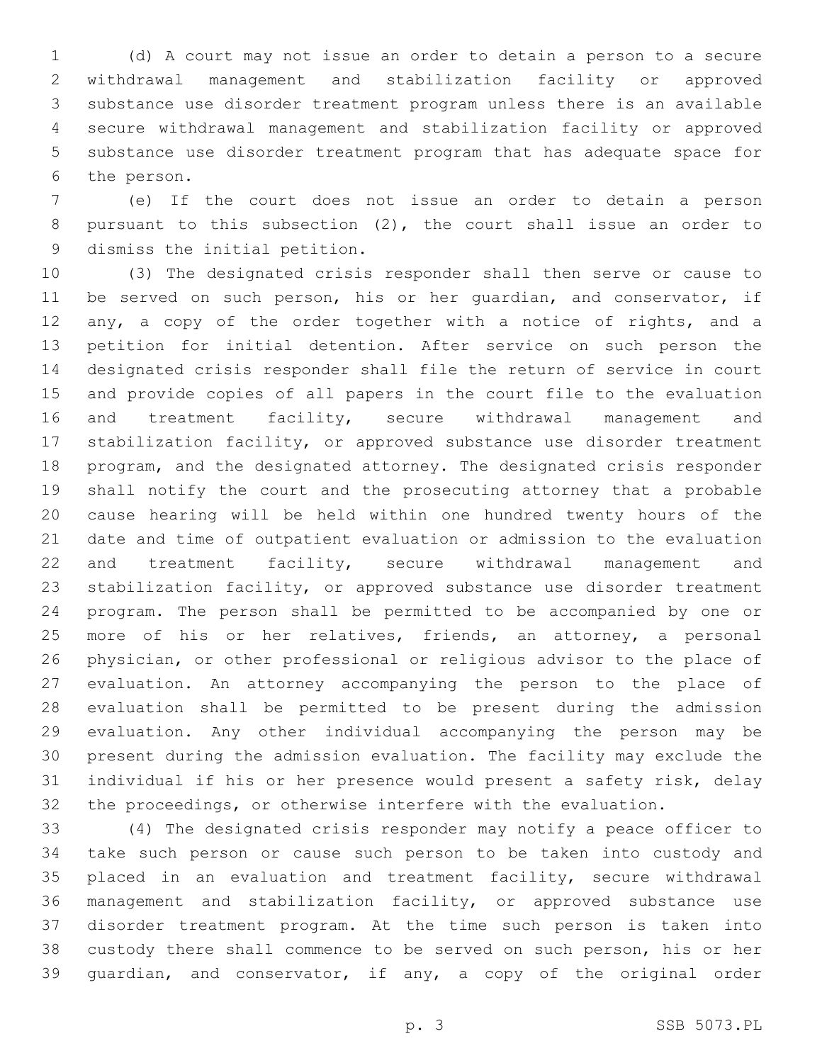(d) A court may not issue an order to detain a person to a secure withdrawal management and stabilization facility or approved substance use disorder treatment program unless there is an available secure withdrawal management and stabilization facility or approved substance use disorder treatment program that has adequate space for 6 the person.

 (e) If the court does not issue an order to detain a person pursuant to this subsection (2), the court shall issue an order to 9 dismiss the initial petition.

 (3) The designated crisis responder shall then serve or cause to be served on such person, his or her guardian, and conservator, if 12 any, a copy of the order together with a notice of rights, and a petition for initial detention. After service on such person the designated crisis responder shall file the return of service in court and provide copies of all papers in the court file to the evaluation 16 and treatment facility, secure withdrawal management and stabilization facility, or approved substance use disorder treatment program, and the designated attorney. The designated crisis responder shall notify the court and the prosecuting attorney that a probable cause hearing will be held within one hundred twenty hours of the date and time of outpatient evaluation or admission to the evaluation and treatment facility, secure withdrawal management and stabilization facility, or approved substance use disorder treatment program. The person shall be permitted to be accompanied by one or more of his or her relatives, friends, an attorney, a personal physician, or other professional or religious advisor to the place of evaluation. An attorney accompanying the person to the place of evaluation shall be permitted to be present during the admission evaluation. Any other individual accompanying the person may be present during the admission evaluation. The facility may exclude the individual if his or her presence would present a safety risk, delay the proceedings, or otherwise interfere with the evaluation.

 (4) The designated crisis responder may notify a peace officer to take such person or cause such person to be taken into custody and placed in an evaluation and treatment facility, secure withdrawal management and stabilization facility, or approved substance use disorder treatment program. At the time such person is taken into custody there shall commence to be served on such person, his or her guardian, and conservator, if any, a copy of the original order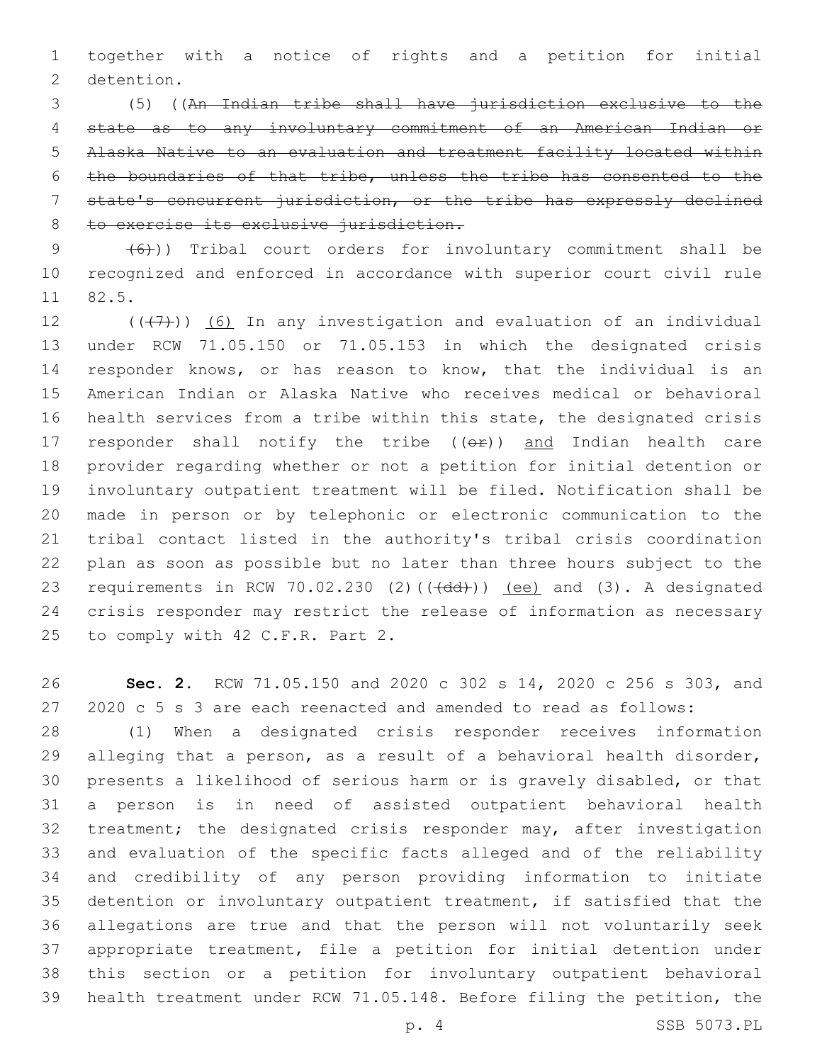together with a notice of rights and a petition for initial 2 detention.

 (5) ((An Indian tribe shall have jurisdiction exclusive to the state as to any involuntary commitment of an American Indian or Alaska Native to an evaluation and treatment facility located within the boundaries of that tribe, unless the tribe has consented to the state's concurrent jurisdiction, or the tribe has expressly declined 8 to exercise its exclusive jurisdiction.

  $(6)$ )) Tribal court orders for involuntary commitment shall be recognized and enforced in accordance with superior court civil rule 11 82.5.

 $((+7+))$  (6) In any investigation and evaluation of an individual under RCW 71.05.150 or 71.05.153 in which the designated crisis responder knows, or has reason to know, that the individual is an American Indian or Alaska Native who receives medical or behavioral health services from a tribe within this state, the designated crisis 17 responder shall notify the tribe  $((e^p))$  and Indian health care provider regarding whether or not a petition for initial detention or involuntary outpatient treatment will be filed. Notification shall be made in person or by telephonic or electronic communication to the tribal contact listed in the authority's tribal crisis coordination plan as soon as possible but no later than three hours subject to the 23 requirements in RCW 70.02.230 (2)( $(\overrightarrow{dd})$ )) (ee) and (3). A designated crisis responder may restrict the release of information as necessary 25 to comply with 42 C.F.R. Part 2.

 **Sec. 2.** RCW 71.05.150 and 2020 c 302 s 14, 2020 c 256 s 303, and 2020 c 5 s 3 are each reenacted and amended to read as follows:

 (1) When a designated crisis responder receives information alleging that a person, as a result of a behavioral health disorder, presents a likelihood of serious harm or is gravely disabled, or that a person is in need of assisted outpatient behavioral health 32 treatment; the designated crisis responder may, after investigation and evaluation of the specific facts alleged and of the reliability and credibility of any person providing information to initiate detention or involuntary outpatient treatment, if satisfied that the allegations are true and that the person will not voluntarily seek appropriate treatment, file a petition for initial detention under this section or a petition for involuntary outpatient behavioral health treatment under RCW 71.05.148. Before filing the petition, the

p. 4 SSB 5073.PL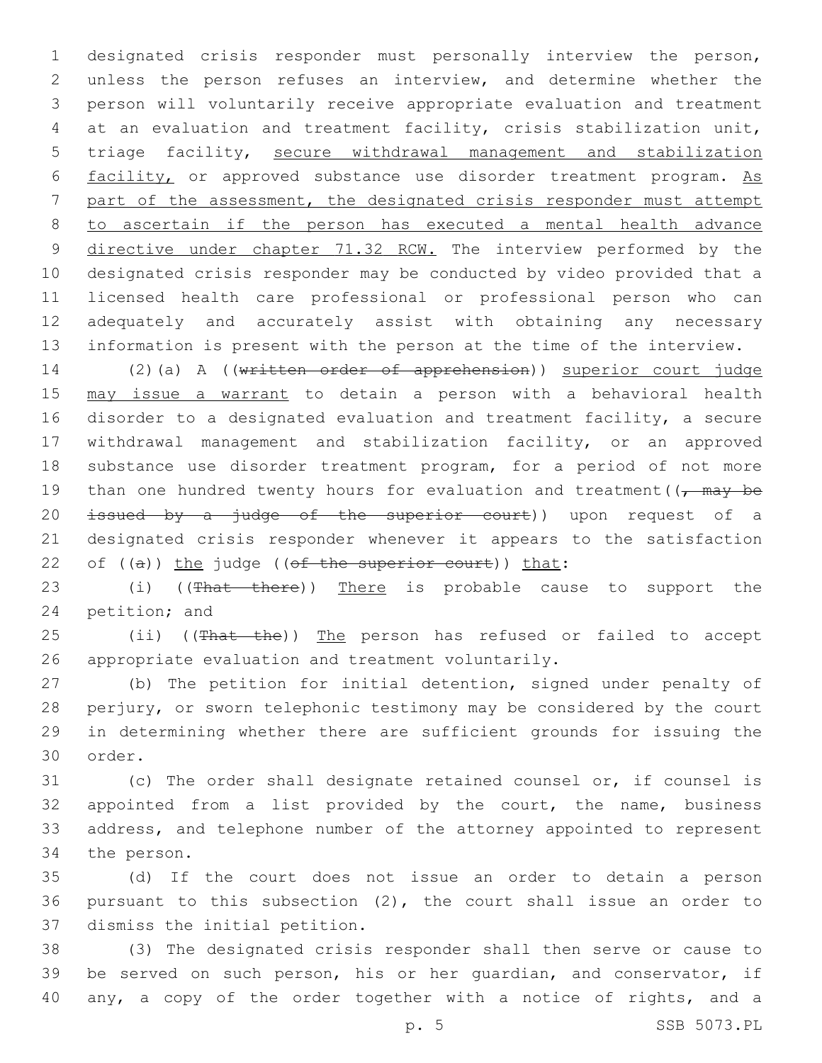designated crisis responder must personally interview the person, unless the person refuses an interview, and determine whether the person will voluntarily receive appropriate evaluation and treatment at an evaluation and treatment facility, crisis stabilization unit, triage facility, secure withdrawal management and stabilization 6 facility, or approved substance use disorder treatment program. As part of the assessment, the designated crisis responder must attempt to ascertain if the person has executed a mental health advance 9 directive under chapter 71.32 RCW. The interview performed by the designated crisis responder may be conducted by video provided that a licensed health care professional or professional person who can adequately and accurately assist with obtaining any necessary information is present with the person at the time of the interview.

 (2)(a) A ((written order of apprehension)) superior court judge may issue a warrant to detain a person with a behavioral health disorder to a designated evaluation and treatment facility, a secure withdrawal management and stabilization facility, or an approved substance use disorder treatment program, for a period of not more 19 than one hundred twenty hours for evaluation and treatment( $\sqrt{m}$  +  $\sqrt{m}$ 20 issued by a judge of the superior court)) upon request of a designated crisis responder whenever it appears to the satisfaction 22 of  $((a))$  the judge  $((of the superior court))$  that:

23 (i) ((That there)) There is probable cause to support the 24 petition; and

25 (ii) ((That the)) The person has refused or failed to accept 26 appropriate evaluation and treatment voluntarily.

 (b) The petition for initial detention, signed under penalty of perjury, or sworn telephonic testimony may be considered by the court in determining whether there are sufficient grounds for issuing the 30 order.

 (c) The order shall designate retained counsel or, if counsel is appointed from a list provided by the court, the name, business address, and telephone number of the attorney appointed to represent 34 the person.

 (d) If the court does not issue an order to detain a person pursuant to this subsection (2), the court shall issue an order to 37 dismiss the initial petition.

 (3) The designated crisis responder shall then serve or cause to be served on such person, his or her guardian, and conservator, if any, a copy of the order together with a notice of rights, and a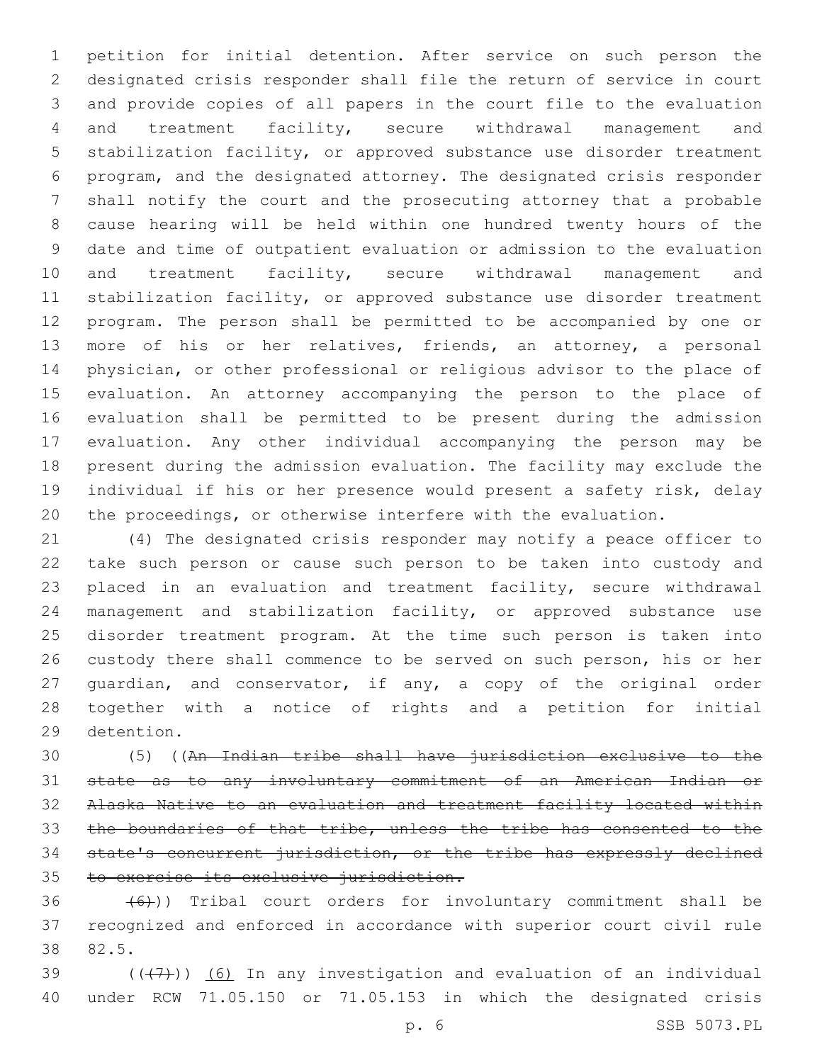petition for initial detention. After service on such person the designated crisis responder shall file the return of service in court and provide copies of all papers in the court file to the evaluation and treatment facility, secure withdrawal management and stabilization facility, or approved substance use disorder treatment program, and the designated attorney. The designated crisis responder shall notify the court and the prosecuting attorney that a probable cause hearing will be held within one hundred twenty hours of the date and time of outpatient evaluation or admission to the evaluation 10 and treatment facility, secure withdrawal management and stabilization facility, or approved substance use disorder treatment program. The person shall be permitted to be accompanied by one or more of his or her relatives, friends, an attorney, a personal physician, or other professional or religious advisor to the place of evaluation. An attorney accompanying the person to the place of evaluation shall be permitted to be present during the admission evaluation. Any other individual accompanying the person may be present during the admission evaluation. The facility may exclude the individual if his or her presence would present a safety risk, delay the proceedings, or otherwise interfere with the evaluation.

 (4) The designated crisis responder may notify a peace officer to take such person or cause such person to be taken into custody and placed in an evaluation and treatment facility, secure withdrawal management and stabilization facility, or approved substance use disorder treatment program. At the time such person is taken into custody there shall commence to be served on such person, his or her guardian, and conservator, if any, a copy of the original order together with a notice of rights and a petition for initial 29 detention.

 (5) ((An Indian tribe shall have jurisdiction exclusive to the state as to any involuntary commitment of an American Indian or Alaska Native to an evaluation and treatment facility located within the boundaries of that tribe, unless the tribe has consented to the state's concurrent jurisdiction, or the tribe has expressly declined to exercise its exclusive jurisdiction.

 $(36 - (6))$  Tribal court orders for involuntary commitment shall be recognized and enforced in accordance with superior court civil rule 82.5.38

39  $((+7+))$  (6) In any investigation and evaluation of an individual under RCW 71.05.150 or 71.05.153 in which the designated crisis

p. 6 SSB 5073.PL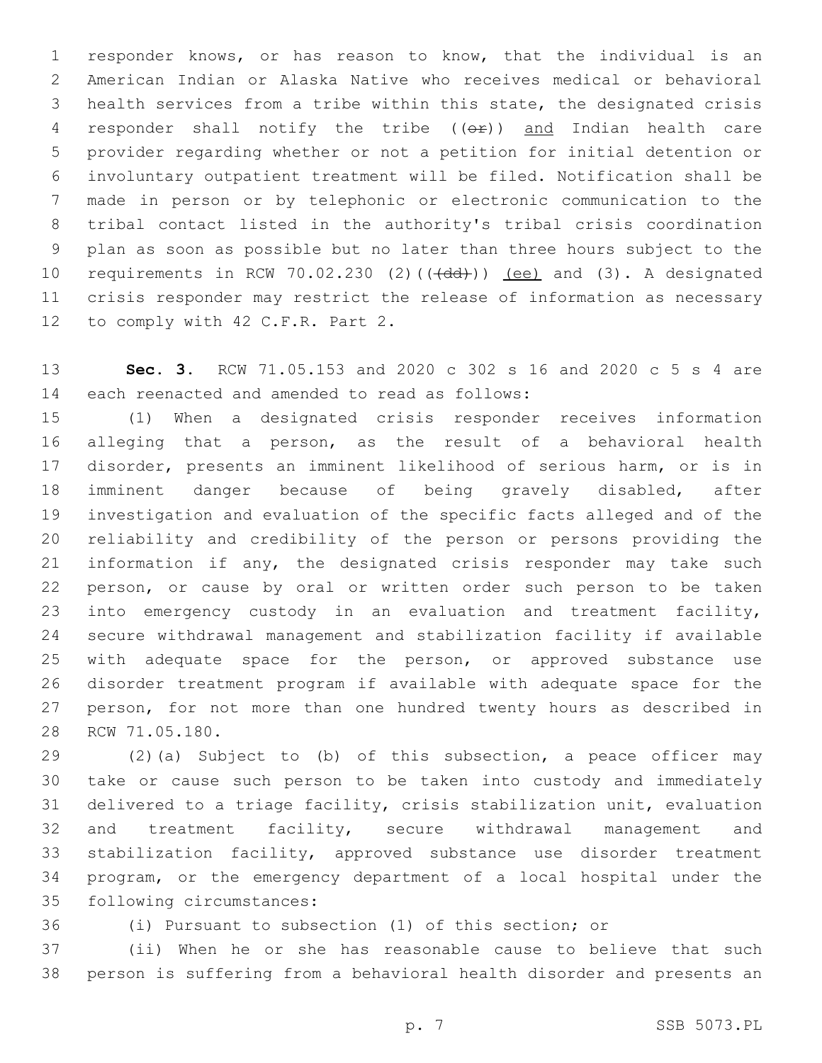responder knows, or has reason to know, that the individual is an American Indian or Alaska Native who receives medical or behavioral health services from a tribe within this state, the designated crisis responder shall notify the tribe ((or)) and Indian health care provider regarding whether or not a petition for initial detention or involuntary outpatient treatment will be filed. Notification shall be made in person or by telephonic or electronic communication to the tribal contact listed in the authority's tribal crisis coordination plan as soon as possible but no later than three hours subject to the 10 requirements in RCW 70.02.230 (2)(((dd))) (ee) and (3). A designated crisis responder may restrict the release of information as necessary 12 to comply with 42 C.F.R. Part 2.

 **Sec. 3.** RCW 71.05.153 and 2020 c 302 s 16 and 2020 c 5 s 4 are 14 each reenacted and amended to read as follows:

 (1) When a designated crisis responder receives information alleging that a person, as the result of a behavioral health disorder, presents an imminent likelihood of serious harm, or is in imminent danger because of being gravely disabled, after investigation and evaluation of the specific facts alleged and of the reliability and credibility of the person or persons providing the information if any, the designated crisis responder may take such person, or cause by oral or written order such person to be taken into emergency custody in an evaluation and treatment facility, secure withdrawal management and stabilization facility if available with adequate space for the person, or approved substance use disorder treatment program if available with adequate space for the person, for not more than one hundred twenty hours as described in 28 RCW 71.05.180.

 (2)(a) Subject to (b) of this subsection, a peace officer may take or cause such person to be taken into custody and immediately delivered to a triage facility, crisis stabilization unit, evaluation 32 and treatment facility, secure withdrawal management and stabilization facility, approved substance use disorder treatment program, or the emergency department of a local hospital under the 35 following circumstances:

(i) Pursuant to subsection (1) of this section; or

 (ii) When he or she has reasonable cause to believe that such person is suffering from a behavioral health disorder and presents an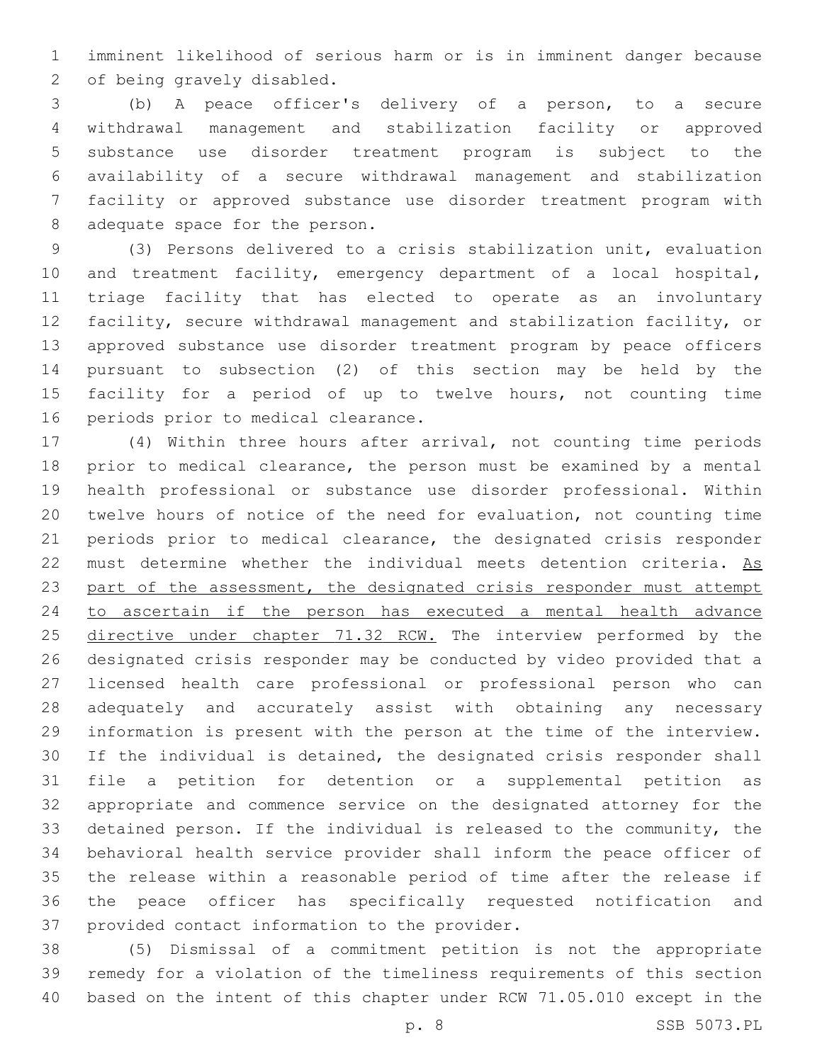imminent likelihood of serious harm or is in imminent danger because 2 of being gravely disabled.

 (b) A peace officer's delivery of a person, to a secure withdrawal management and stabilization facility or approved substance use disorder treatment program is subject to the availability of a secure withdrawal management and stabilization facility or approved substance use disorder treatment program with 8 adequate space for the person.

 (3) Persons delivered to a crisis stabilization unit, evaluation and treatment facility, emergency department of a local hospital, triage facility that has elected to operate as an involuntary facility, secure withdrawal management and stabilization facility, or approved substance use disorder treatment program by peace officers pursuant to subsection (2) of this section may be held by the facility for a period of up to twelve hours, not counting time 16 periods prior to medical clearance.

 (4) Within three hours after arrival, not counting time periods prior to medical clearance, the person must be examined by a mental health professional or substance use disorder professional. Within twelve hours of notice of the need for evaluation, not counting time periods prior to medical clearance, the designated crisis responder 22 must determine whether the individual meets detention criteria. As part of the assessment, the designated crisis responder must attempt to ascertain if the person has executed a mental health advance 25 directive under chapter 71.32 RCW. The interview performed by the designated crisis responder may be conducted by video provided that a licensed health care professional or professional person who can adequately and accurately assist with obtaining any necessary information is present with the person at the time of the interview. If the individual is detained, the designated crisis responder shall file a petition for detention or a supplemental petition as appropriate and commence service on the designated attorney for the detained person. If the individual is released to the community, the behavioral health service provider shall inform the peace officer of the release within a reasonable period of time after the release if the peace officer has specifically requested notification and 37 provided contact information to the provider.

 (5) Dismissal of a commitment petition is not the appropriate remedy for a violation of the timeliness requirements of this section based on the intent of this chapter under RCW 71.05.010 except in the

p. 8 SSB 5073.PL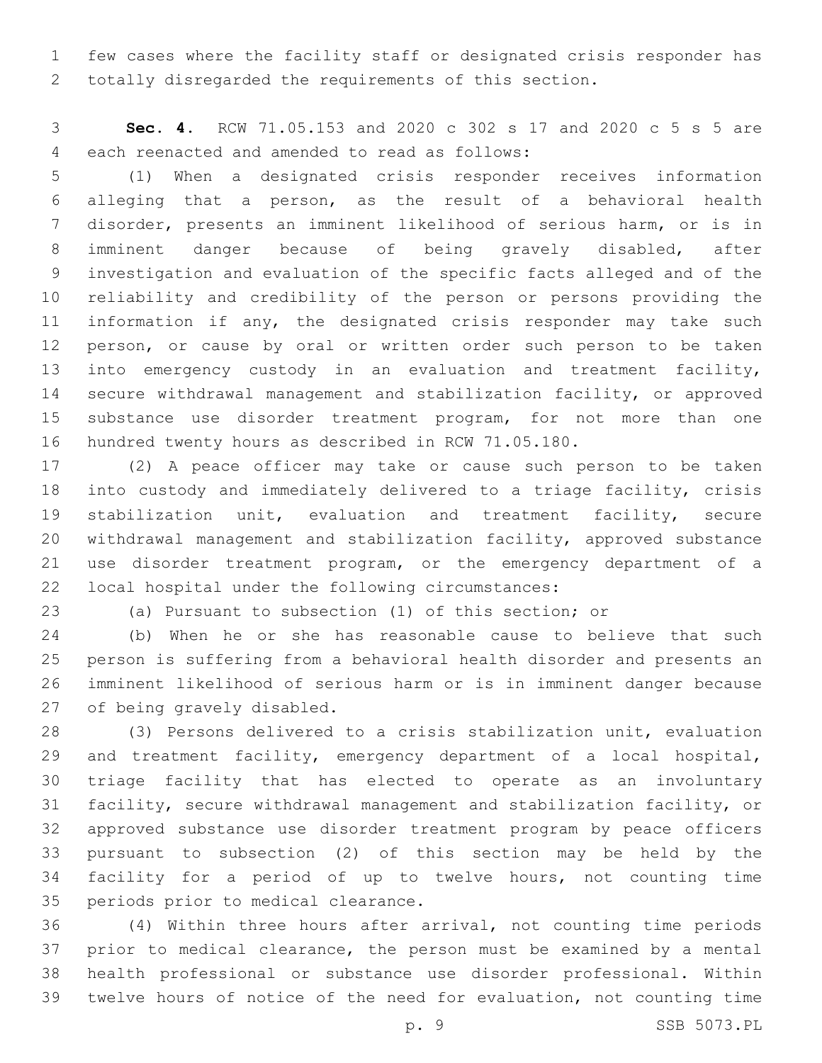few cases where the facility staff or designated crisis responder has totally disregarded the requirements of this section.

 **Sec. 4.** RCW 71.05.153 and 2020 c 302 s 17 and 2020 c 5 s 5 are 4 each reenacted and amended to read as follows:

 (1) When a designated crisis responder receives information alleging that a person, as the result of a behavioral health disorder, presents an imminent likelihood of serious harm, or is in imminent danger because of being gravely disabled, after investigation and evaluation of the specific facts alleged and of the reliability and credibility of the person or persons providing the 11 information if any, the designated crisis responder may take such 12 person, or cause by oral or written order such person to be taken into emergency custody in an evaluation and treatment facility, secure withdrawal management and stabilization facility, or approved substance use disorder treatment program, for not more than one hundred twenty hours as described in RCW 71.05.180.

 (2) A peace officer may take or cause such person to be taken into custody and immediately delivered to a triage facility, crisis stabilization unit, evaluation and treatment facility, secure withdrawal management and stabilization facility, approved substance use disorder treatment program, or the emergency department of a 22 local hospital under the following circumstances:

(a) Pursuant to subsection (1) of this section; or

 (b) When he or she has reasonable cause to believe that such person is suffering from a behavioral health disorder and presents an imminent likelihood of serious harm or is in imminent danger because 27 of being gravely disabled.

 (3) Persons delivered to a crisis stabilization unit, evaluation and treatment facility, emergency department of a local hospital, triage facility that has elected to operate as an involuntary facility, secure withdrawal management and stabilization facility, or approved substance use disorder treatment program by peace officers pursuant to subsection (2) of this section may be held by the facility for a period of up to twelve hours, not counting time 35 periods prior to medical clearance.

 (4) Within three hours after arrival, not counting time periods prior to medical clearance, the person must be examined by a mental health professional or substance use disorder professional. Within twelve hours of notice of the need for evaluation, not counting time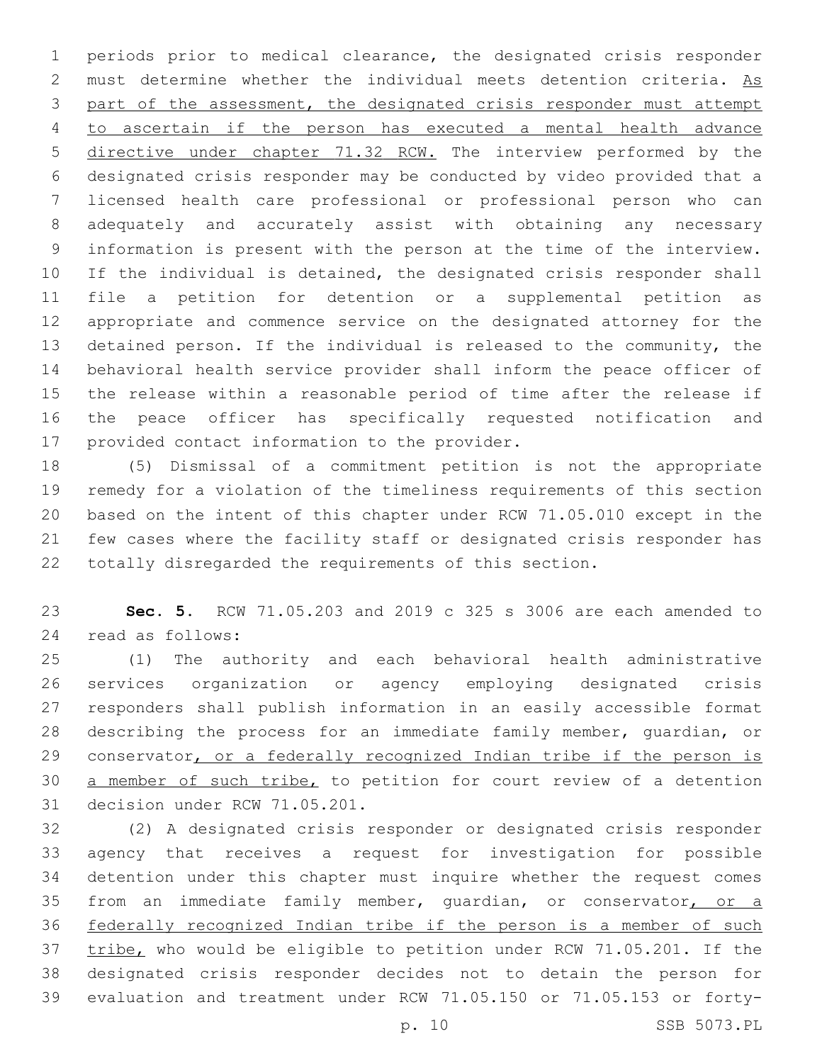periods prior to medical clearance, the designated crisis responder must determine whether the individual meets detention criteria. As part of the assessment, the designated crisis responder must attempt to ascertain if the person has executed a mental health advance directive under chapter 71.32 RCW. The interview performed by the designated crisis responder may be conducted by video provided that a licensed health care professional or professional person who can adequately and accurately assist with obtaining any necessary information is present with the person at the time of the interview. If the individual is detained, the designated crisis responder shall file a petition for detention or a supplemental petition as appropriate and commence service on the designated attorney for the detained person. If the individual is released to the community, the behavioral health service provider shall inform the peace officer of the release within a reasonable period of time after the release if the peace officer has specifically requested notification and 17 provided contact information to the provider.

 (5) Dismissal of a commitment petition is not the appropriate remedy for a violation of the timeliness requirements of this section based on the intent of this chapter under RCW 71.05.010 except in the few cases where the facility staff or designated crisis responder has totally disregarded the requirements of this section.

 **Sec. 5.** RCW 71.05.203 and 2019 c 325 s 3006 are each amended to 24 read as follows:

 (1) The authority and each behavioral health administrative services organization or agency employing designated crisis responders shall publish information in an easily accessible format describing the process for an immediate family member, guardian, or 29 conservator, or a federally recognized Indian tribe if the person is a member of such tribe, to petition for court review of a detention 31 decision under RCW 71.05.201.

 (2) A designated crisis responder or designated crisis responder agency that receives a request for investigation for possible detention under this chapter must inquire whether the request comes 35 from an immediate family member, guardian, or conservator, or a federally recognized Indian tribe if the person is a member of such 37 tribe, who would be eligible to petition under RCW 71.05.201. If the designated crisis responder decides not to detain the person for evaluation and treatment under RCW 71.05.150 or 71.05.153 or forty-

p. 10 SSB 5073.PL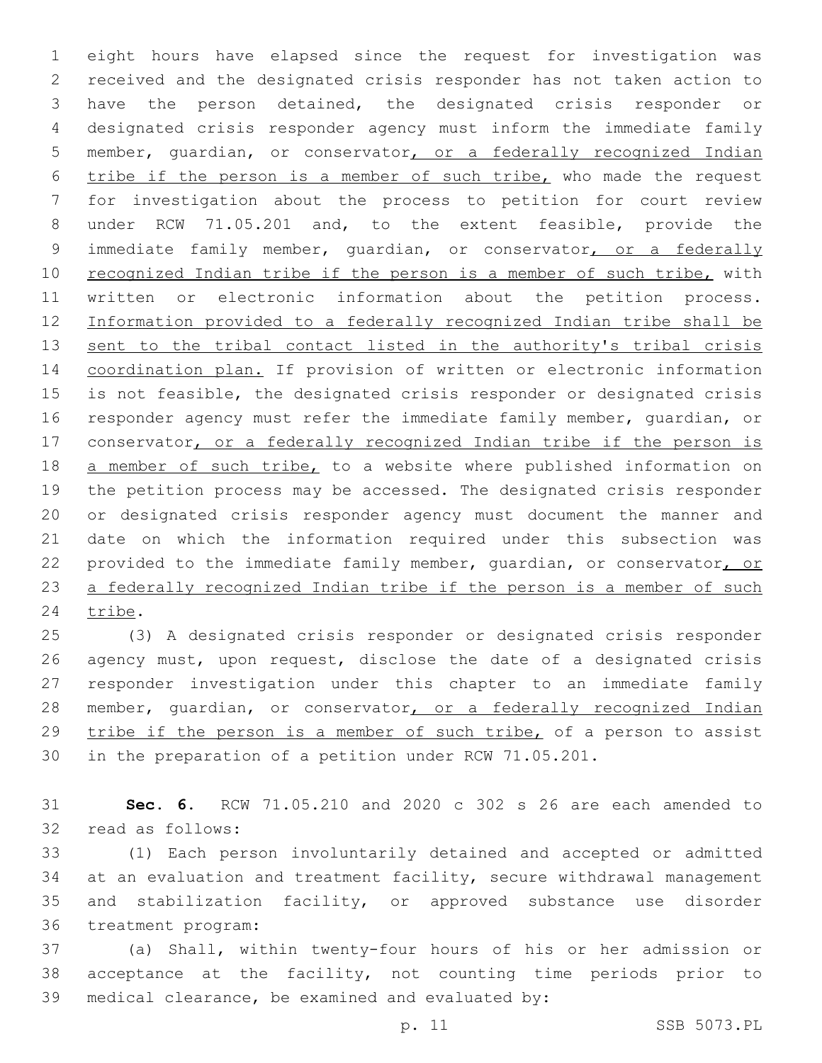eight hours have elapsed since the request for investigation was received and the designated crisis responder has not taken action to have the person detained, the designated crisis responder or designated crisis responder agency must inform the immediate family member, guardian, or conservator, or a federally recognized Indian tribe if the person is a member of such tribe, who made the request for investigation about the process to petition for court review under RCW 71.05.201 and, to the extent feasible, provide the 9 immediate family member, quardian, or conservator, or a federally 10 recognized Indian tribe if the person is a member of such tribe, with written or electronic information about the petition process. Information provided to a federally recognized Indian tribe shall be 13 sent to the tribal contact listed in the authority's tribal crisis coordination plan. If provision of written or electronic information is not feasible, the designated crisis responder or designated crisis responder agency must refer the immediate family member, guardian, or 17 conservator, or a federally recognized Indian tribe if the person is 18 a member of such tribe, to a website where published information on the petition process may be accessed. The designated crisis responder or designated crisis responder agency must document the manner and date on which the information required under this subsection was provided to the immediate family member, guardian, or conservator, or 23 a federally recognized Indian tribe if the person is a member of such 24 tribe.

 (3) A designated crisis responder or designated crisis responder agency must, upon request, disclose the date of a designated crisis responder investigation under this chapter to an immediate family 28 member, guardian, or conservator, or a federally recognized Indian tribe if the person is a member of such tribe, of a person to assist in the preparation of a petition under RCW 71.05.201.

 **Sec. 6.** RCW 71.05.210 and 2020 c 302 s 26 are each amended to 32 read as follows:

 (1) Each person involuntarily detained and accepted or admitted 34 at an evaluation and treatment facility, secure withdrawal management and stabilization facility, or approved substance use disorder 36 treatment program:

 (a) Shall, within twenty-four hours of his or her admission or acceptance at the facility, not counting time periods prior to 39 medical clearance, be examined and evaluated by: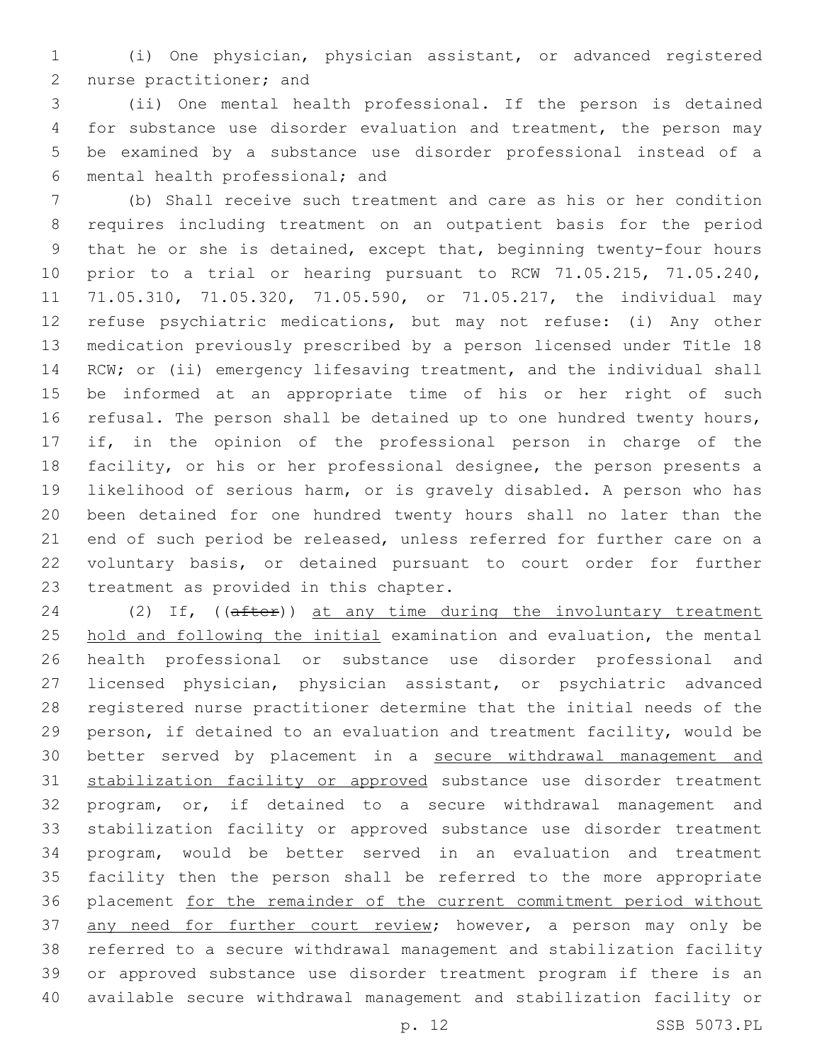(i) One physician, physician assistant, or advanced registered 2 nurse practitioner; and

 (ii) One mental health professional. If the person is detained for substance use disorder evaluation and treatment, the person may be examined by a substance use disorder professional instead of a mental health professional; and6

 (b) Shall receive such treatment and care as his or her condition requires including treatment on an outpatient basis for the period that he or she is detained, except that, beginning twenty-four hours prior to a trial or hearing pursuant to RCW 71.05.215, 71.05.240, 71.05.310, 71.05.320, 71.05.590, or 71.05.217, the individual may refuse psychiatric medications, but may not refuse: (i) Any other medication previously prescribed by a person licensed under Title 18 14 RCW; or (ii) emergency lifesaving treatment, and the individual shall be informed at an appropriate time of his or her right of such refusal. The person shall be detained up to one hundred twenty hours, if, in the opinion of the professional person in charge of the facility, or his or her professional designee, the person presents a likelihood of serious harm, or is gravely disabled. A person who has been detained for one hundred twenty hours shall no later than the end of such period be released, unless referred for further care on a voluntary basis, or detained pursuant to court order for further 23 treatment as provided in this chapter.

24 (2) If, ((after)) at any time during the involuntary treatment hold and following the initial examination and evaluation, the mental health professional or substance use disorder professional and licensed physician, physician assistant, or psychiatric advanced registered nurse practitioner determine that the initial needs of the person, if detained to an evaluation and treatment facility, would be better served by placement in a secure withdrawal management and stabilization facility or approved substance use disorder treatment program, or, if detained to a secure withdrawal management and stabilization facility or approved substance use disorder treatment program, would be better served in an evaluation and treatment facility then the person shall be referred to the more appropriate placement for the remainder of the current commitment period without 37 any need for further court review; however, a person may only be referred to a secure withdrawal management and stabilization facility or approved substance use disorder treatment program if there is an available secure withdrawal management and stabilization facility or

p. 12 SSB 5073.PL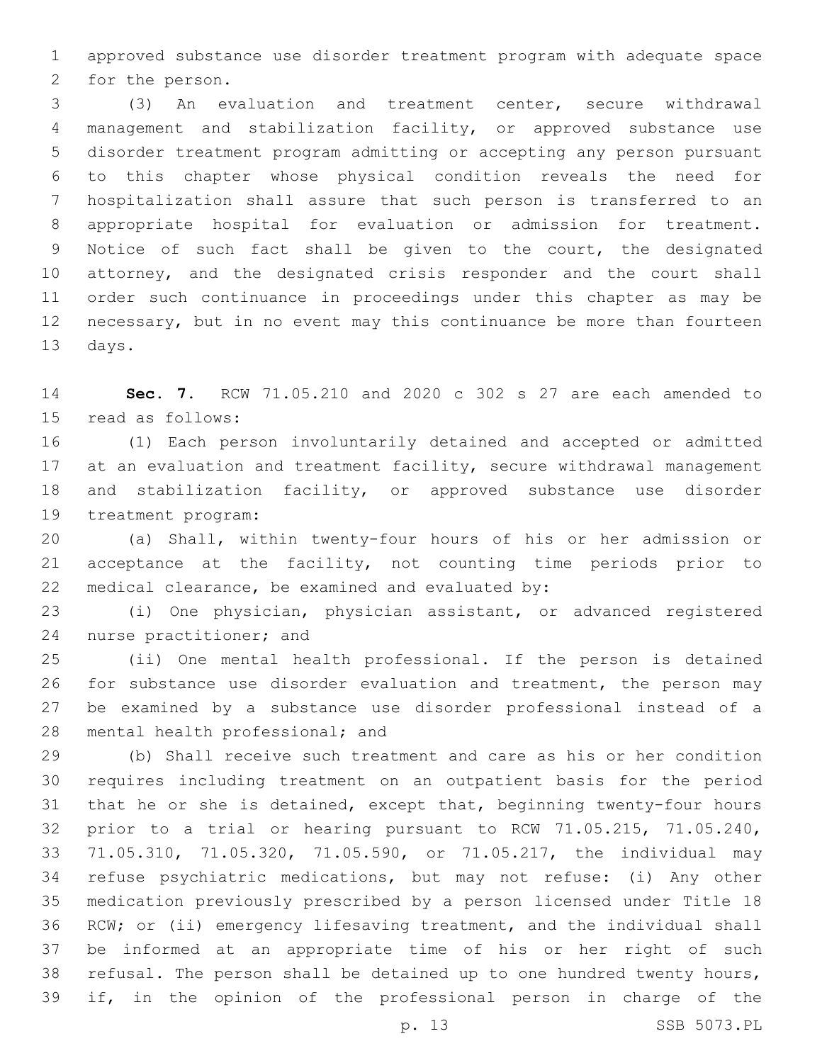approved substance use disorder treatment program with adequate space 2 for the person.

 (3) An evaluation and treatment center, secure withdrawal management and stabilization facility, or approved substance use disorder treatment program admitting or accepting any person pursuant to this chapter whose physical condition reveals the need for hospitalization shall assure that such person is transferred to an appropriate hospital for evaluation or admission for treatment. Notice of such fact shall be given to the court, the designated attorney, and the designated crisis responder and the court shall order such continuance in proceedings under this chapter as may be necessary, but in no event may this continuance be more than fourteen 13 days.

 **Sec. 7.** RCW 71.05.210 and 2020 c 302 s 27 are each amended to 15 read as follows:

 (1) Each person involuntarily detained and accepted or admitted 17 at an evaluation and treatment facility, secure withdrawal management and stabilization facility, or approved substance use disorder 19 treatment program:

 (a) Shall, within twenty-four hours of his or her admission or acceptance at the facility, not counting time periods prior to 22 medical clearance, be examined and evaluated by:

 (i) One physician, physician assistant, or advanced registered 24 nurse practitioner; and

 (ii) One mental health professional. If the person is detained for substance use disorder evaluation and treatment, the person may be examined by a substance use disorder professional instead of a 28 mental health professional; and

 (b) Shall receive such treatment and care as his or her condition requires including treatment on an outpatient basis for the period that he or she is detained, except that, beginning twenty-four hours prior to a trial or hearing pursuant to RCW 71.05.215, 71.05.240, 71.05.310, 71.05.320, 71.05.590, or 71.05.217, the individual may refuse psychiatric medications, but may not refuse: (i) Any other medication previously prescribed by a person licensed under Title 18 RCW; or (ii) emergency lifesaving treatment, and the individual shall be informed at an appropriate time of his or her right of such refusal. The person shall be detained up to one hundred twenty hours, if, in the opinion of the professional person in charge of the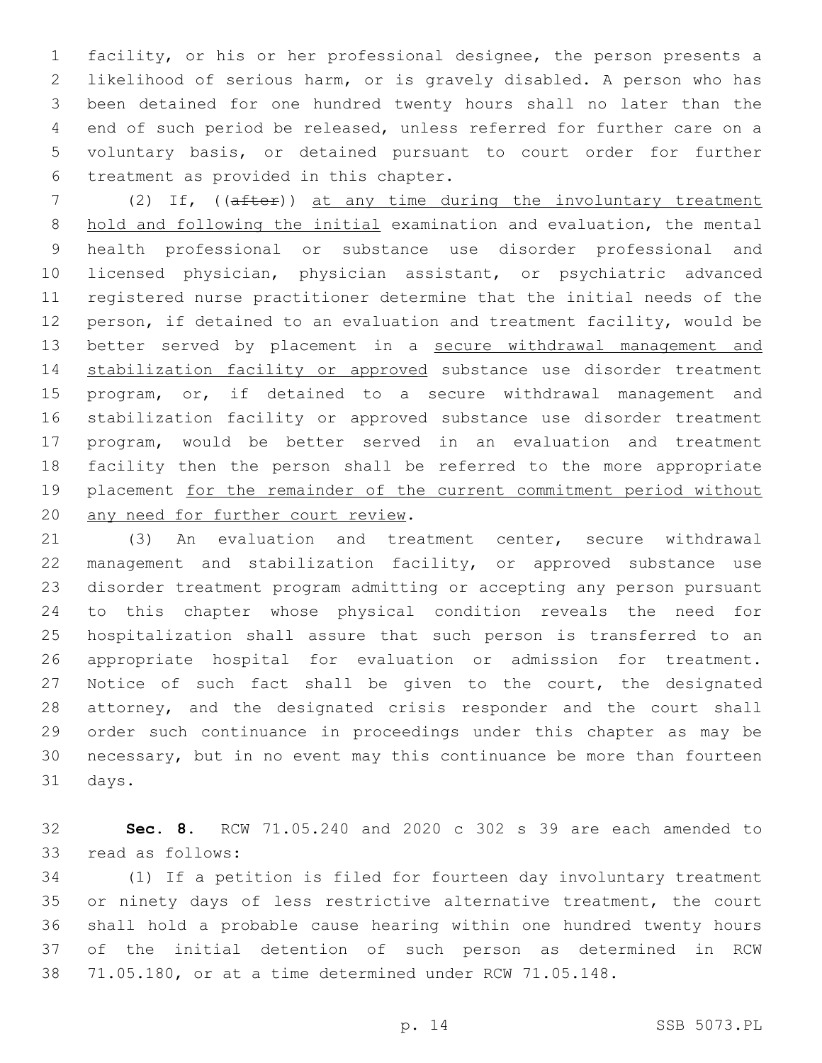facility, or his or her professional designee, the person presents a likelihood of serious harm, or is gravely disabled. A person who has been detained for one hundred twenty hours shall no later than the end of such period be released, unless referred for further care on a voluntary basis, or detained pursuant to court order for further 6 treatment as provided in this chapter.

7 (2) If, ((after)) at any time during the involuntary treatment hold and following the initial examination and evaluation, the mental health professional or substance use disorder professional and licensed physician, physician assistant, or psychiatric advanced registered nurse practitioner determine that the initial needs of the person, if detained to an evaluation and treatment facility, would be better served by placement in a secure withdrawal management and 14 stabilization facility or approved substance use disorder treatment program, or, if detained to a secure withdrawal management and stabilization facility or approved substance use disorder treatment program, would be better served in an evaluation and treatment facility then the person shall be referred to the more appropriate 19 placement for the remainder of the current commitment period without 20 any need for further court review.

 (3) An evaluation and treatment center, secure withdrawal management and stabilization facility, or approved substance use disorder treatment program admitting or accepting any person pursuant to this chapter whose physical condition reveals the need for hospitalization shall assure that such person is transferred to an appropriate hospital for evaluation or admission for treatment. Notice of such fact shall be given to the court, the designated attorney, and the designated crisis responder and the court shall order such continuance in proceedings under this chapter as may be necessary, but in no event may this continuance be more than fourteen 31 days.

 **Sec. 8.** RCW 71.05.240 and 2020 c 302 s 39 are each amended to 33 read as follows:

 (1) If a petition is filed for fourteen day involuntary treatment 35 or ninety days of less restrictive alternative treatment, the court shall hold a probable cause hearing within one hundred twenty hours of the initial detention of such person as determined in RCW 71.05.180, or at a time determined under RCW 71.05.148.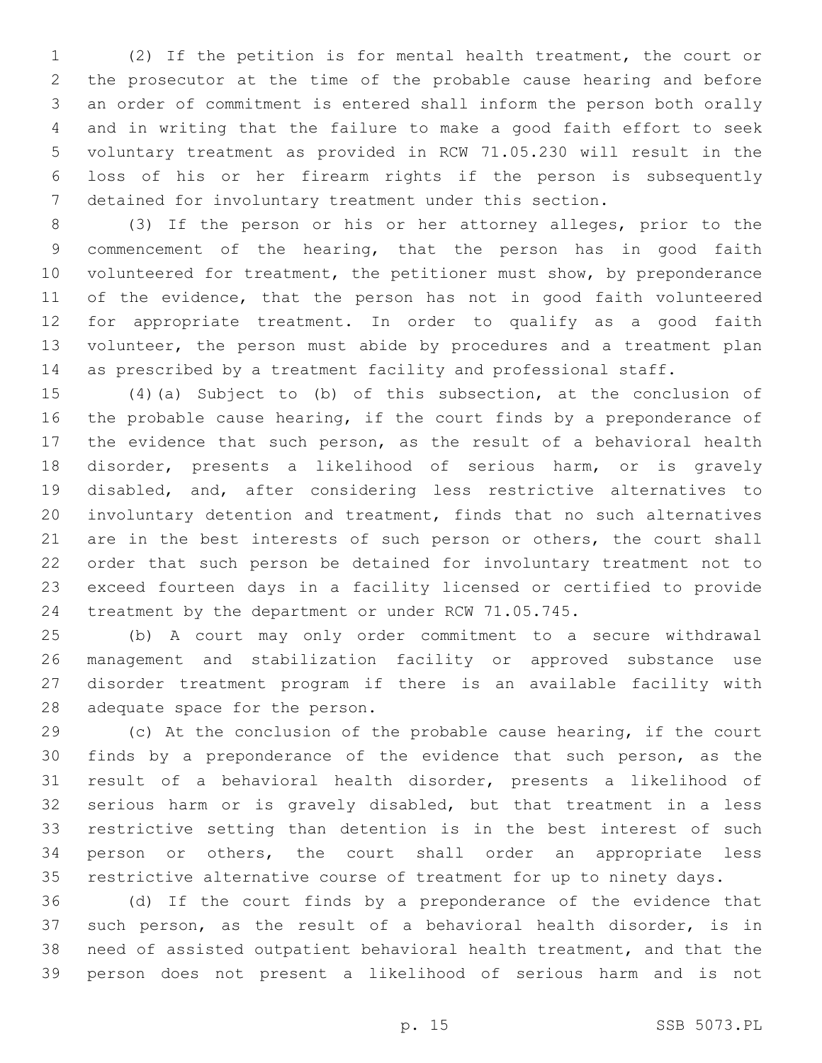(2) If the petition is for mental health treatment, the court or the prosecutor at the time of the probable cause hearing and before an order of commitment is entered shall inform the person both orally and in writing that the failure to make a good faith effort to seek voluntary treatment as provided in RCW 71.05.230 will result in the loss of his or her firearm rights if the person is subsequently detained for involuntary treatment under this section.

 (3) If the person or his or her attorney alleges, prior to the commencement of the hearing, that the person has in good faith volunteered for treatment, the petitioner must show, by preponderance 11 of the evidence, that the person has not in good faith volunteered for appropriate treatment. In order to qualify as a good faith volunteer, the person must abide by procedures and a treatment plan as prescribed by a treatment facility and professional staff.

 (4)(a) Subject to (b) of this subsection, at the conclusion of 16 the probable cause hearing, if the court finds by a preponderance of the evidence that such person, as the result of a behavioral health disorder, presents a likelihood of serious harm, or is gravely disabled, and, after considering less restrictive alternatives to involuntary detention and treatment, finds that no such alternatives are in the best interests of such person or others, the court shall order that such person be detained for involuntary treatment not to exceed fourteen days in a facility licensed or certified to provide treatment by the department or under RCW 71.05.745.

 (b) A court may only order commitment to a secure withdrawal management and stabilization facility or approved substance use disorder treatment program if there is an available facility with 28 adequate space for the person.

 (c) At the conclusion of the probable cause hearing, if the court finds by a preponderance of the evidence that such person, as the result of a behavioral health disorder, presents a likelihood of serious harm or is gravely disabled, but that treatment in a less restrictive setting than detention is in the best interest of such person or others, the court shall order an appropriate less restrictive alternative course of treatment for up to ninety days.

 (d) If the court finds by a preponderance of the evidence that such person, as the result of a behavioral health disorder, is in need of assisted outpatient behavioral health treatment, and that the person does not present a likelihood of serious harm and is not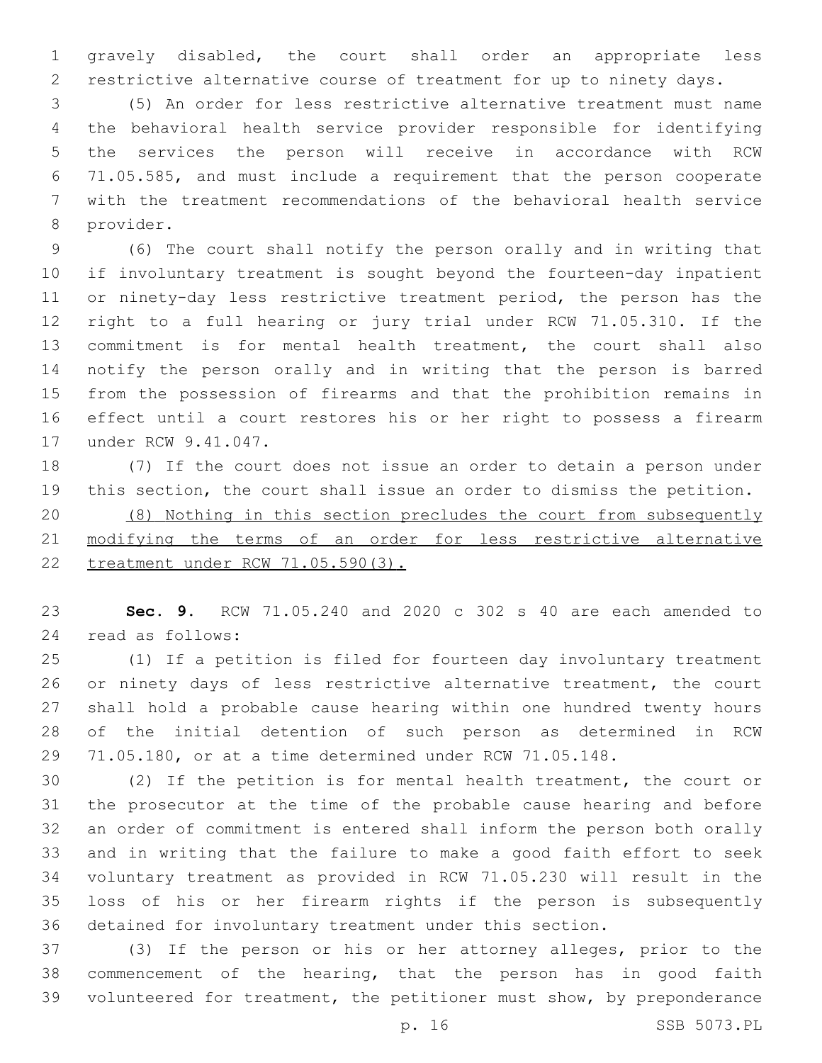gravely disabled, the court shall order an appropriate less restrictive alternative course of treatment for up to ninety days.

 (5) An order for less restrictive alternative treatment must name the behavioral health service provider responsible for identifying the services the person will receive in accordance with RCW 71.05.585, and must include a requirement that the person cooperate with the treatment recommendations of the behavioral health service 8 provider.

 (6) The court shall notify the person orally and in writing that if involuntary treatment is sought beyond the fourteen-day inpatient 11 or ninety-day less restrictive treatment period, the person has the right to a full hearing or jury trial under RCW 71.05.310. If the commitment is for mental health treatment, the court shall also notify the person orally and in writing that the person is barred from the possession of firearms and that the prohibition remains in effect until a court restores his or her right to possess a firearm 17 under RCW 9.41.047.

 (7) If the court does not issue an order to detain a person under this section, the court shall issue an order to dismiss the petition.

 (8) Nothing in this section precludes the court from subsequently modifying the terms of an order for less restrictive alternative treatment under RCW 71.05.590(3).

 **Sec. 9.** RCW 71.05.240 and 2020 c 302 s 40 are each amended to 24 read as follows:

 (1) If a petition is filed for fourteen day involuntary treatment or ninety days of less restrictive alternative treatment, the court shall hold a probable cause hearing within one hundred twenty hours of the initial detention of such person as determined in RCW 71.05.180, or at a time determined under RCW 71.05.148.

 (2) If the petition is for mental health treatment, the court or the prosecutor at the time of the probable cause hearing and before an order of commitment is entered shall inform the person both orally and in writing that the failure to make a good faith effort to seek voluntary treatment as provided in RCW 71.05.230 will result in the loss of his or her firearm rights if the person is subsequently detained for involuntary treatment under this section.

 (3) If the person or his or her attorney alleges, prior to the commencement of the hearing, that the person has in good faith volunteered for treatment, the petitioner must show, by preponderance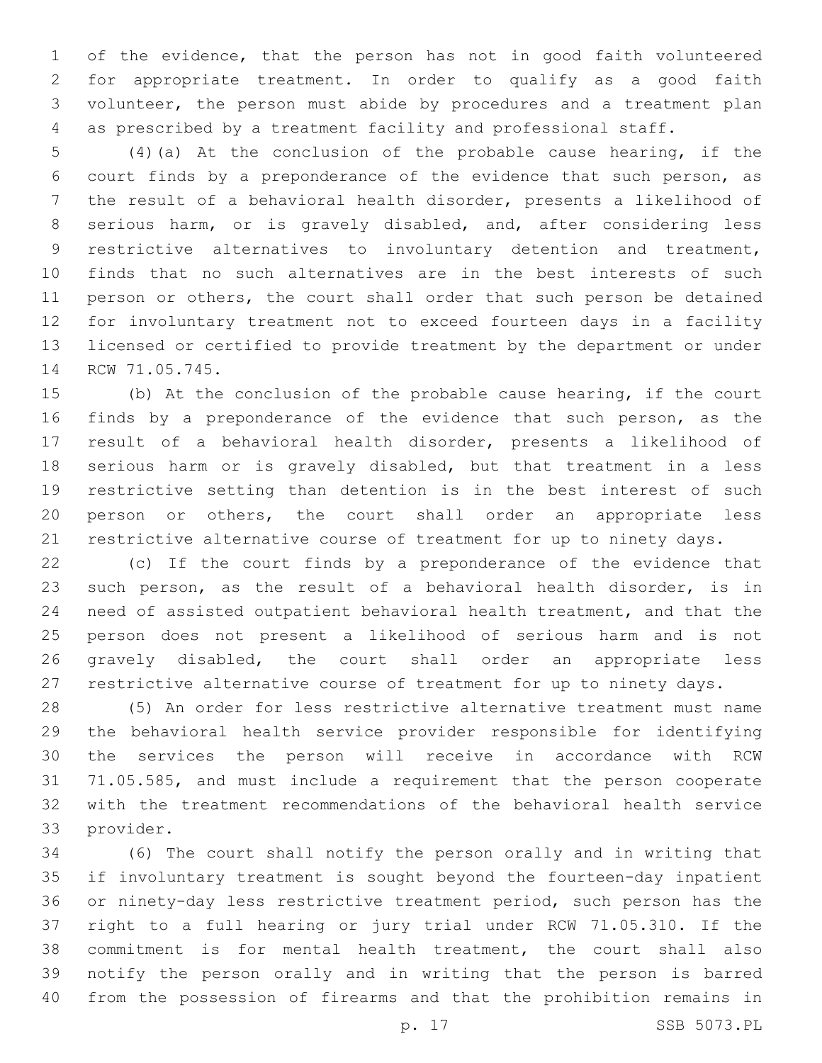of the evidence, that the person has not in good faith volunteered for appropriate treatment. In order to qualify as a good faith volunteer, the person must abide by procedures and a treatment plan as prescribed by a treatment facility and professional staff.

 (4)(a) At the conclusion of the probable cause hearing, if the court finds by a preponderance of the evidence that such person, as the result of a behavioral health disorder, presents a likelihood of serious harm, or is gravely disabled, and, after considering less restrictive alternatives to involuntary detention and treatment, finds that no such alternatives are in the best interests of such person or others, the court shall order that such person be detained for involuntary treatment not to exceed fourteen days in a facility licensed or certified to provide treatment by the department or under 14 RCW 71.05.745.

 (b) At the conclusion of the probable cause hearing, if the court 16 finds by a preponderance of the evidence that such person, as the result of a behavioral health disorder, presents a likelihood of serious harm or is gravely disabled, but that treatment in a less restrictive setting than detention is in the best interest of such person or others, the court shall order an appropriate less restrictive alternative course of treatment for up to ninety days.

 (c) If the court finds by a preponderance of the evidence that such person, as the result of a behavioral health disorder, is in need of assisted outpatient behavioral health treatment, and that the person does not present a likelihood of serious harm and is not gravely disabled, the court shall order an appropriate less restrictive alternative course of treatment for up to ninety days.

 (5) An order for less restrictive alternative treatment must name the behavioral health service provider responsible for identifying the services the person will receive in accordance with RCW 71.05.585, and must include a requirement that the person cooperate with the treatment recommendations of the behavioral health service 33 provider.

 (6) The court shall notify the person orally and in writing that if involuntary treatment is sought beyond the fourteen-day inpatient or ninety-day less restrictive treatment period, such person has the right to a full hearing or jury trial under RCW 71.05.310. If the commitment is for mental health treatment, the court shall also notify the person orally and in writing that the person is barred from the possession of firearms and that the prohibition remains in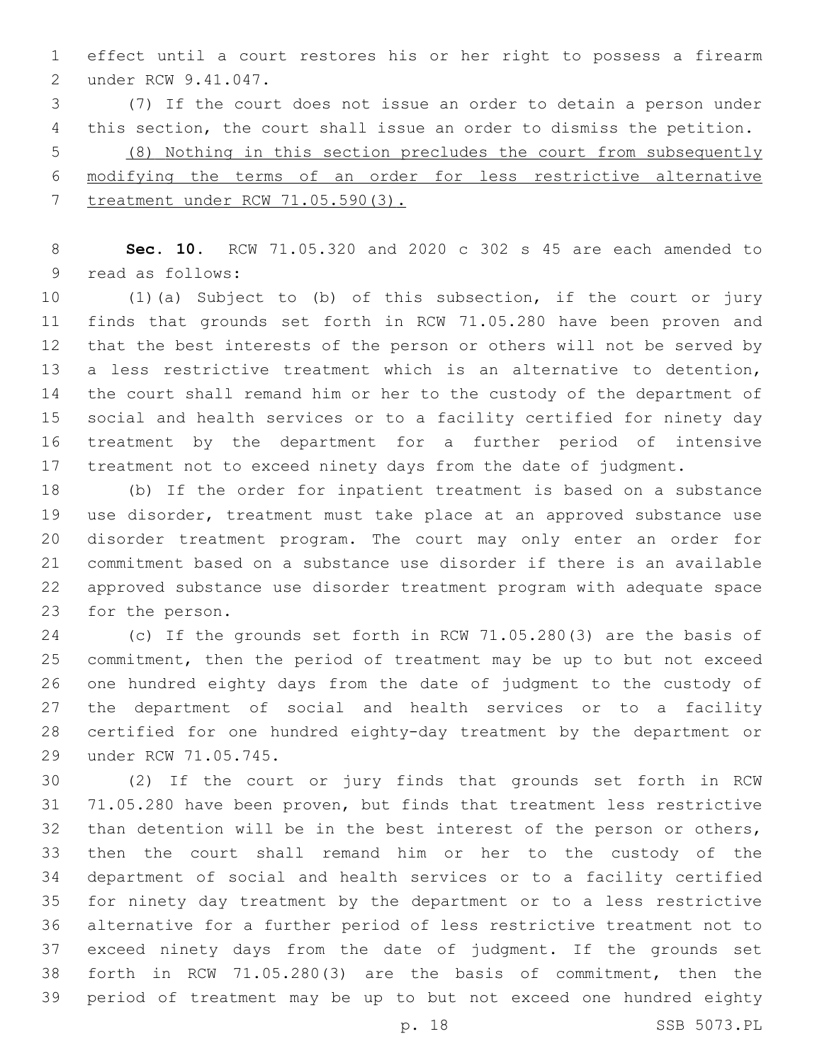effect until a court restores his or her right to possess a firearm 2 under RCW 9.41.047.

 (7) If the court does not issue an order to detain a person under this section, the court shall issue an order to dismiss the petition. (8) Nothing in this section precludes the court from subsequently modifying the terms of an order for less restrictive alternative treatment under RCW 71.05.590(3).

 **Sec. 10.** RCW 71.05.320 and 2020 c 302 s 45 are each amended to 9 read as follows:

 (1)(a) Subject to (b) of this subsection, if the court or jury finds that grounds set forth in RCW 71.05.280 have been proven and that the best interests of the person or others will not be served by a less restrictive treatment which is an alternative to detention, the court shall remand him or her to the custody of the department of social and health services or to a facility certified for ninety day treatment by the department for a further period of intensive treatment not to exceed ninety days from the date of judgment.

 (b) If the order for inpatient treatment is based on a substance use disorder, treatment must take place at an approved substance use disorder treatment program. The court may only enter an order for commitment based on a substance use disorder if there is an available approved substance use disorder treatment program with adequate space 23 for the person.

 (c) If the grounds set forth in RCW 71.05.280(3) are the basis of commitment, then the period of treatment may be up to but not exceed one hundred eighty days from the date of judgment to the custody of the department of social and health services or to a facility certified for one hundred eighty-day treatment by the department or 29 under RCW 71.05.745.

 (2) If the court or jury finds that grounds set forth in RCW 71.05.280 have been proven, but finds that treatment less restrictive 32 than detention will be in the best interest of the person or others, then the court shall remand him or her to the custody of the department of social and health services or to a facility certified for ninety day treatment by the department or to a less restrictive alternative for a further period of less restrictive treatment not to exceed ninety days from the date of judgment. If the grounds set forth in RCW 71.05.280(3) are the basis of commitment, then the period of treatment may be up to but not exceed one hundred eighty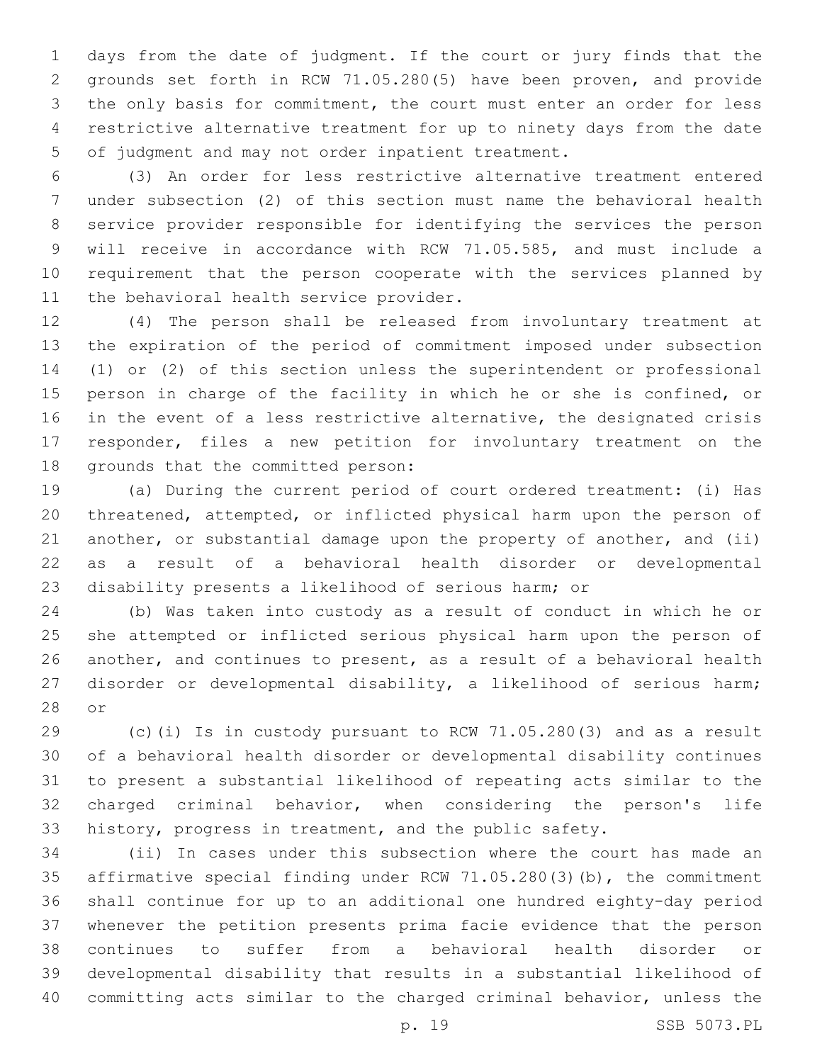days from the date of judgment. If the court or jury finds that the grounds set forth in RCW 71.05.280(5) have been proven, and provide the only basis for commitment, the court must enter an order for less restrictive alternative treatment for up to ninety days from the date 5 of judgment and may not order inpatient treatment.

 (3) An order for less restrictive alternative treatment entered under subsection (2) of this section must name the behavioral health service provider responsible for identifying the services the person will receive in accordance with RCW 71.05.585, and must include a requirement that the person cooperate with the services planned by 11 the behavioral health service provider.

 (4) The person shall be released from involuntary treatment at the expiration of the period of commitment imposed under subsection (1) or (2) of this section unless the superintendent or professional person in charge of the facility in which he or she is confined, or in the event of a less restrictive alternative, the designated crisis responder, files a new petition for involuntary treatment on the 18 grounds that the committed person:

 (a) During the current period of court ordered treatment: (i) Has threatened, attempted, or inflicted physical harm upon the person of another, or substantial damage upon the property of another, and (ii) as a result of a behavioral health disorder or developmental disability presents a likelihood of serious harm; or

 (b) Was taken into custody as a result of conduct in which he or she attempted or inflicted serious physical harm upon the person of another, and continues to present, as a result of a behavioral health disorder or developmental disability, a likelihood of serious harm; 28 or

 (c)(i) Is in custody pursuant to RCW 71.05.280(3) and as a result of a behavioral health disorder or developmental disability continues to present a substantial likelihood of repeating acts similar to the charged criminal behavior, when considering the person's life history, progress in treatment, and the public safety.

 (ii) In cases under this subsection where the court has made an affirmative special finding under RCW 71.05.280(3)(b), the commitment shall continue for up to an additional one hundred eighty-day period whenever the petition presents prima facie evidence that the person continues to suffer from a behavioral health disorder or developmental disability that results in a substantial likelihood of committing acts similar to the charged criminal behavior, unless the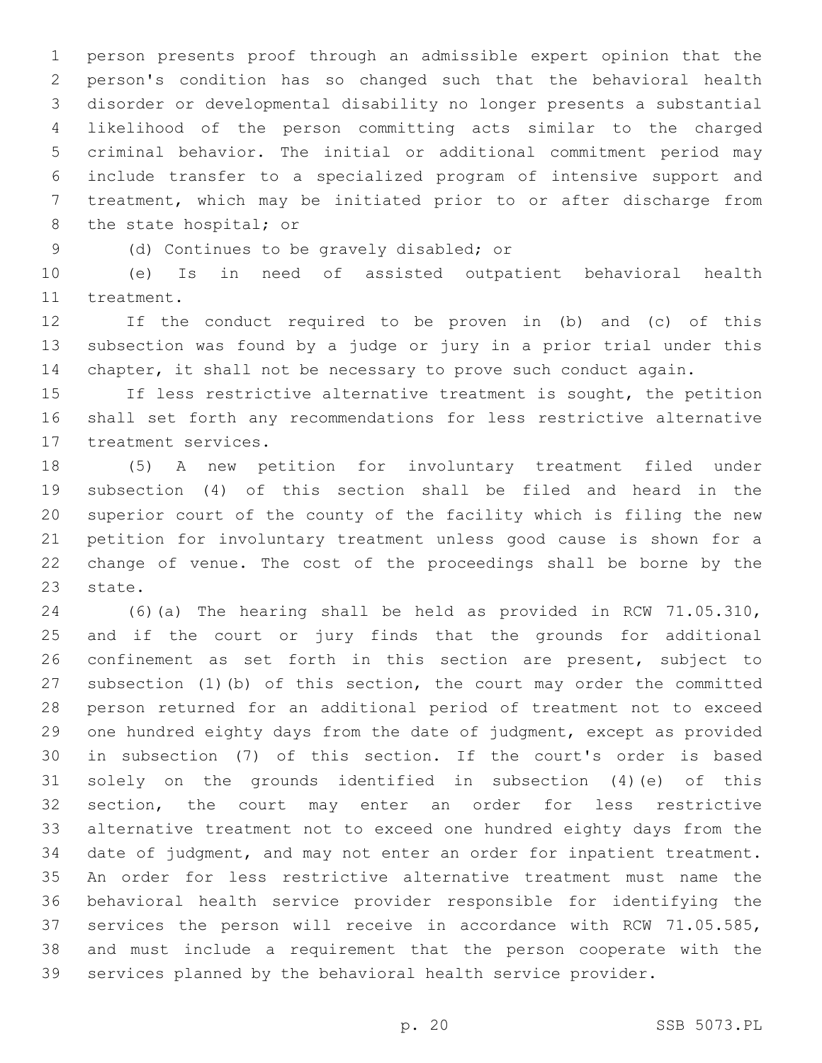person presents proof through an admissible expert opinion that the person's condition has so changed such that the behavioral health disorder or developmental disability no longer presents a substantial likelihood of the person committing acts similar to the charged criminal behavior. The initial or additional commitment period may include transfer to a specialized program of intensive support and treatment, which may be initiated prior to or after discharge from 8 the state hospital; or

(d) Continues to be gravely disabled; or9

 (e) Is in need of assisted outpatient behavioral health 11 treatment.

 If the conduct required to be proven in (b) and (c) of this subsection was found by a judge or jury in a prior trial under this chapter, it shall not be necessary to prove such conduct again.

 If less restrictive alternative treatment is sought, the petition shall set forth any recommendations for less restrictive alternative 17 treatment services.

 (5) A new petition for involuntary treatment filed under subsection (4) of this section shall be filed and heard in the superior court of the county of the facility which is filing the new petition for involuntary treatment unless good cause is shown for a change of venue. The cost of the proceedings shall be borne by the 23 state.

 (6)(a) The hearing shall be held as provided in RCW 71.05.310, and if the court or jury finds that the grounds for additional confinement as set forth in this section are present, subject to subsection (1)(b) of this section, the court may order the committed person returned for an additional period of treatment not to exceed one hundred eighty days from the date of judgment, except as provided in subsection (7) of this section. If the court's order is based solely on the grounds identified in subsection (4)(e) of this section, the court may enter an order for less restrictive alternative treatment not to exceed one hundred eighty days from the date of judgment, and may not enter an order for inpatient treatment. An order for less restrictive alternative treatment must name the behavioral health service provider responsible for identifying the services the person will receive in accordance with RCW 71.05.585, and must include a requirement that the person cooperate with the services planned by the behavioral health service provider.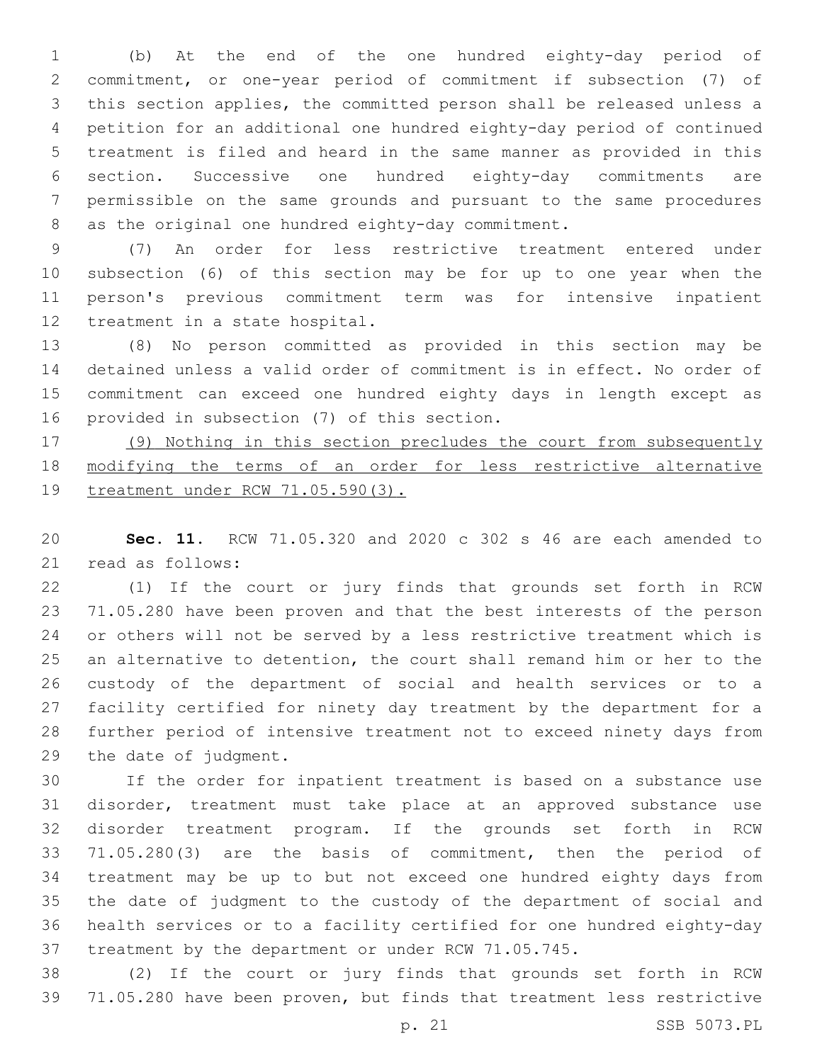(b) At the end of the one hundred eighty-day period of commitment, or one-year period of commitment if subsection (7) of this section applies, the committed person shall be released unless a petition for an additional one hundred eighty-day period of continued treatment is filed and heard in the same manner as provided in this section. Successive one hundred eighty-day commitments are permissible on the same grounds and pursuant to the same procedures 8 as the original one hundred eighty-day commitment.

 (7) An order for less restrictive treatment entered under subsection (6) of this section may be for up to one year when the person's previous commitment term was for intensive inpatient 12 treatment in a state hospital.

 (8) No person committed as provided in this section may be detained unless a valid order of commitment is in effect. No order of commitment can exceed one hundred eighty days in length except as 16 provided in subsection (7) of this section.

 (9) Nothing in this section precludes the court from subsequently 18 modifying the terms of an order for less restrictive alternative treatment under RCW 71.05.590(3).

 **Sec. 11.** RCW 71.05.320 and 2020 c 302 s 46 are each amended to 21 read as follows:

 (1) If the court or jury finds that grounds set forth in RCW 71.05.280 have been proven and that the best interests of the person or others will not be served by a less restrictive treatment which is an alternative to detention, the court shall remand him or her to the custody of the department of social and health services or to a facility certified for ninety day treatment by the department for a further period of intensive treatment not to exceed ninety days from 29 the date of judgment.

 If the order for inpatient treatment is based on a substance use disorder, treatment must take place at an approved substance use disorder treatment program. If the grounds set forth in RCW 71.05.280(3) are the basis of commitment, then the period of treatment may be up to but not exceed one hundred eighty days from the date of judgment to the custody of the department of social and health services or to a facility certified for one hundred eighty-day treatment by the department or under RCW 71.05.745.

 (2) If the court or jury finds that grounds set forth in RCW 71.05.280 have been proven, but finds that treatment less restrictive

p. 21 SSB 5073.PL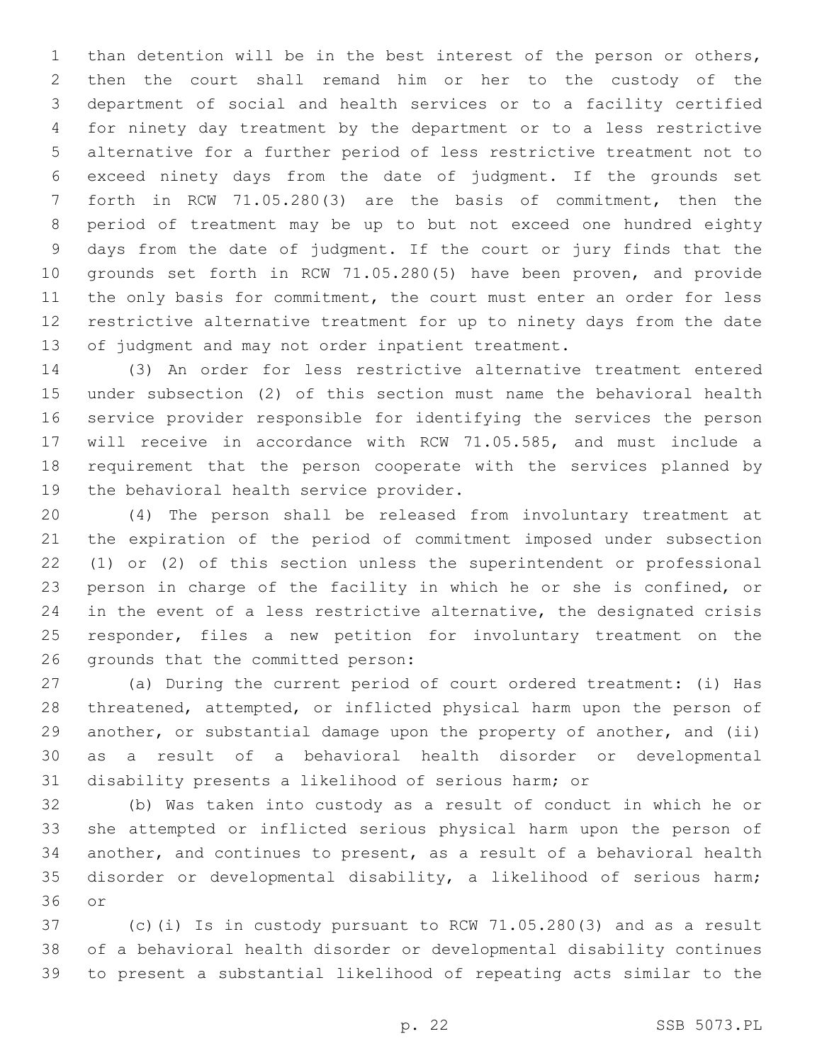than detention will be in the best interest of the person or others, then the court shall remand him or her to the custody of the department of social and health services or to a facility certified for ninety day treatment by the department or to a less restrictive alternative for a further period of less restrictive treatment not to exceed ninety days from the date of judgment. If the grounds set forth in RCW 71.05.280(3) are the basis of commitment, then the period of treatment may be up to but not exceed one hundred eighty days from the date of judgment. If the court or jury finds that the grounds set forth in RCW 71.05.280(5) have been proven, and provide 11 the only basis for commitment, the court must enter an order for less restrictive alternative treatment for up to ninety days from the date 13 of judgment and may not order inpatient treatment.

 (3) An order for less restrictive alternative treatment entered under subsection (2) of this section must name the behavioral health service provider responsible for identifying the services the person will receive in accordance with RCW 71.05.585, and must include a requirement that the person cooperate with the services planned by 19 the behavioral health service provider.

 (4) The person shall be released from involuntary treatment at the expiration of the period of commitment imposed under subsection (1) or (2) of this section unless the superintendent or professional person in charge of the facility in which he or she is confined, or in the event of a less restrictive alternative, the designated crisis responder, files a new petition for involuntary treatment on the 26 grounds that the committed person:

 (a) During the current period of court ordered treatment: (i) Has threatened, attempted, or inflicted physical harm upon the person of 29 another, or substantial damage upon the property of another, and (ii) as a result of a behavioral health disorder or developmental disability presents a likelihood of serious harm; or

 (b) Was taken into custody as a result of conduct in which he or she attempted or inflicted serious physical harm upon the person of another, and continues to present, as a result of a behavioral health disorder or developmental disability, a likelihood of serious harm; 36 or

 (c)(i) Is in custody pursuant to RCW 71.05.280(3) and as a result of a behavioral health disorder or developmental disability continues to present a substantial likelihood of repeating acts similar to the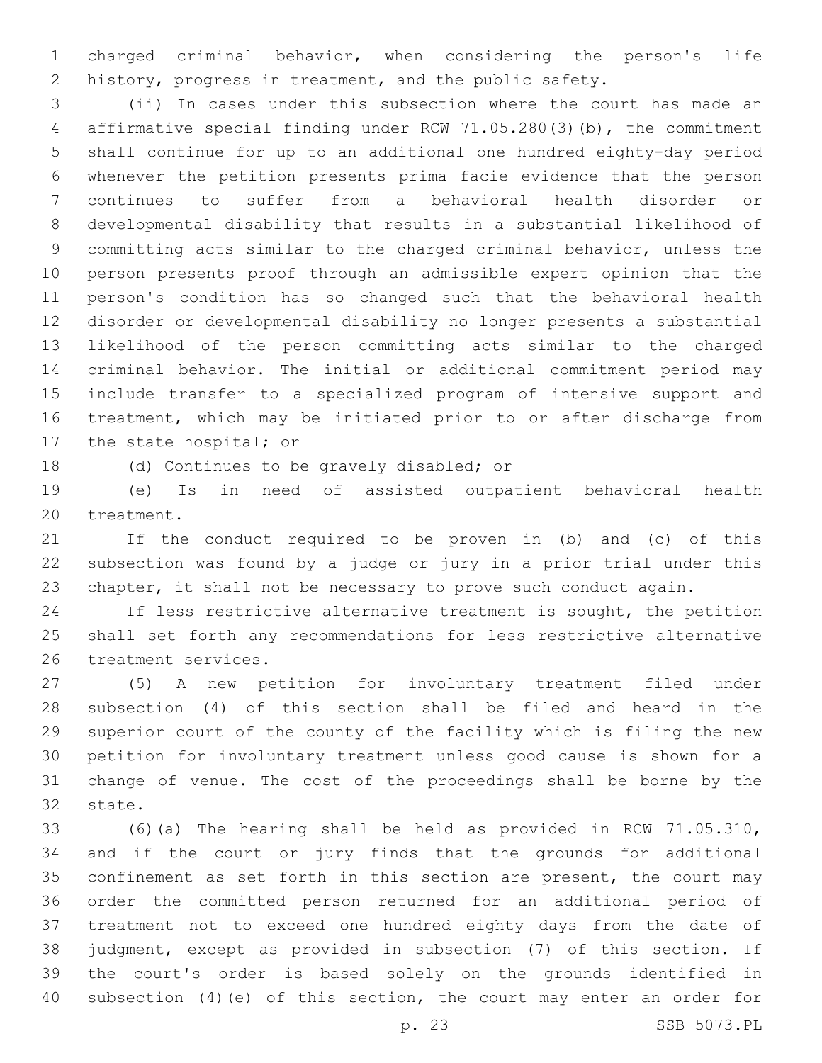charged criminal behavior, when considering the person's life 2 history, progress in treatment, and the public safety.

 (ii) In cases under this subsection where the court has made an affirmative special finding under RCW 71.05.280(3)(b), the commitment shall continue for up to an additional one hundred eighty-day period whenever the petition presents prima facie evidence that the person continues to suffer from a behavioral health disorder or developmental disability that results in a substantial likelihood of committing acts similar to the charged criminal behavior, unless the person presents proof through an admissible expert opinion that the person's condition has so changed such that the behavioral health disorder or developmental disability no longer presents a substantial likelihood of the person committing acts similar to the charged criminal behavior. The initial or additional commitment period may include transfer to a specialized program of intensive support and treatment, which may be initiated prior to or after discharge from 17 the state hospital; or

18 (d) Continues to be gravely disabled; or

 (e) Is in need of assisted outpatient behavioral health 20 treatment.

 If the conduct required to be proven in (b) and (c) of this subsection was found by a judge or jury in a prior trial under this chapter, it shall not be necessary to prove such conduct again.

 If less restrictive alternative treatment is sought, the petition shall set forth any recommendations for less restrictive alternative 26 treatment services.

 (5) A new petition for involuntary treatment filed under subsection (4) of this section shall be filed and heard in the superior court of the county of the facility which is filing the new petition for involuntary treatment unless good cause is shown for a change of venue. The cost of the proceedings shall be borne by the 32 state.

 (6)(a) The hearing shall be held as provided in RCW 71.05.310, and if the court or jury finds that the grounds for additional confinement as set forth in this section are present, the court may order the committed person returned for an additional period of treatment not to exceed one hundred eighty days from the date of judgment, except as provided in subsection (7) of this section. If the court's order is based solely on the grounds identified in subsection (4)(e) of this section, the court may enter an order for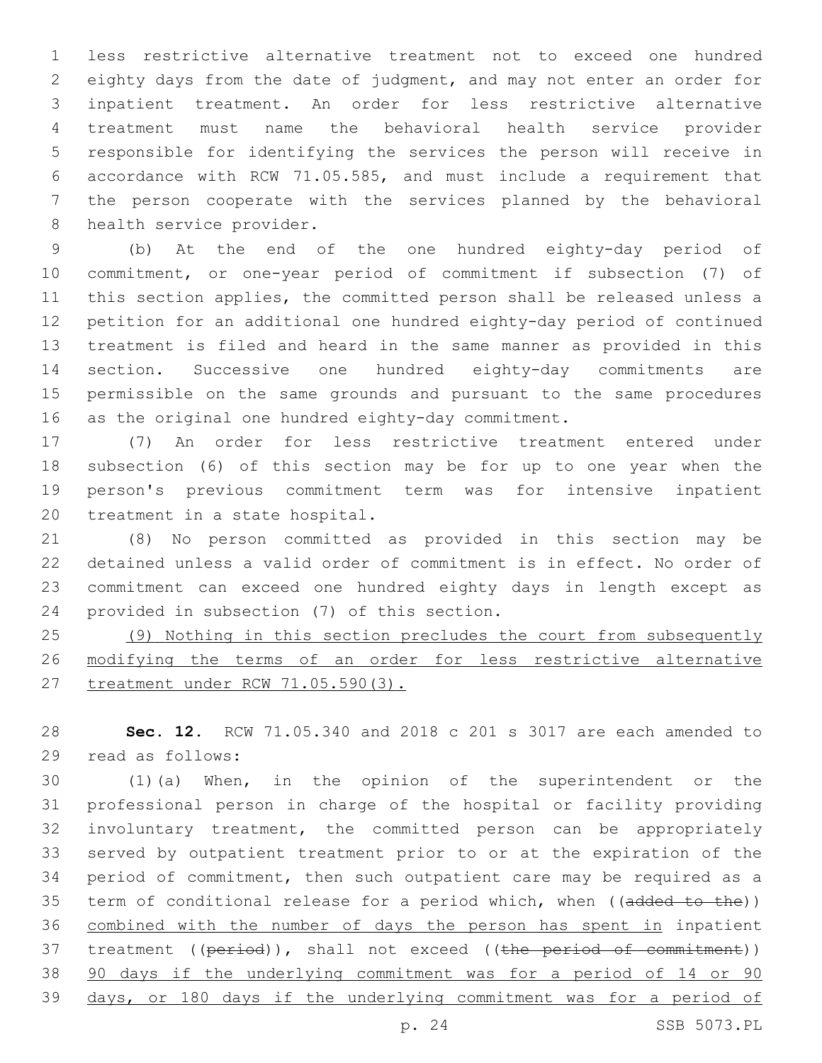less restrictive alternative treatment not to exceed one hundred eighty days from the date of judgment, and may not enter an order for inpatient treatment. An order for less restrictive alternative treatment must name the behavioral health service provider responsible for identifying the services the person will receive in accordance with RCW 71.05.585, and must include a requirement that the person cooperate with the services planned by the behavioral 8 health service provider.

 (b) At the end of the one hundred eighty-day period of commitment, or one-year period of commitment if subsection (7) of this section applies, the committed person shall be released unless a petition for an additional one hundred eighty-day period of continued treatment is filed and heard in the same manner as provided in this section. Successive one hundred eighty-day commitments are permissible on the same grounds and pursuant to the same procedures as the original one hundred eighty-day commitment.

 (7) An order for less restrictive treatment entered under subsection (6) of this section may be for up to one year when the person's previous commitment term was for intensive inpatient 20 treatment in a state hospital.

 (8) No person committed as provided in this section may be detained unless a valid order of commitment is in effect. No order of commitment can exceed one hundred eighty days in length except as 24 provided in subsection (7) of this section.

 (9) Nothing in this section precludes the court from subsequently modifying the terms of an order for less restrictive alternative treatment under RCW 71.05.590(3).

 **Sec. 12.** RCW 71.05.340 and 2018 c 201 s 3017 are each amended to read as follows:29

 (1)(a) When, in the opinion of the superintendent or the professional person in charge of the hospital or facility providing involuntary treatment, the committed person can be appropriately served by outpatient treatment prior to or at the expiration of the period of commitment, then such outpatient care may be required as a 35 term of conditional release for a period which, when ((added to the)) combined with the number of days the person has spent in inpatient 37 treatment ((period)), shall not exceed ((the period of commitment)) 90 days if the underlying commitment was for a period of 14 or 90 days, or 180 days if the underlying commitment was for a period of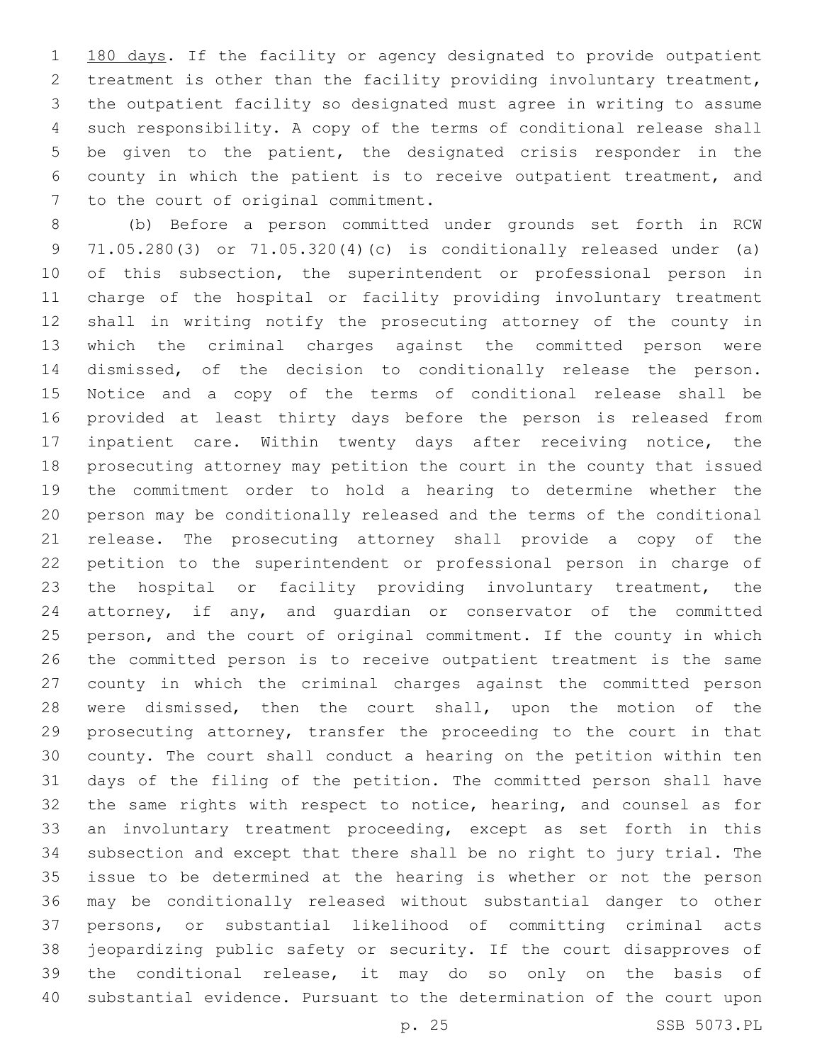1 180 days. If the facility or agency designated to provide outpatient treatment is other than the facility providing involuntary treatment, the outpatient facility so designated must agree in writing to assume such responsibility. A copy of the terms of conditional release shall be given to the patient, the designated crisis responder in the county in which the patient is to receive outpatient treatment, and 7 to the court of original commitment.

 (b) Before a person committed under grounds set forth in RCW 71.05.280(3) or 71.05.320(4)(c) is conditionally released under (a) 10 of this subsection, the superintendent or professional person in charge of the hospital or facility providing involuntary treatment shall in writing notify the prosecuting attorney of the county in which the criminal charges against the committed person were dismissed, of the decision to conditionally release the person. Notice and a copy of the terms of conditional release shall be provided at least thirty days before the person is released from inpatient care. Within twenty days after receiving notice, the prosecuting attorney may petition the court in the county that issued the commitment order to hold a hearing to determine whether the person may be conditionally released and the terms of the conditional release. The prosecuting attorney shall provide a copy of the petition to the superintendent or professional person in charge of the hospital or facility providing involuntary treatment, the attorney, if any, and guardian or conservator of the committed person, and the court of original commitment. If the county in which the committed person is to receive outpatient treatment is the same county in which the criminal charges against the committed person were dismissed, then the court shall, upon the motion of the prosecuting attorney, transfer the proceeding to the court in that county. The court shall conduct a hearing on the petition within ten days of the filing of the petition. The committed person shall have the same rights with respect to notice, hearing, and counsel as for an involuntary treatment proceeding, except as set forth in this subsection and except that there shall be no right to jury trial. The issue to be determined at the hearing is whether or not the person may be conditionally released without substantial danger to other persons, or substantial likelihood of committing criminal acts jeopardizing public safety or security. If the court disapproves of the conditional release, it may do so only on the basis of substantial evidence. Pursuant to the determination of the court upon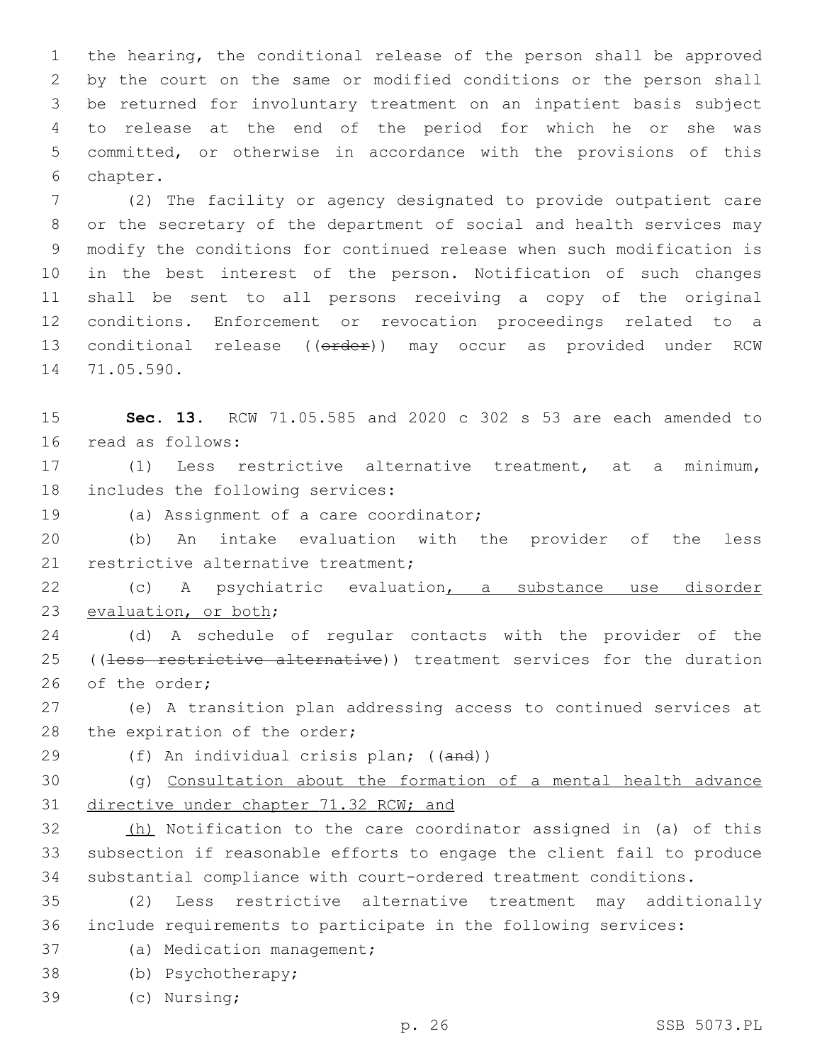the hearing, the conditional release of the person shall be approved by the court on the same or modified conditions or the person shall be returned for involuntary treatment on an inpatient basis subject to release at the end of the period for which he or she was committed, or otherwise in accordance with the provisions of this 6 chapter.

 (2) The facility or agency designated to provide outpatient care or the secretary of the department of social and health services may modify the conditions for continued release when such modification is in the best interest of the person. Notification of such changes shall be sent to all persons receiving a copy of the original conditions. Enforcement or revocation proceedings related to a 13 conditional release ((order)) may occur as provided under RCW 14 71.05.590.

15 **Sec. 13.** RCW 71.05.585 and 2020 c 302 s 53 are each amended to 16 read as follows:

17 (1) Less restrictive alternative treatment, at a minimum, 18 includes the following services:

19 (a) Assignment of a care coordinator;

20 (b) An intake evaluation with the provider of the less 21 restrictive alternative treatment;

22 (c) A psychiatric evaluation, a substance use disorder 23 evaluation, or both;

24 (d) A schedule of regular contacts with the provider of the 25 ((less restrictive alternative)) treatment services for the duration 26 of the order:

27 (e) A transition plan addressing access to continued services at 28 the expiration of the order;

29 (f) An individual crisis plan; ((and))

30 (g) Consultation about the formation of a mental health advance 31 directive under chapter 71.32 RCW; and

32 (h) Notification to the care coordinator assigned in (a) of this 33 subsection if reasonable efforts to engage the client fail to produce 34 substantial compliance with court-ordered treatment conditions.

35 (2) Less restrictive alternative treatment may additionally 36 include requirements to participate in the following services:

37 (a) Medication management;

38 (b) Psychotherapy;

(c) Nursing;39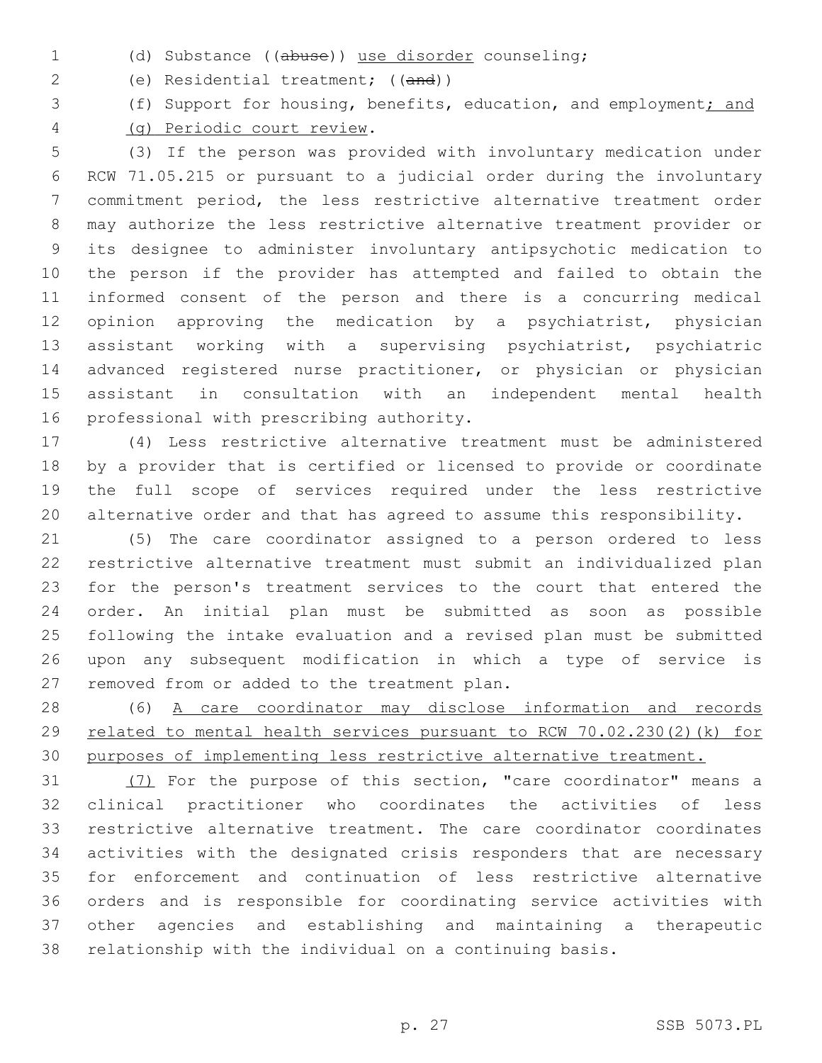(d) Substance ((abuse)) use disorder counseling;

(e) Residential treatment; ((and))

(f) Support for housing, benefits, education, and employment; and

(g) Periodic court review.4

 (3) If the person was provided with involuntary medication under RCW 71.05.215 or pursuant to a judicial order during the involuntary commitment period, the less restrictive alternative treatment order may authorize the less restrictive alternative treatment provider or its designee to administer involuntary antipsychotic medication to the person if the provider has attempted and failed to obtain the informed consent of the person and there is a concurring medical opinion approving the medication by a psychiatrist, physician assistant working with a supervising psychiatrist, psychiatric advanced registered nurse practitioner, or physician or physician assistant in consultation with an independent mental health 16 professional with prescribing authority.

 (4) Less restrictive alternative treatment must be administered by a provider that is certified or licensed to provide or coordinate the full scope of services required under the less restrictive alternative order and that has agreed to assume this responsibility.

 (5) The care coordinator assigned to a person ordered to less restrictive alternative treatment must submit an individualized plan for the person's treatment services to the court that entered the order. An initial plan must be submitted as soon as possible following the intake evaluation and a revised plan must be submitted upon any subsequent modification in which a type of service is 27 removed from or added to the treatment plan.

 (6) A care coordinator may disclose information and records related to mental health services pursuant to RCW 70.02.230(2)(k) for 30 purposes of implementing less restrictive alternative treatment.

 (7) For the purpose of this section, "care coordinator" means a clinical practitioner who coordinates the activities of less restrictive alternative treatment. The care coordinator coordinates activities with the designated crisis responders that are necessary for enforcement and continuation of less restrictive alternative orders and is responsible for coordinating service activities with other agencies and establishing and maintaining a therapeutic relationship with the individual on a continuing basis.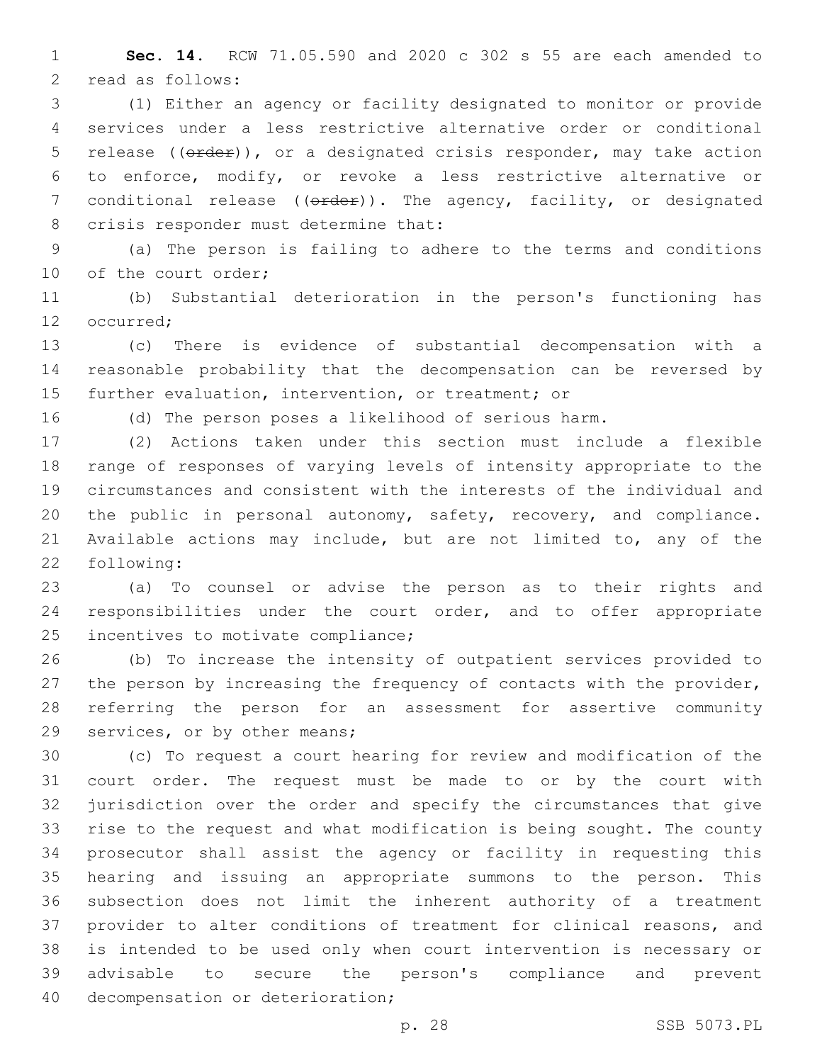**Sec. 14.** RCW 71.05.590 and 2020 c 302 s 55 are each amended to 2 read as follows:

 (1) Either an agency or facility designated to monitor or provide services under a less restrictive alternative order or conditional 5 release ((order)), or a designated crisis responder, may take action to enforce, modify, or revoke a less restrictive alternative or 7 conditional release (( $\theta$ rder)). The agency, facility, or designated 8 crisis responder must determine that:

 (a) The person is failing to adhere to the terms and conditions 10 of the court order;

 (b) Substantial deterioration in the person's functioning has 12 occurred:

 (c) There is evidence of substantial decompensation with a reasonable probability that the decompensation can be reversed by further evaluation, intervention, or treatment; or

(d) The person poses a likelihood of serious harm.

 (2) Actions taken under this section must include a flexible range of responses of varying levels of intensity appropriate to the circumstances and consistent with the interests of the individual and the public in personal autonomy, safety, recovery, and compliance. Available actions may include, but are not limited to, any of the 22 following:

 (a) To counsel or advise the person as to their rights and responsibilities under the court order, and to offer appropriate 25 incentives to motivate compliance;

 (b) To increase the intensity of outpatient services provided to the person by increasing the frequency of contacts with the provider, referring the person for an assessment for assertive community 29 services, or by other means;

 (c) To request a court hearing for review and modification of the court order. The request must be made to or by the court with jurisdiction over the order and specify the circumstances that give rise to the request and what modification is being sought. The county prosecutor shall assist the agency or facility in requesting this hearing and issuing an appropriate summons to the person. This subsection does not limit the inherent authority of a treatment provider to alter conditions of treatment for clinical reasons, and is intended to be used only when court intervention is necessary or advisable to secure the person's compliance and prevent 40 decompensation or deterioration;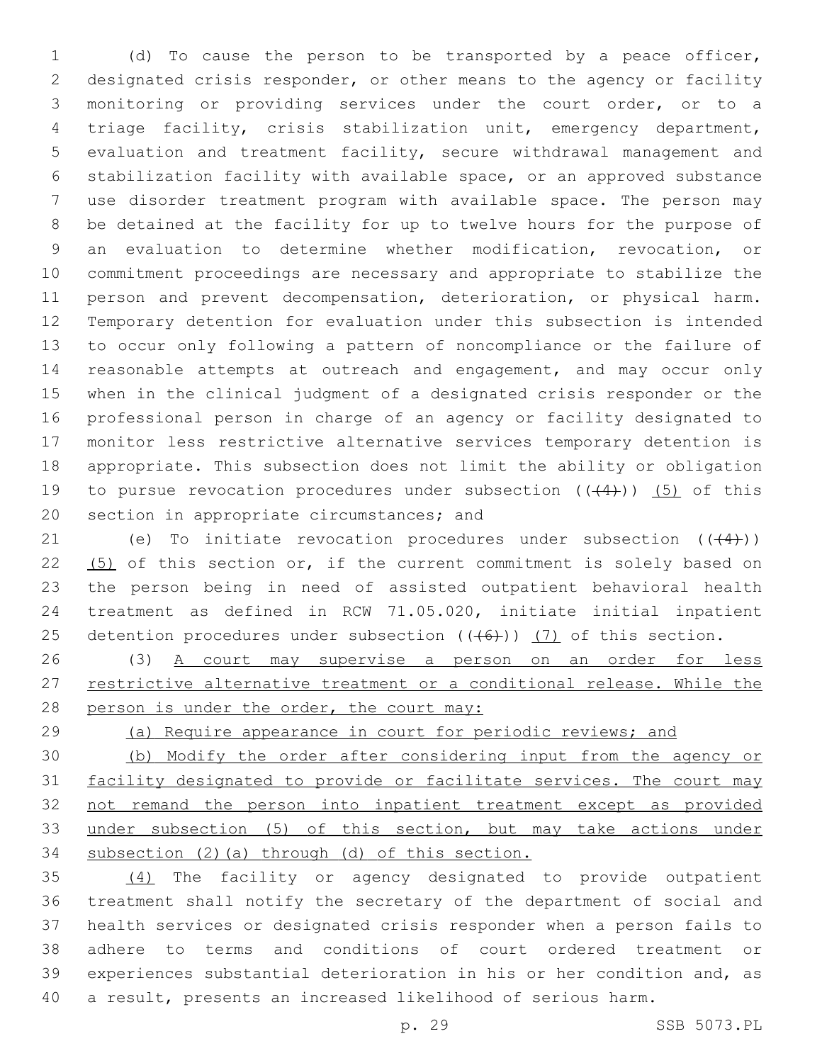(d) To cause the person to be transported by a peace officer, designated crisis responder, or other means to the agency or facility monitoring or providing services under the court order, or to a triage facility, crisis stabilization unit, emergency department, evaluation and treatment facility, secure withdrawal management and stabilization facility with available space, or an approved substance use disorder treatment program with available space. The person may be detained at the facility for up to twelve hours for the purpose of an evaluation to determine whether modification, revocation, or commitment proceedings are necessary and appropriate to stabilize the person and prevent decompensation, deterioration, or physical harm. Temporary detention for evaluation under this subsection is intended to occur only following a pattern of noncompliance or the failure of 14 reasonable attempts at outreach and engagement, and may occur only when in the clinical judgment of a designated crisis responder or the professional person in charge of an agency or facility designated to monitor less restrictive alternative services temporary detention is appropriate. This subsection does not limit the ability or obligation 19 to pursue revocation procedures under subsection  $((+4))$  (5) of this 20 section in appropriate circumstances; and

21 (e) To initiate revocation procedures under subsection  $((+4))$  (5) of this section or, if the current commitment is solely based on the person being in need of assisted outpatient behavioral health treatment as defined in RCW 71.05.020, initiate initial inpatient 25 detention procedures under subsection  $((+6))$   $(7)$  of this section.

 (3) A court may supervise a person on an order for less 27 restrictive alternative treatment or a conditional release. While the 28 person is under the order, the court may:

(a) Require appearance in court for periodic reviews; and

 (b) Modify the order after considering input from the agency or facility designated to provide or facilitate services. The court may not remand the person into inpatient treatment except as provided under subsection (5) of this section, but may take actions under subsection (2)(a) through (d) of this section.

 (4) The facility or agency designated to provide outpatient treatment shall notify the secretary of the department of social and health services or designated crisis responder when a person fails to adhere to terms and conditions of court ordered treatment or experiences substantial deterioration in his or her condition and, as a result, presents an increased likelihood of serious harm.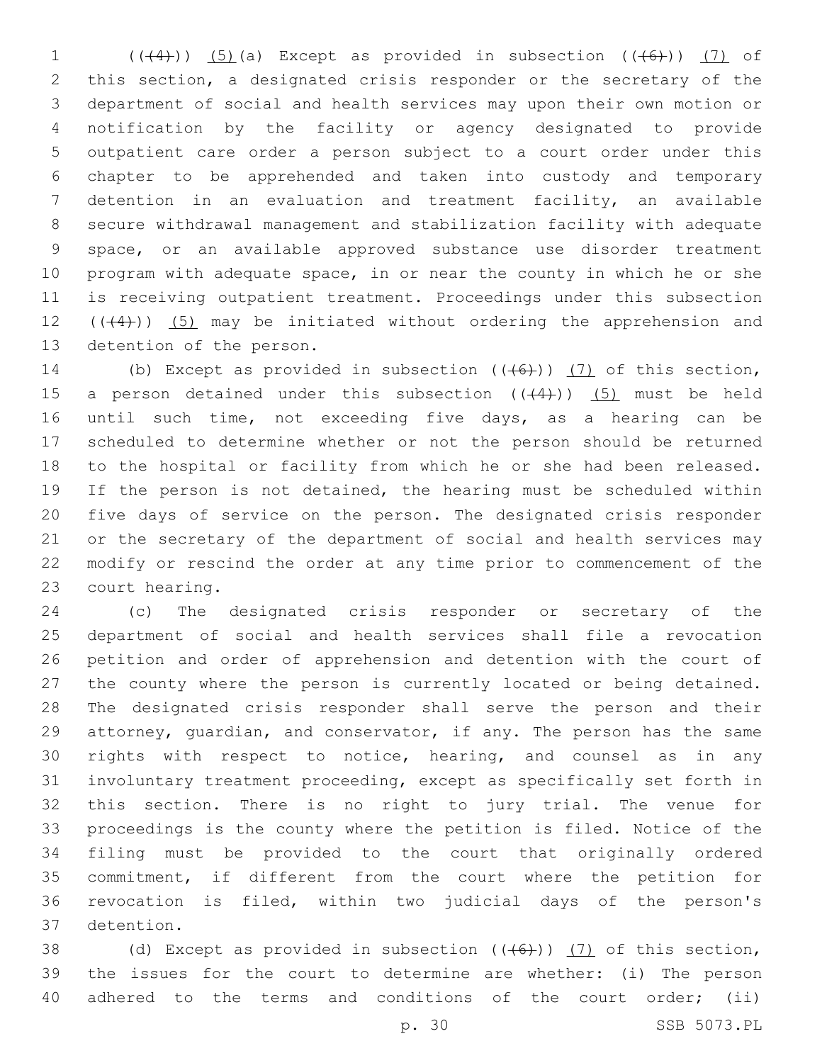$((+4))$   $(5)$  (a) Except as provided in subsection  $((+6))$   $(7)$  of this section, a designated crisis responder or the secretary of the department of social and health services may upon their own motion or notification by the facility or agency designated to provide outpatient care order a person subject to a court order under this chapter to be apprehended and taken into custody and temporary detention in an evaluation and treatment facility, an available secure withdrawal management and stabilization facility with adequate space, or an available approved substance use disorder treatment program with adequate space, in or near the county in which he or she is receiving outpatient treatment. Proceedings under this subsection  $((+4))$   $(5)$  may be initiated without ordering the apprehension and 13 detention of the person.

14 (b) Except as provided in subsection  $((+6+))$   $(7)$  of this section, 15 a person detained under this subsection  $((+4))$   $(5)$  must be held until such time, not exceeding five days, as a hearing can be scheduled to determine whether or not the person should be returned to the hospital or facility from which he or she had been released. If the person is not detained, the hearing must be scheduled within five days of service on the person. The designated crisis responder or the secretary of the department of social and health services may modify or rescind the order at any time prior to commencement of the 23 court hearing.

 (c) The designated crisis responder or secretary of the department of social and health services shall file a revocation petition and order of apprehension and detention with the court of the county where the person is currently located or being detained. The designated crisis responder shall serve the person and their attorney, guardian, and conservator, if any. The person has the same rights with respect to notice, hearing, and counsel as in any involuntary treatment proceeding, except as specifically set forth in this section. There is no right to jury trial. The venue for proceedings is the county where the petition is filed. Notice of the filing must be provided to the court that originally ordered commitment, if different from the court where the petition for revocation is filed, within two judicial days of the person's detention.37

38 (d) Except as provided in subsection  $((+6))$  (7) of this section, the issues for the court to determine are whether: (i) The person adhered to the terms and conditions of the court order; (ii)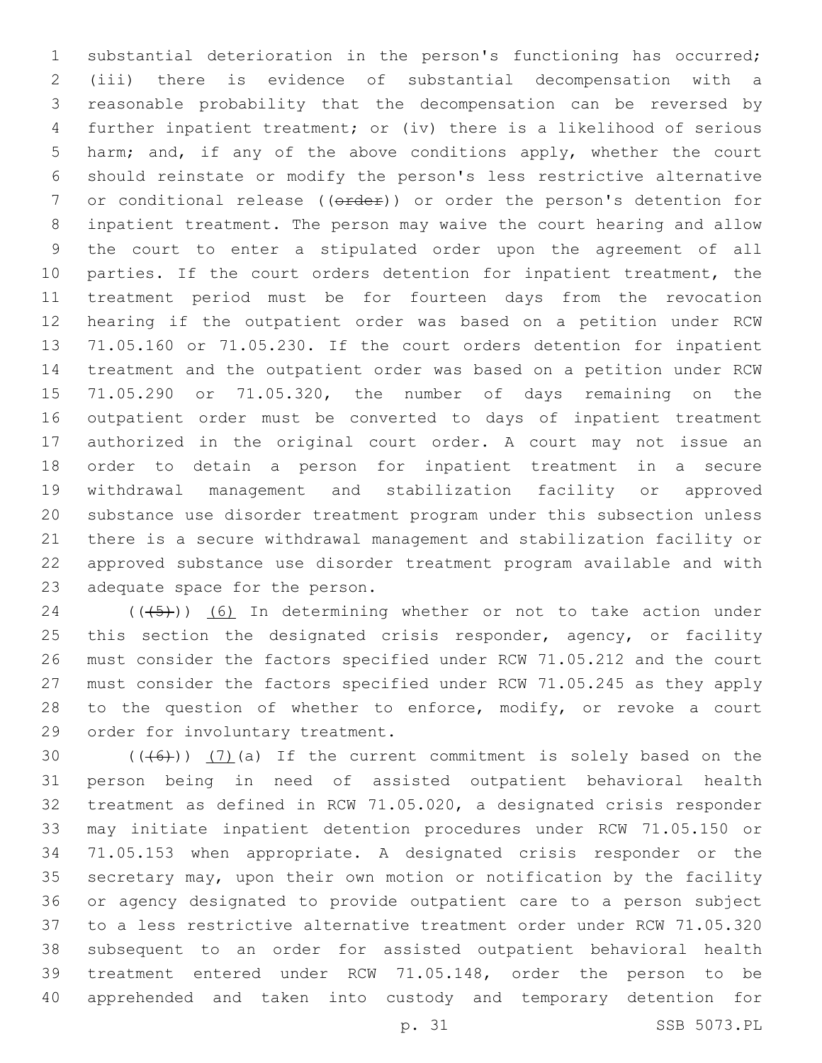substantial deterioration in the person's functioning has occurred; (iii) there is evidence of substantial decompensation with a reasonable probability that the decompensation can be reversed by further inpatient treatment; or (iv) there is a likelihood of serious harm; and, if any of the above conditions apply, whether the court should reinstate or modify the person's less restrictive alternative 7 or conditional release ((order)) or order the person's detention for inpatient treatment. The person may waive the court hearing and allow the court to enter a stipulated order upon the agreement of all 10 parties. If the court orders detention for inpatient treatment, the treatment period must be for fourteen days from the revocation hearing if the outpatient order was based on a petition under RCW 71.05.160 or 71.05.230. If the court orders detention for inpatient treatment and the outpatient order was based on a petition under RCW 71.05.290 or 71.05.320, the number of days remaining on the outpatient order must be converted to days of inpatient treatment authorized in the original court order. A court may not issue an order to detain a person for inpatient treatment in a secure withdrawal management and stabilization facility or approved substance use disorder treatment program under this subsection unless there is a secure withdrawal management and stabilization facility or approved substance use disorder treatment program available and with 23 adequate space for the person.

 ( $(\overline{(+5+})$ ) (6) In determining whether or not to take action under 25 this section the designated crisis responder, agency, or facility must consider the factors specified under RCW 71.05.212 and the court must consider the factors specified under RCW 71.05.245 as they apply 28 to the question of whether to enforce, modify, or revoke a court 29 order for involuntary treatment.

 $((+6+))$   $(7)$  (a) If the current commitment is solely based on the person being in need of assisted outpatient behavioral health treatment as defined in RCW 71.05.020, a designated crisis responder may initiate inpatient detention procedures under RCW 71.05.150 or 71.05.153 when appropriate. A designated crisis responder or the secretary may, upon their own motion or notification by the facility or agency designated to provide outpatient care to a person subject to a less restrictive alternative treatment order under RCW 71.05.320 subsequent to an order for assisted outpatient behavioral health treatment entered under RCW 71.05.148, order the person to be apprehended and taken into custody and temporary detention for

p. 31 SSB 5073.PL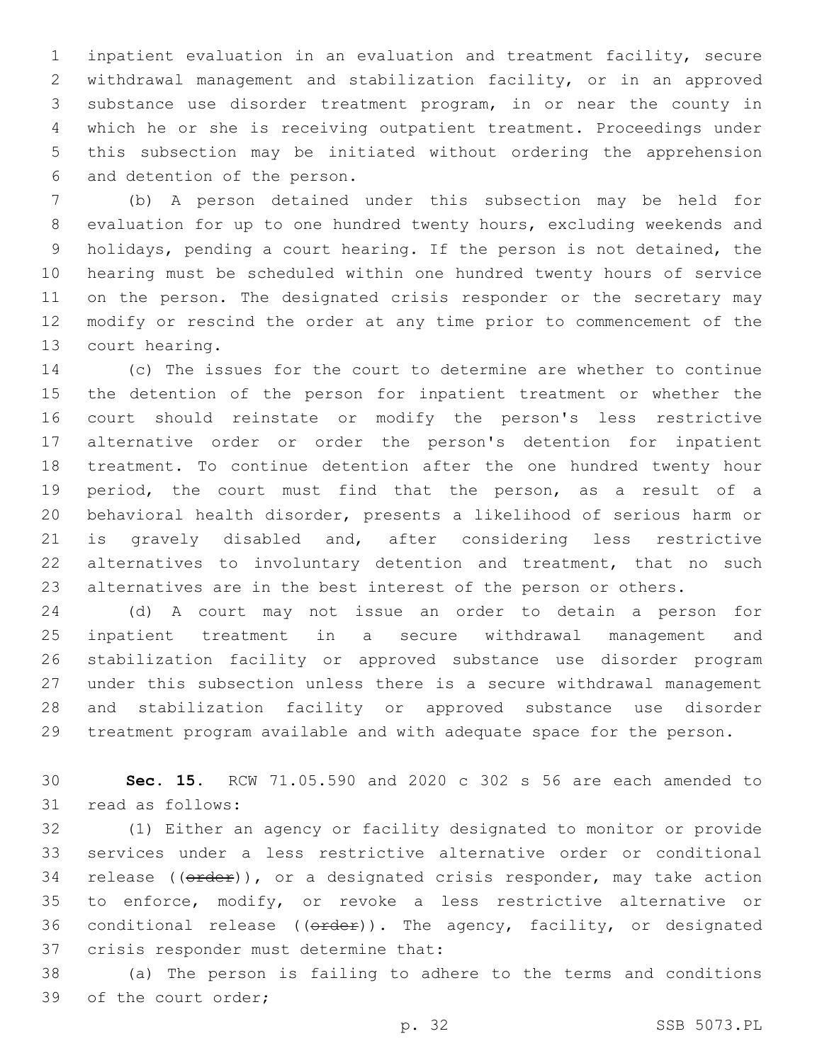inpatient evaluation in an evaluation and treatment facility, secure withdrawal management and stabilization facility, or in an approved substance use disorder treatment program, in or near the county in which he or she is receiving outpatient treatment. Proceedings under this subsection may be initiated without ordering the apprehension 6 and detention of the person.

 (b) A person detained under this subsection may be held for evaluation for up to one hundred twenty hours, excluding weekends and holidays, pending a court hearing. If the person is not detained, the hearing must be scheduled within one hundred twenty hours of service on the person. The designated crisis responder or the secretary may modify or rescind the order at any time prior to commencement of the 13 court hearing.

 (c) The issues for the court to determine are whether to continue the detention of the person for inpatient treatment or whether the court should reinstate or modify the person's less restrictive alternative order or order the person's detention for inpatient treatment. To continue detention after the one hundred twenty hour period, the court must find that the person, as a result of a behavioral health disorder, presents a likelihood of serious harm or is gravely disabled and, after considering less restrictive alternatives to involuntary detention and treatment, that no such alternatives are in the best interest of the person or others.

 (d) A court may not issue an order to detain a person for inpatient treatment in a secure withdrawal management and stabilization facility or approved substance use disorder program under this subsection unless there is a secure withdrawal management and stabilization facility or approved substance use disorder treatment program available and with adequate space for the person.

 **Sec. 15.** RCW 71.05.590 and 2020 c 302 s 56 are each amended to 31 read as follows:

 (1) Either an agency or facility designated to monitor or provide services under a less restrictive alternative order or conditional 34 release (( $\theta$ rder)), or a designated crisis responder, may take action to enforce, modify, or revoke a less restrictive alternative or 36 conditional release ( $(\theta \text{rder})$ ). The agency, facility, or designated 37 crisis responder must determine that:

 (a) The person is failing to adhere to the terms and conditions 39 of the court order;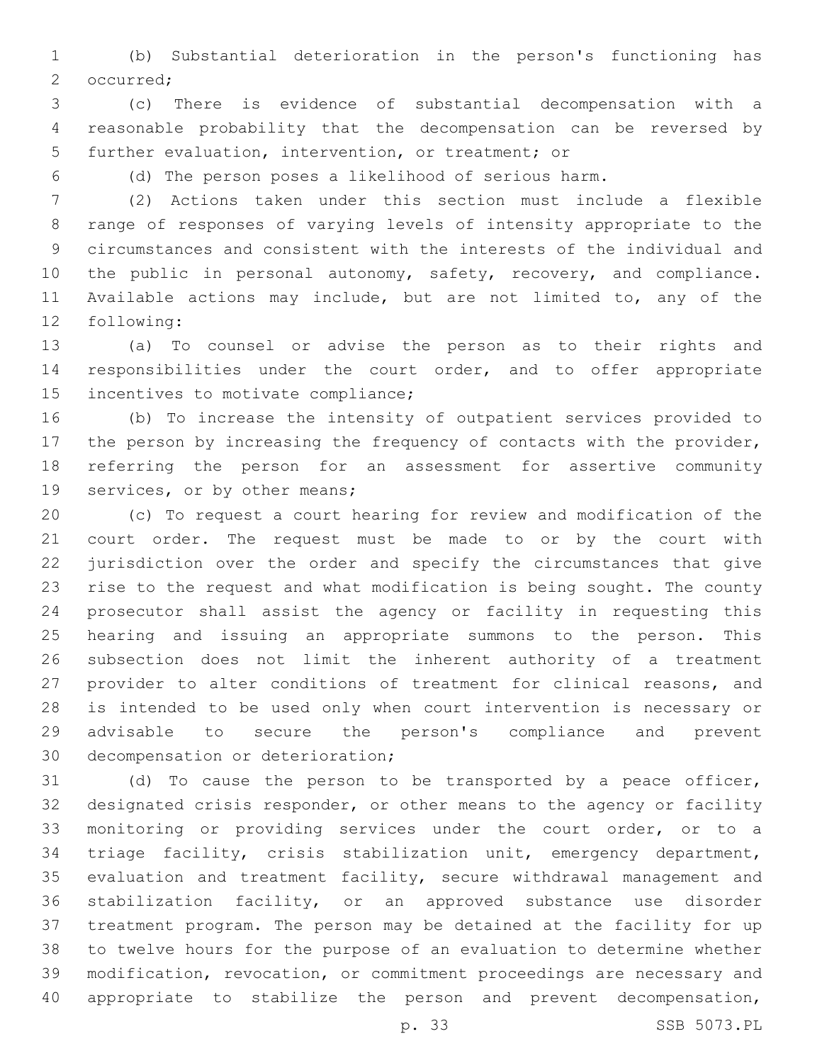(b) Substantial deterioration in the person's functioning has 2 occurred;

 (c) There is evidence of substantial decompensation with a reasonable probability that the decompensation can be reversed by 5 further evaluation, intervention, or treatment; or

(d) The person poses a likelihood of serious harm.

 (2) Actions taken under this section must include a flexible range of responses of varying levels of intensity appropriate to the circumstances and consistent with the interests of the individual and 10 the public in personal autonomy, safety, recovery, and compliance. Available actions may include, but are not limited to, any of the 12 following:

 (a) To counsel or advise the person as to their rights and 14 responsibilities under the court order, and to offer appropriate 15 incentives to motivate compliance;

 (b) To increase the intensity of outpatient services provided to 17 the person by increasing the frequency of contacts with the provider, referring the person for an assessment for assertive community 19 services, or by other means;

 (c) To request a court hearing for review and modification of the court order. The request must be made to or by the court with jurisdiction over the order and specify the circumstances that give rise to the request and what modification is being sought. The county prosecutor shall assist the agency or facility in requesting this hearing and issuing an appropriate summons to the person. This subsection does not limit the inherent authority of a treatment provider to alter conditions of treatment for clinical reasons, and is intended to be used only when court intervention is necessary or advisable to secure the person's compliance and prevent 30 decompensation or deterioration;

 (d) To cause the person to be transported by a peace officer, designated crisis responder, or other means to the agency or facility monitoring or providing services under the court order, or to a triage facility, crisis stabilization unit, emergency department, evaluation and treatment facility, secure withdrawal management and stabilization facility, or an approved substance use disorder treatment program. The person may be detained at the facility for up to twelve hours for the purpose of an evaluation to determine whether modification, revocation, or commitment proceedings are necessary and appropriate to stabilize the person and prevent decompensation,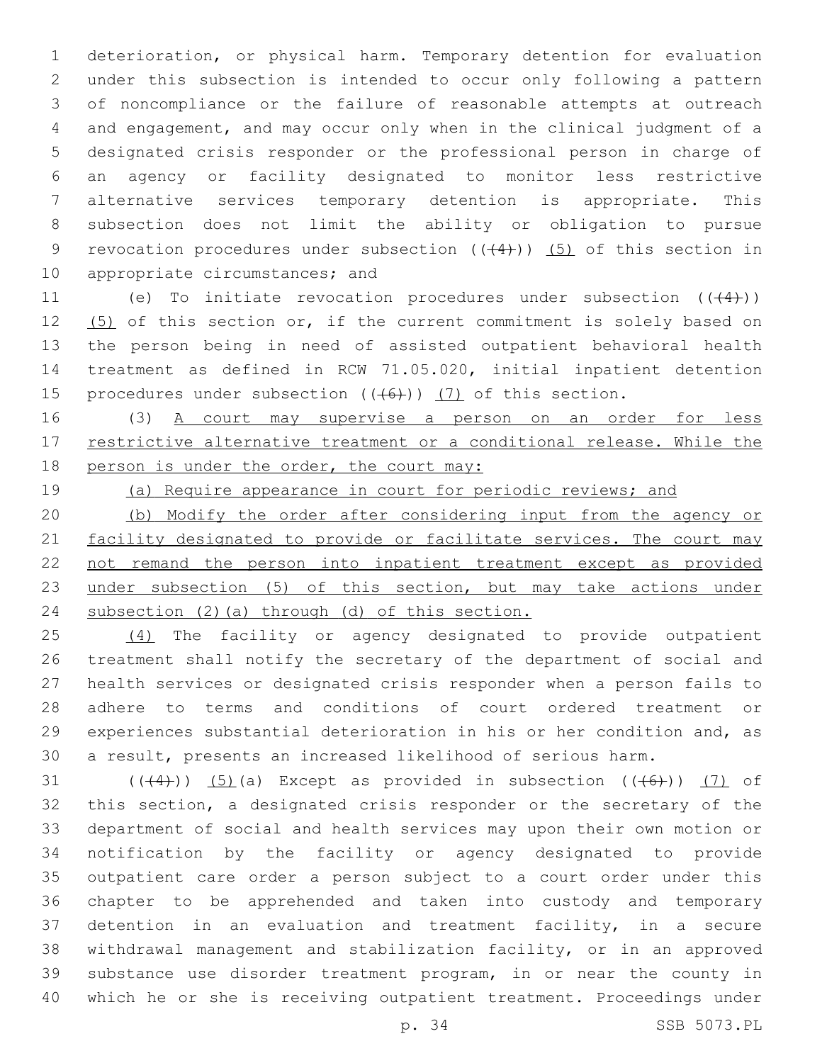deterioration, or physical harm. Temporary detention for evaluation under this subsection is intended to occur only following a pattern of noncompliance or the failure of reasonable attempts at outreach and engagement, and may occur only when in the clinical judgment of a designated crisis responder or the professional person in charge of an agency or facility designated to monitor less restrictive alternative services temporary detention is appropriate. This subsection does not limit the ability or obligation to pursue 9 revocation procedures under subsection  $((+4))$   $(5)$  of this section in 10 appropriate circumstances; and

11 (e) To initiate revocation procedures under subsection  $((+4))$ 12 (5) of this section or, if the current commitment is solely based on the person being in need of assisted outpatient behavioral health treatment as defined in RCW 71.05.020, initial inpatient detention 15 procedures under subsection  $((+6))$  (7) of this section.

16 (3) A court may supervise a person on an order for less 17 restrictive alternative treatment or a conditional release. While the 18 person is under the order, the court may:

(a) Require appearance in court for periodic reviews; and

 (b) Modify the order after considering input from the agency or 21 facility designated to provide or facilitate services. The court may not remand the person into inpatient treatment except as provided 23 under subsection (5) of this section, but may take actions under subsection (2)(a) through (d) of this section.

25 (4) The facility or agency designated to provide outpatient treatment shall notify the secretary of the department of social and health services or designated crisis responder when a person fails to adhere to terms and conditions of court ordered treatment or experiences substantial deterioration in his or her condition and, as a result, presents an increased likelihood of serious harm.

 $((+4))$   $(5)$  (a) Except as provided in subsection  $((+6))$   $(7)$  of this section, a designated crisis responder or the secretary of the department of social and health services may upon their own motion or notification by the facility or agency designated to provide outpatient care order a person subject to a court order under this chapter to be apprehended and taken into custody and temporary detention in an evaluation and treatment facility, in a secure withdrawal management and stabilization facility, or in an approved substance use disorder treatment program, in or near the county in which he or she is receiving outpatient treatment. Proceedings under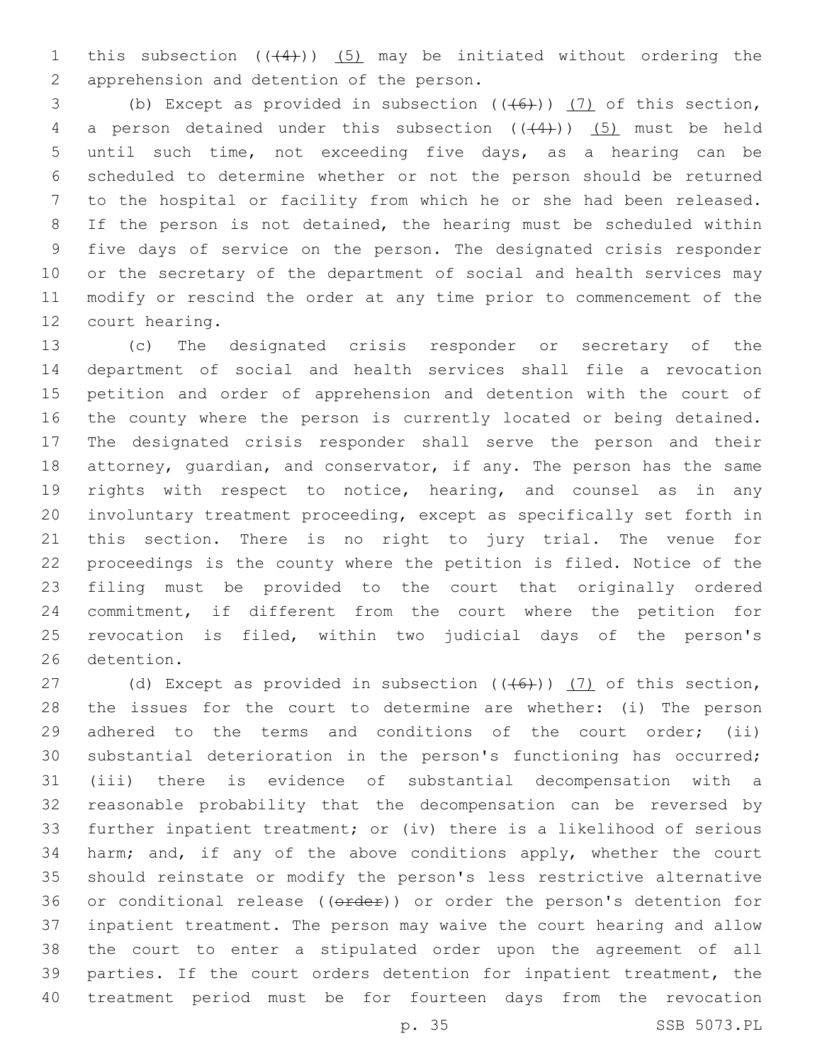1 this subsection  $((4+))$   $(5)$  may be initiated without ordering the 2 apprehension and detention of the person.

3 (b) Except as provided in subsection  $((+6))$  (7) of this section, 4 a person detained under this subsection  $((+4))$  (5) must be held until such time, not exceeding five days, as a hearing can be scheduled to determine whether or not the person should be returned to the hospital or facility from which he or she had been released. If the person is not detained, the hearing must be scheduled within five days of service on the person. The designated crisis responder or the secretary of the department of social and health services may modify or rescind the order at any time prior to commencement of the 12 court hearing.

 (c) The designated crisis responder or secretary of the department of social and health services shall file a revocation petition and order of apprehension and detention with the court of the county where the person is currently located or being detained. The designated crisis responder shall serve the person and their attorney, guardian, and conservator, if any. The person has the same rights with respect to notice, hearing, and counsel as in any involuntary treatment proceeding, except as specifically set forth in this section. There is no right to jury trial. The venue for proceedings is the county where the petition is filed. Notice of the filing must be provided to the court that originally ordered commitment, if different from the court where the petition for revocation is filed, within two judicial days of the person's 26 detention.

27 (d) Except as provided in subsection  $((+6))$  (7) of this section, the issues for the court to determine are whether: (i) The person 29 adhered to the terms and conditions of the court order; (ii) substantial deterioration in the person's functioning has occurred; (iii) there is evidence of substantial decompensation with a reasonable probability that the decompensation can be reversed by further inpatient treatment; or (iv) there is a likelihood of serious harm; and, if any of the above conditions apply, whether the court should reinstate or modify the person's less restrictive alternative 36 or conditional release ((order)) or order the person's detention for inpatient treatment. The person may waive the court hearing and allow the court to enter a stipulated order upon the agreement of all parties. If the court orders detention for inpatient treatment, the treatment period must be for fourteen days from the revocation

p. 35 SSB 5073.PL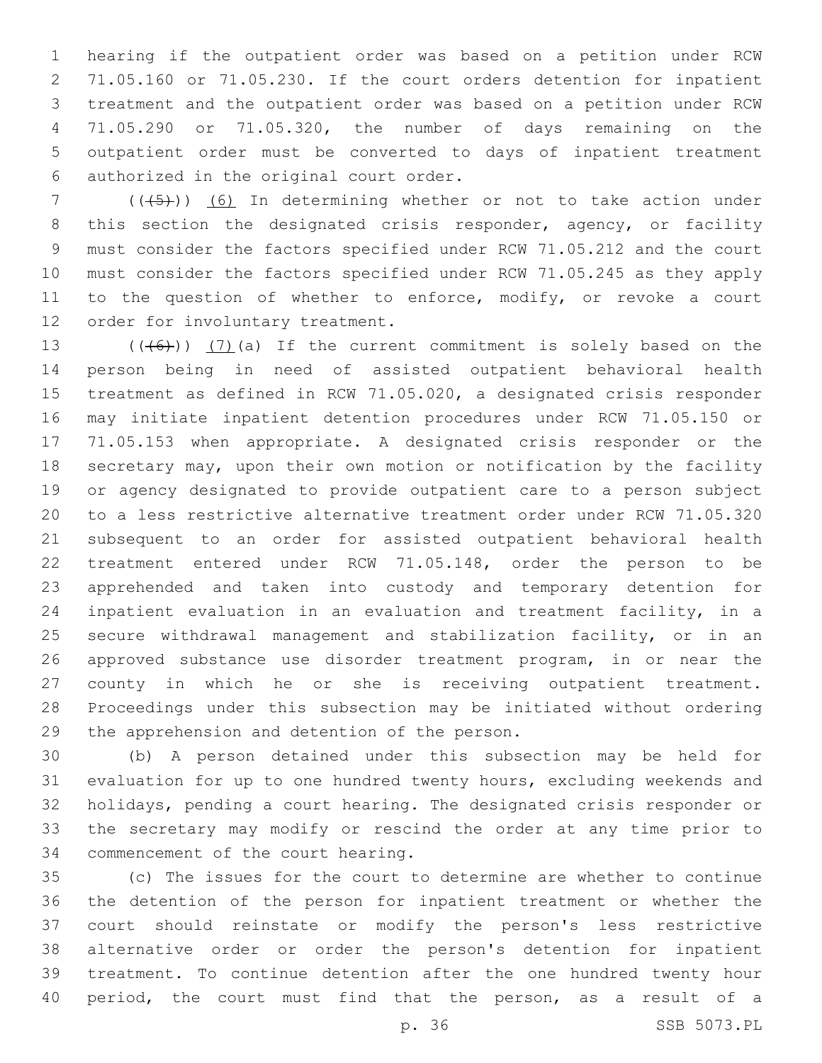hearing if the outpatient order was based on a petition under RCW 71.05.160 or 71.05.230. If the court orders detention for inpatient treatment and the outpatient order was based on a petition under RCW 71.05.290 or 71.05.320, the number of days remaining on the outpatient order must be converted to days of inpatient treatment authorized in the original court order.6

7 (( $(45)$ )) (6) In determining whether or not to take action under this section the designated crisis responder, agency, or facility must consider the factors specified under RCW 71.05.212 and the court must consider the factors specified under RCW 71.05.245 as they apply 11 to the question of whether to enforce, modify, or revoke a court 12 order for involuntary treatment.

 $((+6+))$   $(7)$  (a) If the current commitment is solely based on the person being in need of assisted outpatient behavioral health treatment as defined in RCW 71.05.020, a designated crisis responder may initiate inpatient detention procedures under RCW 71.05.150 or 71.05.153 when appropriate. A designated crisis responder or the secretary may, upon their own motion or notification by the facility or agency designated to provide outpatient care to a person subject to a less restrictive alternative treatment order under RCW 71.05.320 subsequent to an order for assisted outpatient behavioral health treatment entered under RCW 71.05.148, order the person to be apprehended and taken into custody and temporary detention for inpatient evaluation in an evaluation and treatment facility, in a secure withdrawal management and stabilization facility, or in an approved substance use disorder treatment program, in or near the county in which he or she is receiving outpatient treatment. Proceedings under this subsection may be initiated without ordering 29 the apprehension and detention of the person.

 (b) A person detained under this subsection may be held for evaluation for up to one hundred twenty hours, excluding weekends and holidays, pending a court hearing. The designated crisis responder or the secretary may modify or rescind the order at any time prior to 34 commencement of the court hearing.

 (c) The issues for the court to determine are whether to continue the detention of the person for inpatient treatment or whether the court should reinstate or modify the person's less restrictive alternative order or order the person's detention for inpatient treatment. To continue detention after the one hundred twenty hour period, the court must find that the person, as a result of a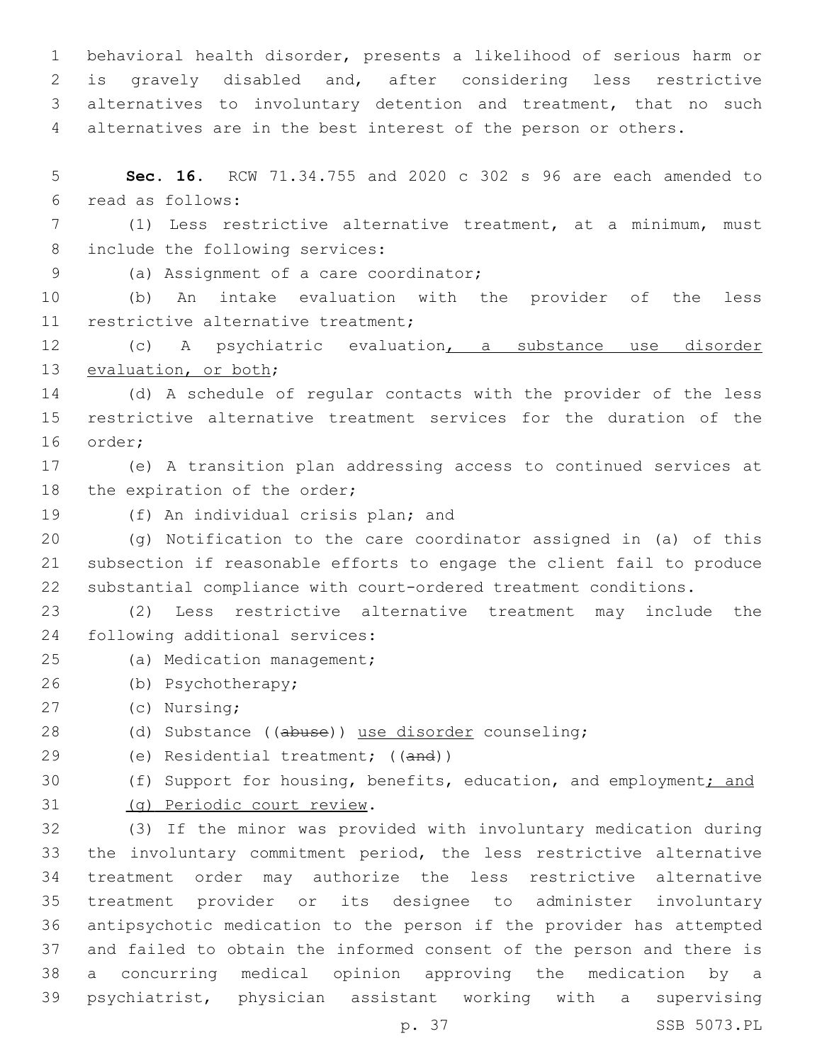behavioral health disorder, presents a likelihood of serious harm or is gravely disabled and, after considering less restrictive alternatives to involuntary detention and treatment, that no such alternatives are in the best interest of the person or others.

5 **Sec. 16.** RCW 71.34.755 and 2020 c 302 s 96 are each amended to read as follows:6

7 (1) Less restrictive alternative treatment, at a minimum, must 8 include the following services:

(a) Assignment of a care coordinator;9

10 (b) An intake evaluation with the provider of the less 11 restrictive alternative treatment;

12 (c) A psychiatric evaluation, a substance use disorder 13 evaluation, or both;

14 (d) A schedule of regular contacts with the provider of the less 15 restrictive alternative treatment services for the duration of the 16 order;

17 (e) A transition plan addressing access to continued services at 18 the expiration of the order;

19 (f) An individual crisis plan; and

20 (g) Notification to the care coordinator assigned in (a) of this 21 subsection if reasonable efforts to engage the client fail to produce 22 substantial compliance with court-ordered treatment conditions.

23 (2) Less restrictive alternative treatment may include the 24 following additional services:

- 25 (a) Medication management;
- (b) Psychotherapy;26

27 (c) Nursing;

28 (d) Substance ((abuse)) use disorder counseling;

29 (e) Residential treatment; ((and))

30 (f) Support for housing, benefits, education, and employment; and

31 (g) Periodic court review.

 (3) If the minor was provided with involuntary medication during the involuntary commitment period, the less restrictive alternative treatment order may authorize the less restrictive alternative treatment provider or its designee to administer involuntary antipsychotic medication to the person if the provider has attempted and failed to obtain the informed consent of the person and there is a concurring medical opinion approving the medication by a psychiatrist, physician assistant working with a supervising

p. 37 SSB 5073.PL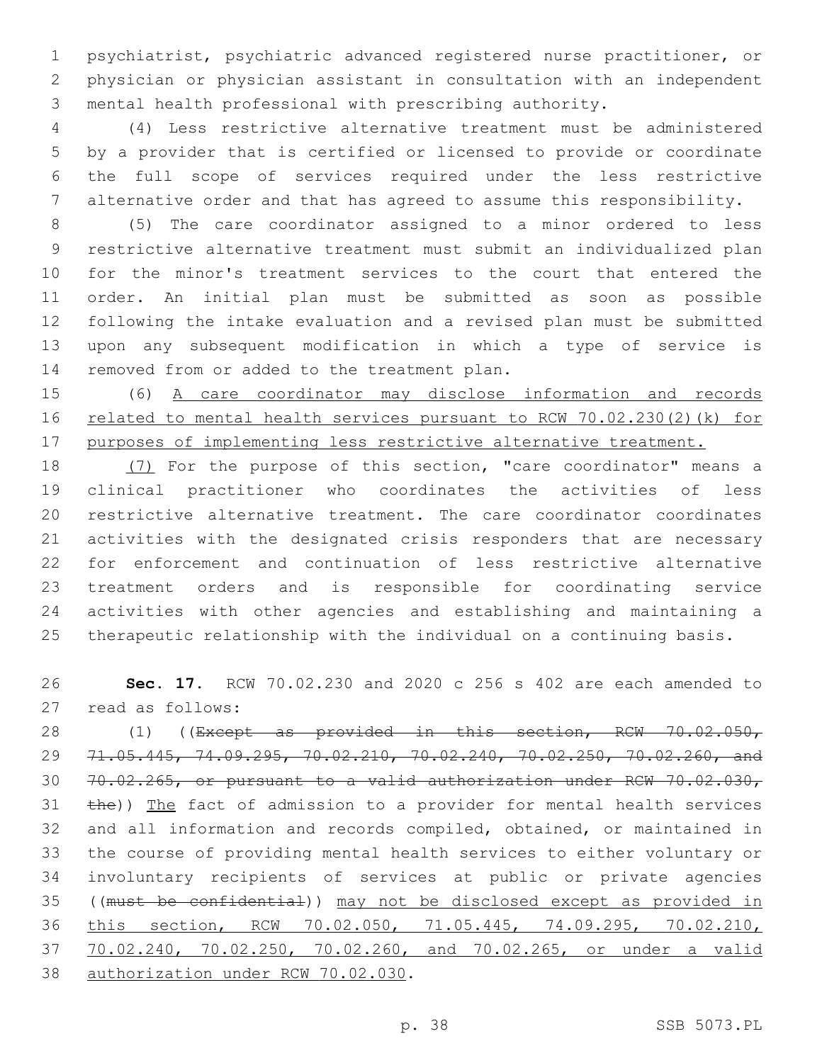psychiatrist, psychiatric advanced registered nurse practitioner, or physician or physician assistant in consultation with an independent mental health professional with prescribing authority.

 (4) Less restrictive alternative treatment must be administered by a provider that is certified or licensed to provide or coordinate the full scope of services required under the less restrictive alternative order and that has agreed to assume this responsibility.

 (5) The care coordinator assigned to a minor ordered to less restrictive alternative treatment must submit an individualized plan for the minor's treatment services to the court that entered the order. An initial plan must be submitted as soon as possible following the intake evaluation and a revised plan must be submitted upon any subsequent modification in which a type of service is 14 removed from or added to the treatment plan.

 (6) A care coordinator may disclose information and records related to mental health services pursuant to RCW 70.02.230(2)(k) for 17 purposes of implementing less restrictive alternative treatment.

 (7) For the purpose of this section, "care coordinator" means a clinical practitioner who coordinates the activities of less restrictive alternative treatment. The care coordinator coordinates activities with the designated crisis responders that are necessary for enforcement and continuation of less restrictive alternative treatment orders and is responsible for coordinating service activities with other agencies and establishing and maintaining a therapeutic relationship with the individual on a continuing basis.

 **Sec. 17.** RCW 70.02.230 and 2020 c 256 s 402 are each amended to 27 read as follows:

 (1) ((Except as provided in this section, RCW 70.02.050, 71.05.445, 74.09.295, 70.02.210, 70.02.240, 70.02.250, 70.02.260, and 70.02.265, or pursuant to a valid authorization under RCW 70.02.030, 31 the)) The fact of admission to a provider for mental health services and all information and records compiled, obtained, or maintained in the course of providing mental health services to either voluntary or involuntary recipients of services at public or private agencies ((must be confidential)) may not be disclosed except as provided in this section, RCW 70.02.050, 71.05.445, 74.09.295, 70.02.210, 70.02.240, 70.02.250, 70.02.260, and 70.02.265, or under a valid 38 authorization under RCW 70.02.030.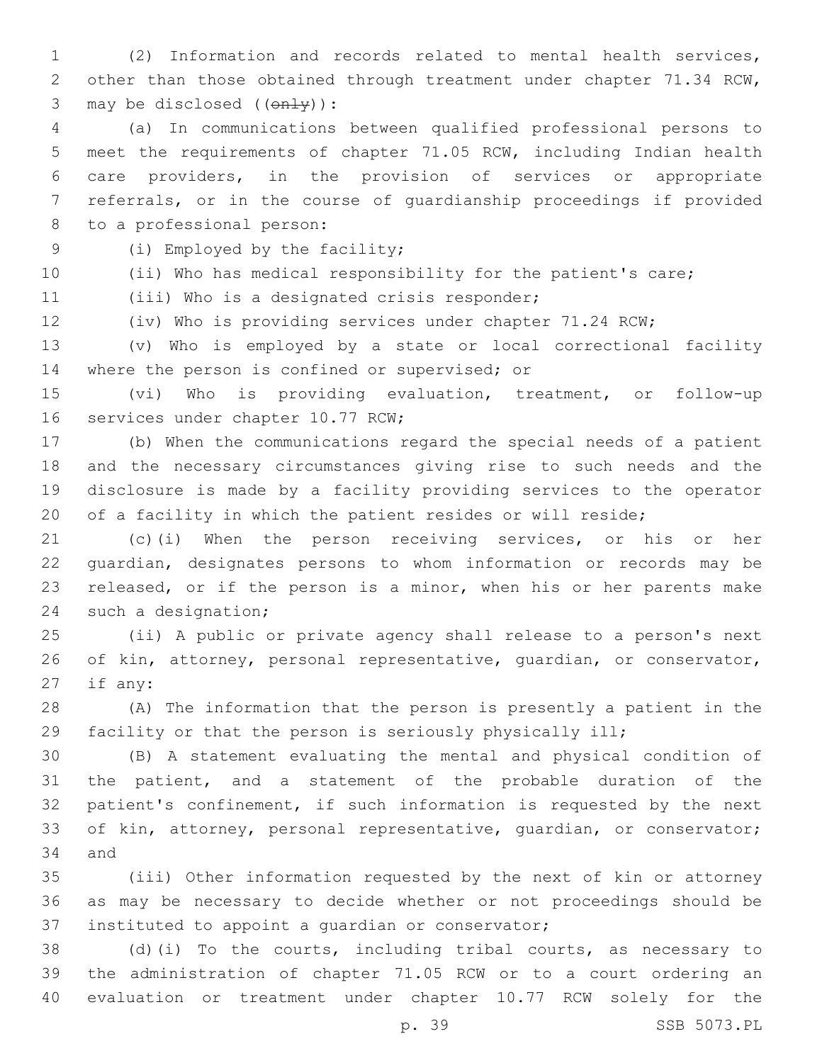(2) Information and records related to mental health services, other than those obtained through treatment under chapter 71.34 RCW, 3 may be disclosed  $((on+y))$ :

 (a) In communications between qualified professional persons to meet the requirements of chapter 71.05 RCW, including Indian health care providers, in the provision of services or appropriate referrals, or in the course of guardianship proceedings if provided 8 to a professional person:

9 (i) Employed by the facility;

(ii) Who has medical responsibility for the patient's care;

11 (iii) Who is a designated crisis responder;

(iv) Who is providing services under chapter 71.24 RCW;

 (v) Who is employed by a state or local correctional facility 14 where the person is confined or supervised; or

 (vi) Who is providing evaluation, treatment, or follow-up 16 services under chapter 10.77 RCW;

 (b) When the communications regard the special needs of a patient and the necessary circumstances giving rise to such needs and the disclosure is made by a facility providing services to the operator 20 of a facility in which the patient resides or will reside;

 (c)(i) When the person receiving services, or his or her guardian, designates persons to whom information or records may be released, or if the person is a minor, when his or her parents make 24 such a designation;

 (ii) A public or private agency shall release to a person's next of kin, attorney, personal representative, guardian, or conservator, if any:

 (A) The information that the person is presently a patient in the facility or that the person is seriously physically ill;

 (B) A statement evaluating the mental and physical condition of the patient, and a statement of the probable duration of the patient's confinement, if such information is requested by the next 33 of kin, attorney, personal representative, quardian, or conservator; 34 and

 (iii) Other information requested by the next of kin or attorney as may be necessary to decide whether or not proceedings should be 37 instituted to appoint a quardian or conservator;

 (d)(i) To the courts, including tribal courts, as necessary to the administration of chapter 71.05 RCW or to a court ordering an evaluation or treatment under chapter 10.77 RCW solely for the

p. 39 SSB 5073.PL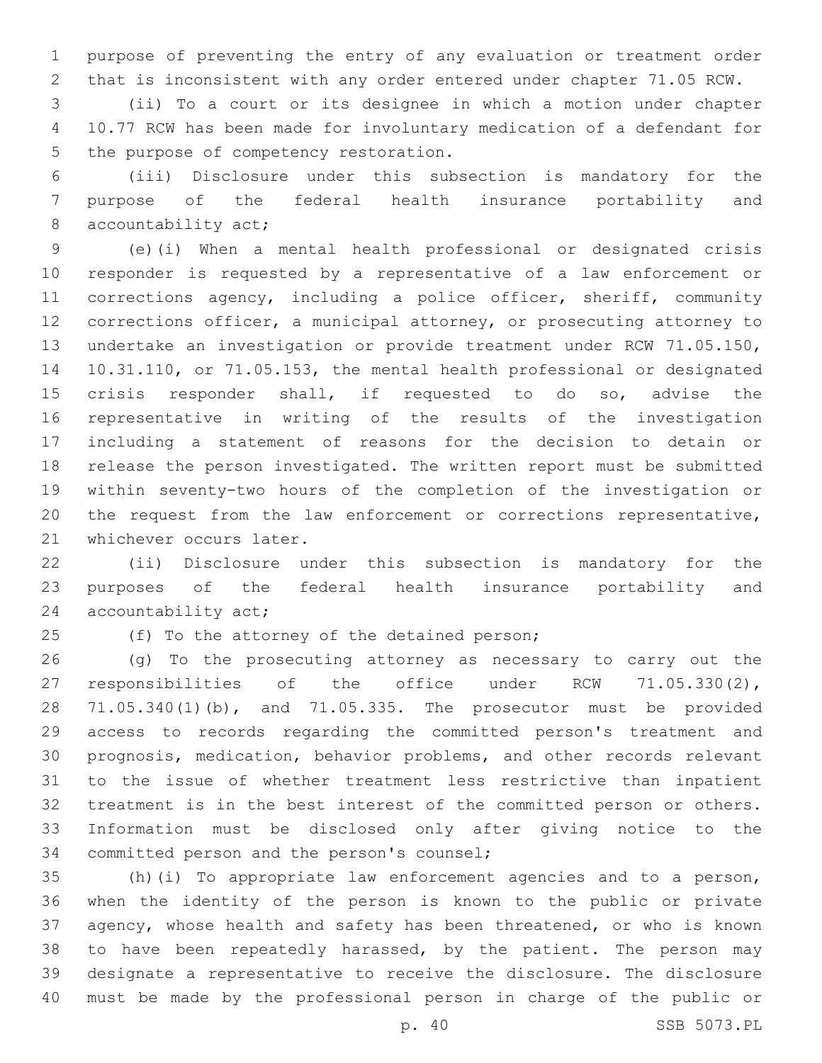purpose of preventing the entry of any evaluation or treatment order that is inconsistent with any order entered under chapter 71.05 RCW.

 (ii) To a court or its designee in which a motion under chapter 10.77 RCW has been made for involuntary medication of a defendant for 5 the purpose of competency restoration.

 (iii) Disclosure under this subsection is mandatory for the purpose of the federal health insurance portability and 8 accountability act;

 (e)(i) When a mental health professional or designated crisis responder is requested by a representative of a law enforcement or corrections agency, including a police officer, sheriff, community corrections officer, a municipal attorney, or prosecuting attorney to undertake an investigation or provide treatment under RCW 71.05.150, 10.31.110, or 71.05.153, the mental health professional or designated crisis responder shall, if requested to do so, advise the representative in writing of the results of the investigation including a statement of reasons for the decision to detain or release the person investigated. The written report must be submitted within seventy-two hours of the completion of the investigation or the request from the law enforcement or corrections representative, 21 whichever occurs later.

 (ii) Disclosure under this subsection is mandatory for the purposes of the federal health insurance portability and 24 accountability act;

25 (f) To the attorney of the detained person;

 (g) To the prosecuting attorney as necessary to carry out the responsibilities of the office under RCW 71.05.330(2), 71.05.340(1)(b), and 71.05.335. The prosecutor must be provided access to records regarding the committed person's treatment and prognosis, medication, behavior problems, and other records relevant to the issue of whether treatment less restrictive than inpatient treatment is in the best interest of the committed person or others. Information must be disclosed only after giving notice to the 34 committed person and the person's counsel;

 (h)(i) To appropriate law enforcement agencies and to a person, when the identity of the person is known to the public or private agency, whose health and safety has been threatened, or who is known 38 to have been repeatedly harassed, by the patient. The person may designate a representative to receive the disclosure. The disclosure must be made by the professional person in charge of the public or

p. 40 SSB 5073.PL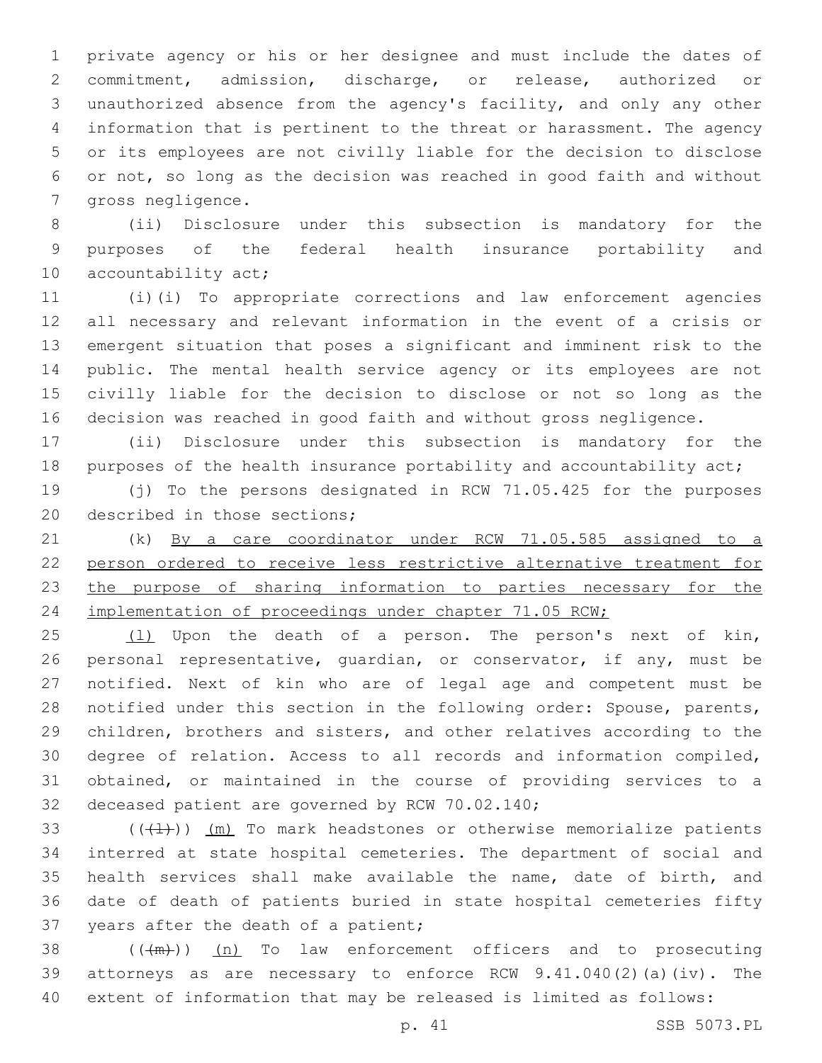private agency or his or her designee and must include the dates of commitment, admission, discharge, or release, authorized or unauthorized absence from the agency's facility, and only any other information that is pertinent to the threat or harassment. The agency or its employees are not civilly liable for the decision to disclose or not, so long as the decision was reached in good faith and without 7 gross negligence.

 (ii) Disclosure under this subsection is mandatory for the purposes of the federal health insurance portability and 10 accountability act;

 (i)(i) To appropriate corrections and law enforcement agencies all necessary and relevant information in the event of a crisis or emergent situation that poses a significant and imminent risk to the public. The mental health service agency or its employees are not civilly liable for the decision to disclose or not so long as the decision was reached in good faith and without gross negligence.

 (ii) Disclosure under this subsection is mandatory for the 18 purposes of the health insurance portability and accountability act;

 (j) To the persons designated in RCW 71.05.425 for the purposes 20 described in those sections;

 (k) By a care coordinator under RCW 71.05.585 assigned to a person ordered to receive less restrictive alternative treatment for the purpose of sharing information to parties necessary for the 24 implementation of proceedings under chapter 71.05 RCW;

 (l) Upon the death of a person. The person's next of kin, personal representative, guardian, or conservator, if any, must be notified. Next of kin who are of legal age and competent must be notified under this section in the following order: Spouse, parents, children, brothers and sisters, and other relatives according to the degree of relation. Access to all records and information compiled, obtained, or maintained in the course of providing services to a 32 deceased patient are governed by RCW 70.02.140;

 $((+1))$   $(m)$  To mark headstones or otherwise memorialize patients interred at state hospital cemeteries. The department of social and health services shall make available the name, date of birth, and date of death of patients buried in state hospital cemeteries fifty 37 years after the death of a patient;

 ( $(\frac{+m}{2})$ ) (n) To law enforcement officers and to prosecuting attorneys as are necessary to enforce RCW 9.41.040(2)(a)(iv). The extent of information that may be released is limited as follows: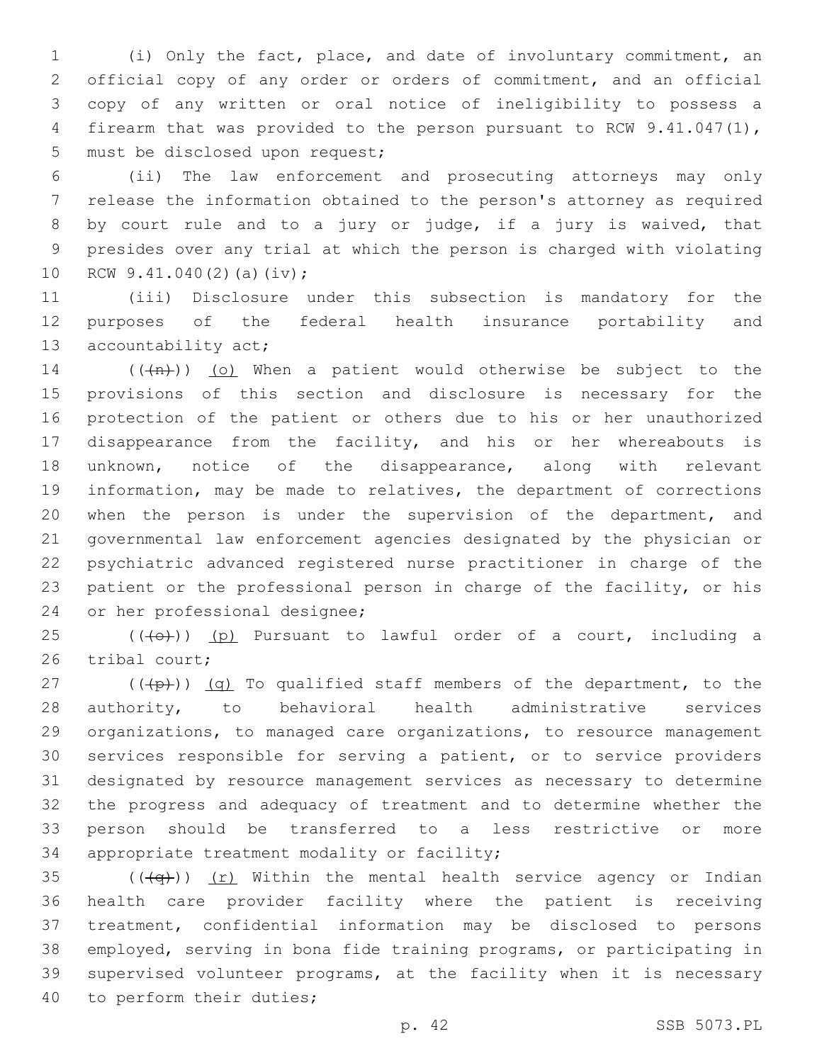(i) Only the fact, place, and date of involuntary commitment, an official copy of any order or orders of commitment, and an official copy of any written or oral notice of ineligibility to possess a firearm that was provided to the person pursuant to RCW 9.41.047(1), 5 must be disclosed upon request;

 (ii) The law enforcement and prosecuting attorneys may only release the information obtained to the person's attorney as required by court rule and to a jury or judge, if a jury is waived, that presides over any trial at which the person is charged with violating 10 RCW  $9.41.040(2)$  (a)(iv);

 (iii) Disclosure under this subsection is mandatory for the purposes of the federal health insurance portability and 13 accountability act;

 $((+n))$  (o) When a patient would otherwise be subject to the provisions of this section and disclosure is necessary for the protection of the patient or others due to his or her unauthorized disappearance from the facility, and his or her whereabouts is unknown, notice of the disappearance, along with relevant information, may be made to relatives, the department of corrections when the person is under the supervision of the department, and governmental law enforcement agencies designated by the physician or psychiatric advanced registered nurse practitioner in charge of the patient or the professional person in charge of the facility, or his 24 or her professional designee;

 (( $\left(\overline{+}0\overline{+}\right)$ ) (p) Pursuant to lawful order of a court, including a 26 tribal court:

 $((+p))$   $(q)$  To qualified staff members of the department, to the authority, to behavioral health administrative services organizations, to managed care organizations, to resource management services responsible for serving a patient, or to service providers designated by resource management services as necessary to determine the progress and adequacy of treatment and to determine whether the person should be transferred to a less restrictive or more 34 appropriate treatment modality or facility;

35 ( $(\overline{q})$ ) (r) Within the mental health service agency or Indian health care provider facility where the patient is receiving treatment, confidential information may be disclosed to persons employed, serving in bona fide training programs, or participating in supervised volunteer programs, at the facility when it is necessary 40 to perform their duties;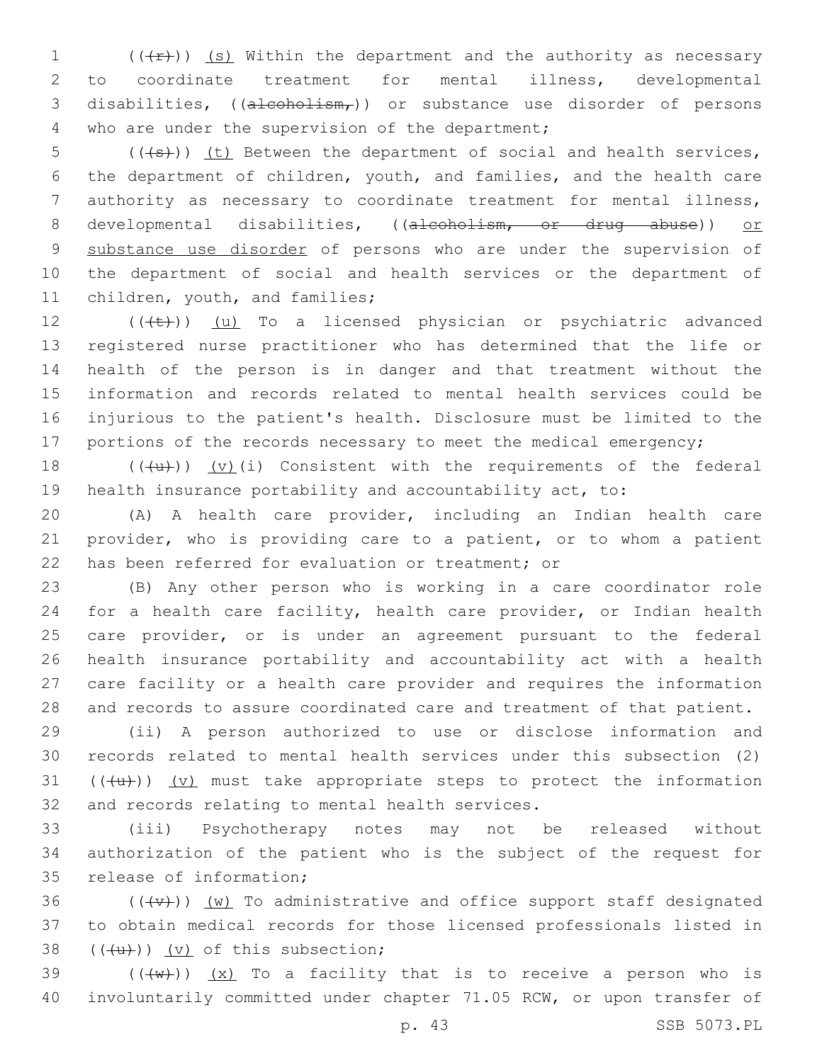1  $((+r))$  (s) Within the department and the authority as necessary 2 to coordinate treatment for mental illness, developmental 3 disabilities,  $((a + b)$  is disorder of persons 4 who are under the supervision of the department;

 $(1+5)$  (( $(1+5)$ )) (t) Between the department of social and health services, 6 the department of children, youth, and families, and the health care 7 authority as necessary to coordinate treatment for mental illness, 8 developmental disabilities, ((alcoholism, or drug abuse)) or 9 substance use disorder of persons who are under the supervision of 10 the department of social and health services or the department of 11 children, youth, and families;

 $((\{t\})$  (u) To a licensed physician or psychiatric advanced registered nurse practitioner who has determined that the life or health of the person is in danger and that treatment without the information and records related to mental health services could be injurious to the patient's health. Disclosure must be limited to the 17 portions of the records necessary to meet the medical emergency;

18  $((+u))$   $(v)$  (i) Consistent with the requirements of the federal 19 health insurance portability and accountability act, to:

20 (A) A health care provider, including an Indian health care 21 provider, who is providing care to a patient, or to whom a patient 22 has been referred for evaluation or treatment; or

 (B) Any other person who is working in a care coordinator role for a health care facility, health care provider, or Indian health care provider, or is under an agreement pursuant to the federal health insurance portability and accountability act with a health care facility or a health care provider and requires the information and records to assure coordinated care and treatment of that patient.

 (ii) A person authorized to use or disclose information and records related to mental health services under this subsection (2)  $((+u))$   $(v)$  must take appropriate steps to protect the information 32 and records relating to mental health services.

33 (iii) Psychotherapy notes may not be released without 34 authorization of the patient who is the subject of the request for 35 release of information;

36  $((+\nabla)+)(w)$  To administrative and office support staff designated 37 to obtain medical records for those licensed professionals listed in  $(4u)$ ) (v) of this subsection;

39  $((+w))$   $(x)$  To a facility that is to receive a person who is 40 involuntarily committed under chapter 71.05 RCW, or upon transfer of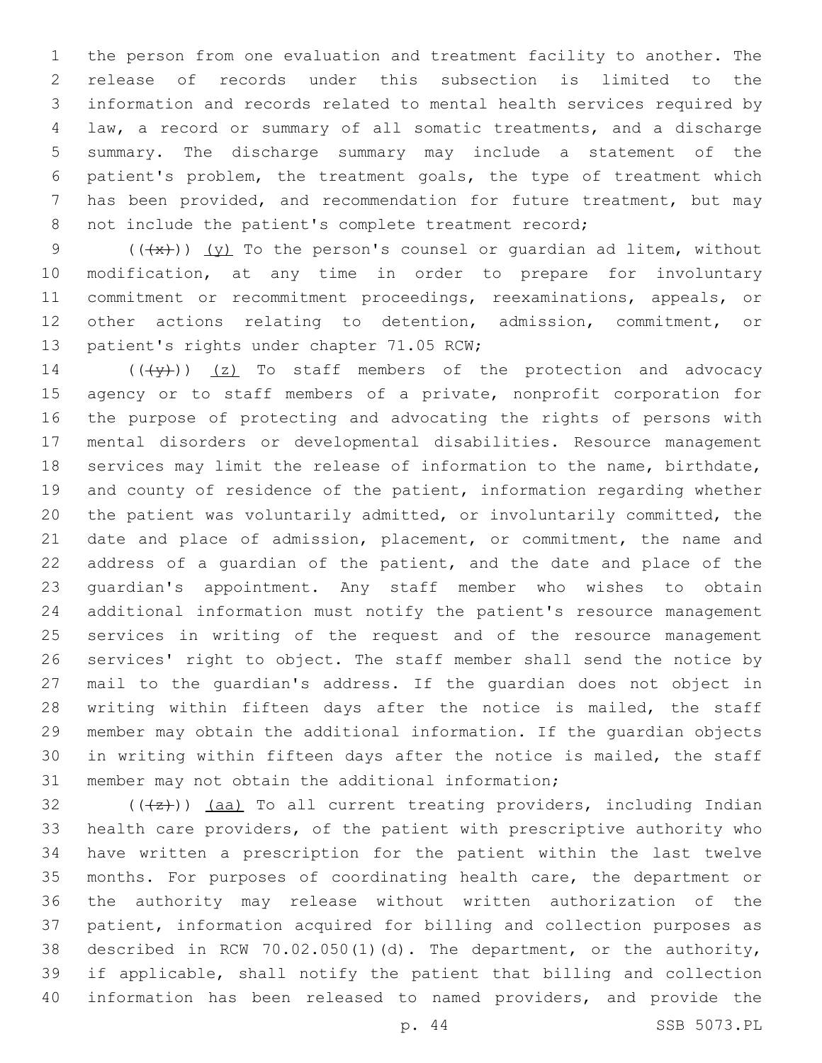the person from one evaluation and treatment facility to another. The release of records under this subsection is limited to the information and records related to mental health services required by law, a record or summary of all somatic treatments, and a discharge summary. The discharge summary may include a statement of the patient's problem, the treatment goals, the type of treatment which has been provided, and recommendation for future treatment, but may not include the patient's complete treatment record;

9 ( $(\frac{4x}{x})$ ) (y) To the person's counsel or quardian ad litem, without modification, at any time in order to prepare for involuntary commitment or recommitment proceedings, reexaminations, appeals, or other actions relating to detention, admission, commitment, or 13 patient's rights under chapter 71.05 RCW;

 $((+\gamma)^2)$  (z) To staff members of the protection and advocacy 15 agency or to staff members of a private, nonprofit corporation for the purpose of protecting and advocating the rights of persons with mental disorders or developmental disabilities. Resource management services may limit the release of information to the name, birthdate, and county of residence of the patient, information regarding whether the patient was voluntarily admitted, or involuntarily committed, the date and place of admission, placement, or commitment, the name and address of a guardian of the patient, and the date and place of the guardian's appointment. Any staff member who wishes to obtain additional information must notify the patient's resource management services in writing of the request and of the resource management services' right to object. The staff member shall send the notice by mail to the guardian's address. If the guardian does not object in 28 writing within fifteen days after the notice is mailed, the staff member may obtain the additional information. If the guardian objects in writing within fifteen days after the notice is mailed, the staff 31 member may not obtain the additional information;

 (( $\left(\frac{1}{2}\right)$ ) (aa) To all current treating providers, including Indian health care providers, of the patient with prescriptive authority who have written a prescription for the patient within the last twelve months. For purposes of coordinating health care, the department or the authority may release without written authorization of the patient, information acquired for billing and collection purposes as described in RCW 70.02.050(1)(d). The department, or the authority, if applicable, shall notify the patient that billing and collection information has been released to named providers, and provide the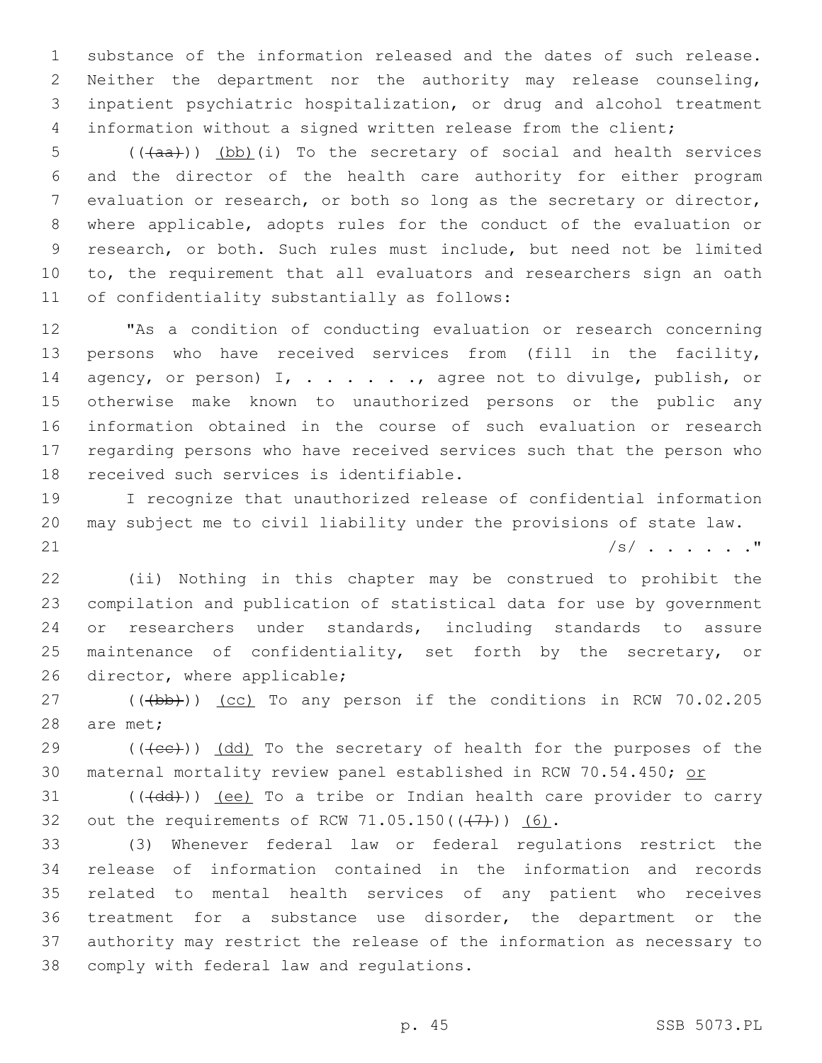substance of the information released and the dates of such release. Neither the department nor the authority may release counseling, inpatient psychiatric hospitalization, or drug and alcohol treatment information without a signed written release from the client;

5 (( $(a^2 + b^2)$ ) (bb)(i) To the secretary of social and health services and the director of the health care authority for either program evaluation or research, or both so long as the secretary or director, where applicable, adopts rules for the conduct of the evaluation or research, or both. Such rules must include, but need not be limited to, the requirement that all evaluators and researchers sign an oath 11 of confidentiality substantially as follows:

 "As a condition of conducting evaluation or research concerning persons who have received services from (fill in the facility, 14 agency, or person) I, . . . . . . , agree not to divulge, publish, or otherwise make known to unauthorized persons or the public any information obtained in the course of such evaluation or research regarding persons who have received services such that the person who 18 received such services is identifiable.

 I recognize that unauthorized release of confidential information may subject me to civil liability under the provisions of state law. 21  $|s|$  . . . . . . "

 (ii) Nothing in this chapter may be construed to prohibit the compilation and publication of statistical data for use by government or researchers under standards, including standards to assure maintenance of confidentiality, set forth by the secretary, or 26 director, where applicable;

27 (((b))) (cc) To any person if the conditions in RCW 70.02.205 28 are met;

 (( $\text{((6c))}$ )  $\text{(dd)}$  To the secretary of health for the purposes of the 30 maternal mortality review panel established in RCW 70.54.450; or

 (( $\left(\frac{\text{dd}}{\text{d}}\right)$ ) (ee) To a tribe or Indian health care provider to carry 32 out the requirements of RCW  $71.05.150((\leftarrow 7)+))$  (6).

 (3) Whenever federal law or federal regulations restrict the release of information contained in the information and records related to mental health services of any patient who receives treatment for a substance use disorder, the department or the authority may restrict the release of the information as necessary to 38 comply with federal law and regulations.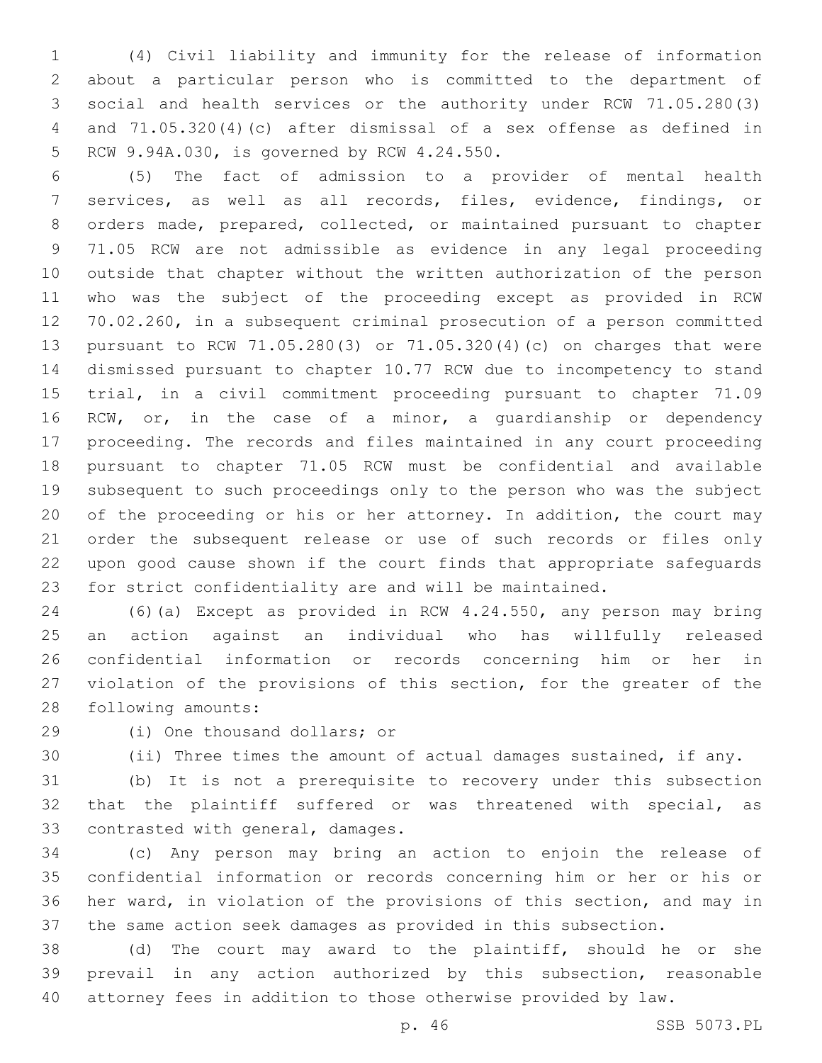(4) Civil liability and immunity for the release of information about a particular person who is committed to the department of social and health services or the authority under RCW 71.05.280(3) and 71.05.320(4)(c) after dismissal of a sex offense as defined in 5 RCW 9.94A.030, is governed by RCW 4.24.550.

 (5) The fact of admission to a provider of mental health services, as well as all records, files, evidence, findings, or orders made, prepared, collected, or maintained pursuant to chapter 71.05 RCW are not admissible as evidence in any legal proceeding outside that chapter without the written authorization of the person who was the subject of the proceeding except as provided in RCW 70.02.260, in a subsequent criminal prosecution of a person committed pursuant to RCW 71.05.280(3) or 71.05.320(4)(c) on charges that were dismissed pursuant to chapter 10.77 RCW due to incompetency to stand trial, in a civil commitment proceeding pursuant to chapter 71.09 RCW, or, in the case of a minor, a guardianship or dependency proceeding. The records and files maintained in any court proceeding pursuant to chapter 71.05 RCW must be confidential and available subsequent to such proceedings only to the person who was the subject of the proceeding or his or her attorney. In addition, the court may order the subsequent release or use of such records or files only upon good cause shown if the court finds that appropriate safeguards for strict confidentiality are and will be maintained.

 (6)(a) Except as provided in RCW 4.24.550, any person may bring an action against an individual who has willfully released confidential information or records concerning him or her in violation of the provisions of this section, for the greater of the 28 following amounts:

29 (i) One thousand dollars; or

(ii) Three times the amount of actual damages sustained, if any.

 (b) It is not a prerequisite to recovery under this subsection that the plaintiff suffered or was threatened with special, as 33 contrasted with general, damages.

 (c) Any person may bring an action to enjoin the release of confidential information or records concerning him or her or his or her ward, in violation of the provisions of this section, and may in the same action seek damages as provided in this subsection.

 (d) The court may award to the plaintiff, should he or she prevail in any action authorized by this subsection, reasonable attorney fees in addition to those otherwise provided by law.

p. 46 SSB 5073.PL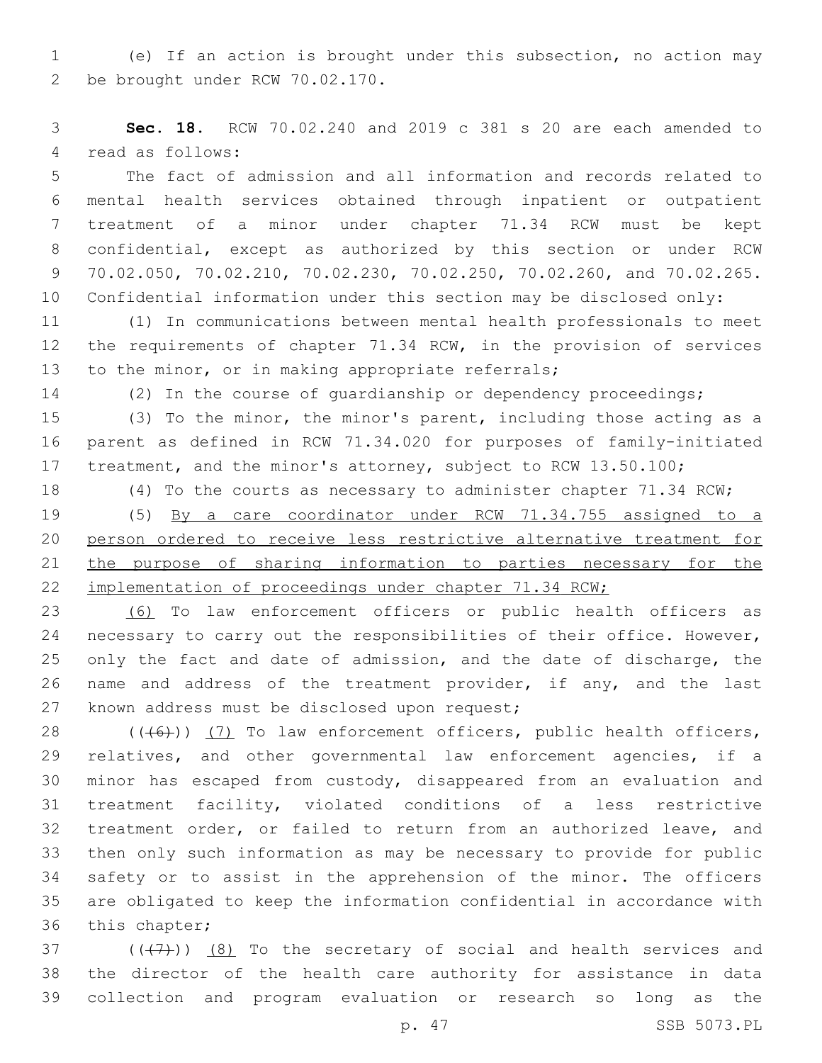(e) If an action is brought under this subsection, no action may be brought under RCW 70.02.170.2

 **Sec. 18.** RCW 70.02.240 and 2019 c 381 s 20 are each amended to 4 read as follows:

 The fact of admission and all information and records related to mental health services obtained through inpatient or outpatient treatment of a minor under chapter 71.34 RCW must be kept confidential, except as authorized by this section or under RCW 70.02.050, 70.02.210, 70.02.230, 70.02.250, 70.02.260, and 70.02.265. Confidential information under this section may be disclosed only:

 (1) In communications between mental health professionals to meet the requirements of chapter 71.34 RCW, in the provision of services 13 to the minor, or in making appropriate referrals;

(2) In the course of guardianship or dependency proceedings;

 (3) To the minor, the minor's parent, including those acting as a parent as defined in RCW 71.34.020 for purposes of family-initiated treatment, and the minor's attorney, subject to RCW 13.50.100;

(4) To the courts as necessary to administer chapter 71.34 RCW;

 (5) By a care coordinator under RCW 71.34.755 assigned to a person ordered to receive less restrictive alternative treatment for the purpose of sharing information to parties necessary for the implementation of proceedings under chapter 71.34 RCW;

 (6) To law enforcement officers or public health officers as necessary to carry out the responsibilities of their office. However, only the fact and date of admission, and the date of discharge, the name and address of the treatment provider, if any, and the last 27 known address must be disclosed upon request;

 $((\langle 6 \rangle) )$  (7) To law enforcement officers, public health officers, relatives, and other governmental law enforcement agencies, if a minor has escaped from custody, disappeared from an evaluation and treatment facility, violated conditions of a less restrictive treatment order, or failed to return from an authorized leave, and then only such information as may be necessary to provide for public safety or to assist in the apprehension of the minor. The officers are obligated to keep the information confidential in accordance with 36 this chapter;

37  $((+7+))$   $(8)$  To the secretary of social and health services and the director of the health care authority for assistance in data collection and program evaluation or research so long as the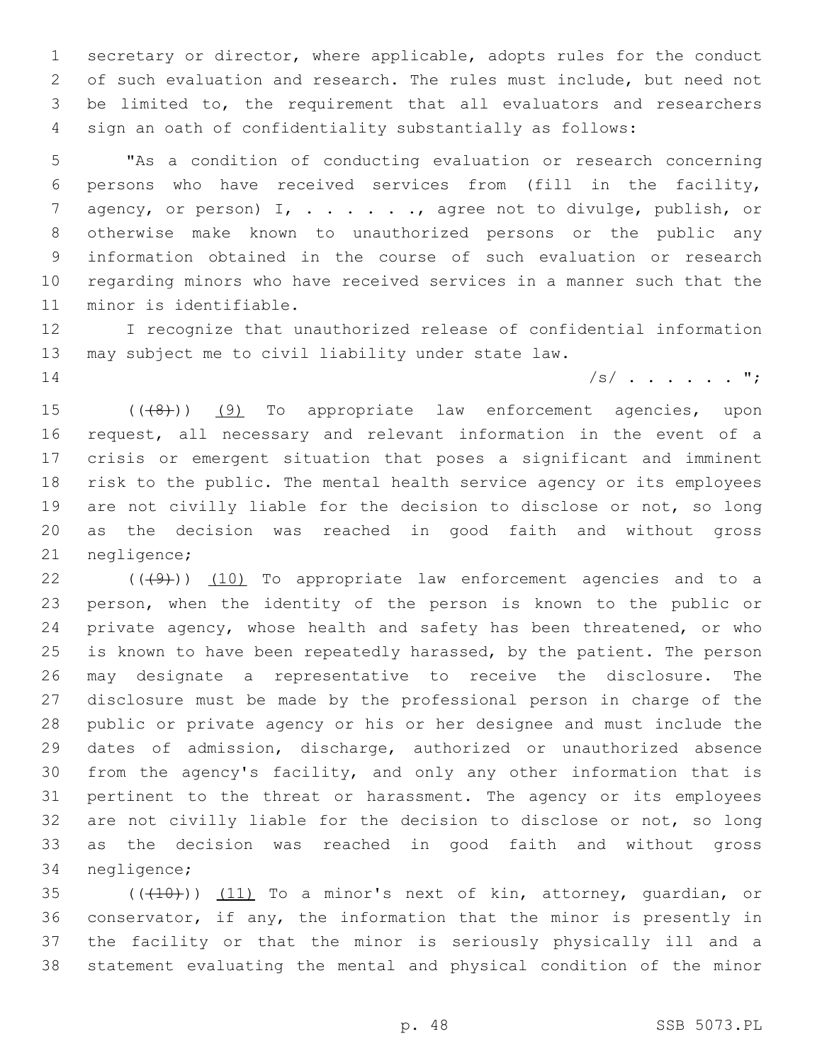secretary or director, where applicable, adopts rules for the conduct of such evaluation and research. The rules must include, but need not be limited to, the requirement that all evaluators and researchers sign an oath of confidentiality substantially as follows:

 "As a condition of conducting evaluation or research concerning persons who have received services from (fill in the facility, 7 agency, or person) I, . . . . . . , agree not to divulge, publish, or otherwise make known to unauthorized persons or the public any information obtained in the course of such evaluation or research regarding minors who have received services in a manner such that the 11 minor is identifiable.

 I recognize that unauthorized release of confidential information may subject me to civil liability under state law.

/s/ . . . . . ";

15 (((8)) (9) To appropriate law enforcement agencies, upon request, all necessary and relevant information in the event of a crisis or emergent situation that poses a significant and imminent risk to the public. The mental health service agency or its employees 19 are not civilly liable for the decision to disclose or not, so long as the decision was reached in good faith and without gross 21 negligence;

 $(1)$  ( $(4)$ ))  $(10)$  To appropriate law enforcement agencies and to a person, when the identity of the person is known to the public or private agency, whose health and safety has been threatened, or who 25 is known to have been repeatedly harassed, by the patient. The person may designate a representative to receive the disclosure. The disclosure must be made by the professional person in charge of the public or private agency or his or her designee and must include the dates of admission, discharge, authorized or unauthorized absence from the agency's facility, and only any other information that is pertinent to the threat or harassment. The agency or its employees are not civilly liable for the decision to disclose or not, so long as the decision was reached in good faith and without gross 34 negligence;

 $(1)$   $(1)$   $(1)$  To a minor's next of kin, attorney, quardian, or conservator, if any, the information that the minor is presently in the facility or that the minor is seriously physically ill and a statement evaluating the mental and physical condition of the minor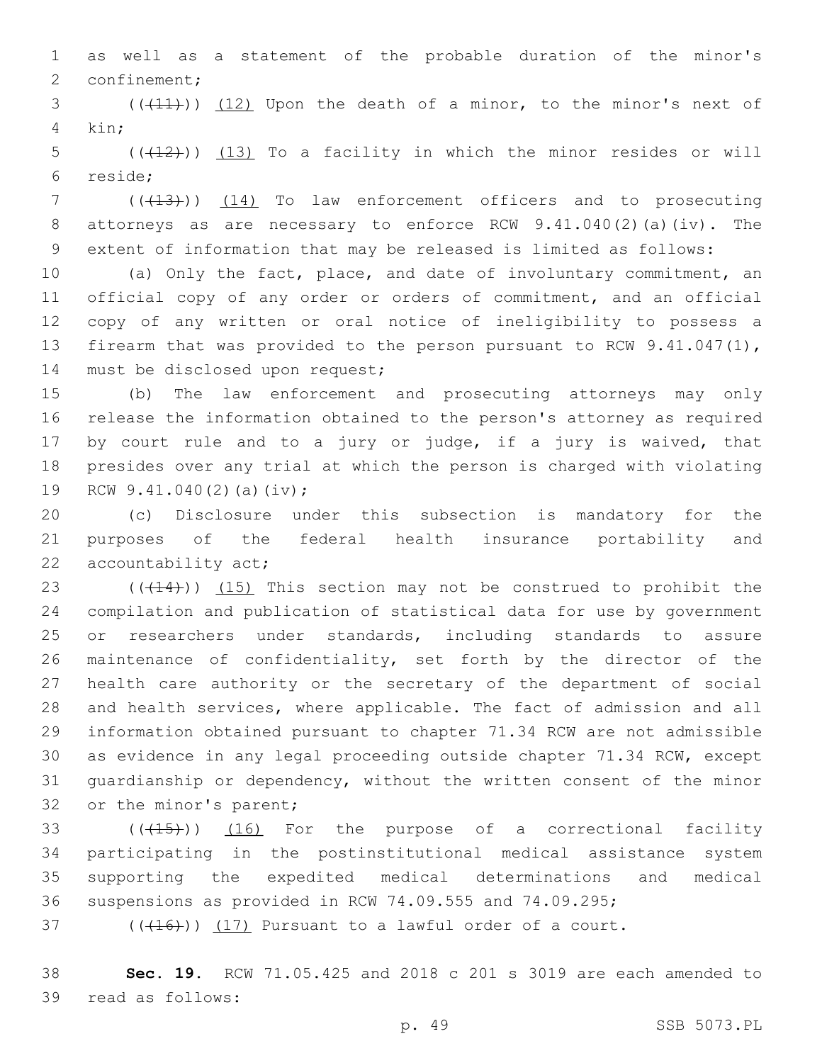as well as a statement of the probable duration of the minor's 2 confinement;

 $(1,1)$   $(12)$  Upon the death of a minor, to the minor's next of 4 kin;

5  $((+12))$  (13) To a facility in which the minor resides or will reside;6

7 (( $(13)$ )) (14) To law enforcement officers and to prosecuting attorneys as are necessary to enforce RCW 9.41.040(2)(a)(iv). The extent of information that may be released is limited as follows:

 (a) Only the fact, place, and date of involuntary commitment, an official copy of any order or orders of commitment, and an official copy of any written or oral notice of ineligibility to possess a 13 firearm that was provided to the person pursuant to RCW 9.41.047(1), 14 must be disclosed upon request;

 (b) The law enforcement and prosecuting attorneys may only release the information obtained to the person's attorney as required by court rule and to a jury or judge, if a jury is waived, that presides over any trial at which the person is charged with violating 19 RCW 9.41.040(2)(a)(iv);

 (c) Disclosure under this subsection is mandatory for the purposes of the federal health insurance portability and 22 accountability act;

 $((+14))$   $(15)$  This section may not be construed to prohibit the compilation and publication of statistical data for use by government or researchers under standards, including standards to assure maintenance of confidentiality, set forth by the director of the health care authority or the secretary of the department of social and health services, where applicable. The fact of admission and all information obtained pursuant to chapter 71.34 RCW are not admissible as evidence in any legal proceeding outside chapter 71.34 RCW, except guardianship or dependency, without the written consent of the minor 32 or the minor's parent;

 $(15)$  ( $(15)$ ) (16) For the purpose of a correctional facility participating in the postinstitutional medical assistance system supporting the expedited medical determinations and medical suspensions as provided in RCW 74.09.555 and 74.09.295;

(( $(416)$ )) (17) Pursuant to a lawful order of a court.

 **Sec. 19.** RCW 71.05.425 and 2018 c 201 s 3019 are each amended to 39 read as follows: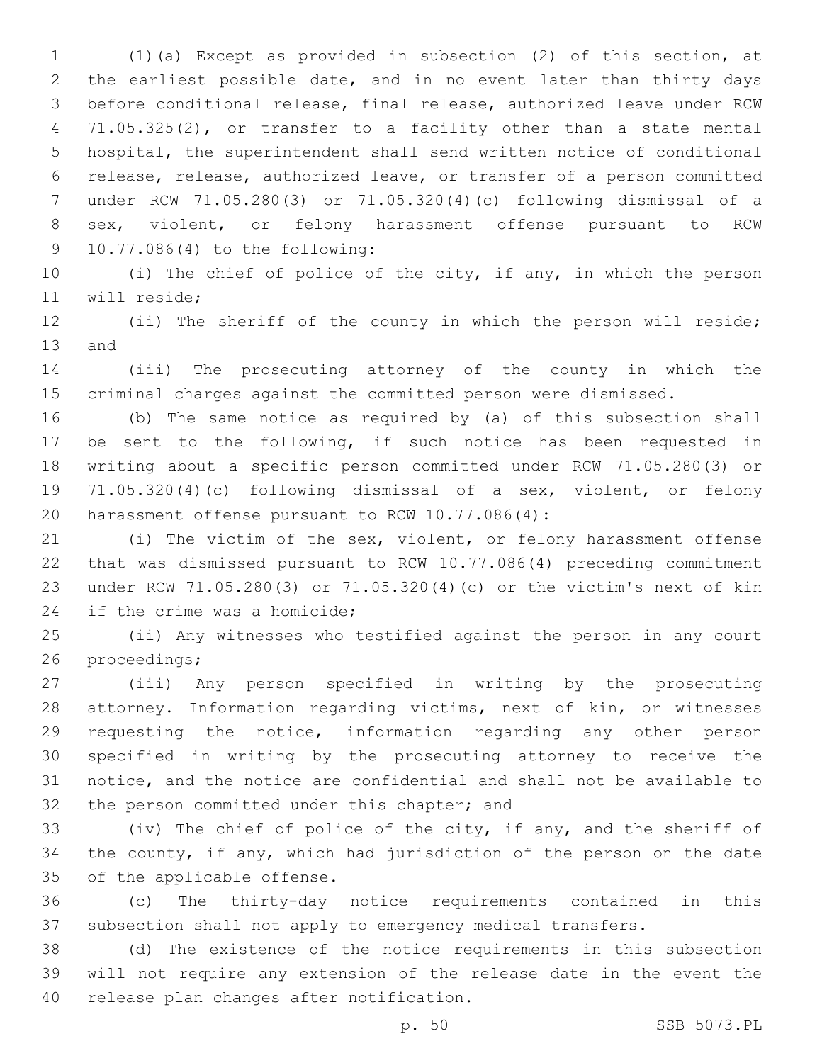(1)(a) Except as provided in subsection (2) of this section, at the earliest possible date, and in no event later than thirty days before conditional release, final release, authorized leave under RCW 71.05.325(2), or transfer to a facility other than a state mental hospital, the superintendent shall send written notice of conditional release, release, authorized leave, or transfer of a person committed under RCW 71.05.280(3) or 71.05.320(4)(c) following dismissal of a sex, violent, or felony harassment offense pursuant to RCW 10.77.086(4) to the following:9

 (i) The chief of police of the city, if any, in which the person 11 will reside;

 (ii) The sheriff of the county in which the person will reside; 13 and

 (iii) The prosecuting attorney of the county in which the criminal charges against the committed person were dismissed.

 (b) The same notice as required by (a) of this subsection shall be sent to the following, if such notice has been requested in writing about a specific person committed under RCW 71.05.280(3) or 71.05.320(4)(c) following dismissal of a sex, violent, or felony 20 harassment offense pursuant to RCW 10.77.086(4):

 (i) The victim of the sex, violent, or felony harassment offense that was dismissed pursuant to RCW 10.77.086(4) preceding commitment under RCW 71.05.280(3) or 71.05.320(4)(c) or the victim's next of kin 24 if the crime was a homicide;

 (ii) Any witnesses who testified against the person in any court 26 proceedings;

 (iii) Any person specified in writing by the prosecuting attorney. Information regarding victims, next of kin, or witnesses requesting the notice, information regarding any other person specified in writing by the prosecuting attorney to receive the notice, and the notice are confidential and shall not be available to 32 the person committed under this chapter; and

 (iv) The chief of police of the city, if any, and the sheriff of the county, if any, which had jurisdiction of the person on the date 35 of the applicable offense.

 (c) The thirty-day notice requirements contained in this subsection shall not apply to emergency medical transfers.

 (d) The existence of the notice requirements in this subsection will not require any extension of the release date in the event the 40 release plan changes after notification.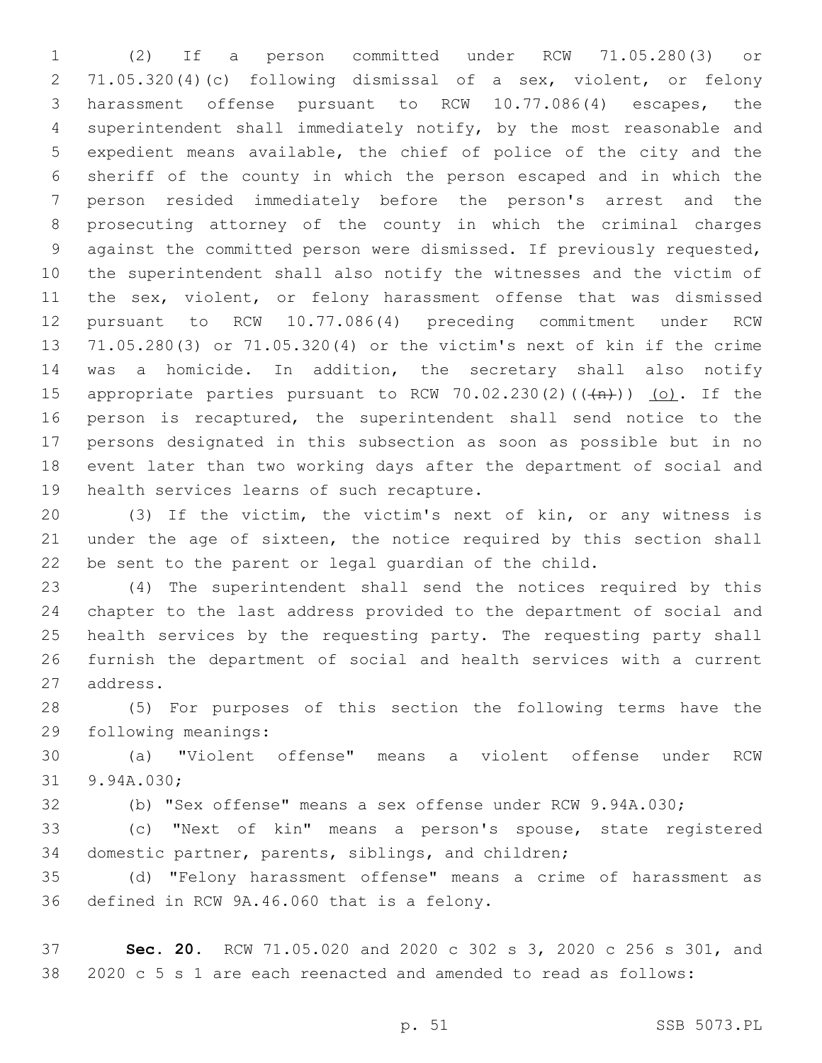(2) If a person committed under RCW 71.05.280(3) or 71.05.320(4)(c) following dismissal of a sex, violent, or felony harassment offense pursuant to RCW 10.77.086(4) escapes, the superintendent shall immediately notify, by the most reasonable and expedient means available, the chief of police of the city and the sheriff of the county in which the person escaped and in which the person resided immediately before the person's arrest and the prosecuting attorney of the county in which the criminal charges against the committed person were dismissed. If previously requested, the superintendent shall also notify the witnesses and the victim of 11 the sex, violent, or felony harassment offense that was dismissed pursuant to RCW 10.77.086(4) preceding commitment under RCW 71.05.280(3) or 71.05.320(4) or the victim's next of kin if the crime was a homicide. In addition, the secretary shall also notify 15 appropriate parties pursuant to RCW 70.02.230(2)( $(\overrightarrow{+n})$ ) (o). If the person is recaptured, the superintendent shall send notice to the persons designated in this subsection as soon as possible but in no event later than two working days after the department of social and 19 health services learns of such recapture.

 (3) If the victim, the victim's next of kin, or any witness is under the age of sixteen, the notice required by this section shall be sent to the parent or legal guardian of the child.

 (4) The superintendent shall send the notices required by this chapter to the last address provided to the department of social and health services by the requesting party. The requesting party shall furnish the department of social and health services with a current 27 address.

 (5) For purposes of this section the following terms have the 29 following meanings:

 (a) "Violent offense" means a violent offense under RCW 31 9.94A.030;

(b) "Sex offense" means a sex offense under RCW 9.94A.030;

 (c) "Next of kin" means a person's spouse, state registered domestic partner, parents, siblings, and children;

 (d) "Felony harassment offense" means a crime of harassment as 36 defined in RCW 9A.46.060 that is a felony.

 **Sec. 20.** RCW 71.05.020 and 2020 c 302 s 3, 2020 c 256 s 301, and 2020 c 5 s 1 are each reenacted and amended to read as follows: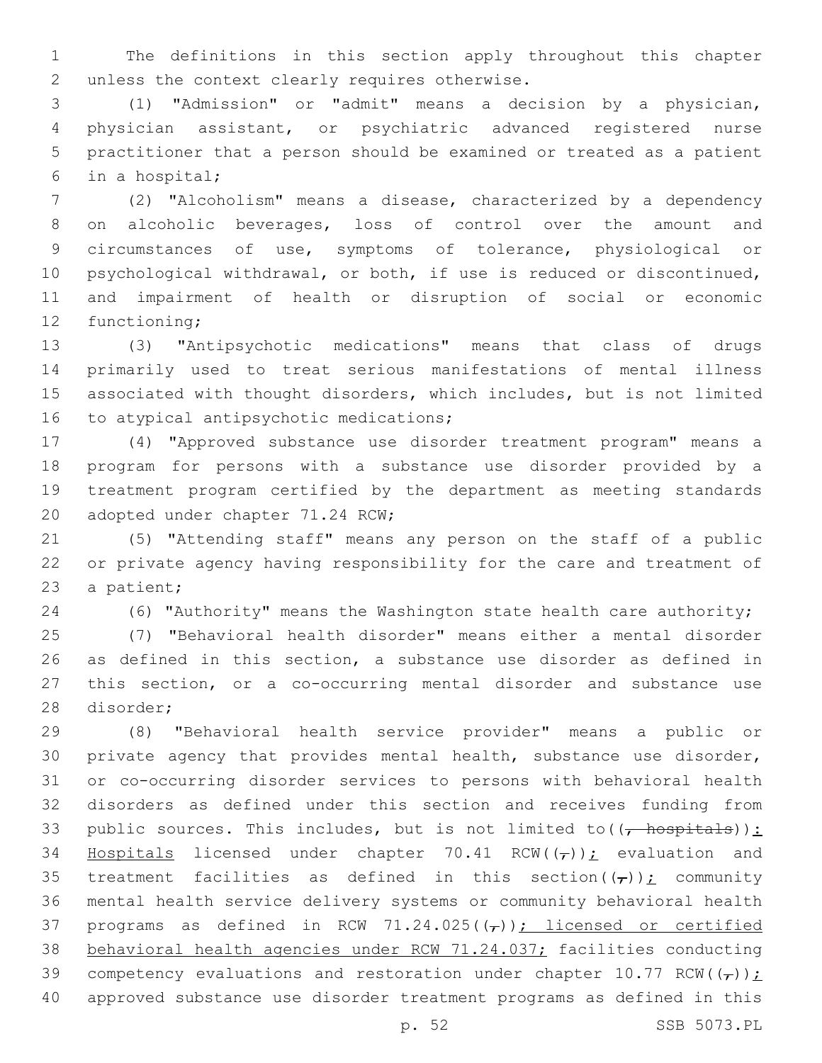The definitions in this section apply throughout this chapter 2 unless the context clearly requires otherwise.

 (1) "Admission" or "admit" means a decision by a physician, physician assistant, or psychiatric advanced registered nurse practitioner that a person should be examined or treated as a patient in a hospital;6

 (2) "Alcoholism" means a disease, characterized by a dependency on alcoholic beverages, loss of control over the amount and circumstances of use, symptoms of tolerance, physiological or psychological withdrawal, or both, if use is reduced or discontinued, and impairment of health or disruption of social or economic 12 functioning;

 (3) "Antipsychotic medications" means that class of drugs primarily used to treat serious manifestations of mental illness associated with thought disorders, which includes, but is not limited 16 to atypical antipsychotic medications;

 (4) "Approved substance use disorder treatment program" means a program for persons with a substance use disorder provided by a treatment program certified by the department as meeting standards 20 adopted under chapter 71.24 RCW;

 (5) "Attending staff" means any person on the staff of a public or private agency having responsibility for the care and treatment of 23 a patient;

(6) "Authority" means the Washington state health care authority;

 (7) "Behavioral health disorder" means either a mental disorder as defined in this section, a substance use disorder as defined in this section, or a co-occurring mental disorder and substance use 28 disorder;

 (8) "Behavioral health service provider" means a public or private agency that provides mental health, substance use disorder, or co-occurring disorder services to persons with behavioral health disorders as defined under this section and receives funding from 33 public sources. This includes, but is not limited to( $(-$  hospitals)): 34 Hospitals licensed under chapter 70.41 RCW( $(\tau)$ ); evaluation and 35 treatment facilities as defined in this section( $(\tau)$ ); community mental health service delivery systems or community behavioral health 37 programs as defined in RCW 71.24.025( $(\tau)$ ); licensed or certified behavioral health agencies under RCW 71.24.037; facilities conducting 39 competency evaluations and restoration under chapter 10.77 RCW( $(\tau)$ ); approved substance use disorder treatment programs as defined in this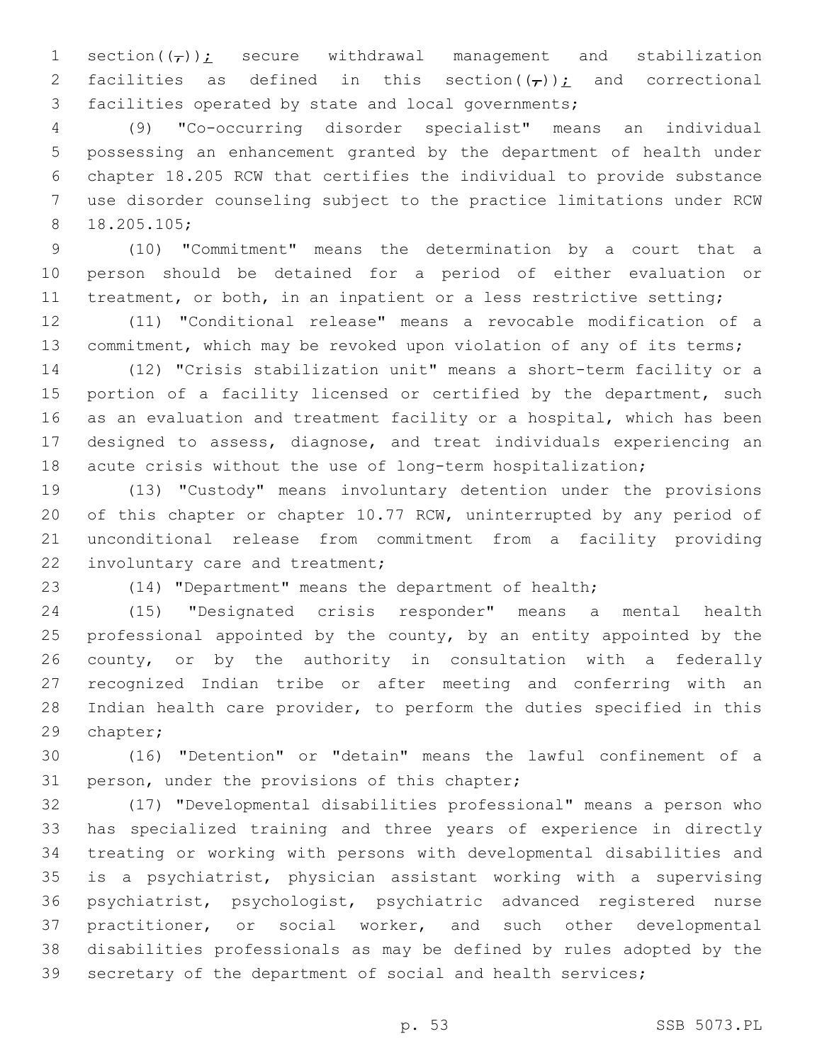1 section( $(\tau)$ ); secure withdrawal management and stabilization 2 facilities as defined in this section( $(\tau)$ ); and correctional facilities operated by state and local governments;

 (9) "Co-occurring disorder specialist" means an individual possessing an enhancement granted by the department of health under chapter 18.205 RCW that certifies the individual to provide substance use disorder counseling subject to the practice limitations under RCW 18.205.105;8

 (10) "Commitment" means the determination by a court that a person should be detained for a period of either evaluation or 11 treatment, or both, in an inpatient or a less restrictive setting;

 (11) "Conditional release" means a revocable modification of a 13 commitment, which may be revoked upon violation of any of its terms;

 (12) "Crisis stabilization unit" means a short-term facility or a 15 portion of a facility licensed or certified by the department, such as an evaluation and treatment facility or a hospital, which has been designed to assess, diagnose, and treat individuals experiencing an acute crisis without the use of long-term hospitalization;

 (13) "Custody" means involuntary detention under the provisions of this chapter or chapter 10.77 RCW, uninterrupted by any period of unconditional release from commitment from a facility providing 22 involuntary care and treatment;

(14) "Department" means the department of health;

 (15) "Designated crisis responder" means a mental health professional appointed by the county, by an entity appointed by the county, or by the authority in consultation with a federally recognized Indian tribe or after meeting and conferring with an Indian health care provider, to perform the duties specified in this 29 chapter;

 (16) "Detention" or "detain" means the lawful confinement of a 31 person, under the provisions of this chapter;

 (17) "Developmental disabilities professional" means a person who has specialized training and three years of experience in directly treating or working with persons with developmental disabilities and is a psychiatrist, physician assistant working with a supervising psychiatrist, psychologist, psychiatric advanced registered nurse practitioner, or social worker, and such other developmental disabilities professionals as may be defined by rules adopted by the secretary of the department of social and health services;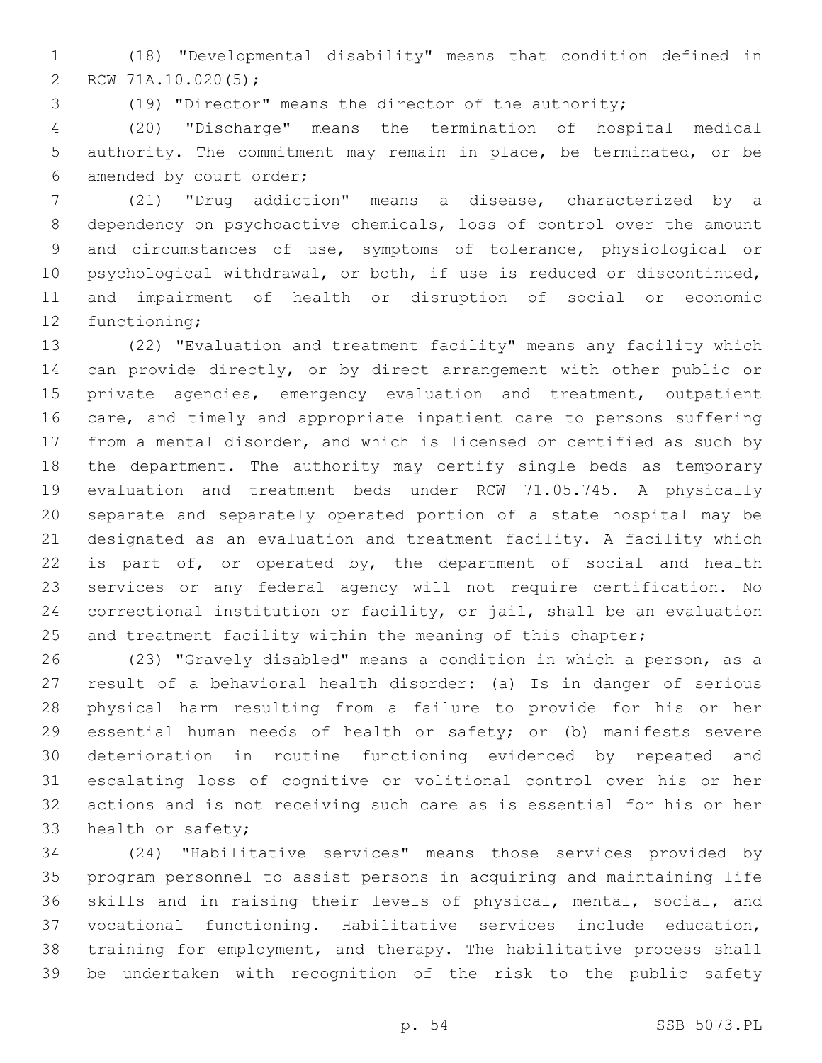(18) "Developmental disability" means that condition defined in 2 RCW 71A.10.020(5);

(19) "Director" means the director of the authority;

 (20) "Discharge" means the termination of hospital medical authority. The commitment may remain in place, be terminated, or be 6 amended by court order;

 (21) "Drug addiction" means a disease, characterized by a dependency on psychoactive chemicals, loss of control over the amount and circumstances of use, symptoms of tolerance, physiological or psychological withdrawal, or both, if use is reduced or discontinued, and impairment of health or disruption of social or economic 12 functioning;

 (22) "Evaluation and treatment facility" means any facility which can provide directly, or by direct arrangement with other public or private agencies, emergency evaluation and treatment, outpatient care, and timely and appropriate inpatient care to persons suffering from a mental disorder, and which is licensed or certified as such by the department. The authority may certify single beds as temporary evaluation and treatment beds under RCW 71.05.745. A physically separate and separately operated portion of a state hospital may be designated as an evaluation and treatment facility. A facility which 22 is part of, or operated by, the department of social and health services or any federal agency will not require certification. No correctional institution or facility, or jail, shall be an evaluation 25 and treatment facility within the meaning of this chapter;

 (23) "Gravely disabled" means a condition in which a person, as a result of a behavioral health disorder: (a) Is in danger of serious physical harm resulting from a failure to provide for his or her essential human needs of health or safety; or (b) manifests severe deterioration in routine functioning evidenced by repeated and escalating loss of cognitive or volitional control over his or her actions and is not receiving such care as is essential for his or her 33 health or safety;

 (24) "Habilitative services" means those services provided by program personnel to assist persons in acquiring and maintaining life skills and in raising their levels of physical, mental, social, and vocational functioning. Habilitative services include education, training for employment, and therapy. The habilitative process shall be undertaken with recognition of the risk to the public safety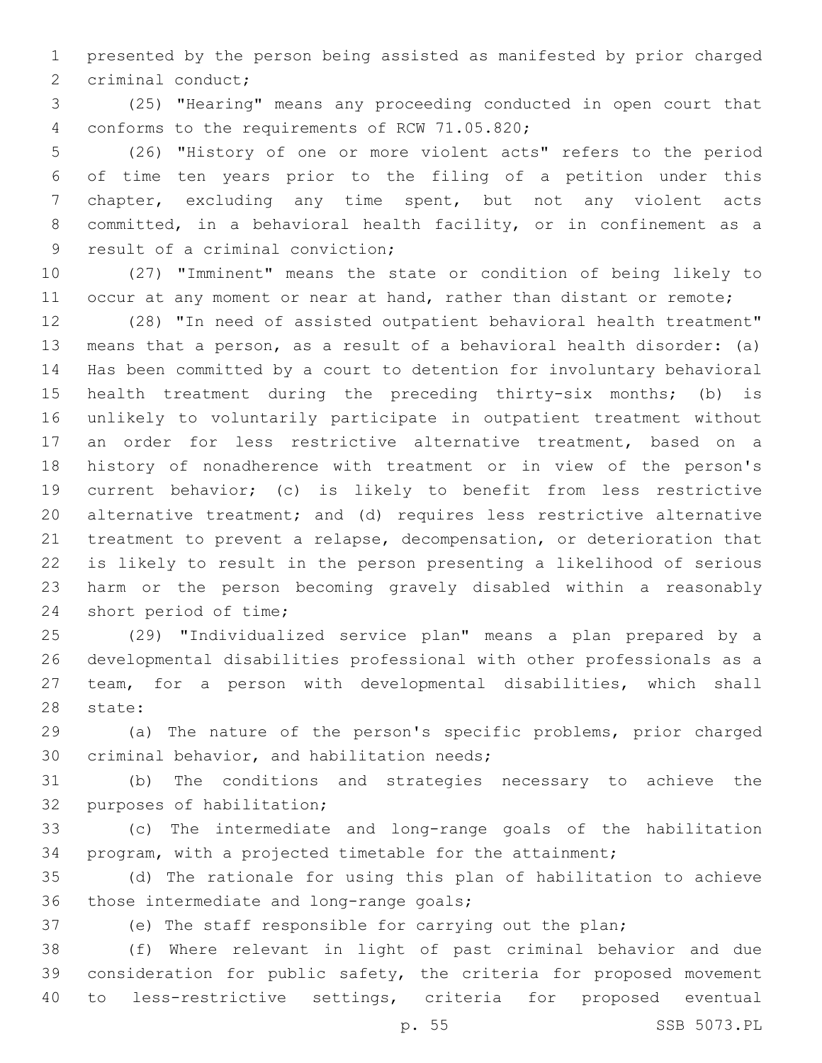presented by the person being assisted as manifested by prior charged 2 criminal conduct;

 (25) "Hearing" means any proceeding conducted in open court that 4 conforms to the requirements of RCW 71.05.820;

 (26) "History of one or more violent acts" refers to the period of time ten years prior to the filing of a petition under this chapter, excluding any time spent, but not any violent acts committed, in a behavioral health facility, or in confinement as a 9 result of a criminal conviction;

 (27) "Imminent" means the state or condition of being likely to 11 occur at any moment or near at hand, rather than distant or remote;

 (28) "In need of assisted outpatient behavioral health treatment" means that a person, as a result of a behavioral health disorder: (a) Has been committed by a court to detention for involuntary behavioral health treatment during the preceding thirty-six months; (b) is unlikely to voluntarily participate in outpatient treatment without an order for less restrictive alternative treatment, based on a history of nonadherence with treatment or in view of the person's current behavior; (c) is likely to benefit from less restrictive alternative treatment; and (d) requires less restrictive alternative treatment to prevent a relapse, decompensation, or deterioration that is likely to result in the person presenting a likelihood of serious harm or the person becoming gravely disabled within a reasonably 24 short period of time;

 (29) "Individualized service plan" means a plan prepared by a developmental disabilities professional with other professionals as a team, for a person with developmental disabilities, which shall 28 state:

 (a) The nature of the person's specific problems, prior charged 30 criminal behavior, and habilitation needs;

 (b) The conditions and strategies necessary to achieve the 32 purposes of habilitation;

 (c) The intermediate and long-range goals of the habilitation program, with a projected timetable for the attainment;

 (d) The rationale for using this plan of habilitation to achieve 36 those intermediate and long-range goals;

(e) The staff responsible for carrying out the plan;

 (f) Where relevant in light of past criminal behavior and due consideration for public safety, the criteria for proposed movement to less-restrictive settings, criteria for proposed eventual

p. 55 SSB 5073.PL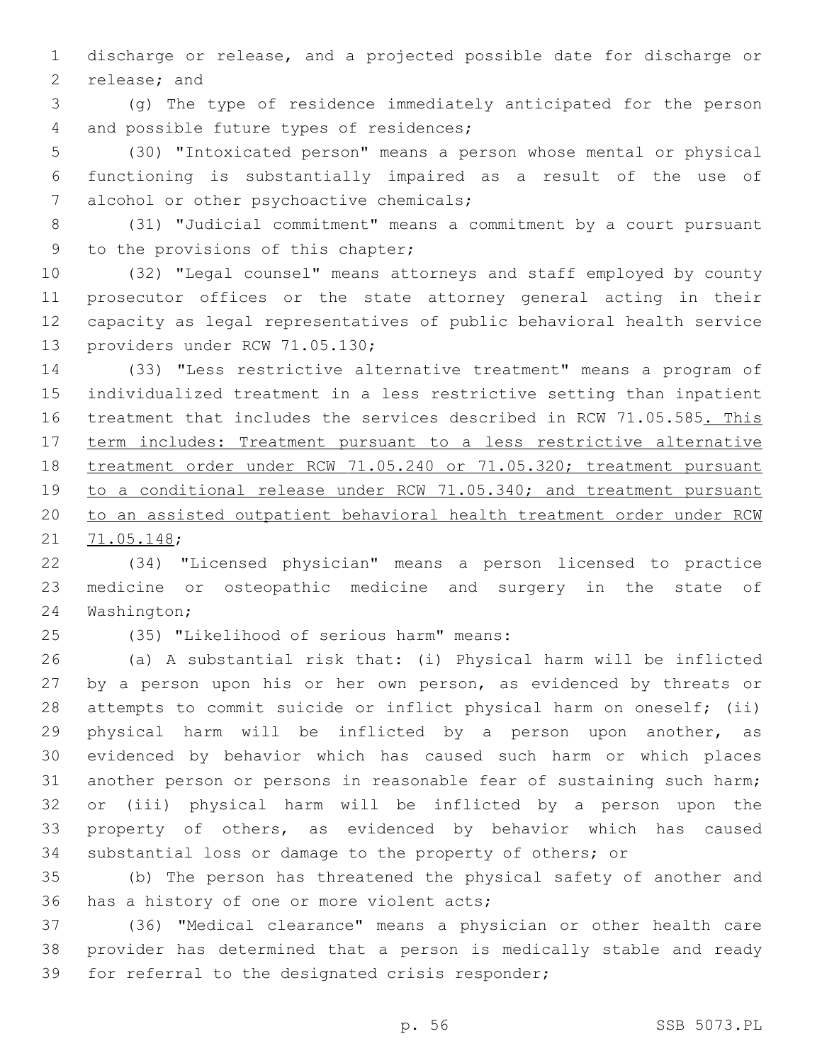discharge or release, and a projected possible date for discharge or 2 release; and

 (g) The type of residence immediately anticipated for the person 4 and possible future types of residences;

 (30) "Intoxicated person" means a person whose mental or physical functioning is substantially impaired as a result of the use of 7 alcohol or other psychoactive chemicals;

 (31) "Judicial commitment" means a commitment by a court pursuant 9 to the provisions of this chapter;

 (32) "Legal counsel" means attorneys and staff employed by county prosecutor offices or the state attorney general acting in their capacity as legal representatives of public behavioral health service 13 providers under RCW 71.05.130;

 (33) "Less restrictive alternative treatment" means a program of individualized treatment in a less restrictive setting than inpatient 16 treatment that includes the services described in RCW 71.05.585. This term includes: Treatment pursuant to a less restrictive alternative treatment order under RCW 71.05.240 or 71.05.320; treatment pursuant to a conditional release under RCW 71.05.340; and treatment pursuant to an assisted outpatient behavioral health treatment order under RCW 21 71.05.148;

 (34) "Licensed physician" means a person licensed to practice medicine or osteopathic medicine and surgery in the state of 24 Washington;

(35) "Likelihood of serious harm" means:25

 (a) A substantial risk that: (i) Physical harm will be inflicted 27 by a person upon his or her own person, as evidenced by threats or attempts to commit suicide or inflict physical harm on oneself; (ii) physical harm will be inflicted by a person upon another, as evidenced by behavior which has caused such harm or which places another person or persons in reasonable fear of sustaining such harm; or (iii) physical harm will be inflicted by a person upon the property of others, as evidenced by behavior which has caused substantial loss or damage to the property of others; or

 (b) The person has threatened the physical safety of another and 36 has a history of one or more violent acts;

 (36) "Medical clearance" means a physician or other health care provider has determined that a person is medically stable and ready 39 for referral to the designated crisis responder;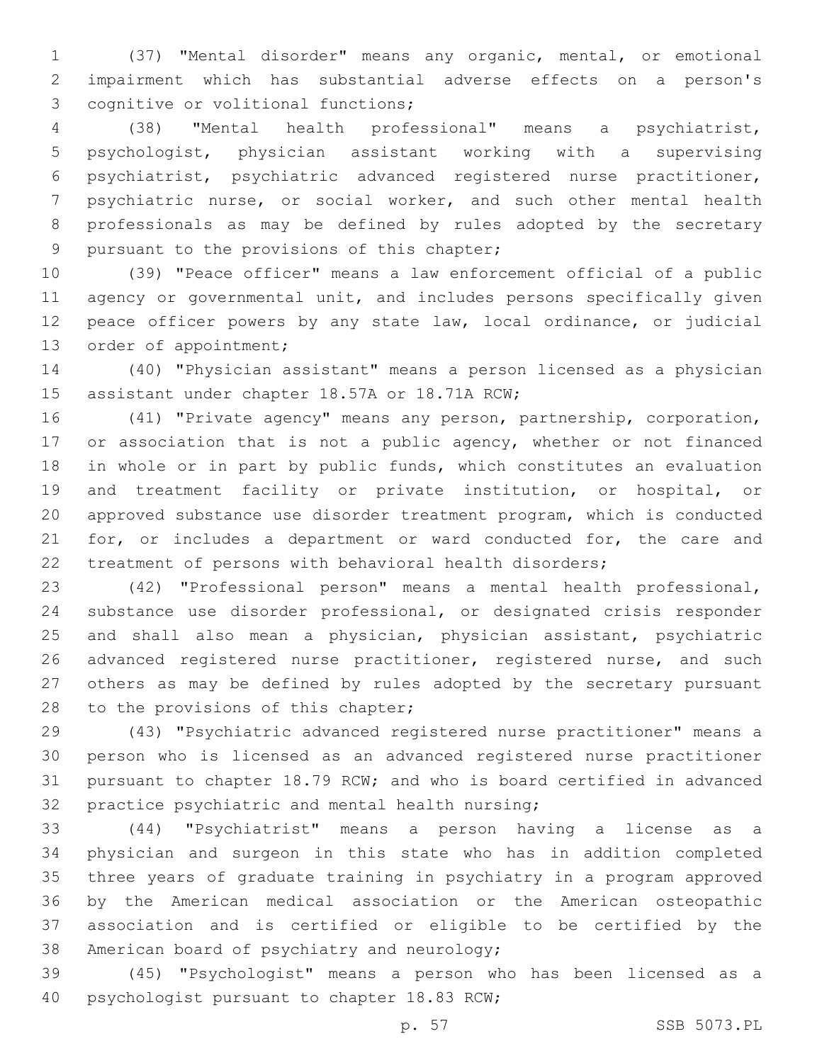(37) "Mental disorder" means any organic, mental, or emotional impairment which has substantial adverse effects on a person's 3 cognitive or volitional functions;

 (38) "Mental health professional" means a psychiatrist, psychologist, physician assistant working with a supervising psychiatrist, psychiatric advanced registered nurse practitioner, psychiatric nurse, or social worker, and such other mental health professionals as may be defined by rules adopted by the secretary 9 pursuant to the provisions of this chapter;

 (39) "Peace officer" means a law enforcement official of a public agency or governmental unit, and includes persons specifically given peace officer powers by any state law, local ordinance, or judicial 13 order of appointment;

 (40) "Physician assistant" means a person licensed as a physician 15 assistant under chapter 18.57A or 18.71A RCW;

 (41) "Private agency" means any person, partnership, corporation, 17 or association that is not a public agency, whether or not financed in whole or in part by public funds, which constitutes an evaluation and treatment facility or private institution, or hospital, or approved substance use disorder treatment program, which is conducted 21 for, or includes a department or ward conducted for, the care and treatment of persons with behavioral health disorders;

 (42) "Professional person" means a mental health professional, substance use disorder professional, or designated crisis responder and shall also mean a physician, physician assistant, psychiatric 26 advanced registered nurse practitioner, registered nurse, and such others as may be defined by rules adopted by the secretary pursuant 28 to the provisions of this chapter;

 (43) "Psychiatric advanced registered nurse practitioner" means a person who is licensed as an advanced registered nurse practitioner pursuant to chapter 18.79 RCW; and who is board certified in advanced 32 practice psychiatric and mental health nursing;

 (44) "Psychiatrist" means a person having a license as a physician and surgeon in this state who has in addition completed three years of graduate training in psychiatry in a program approved by the American medical association or the American osteopathic association and is certified or eligible to be certified by the 38 American board of psychiatry and neurology;

 (45) "Psychologist" means a person who has been licensed as a 40 psychologist pursuant to chapter 18.83 RCW;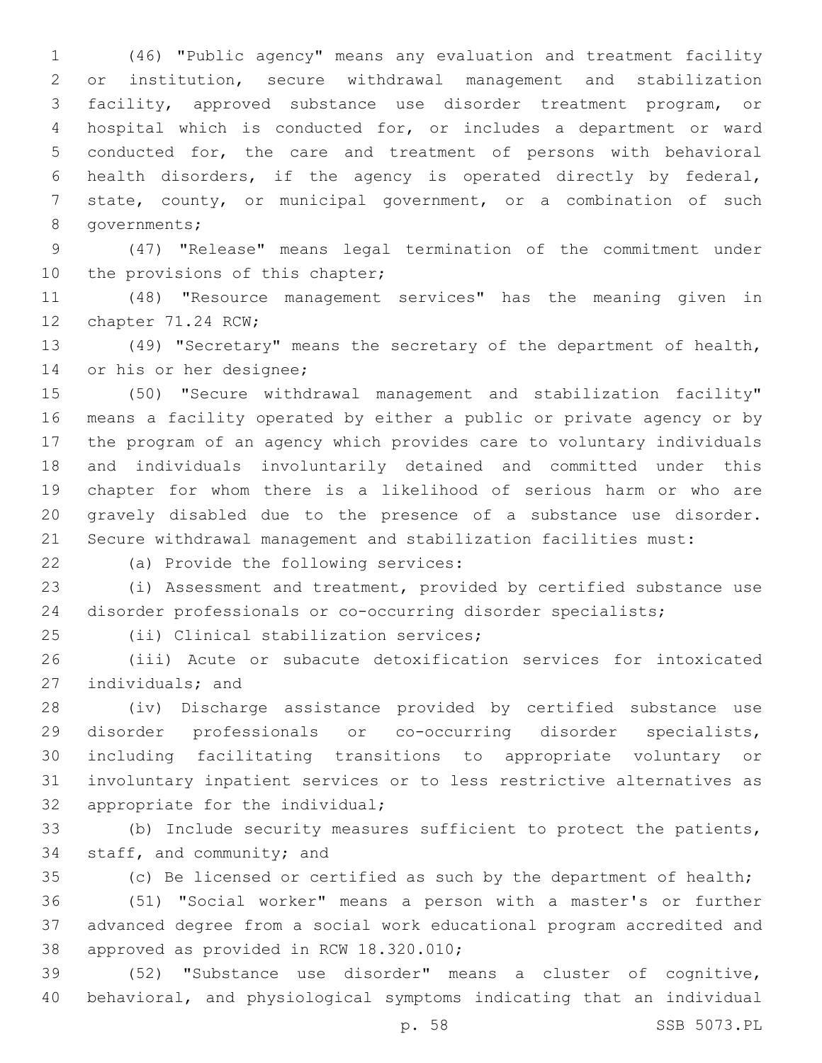(46) "Public agency" means any evaluation and treatment facility or institution, secure withdrawal management and stabilization facility, approved substance use disorder treatment program, or hospital which is conducted for, or includes a department or ward conducted for, the care and treatment of persons with behavioral health disorders, if the agency is operated directly by federal, state, county, or municipal government, or a combination of such 8 governments;

 (47) "Release" means legal termination of the commitment under 10 the provisions of this chapter;

 (48) "Resource management services" has the meaning given in 12 chapter 71.24 RCW;

 (49) "Secretary" means the secretary of the department of health, 14 or his or her designee;

 (50) "Secure withdrawal management and stabilization facility" means a facility operated by either a public or private agency or by the program of an agency which provides care to voluntary individuals and individuals involuntarily detained and committed under this chapter for whom there is a likelihood of serious harm or who are gravely disabled due to the presence of a substance use disorder. Secure withdrawal management and stabilization facilities must:

22 (a) Provide the following services:

 (i) Assessment and treatment, provided by certified substance use disorder professionals or co-occurring disorder specialists;

25 (ii) Clinical stabilization services;

 (iii) Acute or subacute detoxification services for intoxicated 27 individuals; and

 (iv) Discharge assistance provided by certified substance use disorder professionals or co-occurring disorder specialists, including facilitating transitions to appropriate voluntary or involuntary inpatient services or to less restrictive alternatives as 32 appropriate for the individual;

 (b) Include security measures sufficient to protect the patients, 34 staff, and community; and

 (c) Be licensed or certified as such by the department of health; (51) "Social worker" means a person with a master's or further advanced degree from a social work educational program accredited and 38 approved as provided in RCW 18.320.010;

 (52) "Substance use disorder" means a cluster of cognitive, behavioral, and physiological symptoms indicating that an individual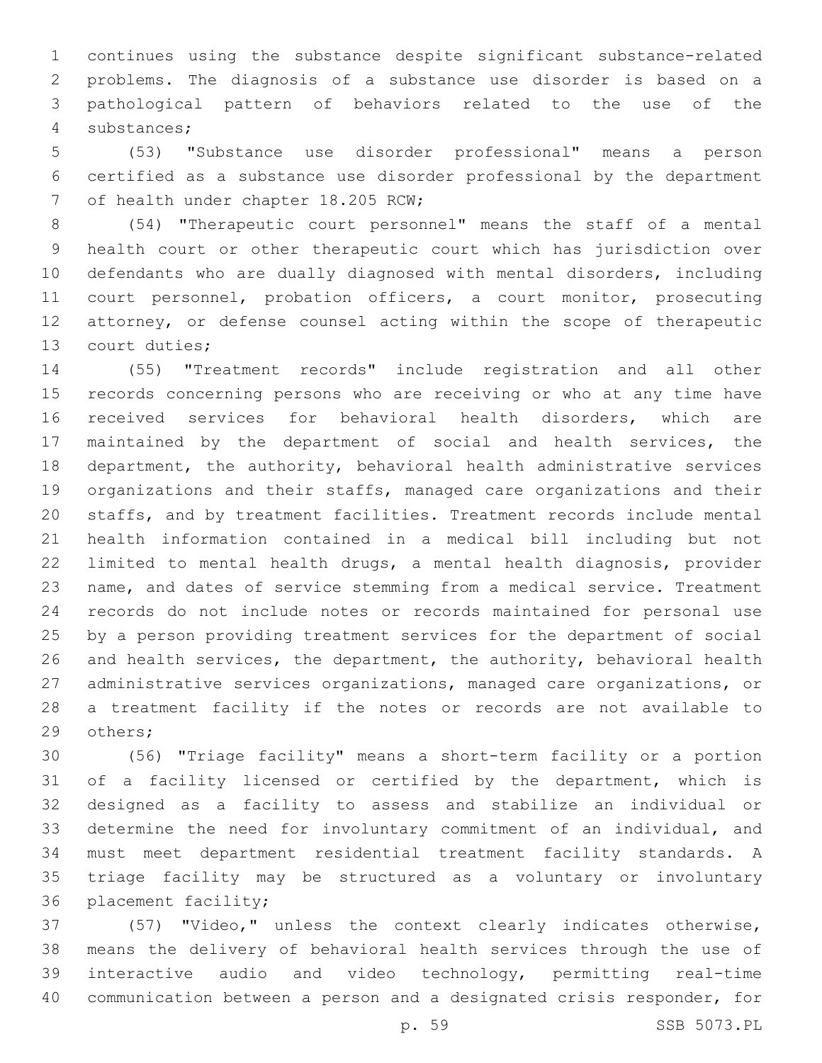continues using the substance despite significant substance-related problems. The diagnosis of a substance use disorder is based on a pathological pattern of behaviors related to the use of the substances;4

 (53) "Substance use disorder professional" means a person certified as a substance use disorder professional by the department 7 of health under chapter 18.205 RCW;

 (54) "Therapeutic court personnel" means the staff of a mental health court or other therapeutic court which has jurisdiction over defendants who are dually diagnosed with mental disorders, including court personnel, probation officers, a court monitor, prosecuting attorney, or defense counsel acting within the scope of therapeutic 13 court duties;

 (55) "Treatment records" include registration and all other records concerning persons who are receiving or who at any time have received services for behavioral health disorders, which are maintained by the department of social and health services, the department, the authority, behavioral health administrative services organizations and their staffs, managed care organizations and their staffs, and by treatment facilities. Treatment records include mental health information contained in a medical bill including but not limited to mental health drugs, a mental health diagnosis, provider name, and dates of service stemming from a medical service. Treatment records do not include notes or records maintained for personal use by a person providing treatment services for the department of social and health services, the department, the authority, behavioral health administrative services organizations, managed care organizations, or a treatment facility if the notes or records are not available to 29 others;

 (56) "Triage facility" means a short-term facility or a portion of a facility licensed or certified by the department, which is designed as a facility to assess and stabilize an individual or determine the need for involuntary commitment of an individual, and must meet department residential treatment facility standards. A triage facility may be structured as a voluntary or involuntary 36 placement facility;

 (57) "Video," unless the context clearly indicates otherwise, means the delivery of behavioral health services through the use of interactive audio and video technology, permitting real-time communication between a person and a designated crisis responder, for

p. 59 SSB 5073.PL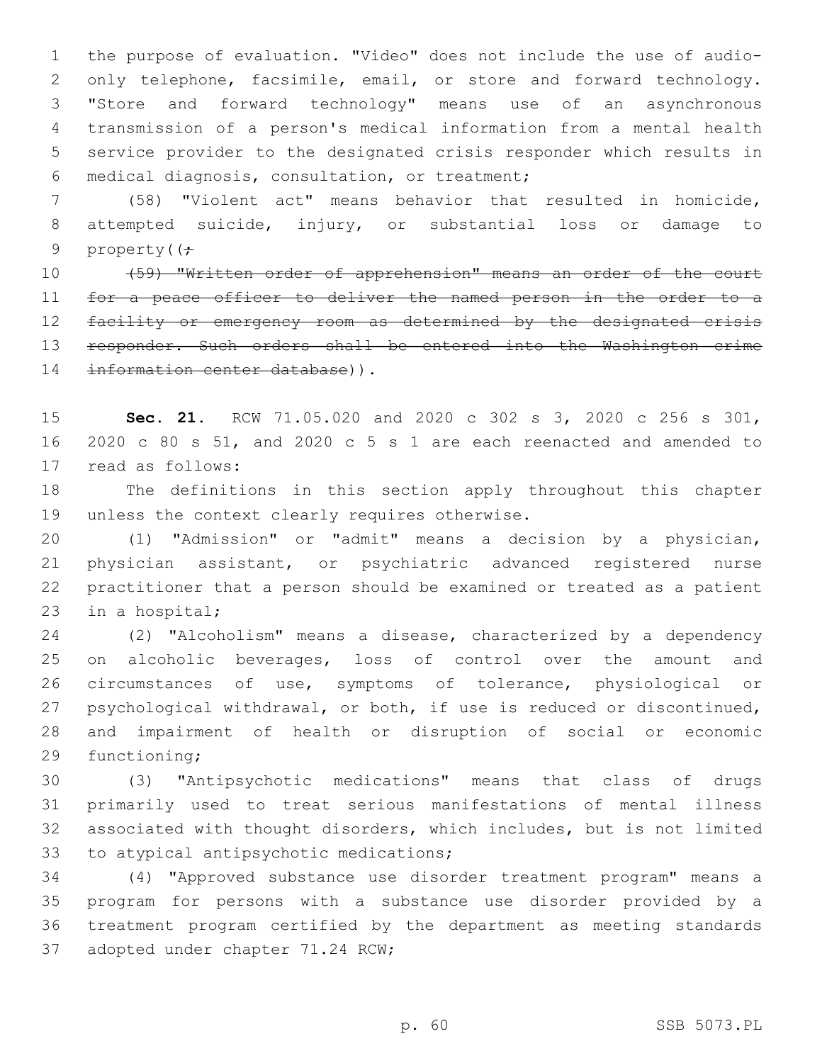the purpose of evaluation. "Video" does not include the use of audio-2 only telephone, facsimile, email, or store and forward technology. "Store and forward technology" means use of an asynchronous transmission of a person's medical information from a mental health service provider to the designated crisis responder which results in medical diagnosis, consultation, or treatment;6

 (58) "Violent act" means behavior that resulted in homicide, attempted suicide, injury, or substantial loss or damage to 9 property( $\left(\frac{1}{r}\right)$ 

 (59) "Written order of apprehension" means an order of the court 11 for a peace officer to deliver the named person in the order to a facility or emergency room as determined by the designated crisis 13 responder. Such orders shall be entered into the Washington crime 14 information center database)).

 **Sec. 21.** RCW 71.05.020 and 2020 c 302 s 3, 2020 c 256 s 301, 2020 c 80 s 51, and 2020 c 5 s 1 are each reenacted and amended to 17 read as follows:

 The definitions in this section apply throughout this chapter 19 unless the context clearly requires otherwise.

 (1) "Admission" or "admit" means a decision by a physician, physician assistant, or psychiatric advanced registered nurse practitioner that a person should be examined or treated as a patient 23 in a hospital;

 (2) "Alcoholism" means a disease, characterized by a dependency 25 on alcoholic beverages, loss of control over the amount and circumstances of use, symptoms of tolerance, physiological or psychological withdrawal, or both, if use is reduced or discontinued, and impairment of health or disruption of social or economic 29 functioning;

 (3) "Antipsychotic medications" means that class of drugs primarily used to treat serious manifestations of mental illness associated with thought disorders, which includes, but is not limited 33 to atypical antipsychotic medications;

 (4) "Approved substance use disorder treatment program" means a program for persons with a substance use disorder provided by a treatment program certified by the department as meeting standards 37 adopted under chapter 71.24 RCW;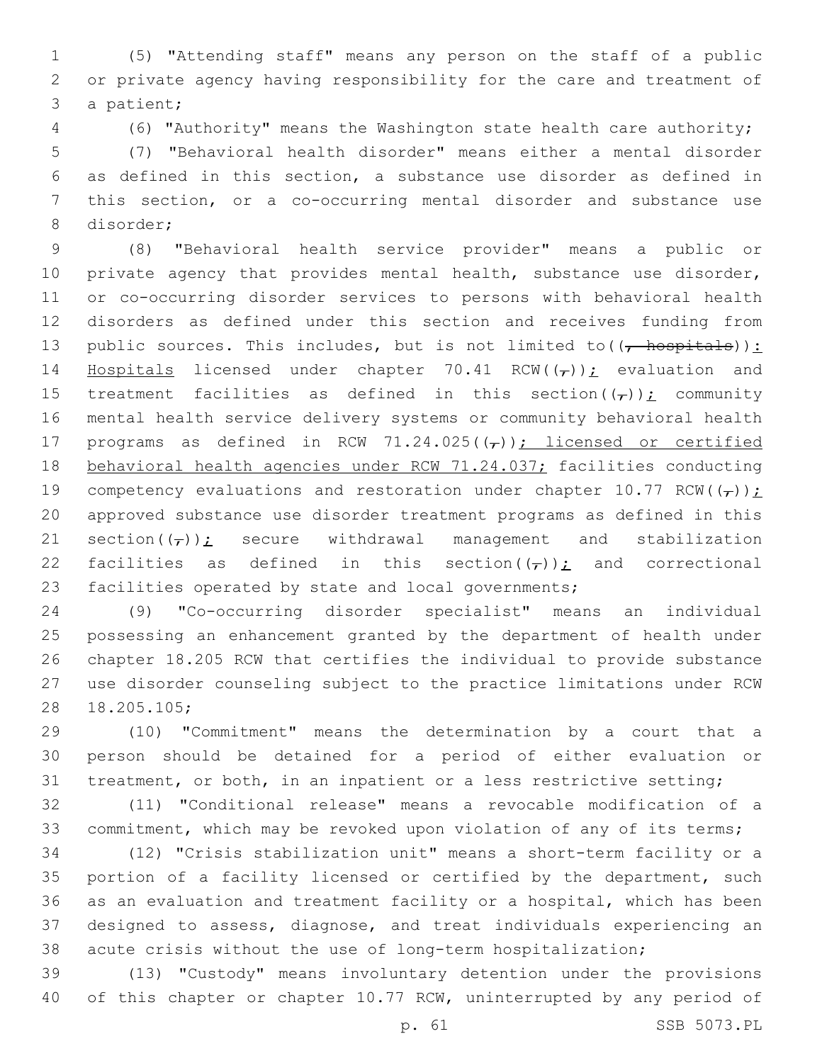(5) "Attending staff" means any person on the staff of a public or private agency having responsibility for the care and treatment of 3 a patient;

(6) "Authority" means the Washington state health care authority;

 (7) "Behavioral health disorder" means either a mental disorder as defined in this section, a substance use disorder as defined in this section, or a co-occurring mental disorder and substance use 8 disorder;

 (8) "Behavioral health service provider" means a public or 10 private agency that provides mental health, substance use disorder, or co-occurring disorder services to persons with behavioral health disorders as defined under this section and receives funding from 13 public sources. This includes, but is not limited to  $((, +)$ 14 Hospitals licensed under chapter 70.41 RCW( $(\tau)$ ); evaluation and 15 treatment facilities as defined in this section( $(\tau)$ ); community mental health service delivery systems or community behavioral health 17 programs as defined in RCW 71.24.025( $(\tau)$ ); licensed or certified 18 behavioral health agencies under RCW 71.24.037; facilities conducting 19 competency evaluations and restoration under chapter 10.77 RCW( $(\tau)$ ); approved substance use disorder treatment programs as defined in this 21 section( $(\tau)$ ); secure withdrawal management and stabilization 22 facilities as defined in this section( $(\tau)$ ); and correctional facilities operated by state and local governments;

 (9) "Co-occurring disorder specialist" means an individual possessing an enhancement granted by the department of health under chapter 18.205 RCW that certifies the individual to provide substance use disorder counseling subject to the practice limitations under RCW 28 18.205.105;

 (10) "Commitment" means the determination by a court that a person should be detained for a period of either evaluation or treatment, or both, in an inpatient or a less restrictive setting;

 (11) "Conditional release" means a revocable modification of a commitment, which may be revoked upon violation of any of its terms;

 (12) "Crisis stabilization unit" means a short-term facility or a portion of a facility licensed or certified by the department, such as an evaluation and treatment facility or a hospital, which has been designed to assess, diagnose, and treat individuals experiencing an acute crisis without the use of long-term hospitalization;

 (13) "Custody" means involuntary detention under the provisions of this chapter or chapter 10.77 RCW, uninterrupted by any period of

p. 61 SSB 5073.PL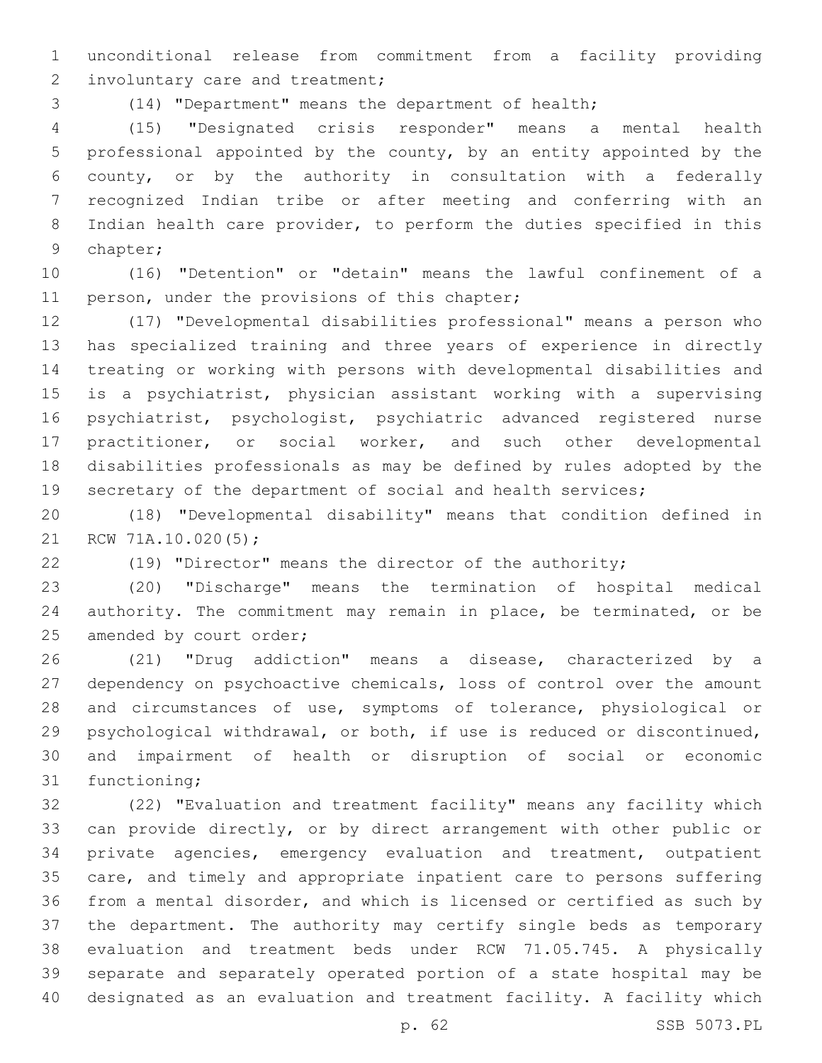unconditional release from commitment from a facility providing 2 involuntary care and treatment;

(14) "Department" means the department of health;

 (15) "Designated crisis responder" means a mental health professional appointed by the county, by an entity appointed by the county, or by the authority in consultation with a federally recognized Indian tribe or after meeting and conferring with an Indian health care provider, to perform the duties specified in this 9 chapter;

 (16) "Detention" or "detain" means the lawful confinement of a 11 person, under the provisions of this chapter;

 (17) "Developmental disabilities professional" means a person who has specialized training and three years of experience in directly treating or working with persons with developmental disabilities and is a psychiatrist, physician assistant working with a supervising psychiatrist, psychologist, psychiatric advanced registered nurse practitioner, or social worker, and such other developmental disabilities professionals as may be defined by rules adopted by the 19 secretary of the department of social and health services;

 (18) "Developmental disability" means that condition defined in 21 RCW 71A.10.020(5);

(19) "Director" means the director of the authority;

 (20) "Discharge" means the termination of hospital medical authority. The commitment may remain in place, be terminated, or be 25 amended by court order;

 (21) "Drug addiction" means a disease, characterized by a dependency on psychoactive chemicals, loss of control over the amount and circumstances of use, symptoms of tolerance, physiological or psychological withdrawal, or both, if use is reduced or discontinued, and impairment of health or disruption of social or economic 31 functioning;

 (22) "Evaluation and treatment facility" means any facility which can provide directly, or by direct arrangement with other public or private agencies, emergency evaluation and treatment, outpatient care, and timely and appropriate inpatient care to persons suffering from a mental disorder, and which is licensed or certified as such by the department. The authority may certify single beds as temporary evaluation and treatment beds under RCW 71.05.745. A physically separate and separately operated portion of a state hospital may be designated as an evaluation and treatment facility. A facility which

p. 62 SSB 5073.PL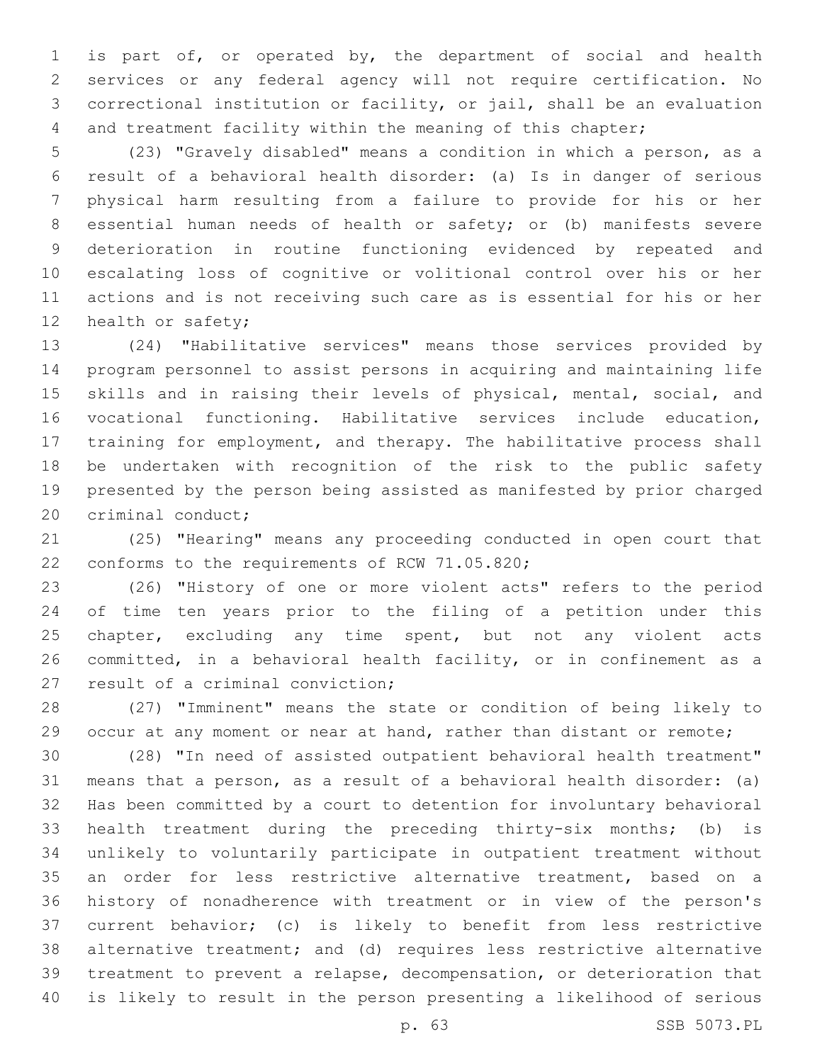is part of, or operated by, the department of social and health services or any federal agency will not require certification. No correctional institution or facility, or jail, shall be an evaluation and treatment facility within the meaning of this chapter;

 (23) "Gravely disabled" means a condition in which a person, as a result of a behavioral health disorder: (a) Is in danger of serious physical harm resulting from a failure to provide for his or her essential human needs of health or safety; or (b) manifests severe deterioration in routine functioning evidenced by repeated and escalating loss of cognitive or volitional control over his or her actions and is not receiving such care as is essential for his or her 12 health or safety;

 (24) "Habilitative services" means those services provided by program personnel to assist persons in acquiring and maintaining life skills and in raising their levels of physical, mental, social, and vocational functioning. Habilitative services include education, training for employment, and therapy. The habilitative process shall be undertaken with recognition of the risk to the public safety presented by the person being assisted as manifested by prior charged 20 criminal conduct;

 (25) "Hearing" means any proceeding conducted in open court that 22 conforms to the requirements of RCW 71.05.820;

 (26) "History of one or more violent acts" refers to the period of time ten years prior to the filing of a petition under this 25 chapter, excluding any time spent, but not any violent acts committed, in a behavioral health facility, or in confinement as a 27 result of a criminal conviction;

 (27) "Imminent" means the state or condition of being likely to 29 occur at any moment or near at hand, rather than distant or remote;

 (28) "In need of assisted outpatient behavioral health treatment" means that a person, as a result of a behavioral health disorder: (a) Has been committed by a court to detention for involuntary behavioral health treatment during the preceding thirty-six months; (b) is unlikely to voluntarily participate in outpatient treatment without an order for less restrictive alternative treatment, based on a history of nonadherence with treatment or in view of the person's current behavior; (c) is likely to benefit from less restrictive alternative treatment; and (d) requires less restrictive alternative treatment to prevent a relapse, decompensation, or deterioration that is likely to result in the person presenting a likelihood of serious

p. 63 SSB 5073.PL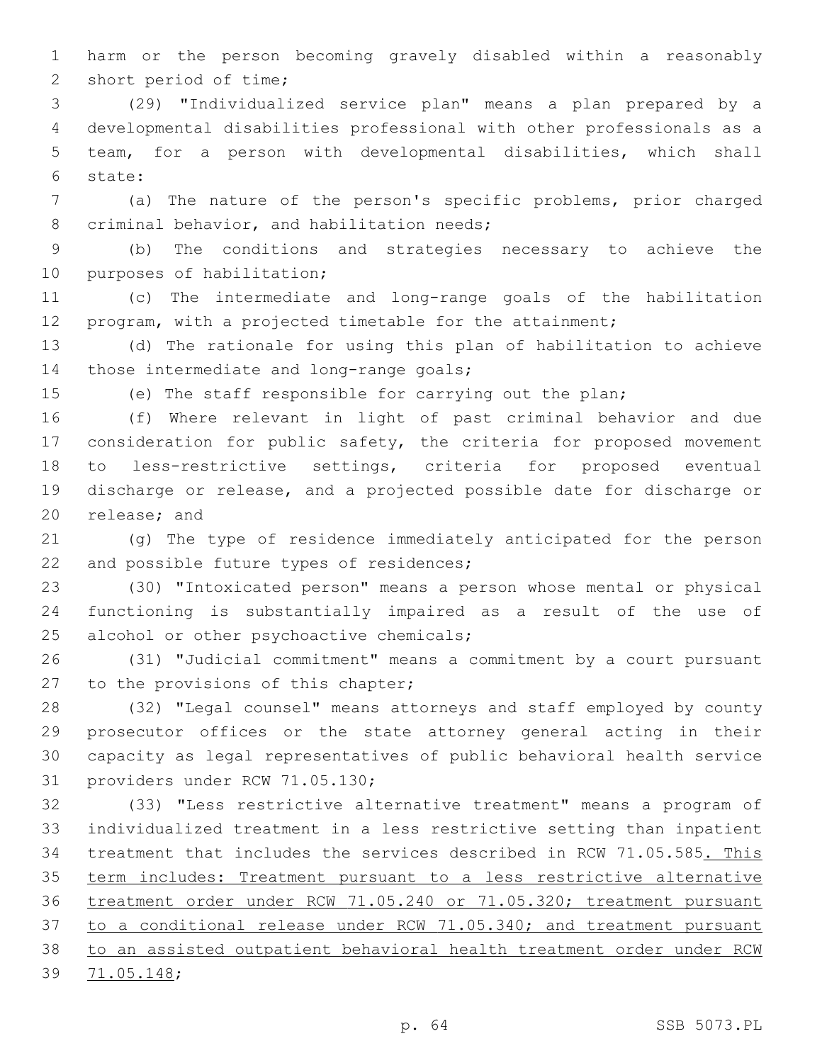harm or the person becoming gravely disabled within a reasonably 2 short period of time;

 (29) "Individualized service plan" means a plan prepared by a developmental disabilities professional with other professionals as a team, for a person with developmental disabilities, which shall state:6

 (a) The nature of the person's specific problems, prior charged 8 criminal behavior, and habilitation needs;

 (b) The conditions and strategies necessary to achieve the 10 purposes of habilitation;

 (c) The intermediate and long-range goals of the habilitation program, with a projected timetable for the attainment;

 (d) The rationale for using this plan of habilitation to achieve 14 those intermediate and long-range goals;

(e) The staff responsible for carrying out the plan;

 (f) Where relevant in light of past criminal behavior and due consideration for public safety, the criteria for proposed movement to less-restrictive settings, criteria for proposed eventual discharge or release, and a projected possible date for discharge or 20 release; and

 (g) The type of residence immediately anticipated for the person 22 and possible future types of residences;

 (30) "Intoxicated person" means a person whose mental or physical functioning is substantially impaired as a result of the use of 25 alcohol or other psychoactive chemicals;

 (31) "Judicial commitment" means a commitment by a court pursuant 27 to the provisions of this chapter;

 (32) "Legal counsel" means attorneys and staff employed by county prosecutor offices or the state attorney general acting in their capacity as legal representatives of public behavioral health service 31 providers under RCW 71.05.130;

 (33) "Less restrictive alternative treatment" means a program of individualized treatment in a less restrictive setting than inpatient treatment that includes the services described in RCW 71.05.585. This term includes: Treatment pursuant to a less restrictive alternative treatment order under RCW 71.05.240 or 71.05.320; treatment pursuant to a conditional release under RCW 71.05.340; and treatment pursuant to an assisted outpatient behavioral health treatment order under RCW 39 71.05.148;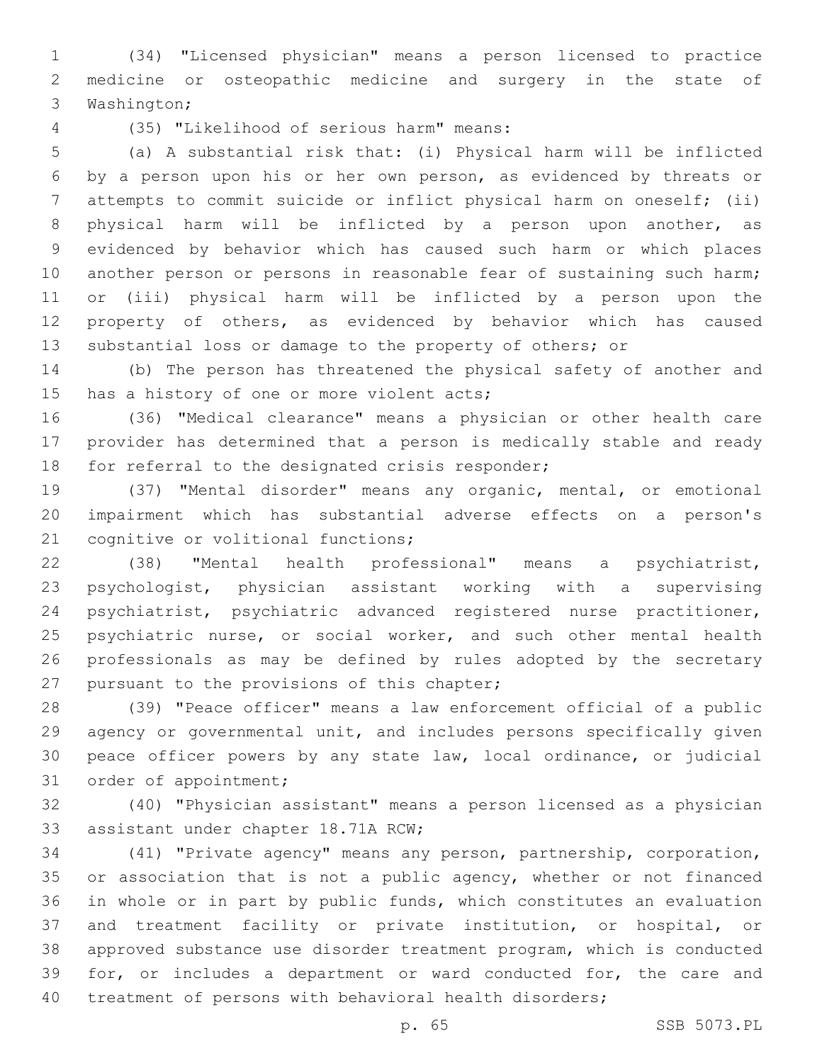(34) "Licensed physician" means a person licensed to practice medicine or osteopathic medicine and surgery in the state of 3 Washington;

(35) "Likelihood of serious harm" means:4

 (a) A substantial risk that: (i) Physical harm will be inflicted by a person upon his or her own person, as evidenced by threats or attempts to commit suicide or inflict physical harm on oneself; (ii) physical harm will be inflicted by a person upon another, as evidenced by behavior which has caused such harm or which places another person or persons in reasonable fear of sustaining such harm; or (iii) physical harm will be inflicted by a person upon the property of others, as evidenced by behavior which has caused substantial loss or damage to the property of others; or

 (b) The person has threatened the physical safety of another and 15 has a history of one or more violent acts;

 (36) "Medical clearance" means a physician or other health care provider has determined that a person is medically stable and ready 18 for referral to the designated crisis responder;

 (37) "Mental disorder" means any organic, mental, or emotional impairment which has substantial adverse effects on a person's 21 cognitive or volitional functions;

 (38) "Mental health professional" means a psychiatrist, psychologist, physician assistant working with a supervising psychiatrist, psychiatric advanced registered nurse practitioner, 25 psychiatric nurse, or social worker, and such other mental health professionals as may be defined by rules adopted by the secretary 27 pursuant to the provisions of this chapter;

 (39) "Peace officer" means a law enforcement official of a public agency or governmental unit, and includes persons specifically given peace officer powers by any state law, local ordinance, or judicial 31 order of appointment;

 (40) "Physician assistant" means a person licensed as a physician 33 assistant under chapter 18.71A RCW;

 (41) "Private agency" means any person, partnership, corporation, 35 or association that is not a public agency, whether or not financed in whole or in part by public funds, which constitutes an evaluation and treatment facility or private institution, or hospital, or approved substance use disorder treatment program, which is conducted for, or includes a department or ward conducted for, the care and treatment of persons with behavioral health disorders;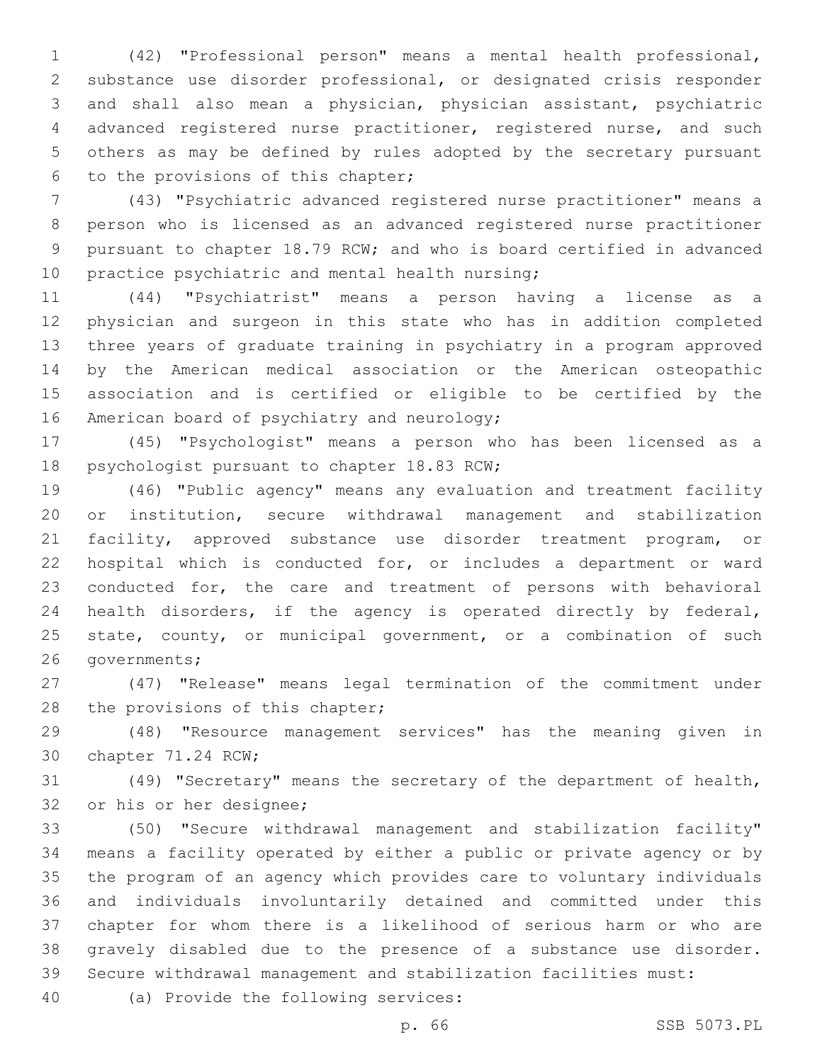(42) "Professional person" means a mental health professional, substance use disorder professional, or designated crisis responder and shall also mean a physician, physician assistant, psychiatric advanced registered nurse practitioner, registered nurse, and such others as may be defined by rules adopted by the secretary pursuant 6 to the provisions of this chapter;

 (43) "Psychiatric advanced registered nurse practitioner" means a person who is licensed as an advanced registered nurse practitioner pursuant to chapter 18.79 RCW; and who is board certified in advanced 10 practice psychiatric and mental health nursing;

 (44) "Psychiatrist" means a person having a license as a physician and surgeon in this state who has in addition completed three years of graduate training in psychiatry in a program approved by the American medical association or the American osteopathic association and is certified or eligible to be certified by the 16 American board of psychiatry and neurology;

 (45) "Psychologist" means a person who has been licensed as a 18 psychologist pursuant to chapter 18.83 RCW;

 (46) "Public agency" means any evaluation and treatment facility or institution, secure withdrawal management and stabilization facility, approved substance use disorder treatment program, or hospital which is conducted for, or includes a department or ward conducted for, the care and treatment of persons with behavioral health disorders, if the agency is operated directly by federal, 25 state, county, or municipal government, or a combination of such 26 governments;

 (47) "Release" means legal termination of the commitment under 28 the provisions of this chapter;

 (48) "Resource management services" has the meaning given in 30 chapter 71.24 RCW;

 (49) "Secretary" means the secretary of the department of health, 32 or his or her designee;

 (50) "Secure withdrawal management and stabilization facility" means a facility operated by either a public or private agency or by the program of an agency which provides care to voluntary individuals and individuals involuntarily detained and committed under this chapter for whom there is a likelihood of serious harm or who are gravely disabled due to the presence of a substance use disorder. Secure withdrawal management and stabilization facilities must:

40 (a) Provide the following services: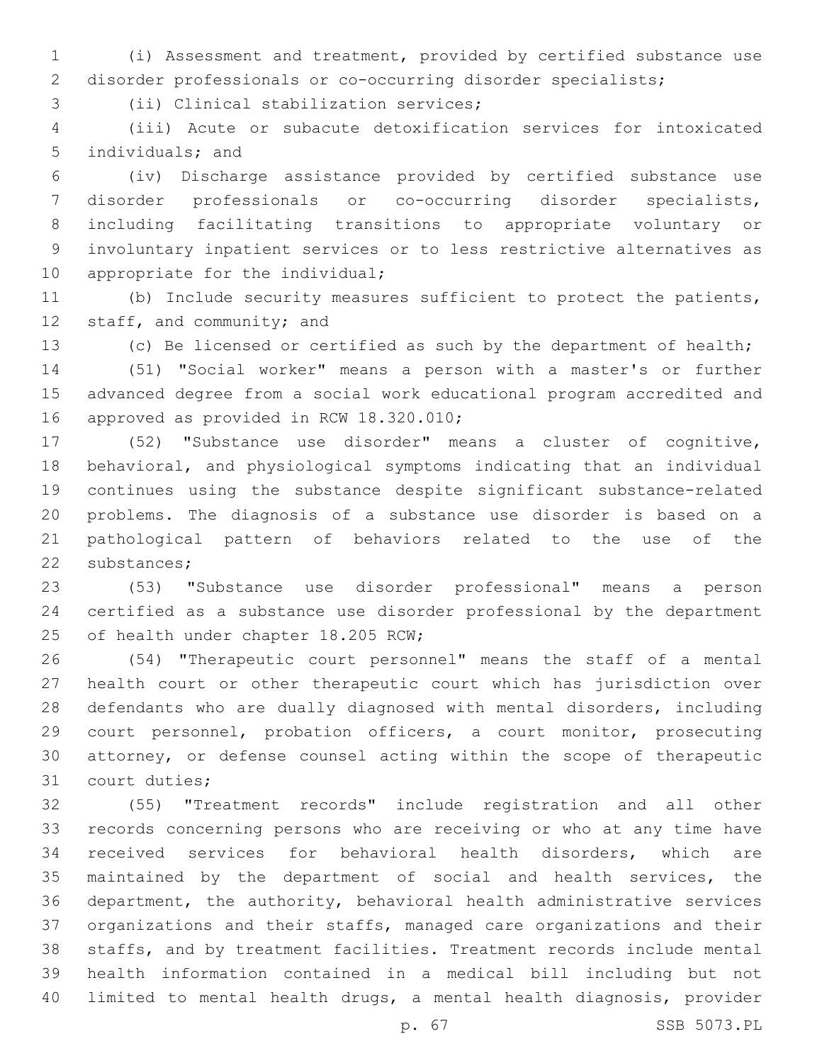(i) Assessment and treatment, provided by certified substance use disorder professionals or co-occurring disorder specialists;

3 (ii) Clinical stabilization services;

 (iii) Acute or subacute detoxification services for intoxicated 5 individuals; and

 (iv) Discharge assistance provided by certified substance use disorder professionals or co-occurring disorder specialists, including facilitating transitions to appropriate voluntary or involuntary inpatient services or to less restrictive alternatives as 10 appropriate for the individual;

 (b) Include security measures sufficient to protect the patients, 12 staff, and community; and

(c) Be licensed or certified as such by the department of health;

 (51) "Social worker" means a person with a master's or further advanced degree from a social work educational program accredited and 16 approved as provided in RCW 18.320.010;

 (52) "Substance use disorder" means a cluster of cognitive, behavioral, and physiological symptoms indicating that an individual continues using the substance despite significant substance-related problems. The diagnosis of a substance use disorder is based on a pathological pattern of behaviors related to the use of the 22 substances;

 (53) "Substance use disorder professional" means a person certified as a substance use disorder professional by the department 25 of health under chapter 18.205 RCW;

 (54) "Therapeutic court personnel" means the staff of a mental health court or other therapeutic court which has jurisdiction over defendants who are dually diagnosed with mental disorders, including court personnel, probation officers, a court monitor, prosecuting attorney, or defense counsel acting within the scope of therapeutic 31 court duties;

 (55) "Treatment records" include registration and all other records concerning persons who are receiving or who at any time have received services for behavioral health disorders, which are maintained by the department of social and health services, the department, the authority, behavioral health administrative services organizations and their staffs, managed care organizations and their staffs, and by treatment facilities. Treatment records include mental health information contained in a medical bill including but not limited to mental health drugs, a mental health diagnosis, provider

p. 67 SSB 5073.PL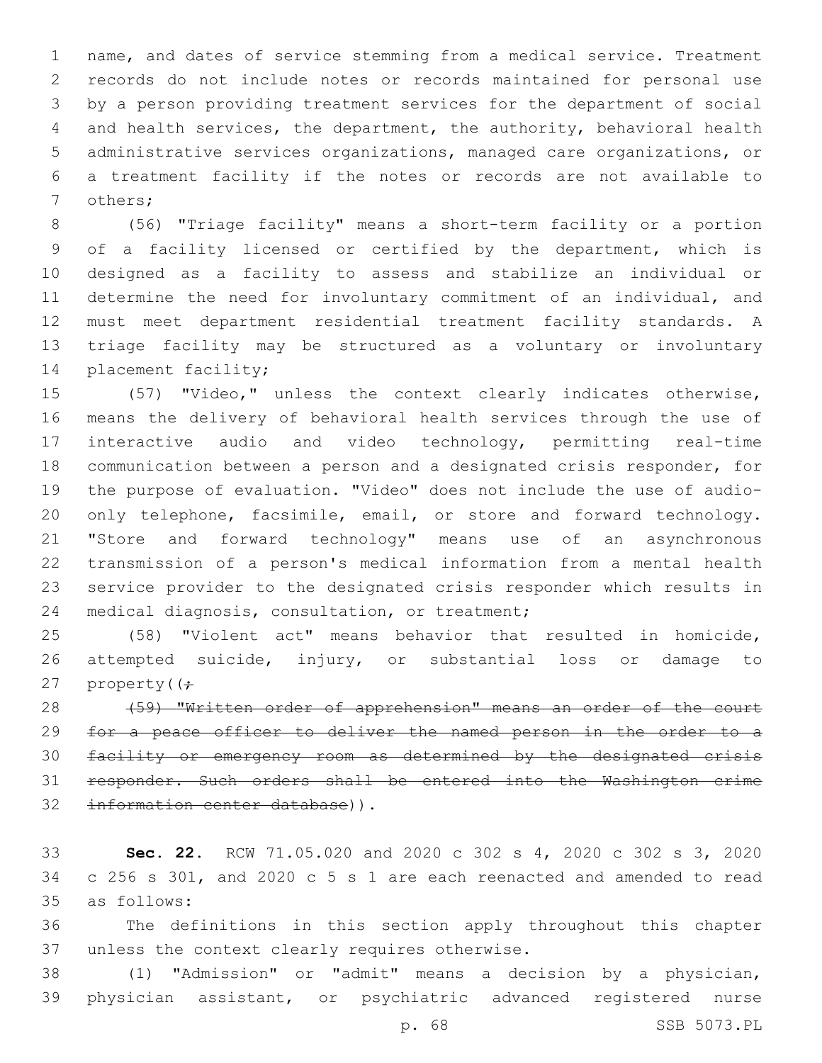name, and dates of service stemming from a medical service. Treatment records do not include notes or records maintained for personal use by a person providing treatment services for the department of social and health services, the department, the authority, behavioral health administrative services organizations, managed care organizations, or a treatment facility if the notes or records are not available to 7 others;

 (56) "Triage facility" means a short-term facility or a portion of a facility licensed or certified by the department, which is designed as a facility to assess and stabilize an individual or determine the need for involuntary commitment of an individual, and must meet department residential treatment facility standards. A triage facility may be structured as a voluntary or involuntary 14 placement facility;

 (57) "Video," unless the context clearly indicates otherwise, means the delivery of behavioral health services through the use of interactive audio and video technology, permitting real-time communication between a person and a designated crisis responder, for the purpose of evaluation. "Video" does not include the use of audio- only telephone, facsimile, email, or store and forward technology. "Store and forward technology" means use of an asynchronous transmission of a person's medical information from a mental health service provider to the designated crisis responder which results in 24 medical diagnosis, consultation, or treatment;

 (58) "Violent act" means behavior that resulted in homicide, attempted suicide, injury, or substantial loss or damage to 27 property( $\left( \div \right)$ 

28 (59) "Written order of apprehension" means an order of the court for a peace officer to deliver the named person in the order to a facility or emergency room as determined by the designated crisis responder. Such orders shall be entered into the Washington crime 32 information center database)).

 **Sec. 22.** RCW 71.05.020 and 2020 c 302 s 4, 2020 c 302 s 3, 2020 c 256 s 301, and 2020 c 5 s 1 are each reenacted and amended to read as follows:35

 The definitions in this section apply throughout this chapter 37 unless the context clearly requires otherwise.

 (1) "Admission" or "admit" means a decision by a physician, physician assistant, or psychiatric advanced registered nurse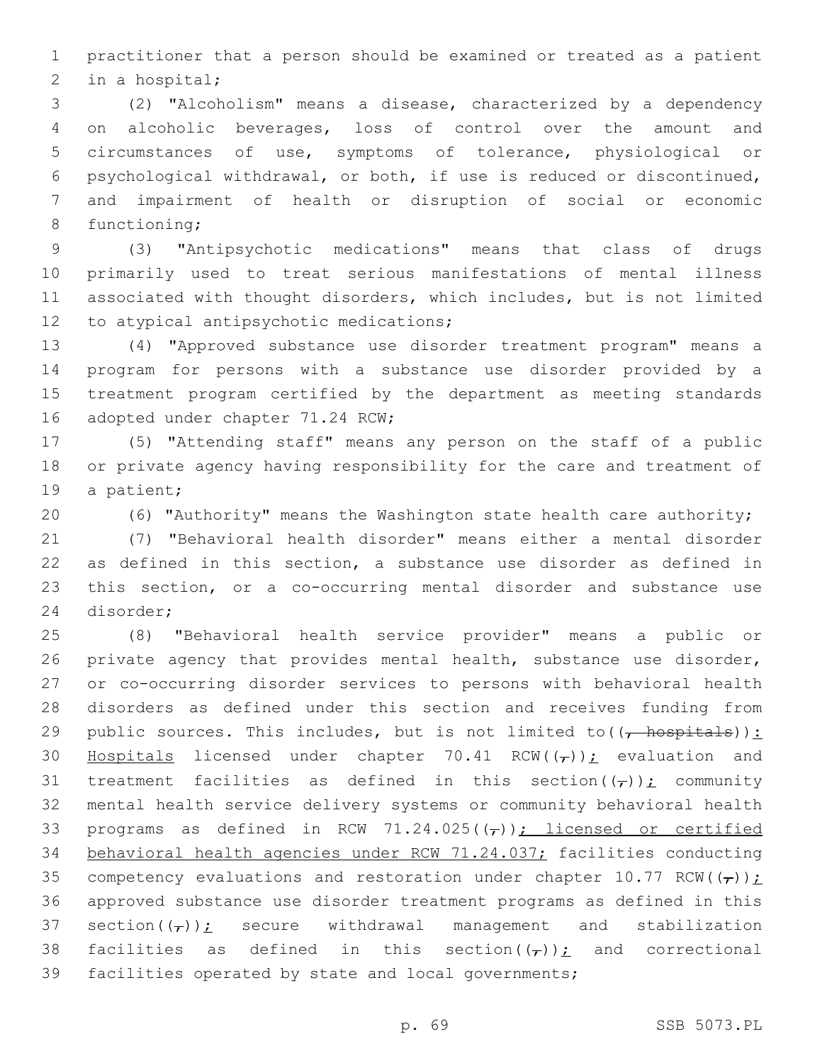practitioner that a person should be examined or treated as a patient 2 in a hospital;

 (2) "Alcoholism" means a disease, characterized by a dependency on alcoholic beverages, loss of control over the amount and circumstances of use, symptoms of tolerance, physiological or psychological withdrawal, or both, if use is reduced or discontinued, and impairment of health or disruption of social or economic 8 functioning;

 (3) "Antipsychotic medications" means that class of drugs primarily used to treat serious manifestations of mental illness associated with thought disorders, which includes, but is not limited 12 to atypical antipsychotic medications;

 (4) "Approved substance use disorder treatment program" means a program for persons with a substance use disorder provided by a treatment program certified by the department as meeting standards 16 adopted under chapter 71.24 RCW;

 (5) "Attending staff" means any person on the staff of a public or private agency having responsibility for the care and treatment of 19 a patient;

(6) "Authority" means the Washington state health care authority;

 (7) "Behavioral health disorder" means either a mental disorder as defined in this section, a substance use disorder as defined in this section, or a co-occurring mental disorder and substance use 24 disorder;

 (8) "Behavioral health service provider" means a public or 26 private agency that provides mental health, substance use disorder, or co-occurring disorder services to persons with behavioral health disorders as defined under this section and receives funding from 29 public sources. This includes, but is not limited to  $((\text{--}~\text{~host}~\text{~}~)$ : 30 Hospitals licensed under chapter 70.41 RCW( $(\tau)$ ); evaluation and 31 treatment facilities as defined in this section( $(\tau)$ ); community mental health service delivery systems or community behavioral health 33 programs as defined in RCW 71.24.025( $(\tau)$ ); licensed or certified behavioral health agencies under RCW 71.24.037; facilities conducting 35 competency evaluations and restoration under chapter 10.77 RCW( $(\tau)$ ); approved substance use disorder treatment programs as defined in this 37 section( $(\tau)$ ); secure withdrawal management and stabilization 38 facilities as defined in this section( $(\tau)$ ); and correctional facilities operated by state and local governments;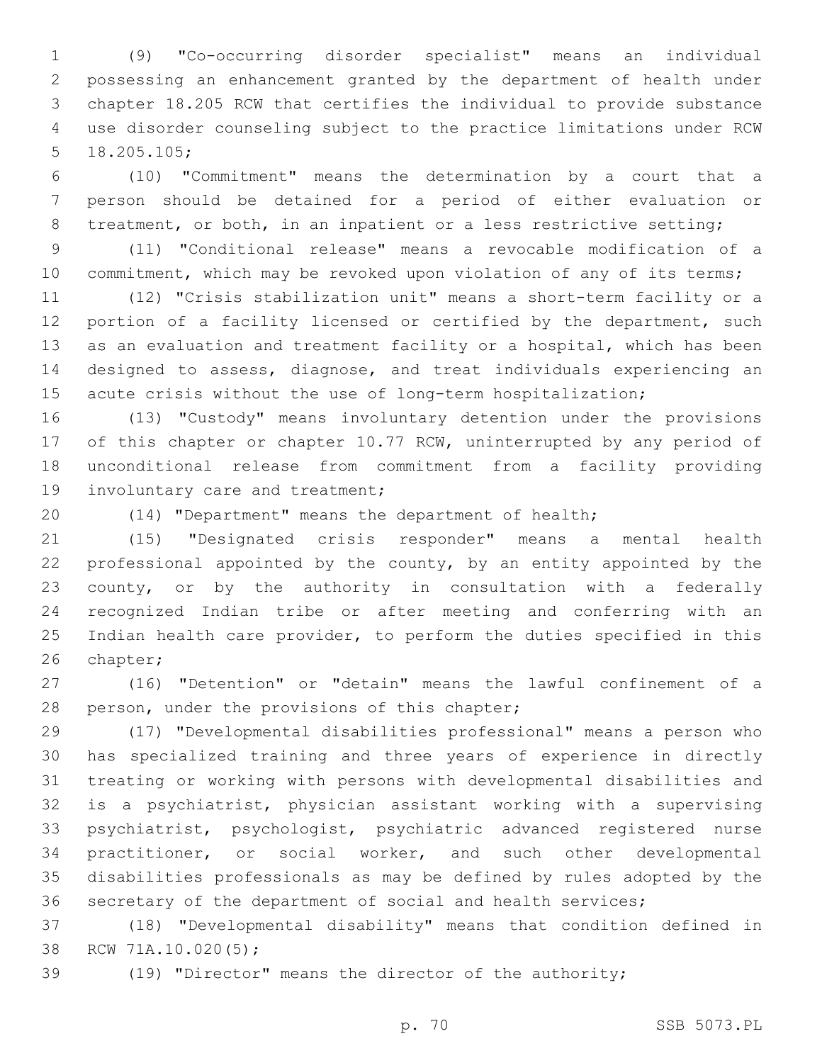(9) "Co-occurring disorder specialist" means an individual possessing an enhancement granted by the department of health under chapter 18.205 RCW that certifies the individual to provide substance use disorder counseling subject to the practice limitations under RCW 18.205.105;

 (10) "Commitment" means the determination by a court that a person should be detained for a period of either evaluation or 8 treatment, or both, in an inpatient or a less restrictive setting;

 (11) "Conditional release" means a revocable modification of a 10 commitment, which may be revoked upon violation of any of its terms;

 (12) "Crisis stabilization unit" means a short-term facility or a 12 portion of a facility licensed or certified by the department, such as an evaluation and treatment facility or a hospital, which has been designed to assess, diagnose, and treat individuals experiencing an acute crisis without the use of long-term hospitalization;

 (13) "Custody" means involuntary detention under the provisions 17 of this chapter or chapter 10.77 RCW, uninterrupted by any period of unconditional release from commitment from a facility providing 19 involuntary care and treatment;

(14) "Department" means the department of health;

 (15) "Designated crisis responder" means a mental health professional appointed by the county, by an entity appointed by the county, or by the authority in consultation with a federally recognized Indian tribe or after meeting and conferring with an Indian health care provider, to perform the duties specified in this 26 chapter;

 (16) "Detention" or "detain" means the lawful confinement of a 28 person, under the provisions of this chapter;

 (17) "Developmental disabilities professional" means a person who has specialized training and three years of experience in directly treating or working with persons with developmental disabilities and is a psychiatrist, physician assistant working with a supervising psychiatrist, psychologist, psychiatric advanced registered nurse practitioner, or social worker, and such other developmental disabilities professionals as may be defined by rules adopted by the secretary of the department of social and health services;

 (18) "Developmental disability" means that condition defined in 38 RCW 71A.10.020(5);

(19) "Director" means the director of the authority;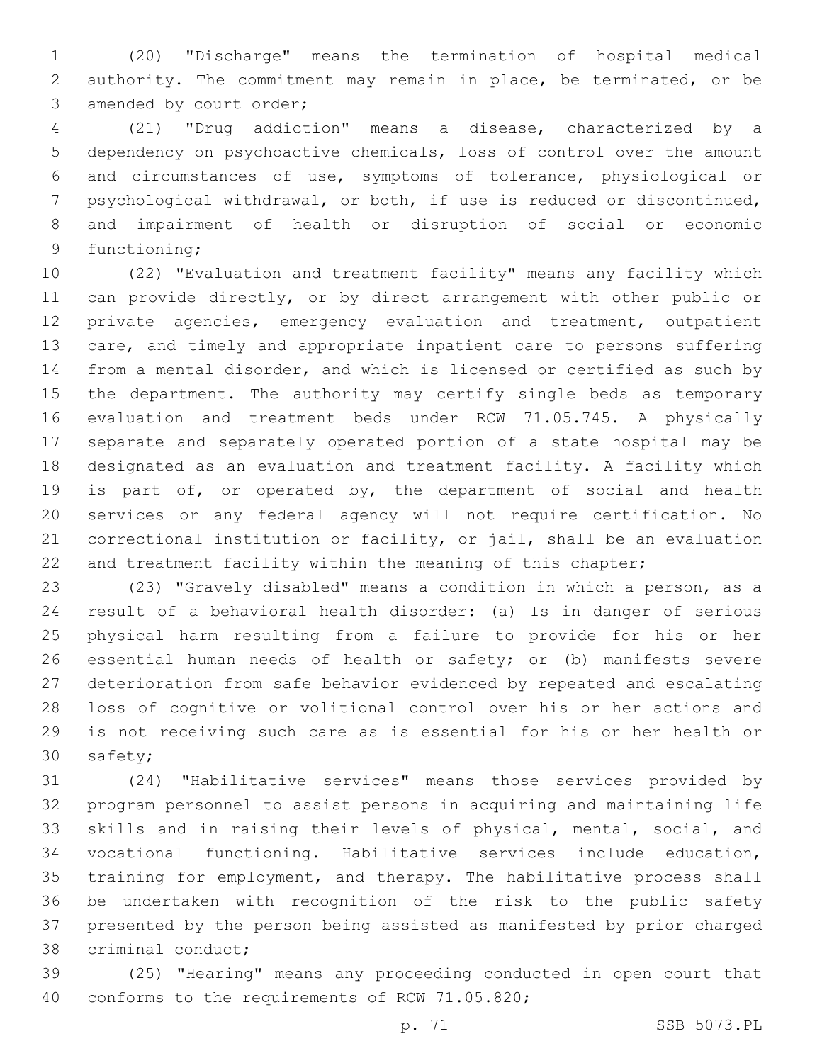(20) "Discharge" means the termination of hospital medical authority. The commitment may remain in place, be terminated, or be 3 amended by court order;

 (21) "Drug addiction" means a disease, characterized by a dependency on psychoactive chemicals, loss of control over the amount and circumstances of use, symptoms of tolerance, physiological or psychological withdrawal, or both, if use is reduced or discontinued, and impairment of health or disruption of social or economic 9 functioning;

 (22) "Evaluation and treatment facility" means any facility which can provide directly, or by direct arrangement with other public or private agencies, emergency evaluation and treatment, outpatient care, and timely and appropriate inpatient care to persons suffering from a mental disorder, and which is licensed or certified as such by the department. The authority may certify single beds as temporary evaluation and treatment beds under RCW 71.05.745. A physically separate and separately operated portion of a state hospital may be designated as an evaluation and treatment facility. A facility which 19 is part of, or operated by, the department of social and health services or any federal agency will not require certification. No correctional institution or facility, or jail, shall be an evaluation 22 and treatment facility within the meaning of this chapter;

 (23) "Gravely disabled" means a condition in which a person, as a result of a behavioral health disorder: (a) Is in danger of serious physical harm resulting from a failure to provide for his or her essential human needs of health or safety; or (b) manifests severe deterioration from safe behavior evidenced by repeated and escalating loss of cognitive or volitional control over his or her actions and is not receiving such care as is essential for his or her health or 30 safety;

 (24) "Habilitative services" means those services provided by program personnel to assist persons in acquiring and maintaining life skills and in raising their levels of physical, mental, social, and vocational functioning. Habilitative services include education, training for employment, and therapy. The habilitative process shall be undertaken with recognition of the risk to the public safety presented by the person being assisted as manifested by prior charged 38 criminal conduct;

 (25) "Hearing" means any proceeding conducted in open court that 40 conforms to the requirements of RCW 71.05.820;

p. 71 SSB 5073.PL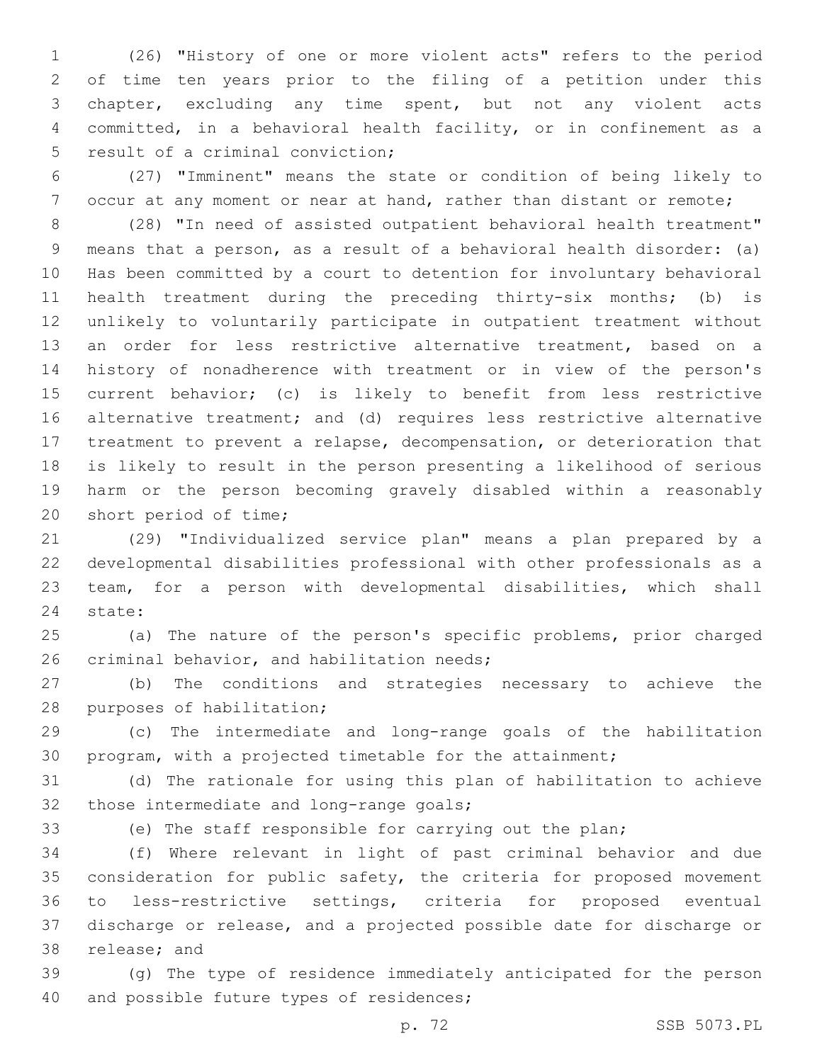(26) "History of one or more violent acts" refers to the period of time ten years prior to the filing of a petition under this chapter, excluding any time spent, but not any violent acts committed, in a behavioral health facility, or in confinement as a 5 result of a criminal conviction;

 (27) "Imminent" means the state or condition of being likely to 7 occur at any moment or near at hand, rather than distant or remote;

 (28) "In need of assisted outpatient behavioral health treatment" means that a person, as a result of a behavioral health disorder: (a) Has been committed by a court to detention for involuntary behavioral health treatment during the preceding thirty-six months; (b) is unlikely to voluntarily participate in outpatient treatment without an order for less restrictive alternative treatment, based on a history of nonadherence with treatment or in view of the person's current behavior; (c) is likely to benefit from less restrictive alternative treatment; and (d) requires less restrictive alternative treatment to prevent a relapse, decompensation, or deterioration that is likely to result in the person presenting a likelihood of serious harm or the person becoming gravely disabled within a reasonably 20 short period of time;

 (29) "Individualized service plan" means a plan prepared by a developmental disabilities professional with other professionals as a team, for a person with developmental disabilities, which shall 24 state:

 (a) The nature of the person's specific problems, prior charged 26 criminal behavior, and habilitation needs;

 (b) The conditions and strategies necessary to achieve the 28 purposes of habilitation;

 (c) The intermediate and long-range goals of the habilitation program, with a projected timetable for the attainment;

 (d) The rationale for using this plan of habilitation to achieve 32 those intermediate and long-range goals;

(e) The staff responsible for carrying out the plan;

 (f) Where relevant in light of past criminal behavior and due consideration for public safety, the criteria for proposed movement to less-restrictive settings, criteria for proposed eventual discharge or release, and a projected possible date for discharge or 38 release; and

 (g) The type of residence immediately anticipated for the person 40 and possible future types of residences;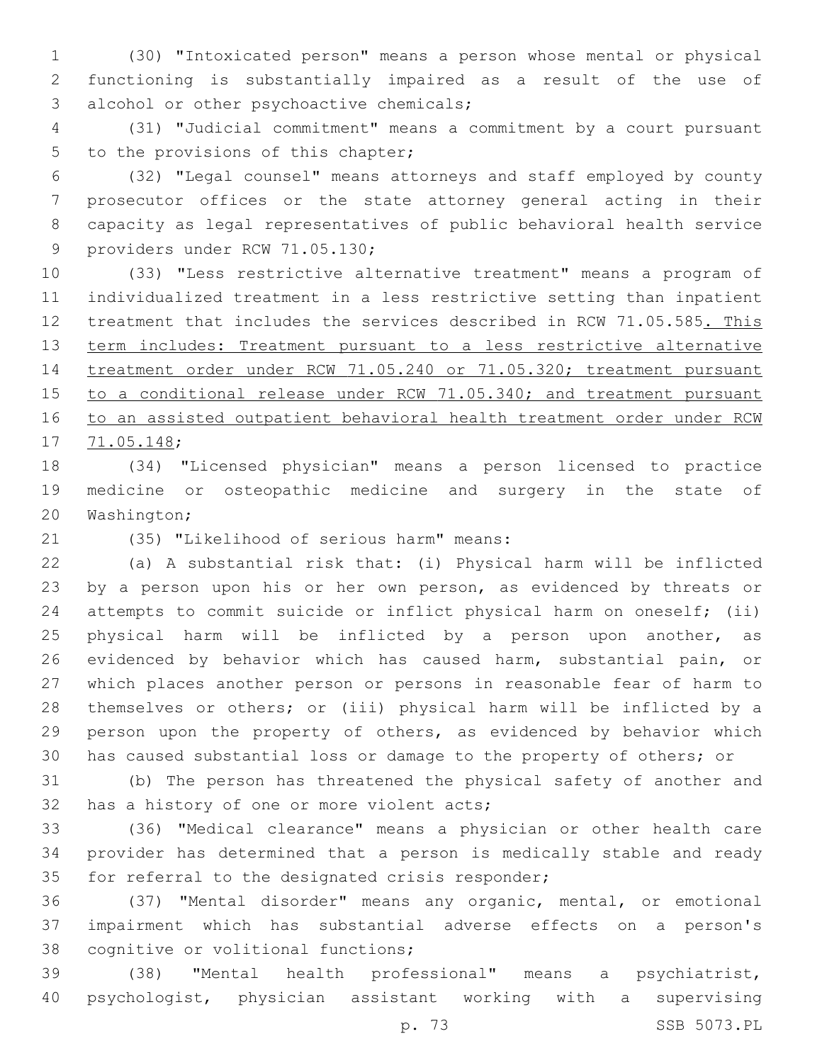(30) "Intoxicated person" means a person whose mental or physical functioning is substantially impaired as a result of the use of 3 alcohol or other psychoactive chemicals;

 (31) "Judicial commitment" means a commitment by a court pursuant 5 to the provisions of this chapter;

 (32) "Legal counsel" means attorneys and staff employed by county prosecutor offices or the state attorney general acting in their capacity as legal representatives of public behavioral health service 9 providers under RCW 71.05.130;

 (33) "Less restrictive alternative treatment" means a program of individualized treatment in a less restrictive setting than inpatient 12 treatment that includes the services described in RCW 71.05.585. This 13 term includes: Treatment pursuant to a less restrictive alternative treatment order under RCW 71.05.240 or 71.05.320; treatment pursuant 15 to a conditional release under RCW 71.05.340; and treatment pursuant to an assisted outpatient behavioral health treatment order under RCW 17 71.05.148;

 (34) "Licensed physician" means a person licensed to practice medicine or osteopathic medicine and surgery in the state of 20 Washington;

(35) "Likelihood of serious harm" means:21

 (a) A substantial risk that: (i) Physical harm will be inflicted by a person upon his or her own person, as evidenced by threats or attempts to commit suicide or inflict physical harm on oneself; (ii) 25 physical harm will be inflicted by a person upon another, as evidenced by behavior which has caused harm, substantial pain, or which places another person or persons in reasonable fear of harm to themselves or others; or (iii) physical harm will be inflicted by a person upon the property of others, as evidenced by behavior which has caused substantial loss or damage to the property of others; or

 (b) The person has threatened the physical safety of another and 32 has a history of one or more violent acts;

 (36) "Medical clearance" means a physician or other health care provider has determined that a person is medically stable and ready 35 for referral to the designated crisis responder;

 (37) "Mental disorder" means any organic, mental, or emotional impairment which has substantial adverse effects on a person's 38 cognitive or volitional functions;

 (38) "Mental health professional" means a psychiatrist, psychologist, physician assistant working with a supervising

p. 73 SSB 5073.PL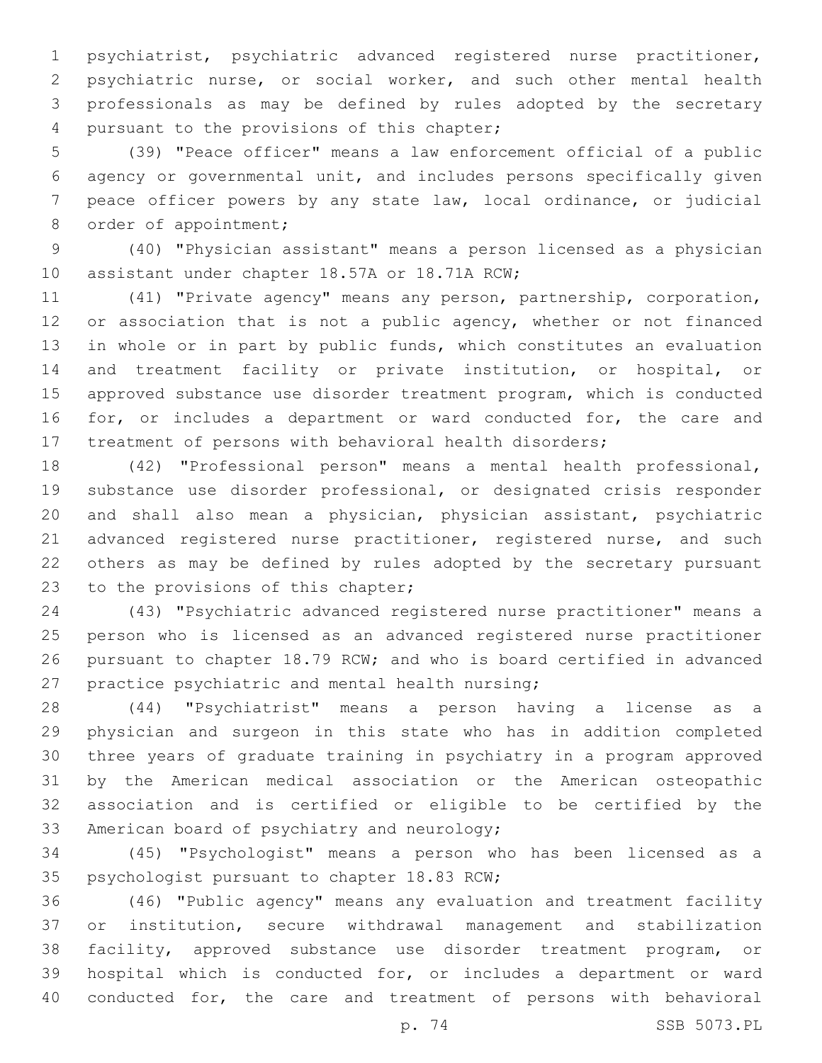psychiatrist, psychiatric advanced registered nurse practitioner, psychiatric nurse, or social worker, and such other mental health professionals as may be defined by rules adopted by the secretary 4 pursuant to the provisions of this chapter;

 (39) "Peace officer" means a law enforcement official of a public agency or governmental unit, and includes persons specifically given peace officer powers by any state law, local ordinance, or judicial 8 order of appointment;

 (40) "Physician assistant" means a person licensed as a physician 10 assistant under chapter 18.57A or 18.71A RCW;

 (41) "Private agency" means any person, partnership, corporation, 12 or association that is not a public agency, whether or not financed in whole or in part by public funds, which constitutes an evaluation and treatment facility or private institution, or hospital, or approved substance use disorder treatment program, which is conducted 16 for, or includes a department or ward conducted for, the care and treatment of persons with behavioral health disorders;

 (42) "Professional person" means a mental health professional, substance use disorder professional, or designated crisis responder and shall also mean a physician, physician assistant, psychiatric 21 advanced registered nurse practitioner, registered nurse, and such others as may be defined by rules adopted by the secretary pursuant 23 to the provisions of this chapter;

 (43) "Psychiatric advanced registered nurse practitioner" means a person who is licensed as an advanced registered nurse practitioner pursuant to chapter 18.79 RCW; and who is board certified in advanced 27 practice psychiatric and mental health nursing;

 (44) "Psychiatrist" means a person having a license as a physician and surgeon in this state who has in addition completed three years of graduate training in psychiatry in a program approved by the American medical association or the American osteopathic association and is certified or eligible to be certified by the 33 American board of psychiatry and neurology;

 (45) "Psychologist" means a person who has been licensed as a 35 psychologist pursuant to chapter 18.83 RCW;

 (46) "Public agency" means any evaluation and treatment facility or institution, secure withdrawal management and stabilization facility, approved substance use disorder treatment program, or hospital which is conducted for, or includes a department or ward conducted for, the care and treatment of persons with behavioral

p. 74 SSB 5073.PL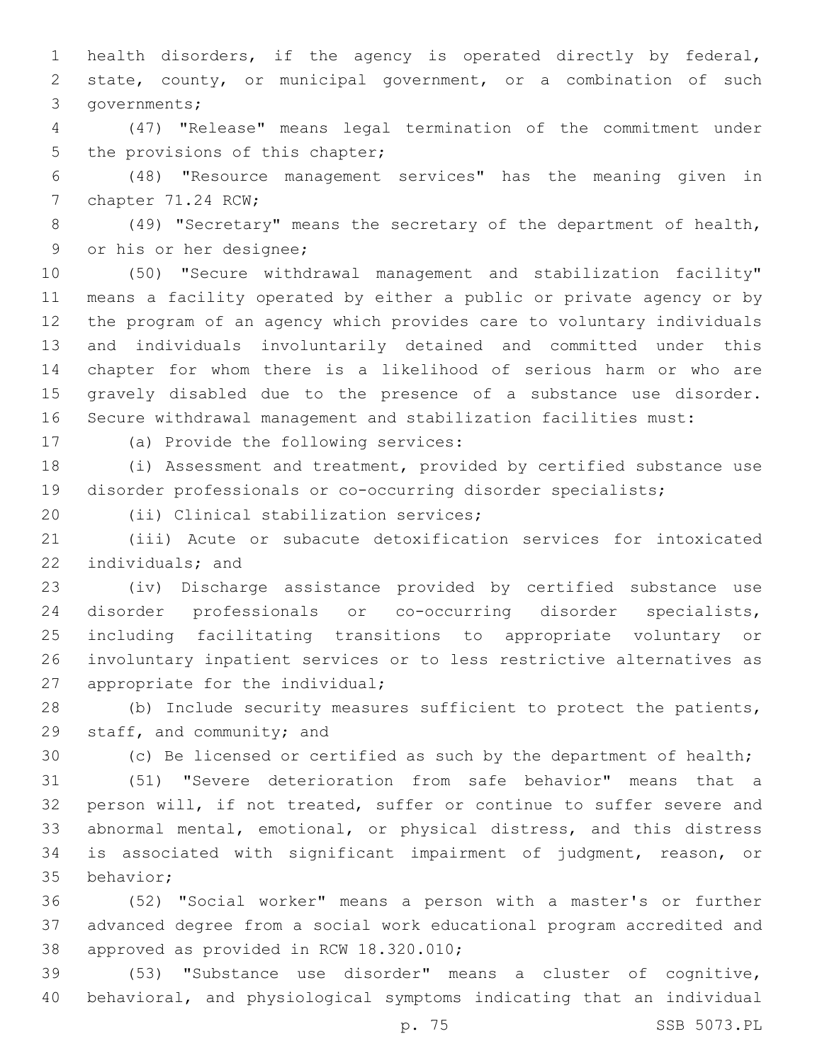health disorders, if the agency is operated directly by federal, state, county, or municipal government, or a combination of such 3 governments;

 (47) "Release" means legal termination of the commitment under 5 the provisions of this chapter;

 (48) "Resource management services" has the meaning given in 7 chapter 71.24 RCW;

 (49) "Secretary" means the secretary of the department of health, 9 or his or her designee;

 (50) "Secure withdrawal management and stabilization facility" means a facility operated by either a public or private agency or by the program of an agency which provides care to voluntary individuals and individuals involuntarily detained and committed under this chapter for whom there is a likelihood of serious harm or who are gravely disabled due to the presence of a substance use disorder. Secure withdrawal management and stabilization facilities must:

17 (a) Provide the following services:

 (i) Assessment and treatment, provided by certified substance use disorder professionals or co-occurring disorder specialists;

20 (ii) Clinical stabilization services;

 (iii) Acute or subacute detoxification services for intoxicated 22 individuals; and

 (iv) Discharge assistance provided by certified substance use disorder professionals or co-occurring disorder specialists, including facilitating transitions to appropriate voluntary or involuntary inpatient services or to less restrictive alternatives as 27 appropriate for the individual;

 (b) Include security measures sufficient to protect the patients, 29 staff, and community; and

(c) Be licensed or certified as such by the department of health;

 (51) "Severe deterioration from safe behavior" means that a person will, if not treated, suffer or continue to suffer severe and abnormal mental, emotional, or physical distress, and this distress is associated with significant impairment of judgment, reason, or 35 behavior;

 (52) "Social worker" means a person with a master's or further advanced degree from a social work educational program accredited and 38 approved as provided in RCW 18.320.010;

 (53) "Substance use disorder" means a cluster of cognitive, behavioral, and physiological symptoms indicating that an individual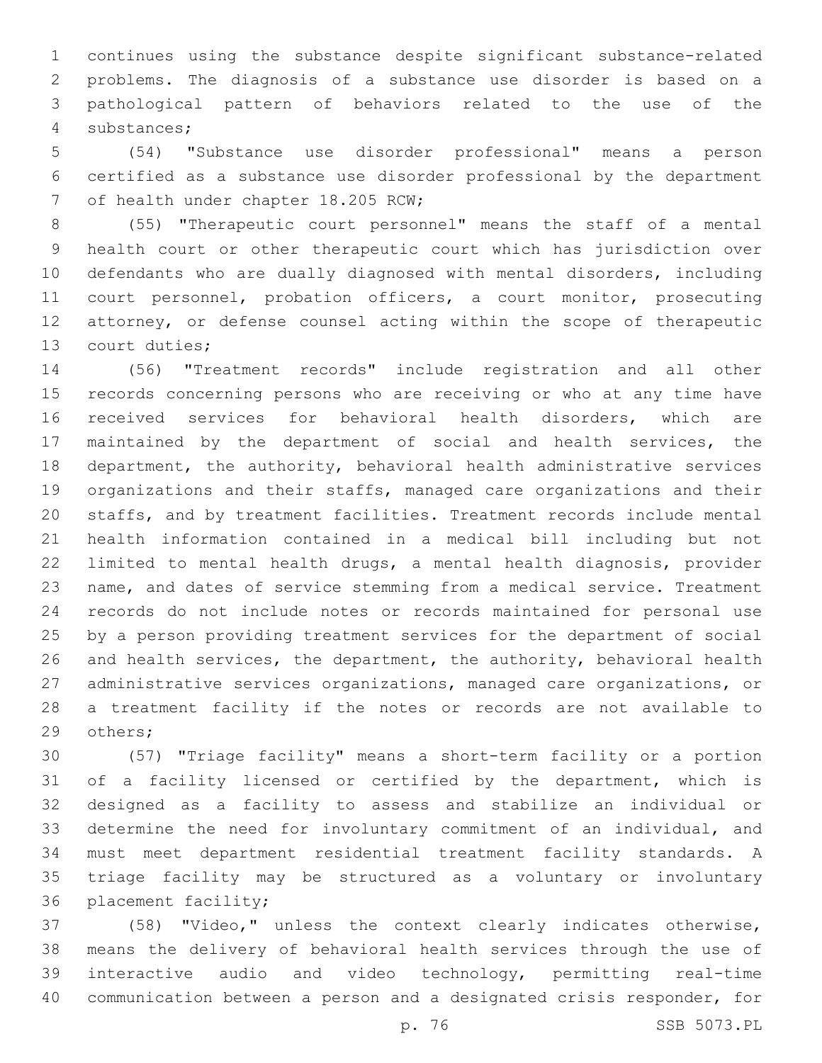continues using the substance despite significant substance-related problems. The diagnosis of a substance use disorder is based on a pathological pattern of behaviors related to the use of the substances;4

 (54) "Substance use disorder professional" means a person certified as a substance use disorder professional by the department 7 of health under chapter 18.205 RCW;

 (55) "Therapeutic court personnel" means the staff of a mental health court or other therapeutic court which has jurisdiction over defendants who are dually diagnosed with mental disorders, including court personnel, probation officers, a court monitor, prosecuting attorney, or defense counsel acting within the scope of therapeutic 13 court duties;

 (56) "Treatment records" include registration and all other records concerning persons who are receiving or who at any time have received services for behavioral health disorders, which are maintained by the department of social and health services, the department, the authority, behavioral health administrative services organizations and their staffs, managed care organizations and their staffs, and by treatment facilities. Treatment records include mental health information contained in a medical bill including but not limited to mental health drugs, a mental health diagnosis, provider name, and dates of service stemming from a medical service. Treatment records do not include notes or records maintained for personal use by a person providing treatment services for the department of social and health services, the department, the authority, behavioral health administrative services organizations, managed care organizations, or a treatment facility if the notes or records are not available to 29 others;

 (57) "Triage facility" means a short-term facility or a portion of a facility licensed or certified by the department, which is designed as a facility to assess and stabilize an individual or determine the need for involuntary commitment of an individual, and must meet department residential treatment facility standards. A triage facility may be structured as a voluntary or involuntary 36 placement facility;

 (58) "Video," unless the context clearly indicates otherwise, means the delivery of behavioral health services through the use of interactive audio and video technology, permitting real-time communication between a person and a designated crisis responder, for

p. 76 SSB 5073.PL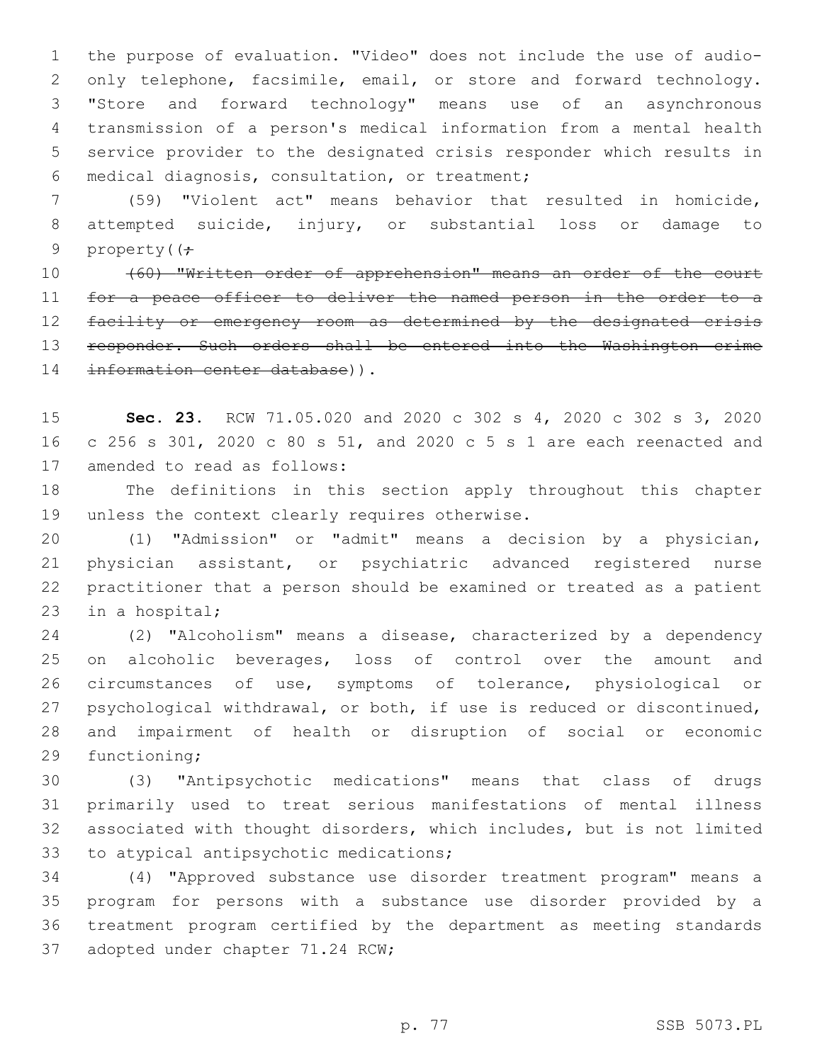the purpose of evaluation. "Video" does not include the use of audio-2 only telephone, facsimile, email, or store and forward technology. "Store and forward technology" means use of an asynchronous transmission of a person's medical information from a mental health service provider to the designated crisis responder which results in medical diagnosis, consultation, or treatment;6

 (59) "Violent act" means behavior that resulted in homicide, attempted suicide, injury, or substantial loss or damage to 9 property( $\left(\frac{1}{r}\right)$ 

 (60) "Written order of apprehension" means an order of the court 11 for a peace officer to deliver the named person in the order to a facility or emergency room as determined by the designated crisis 13 responder. Such orders shall be entered into the Washington crime 14 information center database)).

 **Sec. 23.** RCW 71.05.020 and 2020 c 302 s 4, 2020 c 302 s 3, 2020 c 256 s 301, 2020 c 80 s 51, and 2020 c 5 s 1 are each reenacted and 17 amended to read as follows:

 The definitions in this section apply throughout this chapter 19 unless the context clearly requires otherwise.

 (1) "Admission" or "admit" means a decision by a physician, physician assistant, or psychiatric advanced registered nurse practitioner that a person should be examined or treated as a patient 23 in a hospital;

 (2) "Alcoholism" means a disease, characterized by a dependency on alcoholic beverages, loss of control over the amount and circumstances of use, symptoms of tolerance, physiological or psychological withdrawal, or both, if use is reduced or discontinued, and impairment of health or disruption of social or economic 29 functioning;

 (3) "Antipsychotic medications" means that class of drugs primarily used to treat serious manifestations of mental illness associated with thought disorders, which includes, but is not limited 33 to atypical antipsychotic medications;

 (4) "Approved substance use disorder treatment program" means a program for persons with a substance use disorder provided by a treatment program certified by the department as meeting standards 37 adopted under chapter 71.24 RCW;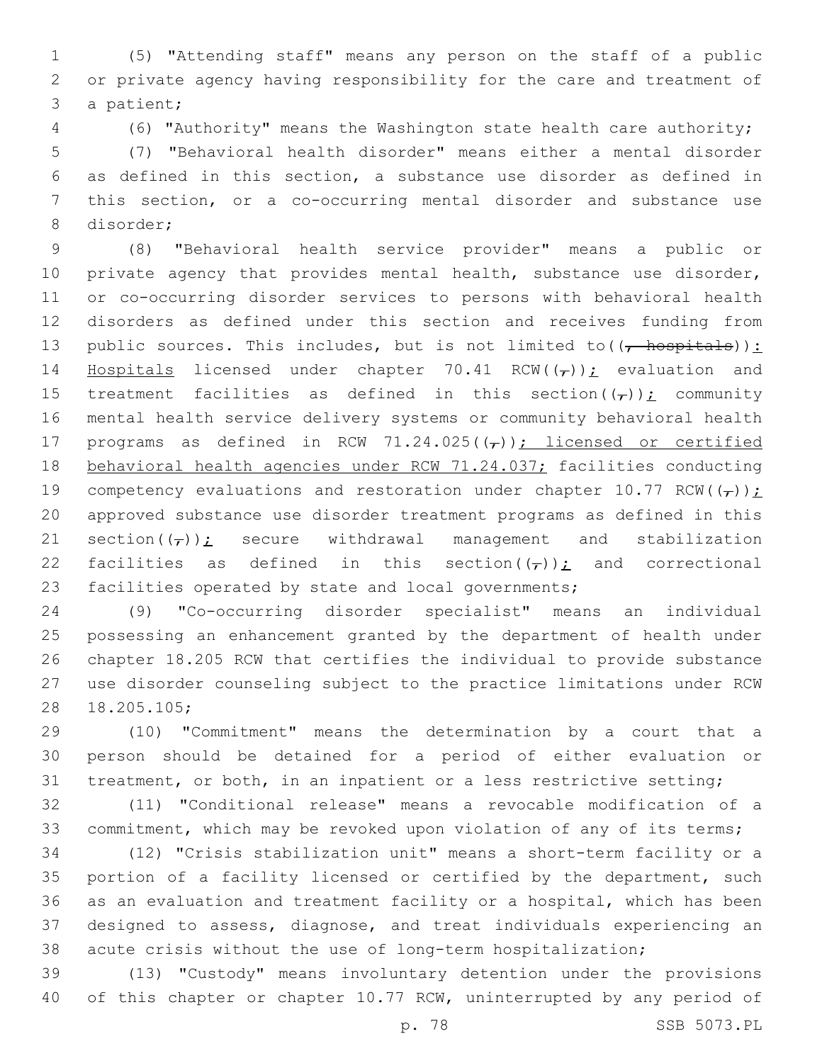(5) "Attending staff" means any person on the staff of a public or private agency having responsibility for the care and treatment of 3 a patient;

(6) "Authority" means the Washington state health care authority;

 (7) "Behavioral health disorder" means either a mental disorder as defined in this section, a substance use disorder as defined in this section, or a co-occurring mental disorder and substance use 8 disorder;

 (8) "Behavioral health service provider" means a public or 10 private agency that provides mental health, substance use disorder, or co-occurring disorder services to persons with behavioral health disorders as defined under this section and receives funding from 13 public sources. This includes, but is not limited to  $((, +)$ 14 Hospitals licensed under chapter 70.41 RCW( $(\tau)$ ); evaluation and 15 treatment facilities as defined in this section( $(\tau)$ ); community mental health service delivery systems or community behavioral health 17 programs as defined in RCW 71.24.025( $(\tau)$ ); licensed or certified 18 behavioral health agencies under RCW 71.24.037; facilities conducting 19 competency evaluations and restoration under chapter 10.77 RCW( $(\tau)$ ); approved substance use disorder treatment programs as defined in this 21 section( $(\tau)$ ); secure withdrawal management and stabilization 22 facilities as defined in this section( $(\tau)$ ); and correctional facilities operated by state and local governments;

 (9) "Co-occurring disorder specialist" means an individual possessing an enhancement granted by the department of health under chapter 18.205 RCW that certifies the individual to provide substance use disorder counseling subject to the practice limitations under RCW 28 18.205.105;

 (10) "Commitment" means the determination by a court that a person should be detained for a period of either evaluation or treatment, or both, in an inpatient or a less restrictive setting;

 (11) "Conditional release" means a revocable modification of a commitment, which may be revoked upon violation of any of its terms;

 (12) "Crisis stabilization unit" means a short-term facility or a portion of a facility licensed or certified by the department, such as an evaluation and treatment facility or a hospital, which has been designed to assess, diagnose, and treat individuals experiencing an acute crisis without the use of long-term hospitalization;

 (13) "Custody" means involuntary detention under the provisions of this chapter or chapter 10.77 RCW, uninterrupted by any period of

p. 78 SSB 5073.PL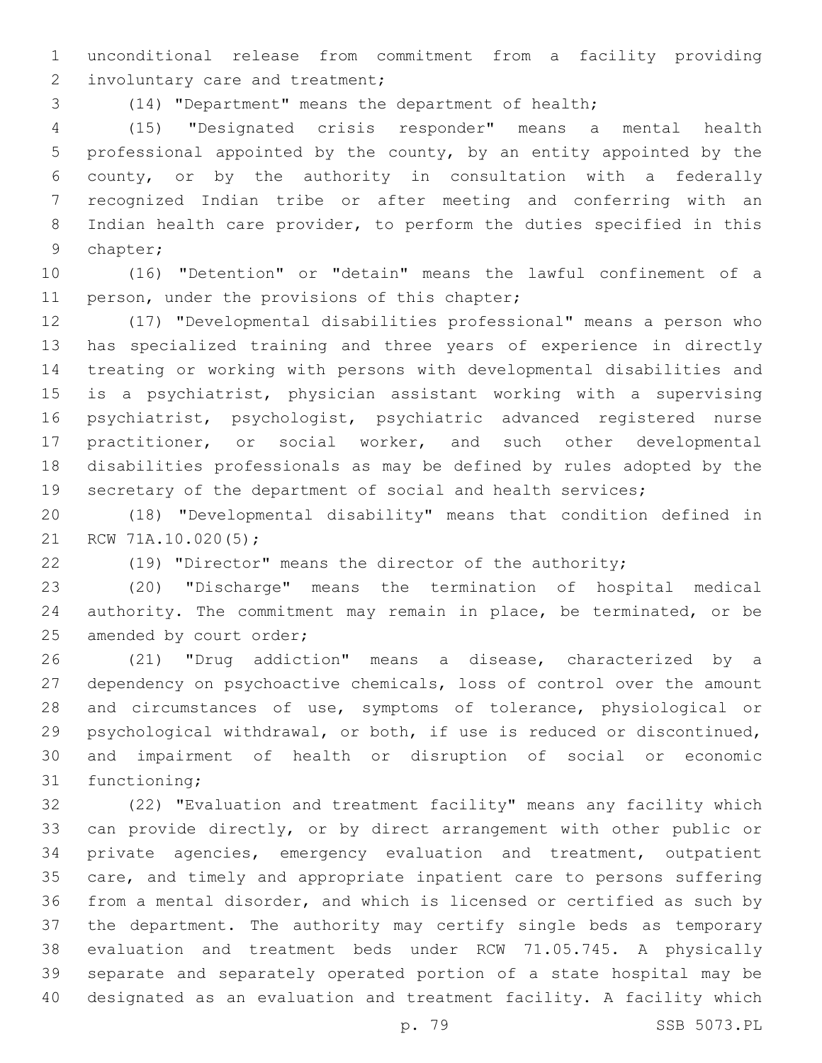unconditional release from commitment from a facility providing 2 involuntary care and treatment;

(14) "Department" means the department of health;

 (15) "Designated crisis responder" means a mental health professional appointed by the county, by an entity appointed by the county, or by the authority in consultation with a federally recognized Indian tribe or after meeting and conferring with an Indian health care provider, to perform the duties specified in this 9 chapter;

 (16) "Detention" or "detain" means the lawful confinement of a 11 person, under the provisions of this chapter;

 (17) "Developmental disabilities professional" means a person who has specialized training and three years of experience in directly treating or working with persons with developmental disabilities and is a psychiatrist, physician assistant working with a supervising psychiatrist, psychologist, psychiatric advanced registered nurse practitioner, or social worker, and such other developmental disabilities professionals as may be defined by rules adopted by the 19 secretary of the department of social and health services;

 (18) "Developmental disability" means that condition defined in 21 RCW 71A.10.020(5);

(19) "Director" means the director of the authority;

 (20) "Discharge" means the termination of hospital medical authority. The commitment may remain in place, be terminated, or be 25 amended by court order;

 (21) "Drug addiction" means a disease, characterized by a dependency on psychoactive chemicals, loss of control over the amount and circumstances of use, symptoms of tolerance, physiological or psychological withdrawal, or both, if use is reduced or discontinued, and impairment of health or disruption of social or economic 31 functioning;

 (22) "Evaluation and treatment facility" means any facility which can provide directly, or by direct arrangement with other public or private agencies, emergency evaluation and treatment, outpatient care, and timely and appropriate inpatient care to persons suffering from a mental disorder, and which is licensed or certified as such by the department. The authority may certify single beds as temporary evaluation and treatment beds under RCW 71.05.745. A physically separate and separately operated portion of a state hospital may be designated as an evaluation and treatment facility. A facility which

p. 79 SSB 5073.PL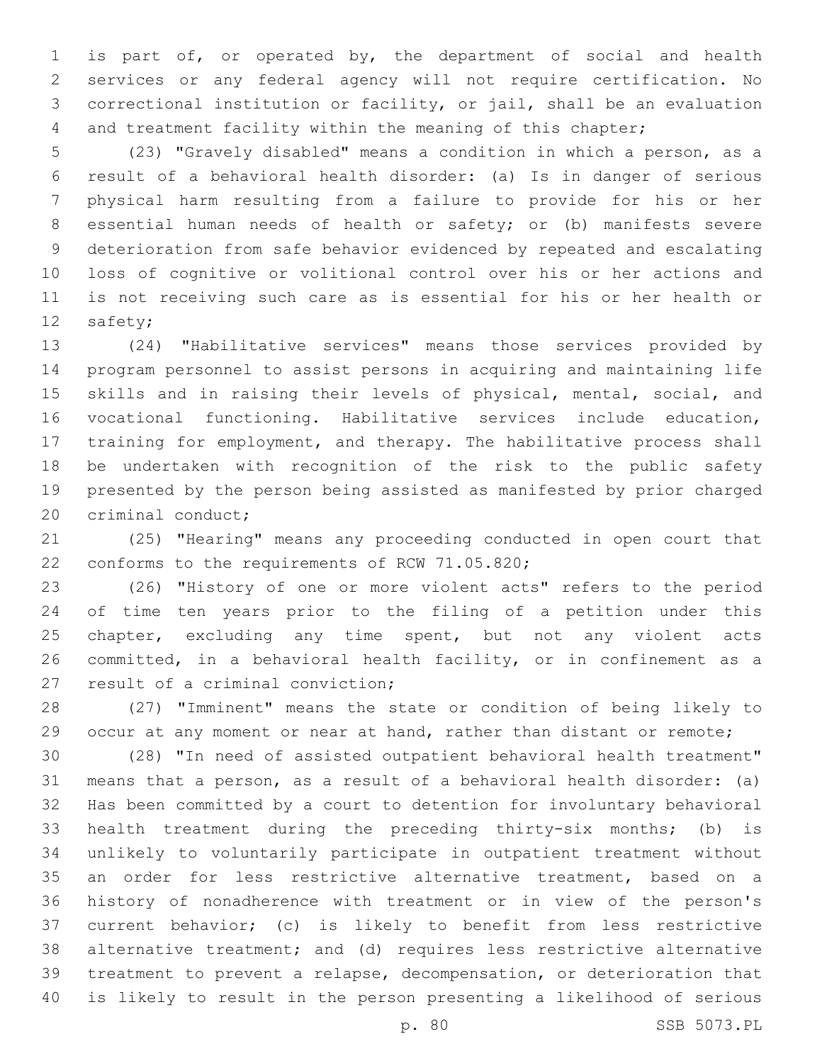is part of, or operated by, the department of social and health services or any federal agency will not require certification. No correctional institution or facility, or jail, shall be an evaluation and treatment facility within the meaning of this chapter;

 (23) "Gravely disabled" means a condition in which a person, as a result of a behavioral health disorder: (a) Is in danger of serious physical harm resulting from a failure to provide for his or her essential human needs of health or safety; or (b) manifests severe deterioration from safe behavior evidenced by repeated and escalating loss of cognitive or volitional control over his or her actions and is not receiving such care as is essential for his or her health or 12 safety;

 (24) "Habilitative services" means those services provided by program personnel to assist persons in acquiring and maintaining life skills and in raising their levels of physical, mental, social, and vocational functioning. Habilitative services include education, training for employment, and therapy. The habilitative process shall be undertaken with recognition of the risk to the public safety presented by the person being assisted as manifested by prior charged 20 criminal conduct;

 (25) "Hearing" means any proceeding conducted in open court that 22 conforms to the requirements of RCW 71.05.820;

 (26) "History of one or more violent acts" refers to the period of time ten years prior to the filing of a petition under this 25 chapter, excluding any time spent, but not any violent acts committed, in a behavioral health facility, or in confinement as a 27 result of a criminal conviction;

 (27) "Imminent" means the state or condition of being likely to 29 occur at any moment or near at hand, rather than distant or remote;

 (28) "In need of assisted outpatient behavioral health treatment" means that a person, as a result of a behavioral health disorder: (a) Has been committed by a court to detention for involuntary behavioral health treatment during the preceding thirty-six months; (b) is unlikely to voluntarily participate in outpatient treatment without an order for less restrictive alternative treatment, based on a history of nonadherence with treatment or in view of the person's current behavior; (c) is likely to benefit from less restrictive alternative treatment; and (d) requires less restrictive alternative treatment to prevent a relapse, decompensation, or deterioration that is likely to result in the person presenting a likelihood of serious

p. 80 SSB 5073.PL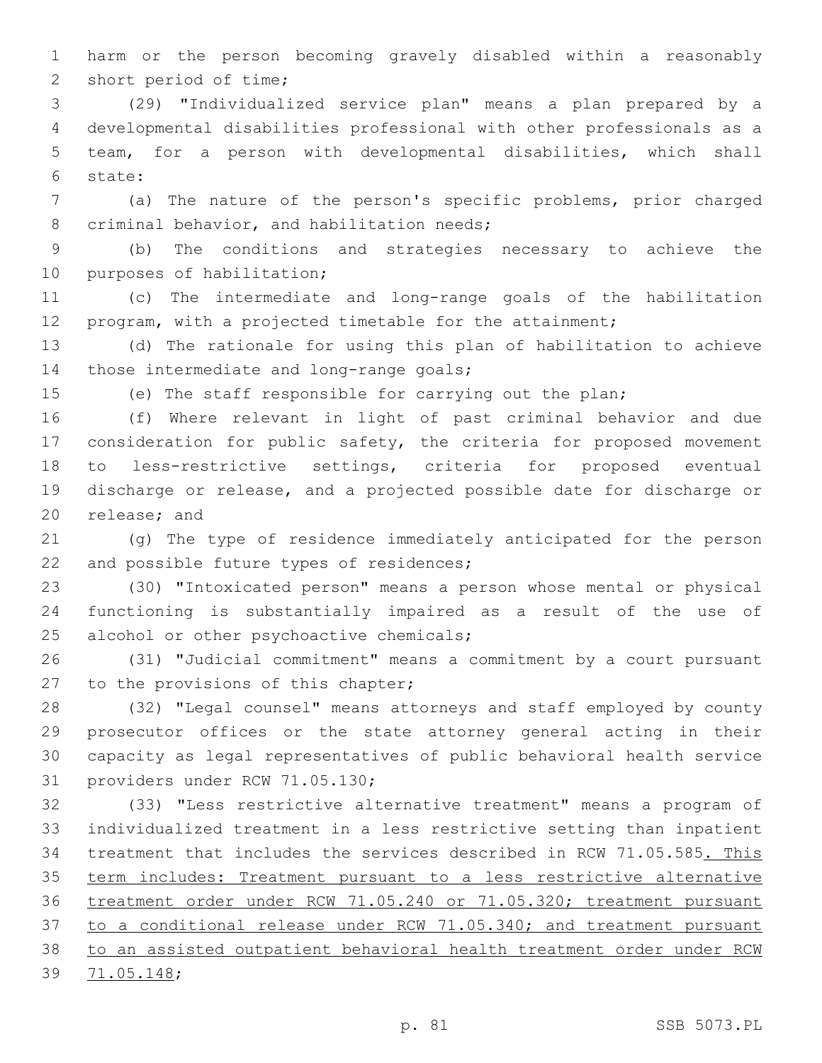harm or the person becoming gravely disabled within a reasonably 2 short period of time;

 (29) "Individualized service plan" means a plan prepared by a developmental disabilities professional with other professionals as a team, for a person with developmental disabilities, which shall state:6

 (a) The nature of the person's specific problems, prior charged 8 criminal behavior, and habilitation needs;

 (b) The conditions and strategies necessary to achieve the 10 purposes of habilitation;

 (c) The intermediate and long-range goals of the habilitation program, with a projected timetable for the attainment;

 (d) The rationale for using this plan of habilitation to achieve 14 those intermediate and long-range goals;

(e) The staff responsible for carrying out the plan;

 (f) Where relevant in light of past criminal behavior and due consideration for public safety, the criteria for proposed movement to less-restrictive settings, criteria for proposed eventual discharge or release, and a projected possible date for discharge or 20 release; and

 (g) The type of residence immediately anticipated for the person 22 and possible future types of residences;

 (30) "Intoxicated person" means a person whose mental or physical functioning is substantially impaired as a result of the use of 25 alcohol or other psychoactive chemicals;

 (31) "Judicial commitment" means a commitment by a court pursuant 27 to the provisions of this chapter;

 (32) "Legal counsel" means attorneys and staff employed by county prosecutor offices or the state attorney general acting in their capacity as legal representatives of public behavioral health service 31 providers under RCW 71.05.130;

 (33) "Less restrictive alternative treatment" means a program of individualized treatment in a less restrictive setting than inpatient treatment that includes the services described in RCW 71.05.585. This term includes: Treatment pursuant to a less restrictive alternative treatment order under RCW 71.05.240 or 71.05.320; treatment pursuant to a conditional release under RCW 71.05.340; and treatment pursuant to an assisted outpatient behavioral health treatment order under RCW 39 71.05.148;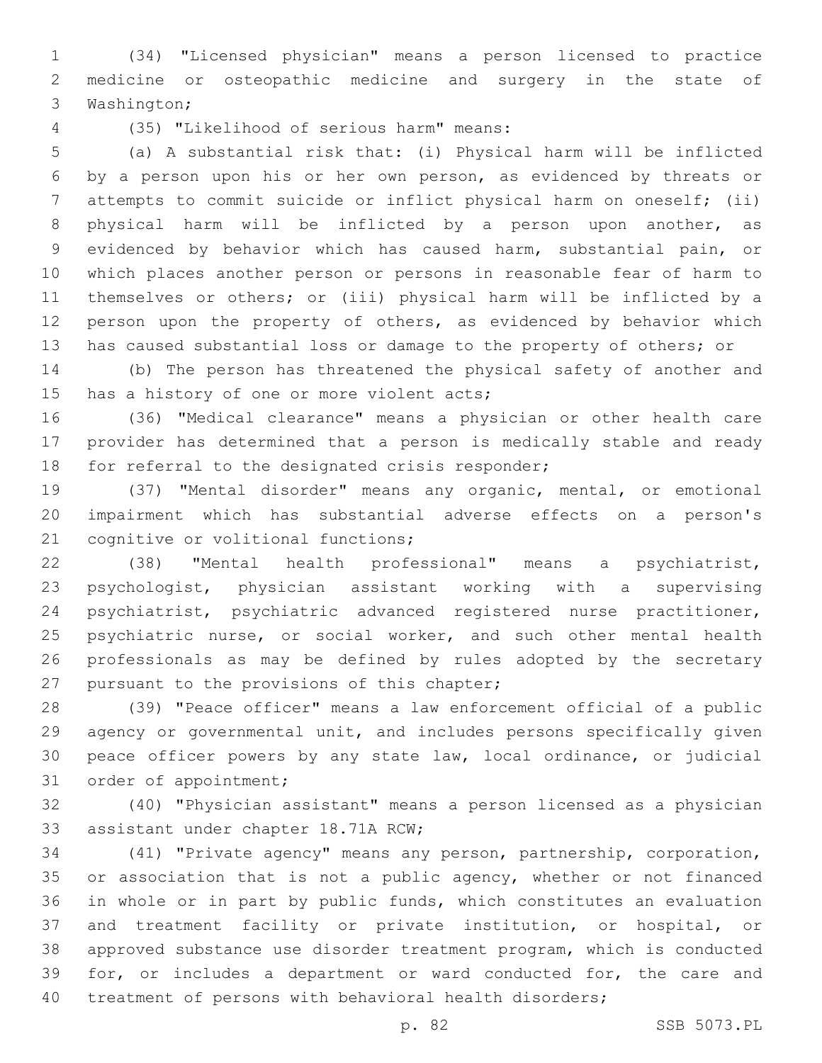(34) "Licensed physician" means a person licensed to practice medicine or osteopathic medicine and surgery in the state of 3 Washington;

(35) "Likelihood of serious harm" means:4

 (a) A substantial risk that: (i) Physical harm will be inflicted by a person upon his or her own person, as evidenced by threats or attempts to commit suicide or inflict physical harm on oneself; (ii) physical harm will be inflicted by a person upon another, as evidenced by behavior which has caused harm, substantial pain, or which places another person or persons in reasonable fear of harm to themselves or others; or (iii) physical harm will be inflicted by a person upon the property of others, as evidenced by behavior which has caused substantial loss or damage to the property of others; or

 (b) The person has threatened the physical safety of another and 15 has a history of one or more violent acts;

 (36) "Medical clearance" means a physician or other health care provider has determined that a person is medically stable and ready 18 for referral to the designated crisis responder;

 (37) "Mental disorder" means any organic, mental, or emotional impairment which has substantial adverse effects on a person's 21 cognitive or volitional functions;

 (38) "Mental health professional" means a psychiatrist, psychologist, physician assistant working with a supervising psychiatrist, psychiatric advanced registered nurse practitioner, 25 psychiatric nurse, or social worker, and such other mental health professionals as may be defined by rules adopted by the secretary 27 pursuant to the provisions of this chapter;

 (39) "Peace officer" means a law enforcement official of a public agency or governmental unit, and includes persons specifically given peace officer powers by any state law, local ordinance, or judicial 31 order of appointment;

 (40) "Physician assistant" means a person licensed as a physician 33 assistant under chapter 18.71A RCW;

 (41) "Private agency" means any person, partnership, corporation, 35 or association that is not a public agency, whether or not financed in whole or in part by public funds, which constitutes an evaluation and treatment facility or private institution, or hospital, or approved substance use disorder treatment program, which is conducted for, or includes a department or ward conducted for, the care and treatment of persons with behavioral health disorders;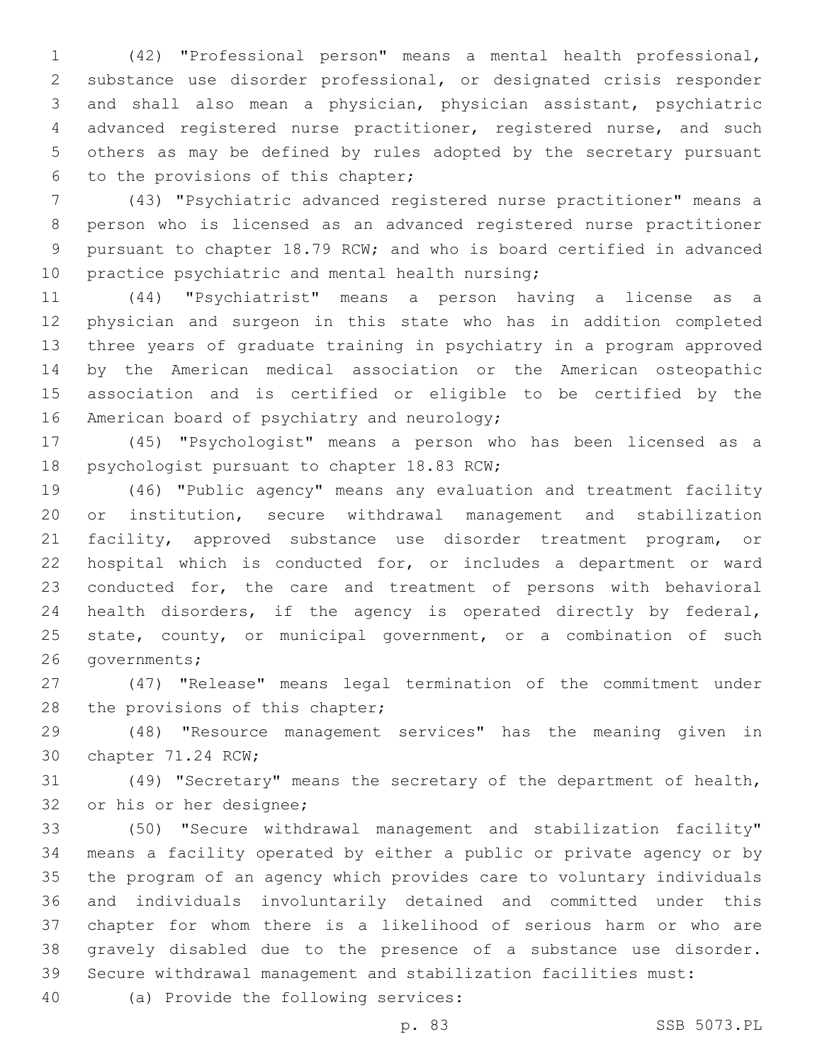(42) "Professional person" means a mental health professional, substance use disorder professional, or designated crisis responder and shall also mean a physician, physician assistant, psychiatric advanced registered nurse practitioner, registered nurse, and such others as may be defined by rules adopted by the secretary pursuant 6 to the provisions of this chapter;

 (43) "Psychiatric advanced registered nurse practitioner" means a person who is licensed as an advanced registered nurse practitioner pursuant to chapter 18.79 RCW; and who is board certified in advanced 10 practice psychiatric and mental health nursing;

 (44) "Psychiatrist" means a person having a license as a physician and surgeon in this state who has in addition completed three years of graduate training in psychiatry in a program approved by the American medical association or the American osteopathic association and is certified or eligible to be certified by the 16 American board of psychiatry and neurology;

 (45) "Psychologist" means a person who has been licensed as a 18 psychologist pursuant to chapter 18.83 RCW;

 (46) "Public agency" means any evaluation and treatment facility or institution, secure withdrawal management and stabilization facility, approved substance use disorder treatment program, or hospital which is conducted for, or includes a department or ward conducted for, the care and treatment of persons with behavioral health disorders, if the agency is operated directly by federal, 25 state, county, or municipal government, or a combination of such 26 governments;

 (47) "Release" means legal termination of the commitment under 28 the provisions of this chapter;

 (48) "Resource management services" has the meaning given in 30 chapter 71.24 RCW;

 (49) "Secretary" means the secretary of the department of health, 32 or his or her designee;

 (50) "Secure withdrawal management and stabilization facility" means a facility operated by either a public or private agency or by the program of an agency which provides care to voluntary individuals and individuals involuntarily detained and committed under this chapter for whom there is a likelihood of serious harm or who are gravely disabled due to the presence of a substance use disorder. Secure withdrawal management and stabilization facilities must:

40 (a) Provide the following services:

p. 83 SSB 5073.PL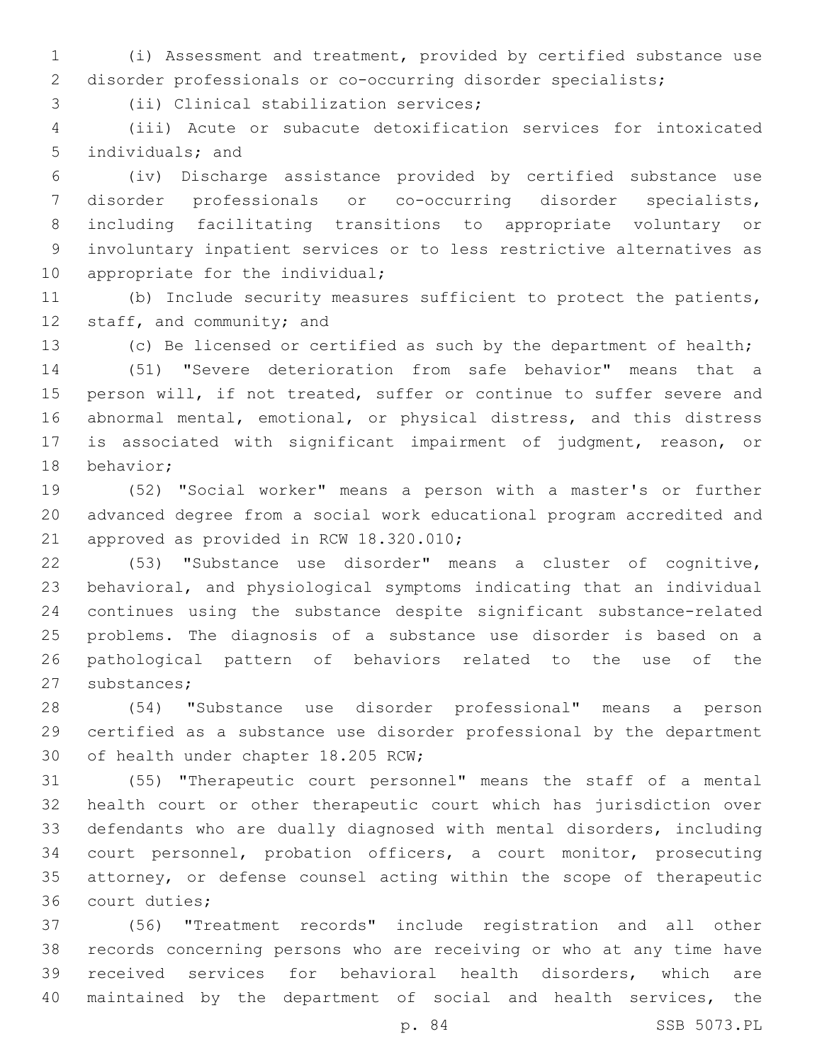(i) Assessment and treatment, provided by certified substance use disorder professionals or co-occurring disorder specialists;

3 (ii) Clinical stabilization services;

 (iii) Acute or subacute detoxification services for intoxicated 5 individuals; and

 (iv) Discharge assistance provided by certified substance use disorder professionals or co-occurring disorder specialists, including facilitating transitions to appropriate voluntary or involuntary inpatient services or to less restrictive alternatives as 10 appropriate for the individual;

 (b) Include security measures sufficient to protect the patients, 12 staff, and community; and

(c) Be licensed or certified as such by the department of health;

 (51) "Severe deterioration from safe behavior" means that a person will, if not treated, suffer or continue to suffer severe and abnormal mental, emotional, or physical distress, and this distress is associated with significant impairment of judgment, reason, or 18 behavior;

 (52) "Social worker" means a person with a master's or further advanced degree from a social work educational program accredited and 21 approved as provided in RCW 18.320.010;

 (53) "Substance use disorder" means a cluster of cognitive, behavioral, and physiological symptoms indicating that an individual continues using the substance despite significant substance-related problems. The diagnosis of a substance use disorder is based on a pathological pattern of behaviors related to the use of the 27 substances;

 (54) "Substance use disorder professional" means a person certified as a substance use disorder professional by the department 30 of health under chapter 18.205 RCW;

 (55) "Therapeutic court personnel" means the staff of a mental health court or other therapeutic court which has jurisdiction over defendants who are dually diagnosed with mental disorders, including court personnel, probation officers, a court monitor, prosecuting attorney, or defense counsel acting within the scope of therapeutic 36 court duties;

 (56) "Treatment records" include registration and all other records concerning persons who are receiving or who at any time have received services for behavioral health disorders, which are maintained by the department of social and health services, the

p. 84 SSB 5073.PL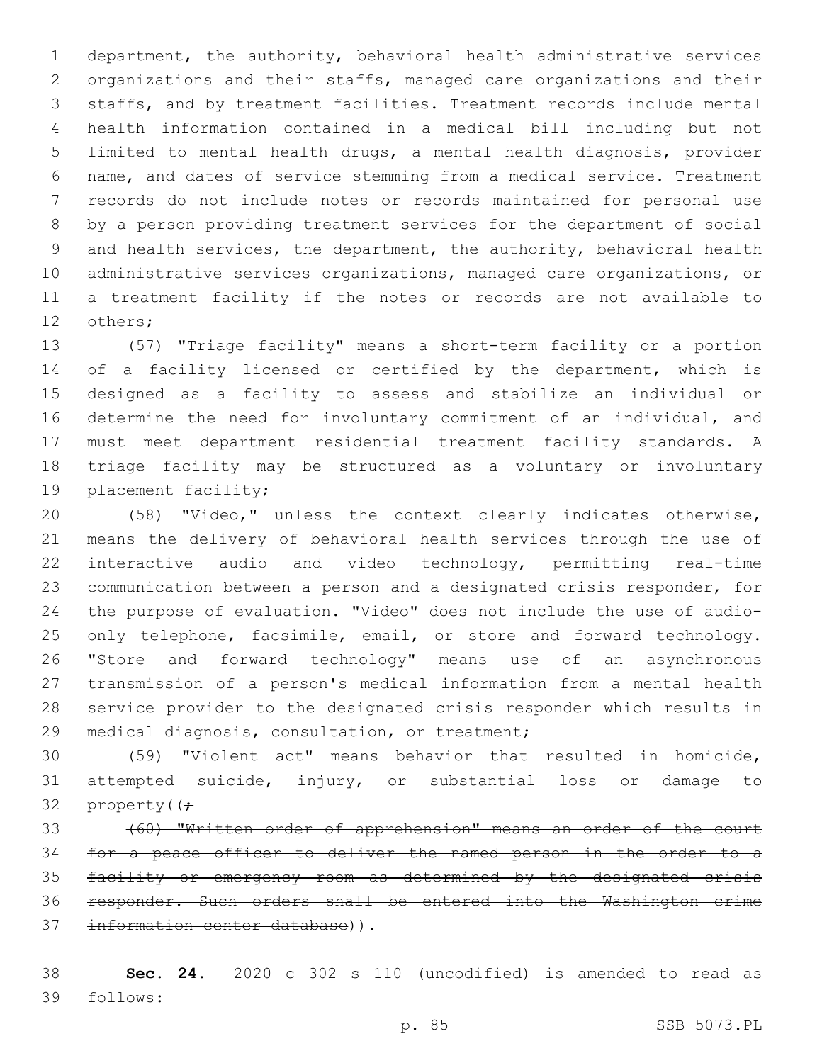department, the authority, behavioral health administrative services organizations and their staffs, managed care organizations and their staffs, and by treatment facilities. Treatment records include mental health information contained in a medical bill including but not limited to mental health drugs, a mental health diagnosis, provider name, and dates of service stemming from a medical service. Treatment records do not include notes or records maintained for personal use by a person providing treatment services for the department of social and health services, the department, the authority, behavioral health administrative services organizations, managed care organizations, or a treatment facility if the notes or records are not available to 12 others;

 (57) "Triage facility" means a short-term facility or a portion of a facility licensed or certified by the department, which is designed as a facility to assess and stabilize an individual or determine the need for involuntary commitment of an individual, and must meet department residential treatment facility standards. A triage facility may be structured as a voluntary or involuntary 19 placement facility;

 (58) "Video," unless the context clearly indicates otherwise, means the delivery of behavioral health services through the use of interactive audio and video technology, permitting real-time communication between a person and a designated crisis responder, for the purpose of evaluation. "Video" does not include the use of audio-25 only telephone, facsimile, email, or store and forward technology. "Store and forward technology" means use of an asynchronous transmission of a person's medical information from a mental health service provider to the designated crisis responder which results in 29 medical diagnosis, consultation, or treatment;

 (59) "Violent act" means behavior that resulted in homicide, attempted suicide, injury, or substantial loss or damage to 32 property( $(f -$ 

 (60) "Written order of apprehension" means an order of the court for a peace officer to deliver the named person in the order to a facility or emergency room as determined by the designated crisis responder. Such orders shall be entered into the Washington crime 37 information center database)).

 **Sec. 24.** 2020 c 302 s 110 (uncodified) is amended to read as follows:39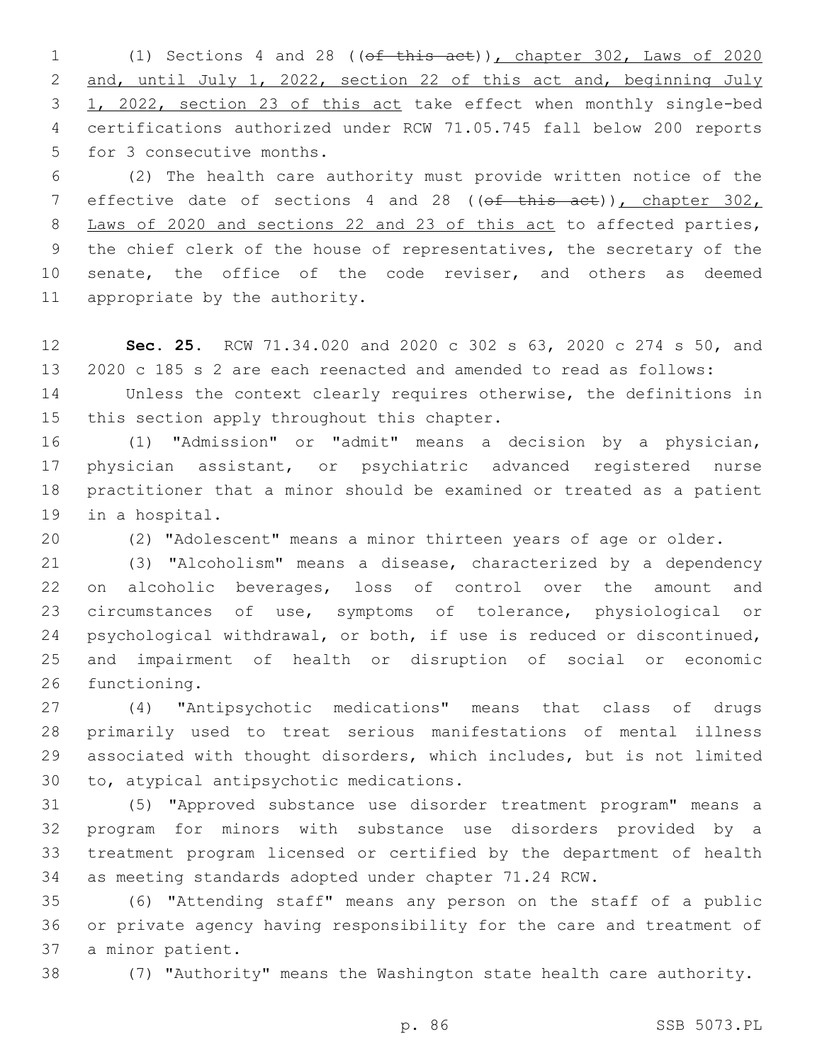(1) Sections 4 and 28 ((of this act)), chapter 302, Laws of 2020 and, until July 1, 2022, section 22 of this act and, beginning July 1, 2022, section 23 of this act take effect when monthly single-bed certifications authorized under RCW 71.05.745 fall below 200 reports 5 for 3 consecutive months.

 (2) The health care authority must provide written notice of the 7 effective date of sections 4 and 28 ((of this act)), chapter 302, Laws of 2020 and sections 22 and 23 of this act to affected parties, the chief clerk of the house of representatives, the secretary of the 10 senate, the office of the code reviser, and others as deemed 11 appropriate by the authority.

 **Sec. 25.** RCW 71.34.020 and 2020 c 302 s 63, 2020 c 274 s 50, and 2020 c 185 s 2 are each reenacted and amended to read as follows:

 Unless the context clearly requires otherwise, the definitions in 15 this section apply throughout this chapter.

 (1) "Admission" or "admit" means a decision by a physician, physician assistant, or psychiatric advanced registered nurse practitioner that a minor should be examined or treated as a patient 19 in a hospital.

(2) "Adolescent" means a minor thirteen years of age or older.

 (3) "Alcoholism" means a disease, characterized by a dependency on alcoholic beverages, loss of control over the amount and circumstances of use, symptoms of tolerance, physiological or psychological withdrawal, or both, if use is reduced or discontinued, and impairment of health or disruption of social or economic 26 functioning.

 (4) "Antipsychotic medications" means that class of drugs primarily used to treat serious manifestations of mental illness associated with thought disorders, which includes, but is not limited 30 to, atypical antipsychotic medications.

 (5) "Approved substance use disorder treatment program" means a program for minors with substance use disorders provided by a treatment program licensed or certified by the department of health as meeting standards adopted under chapter 71.24 RCW.

 (6) "Attending staff" means any person on the staff of a public or private agency having responsibility for the care and treatment of 37 a minor patient.

(7) "Authority" means the Washington state health care authority.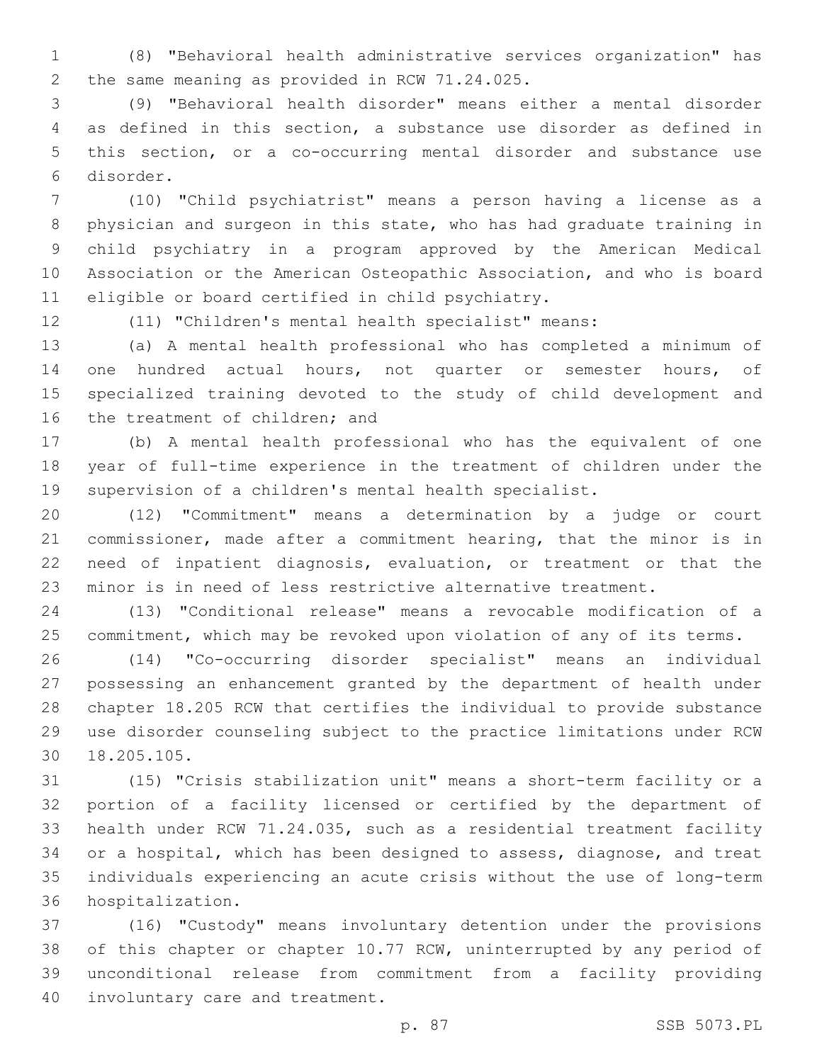(8) "Behavioral health administrative services organization" has 2 the same meaning as provided in RCW 71.24.025.

 (9) "Behavioral health disorder" means either a mental disorder as defined in this section, a substance use disorder as defined in this section, or a co-occurring mental disorder and substance use disorder.6

 (10) "Child psychiatrist" means a person having a license as a physician and surgeon in this state, who has had graduate training in child psychiatry in a program approved by the American Medical Association or the American Osteopathic Association, and who is board 11 eligible or board certified in child psychiatry.

(11) "Children's mental health specialist" means:

 (a) A mental health professional who has completed a minimum of 14 one hundred actual hours, not quarter or semester hours, of specialized training devoted to the study of child development and 16 the treatment of children; and

 (b) A mental health professional who has the equivalent of one year of full-time experience in the treatment of children under the supervision of a children's mental health specialist.

 (12) "Commitment" means a determination by a judge or court commissioner, made after a commitment hearing, that the minor is in need of inpatient diagnosis, evaluation, or treatment or that the minor is in need of less restrictive alternative treatment.

 (13) "Conditional release" means a revocable modification of a commitment, which may be revoked upon violation of any of its terms.

 (14) "Co-occurring disorder specialist" means an individual possessing an enhancement granted by the department of health under chapter 18.205 RCW that certifies the individual to provide substance use disorder counseling subject to the practice limitations under RCW 18.205.105.30

 (15) "Crisis stabilization unit" means a short-term facility or a portion of a facility licensed or certified by the department of health under RCW 71.24.035, such as a residential treatment facility or a hospital, which has been designed to assess, diagnose, and treat individuals experiencing an acute crisis without the use of long-term 36 hospitalization.

 (16) "Custody" means involuntary detention under the provisions of this chapter or chapter 10.77 RCW, uninterrupted by any period of unconditional release from commitment from a facility providing 40 involuntary care and treatment.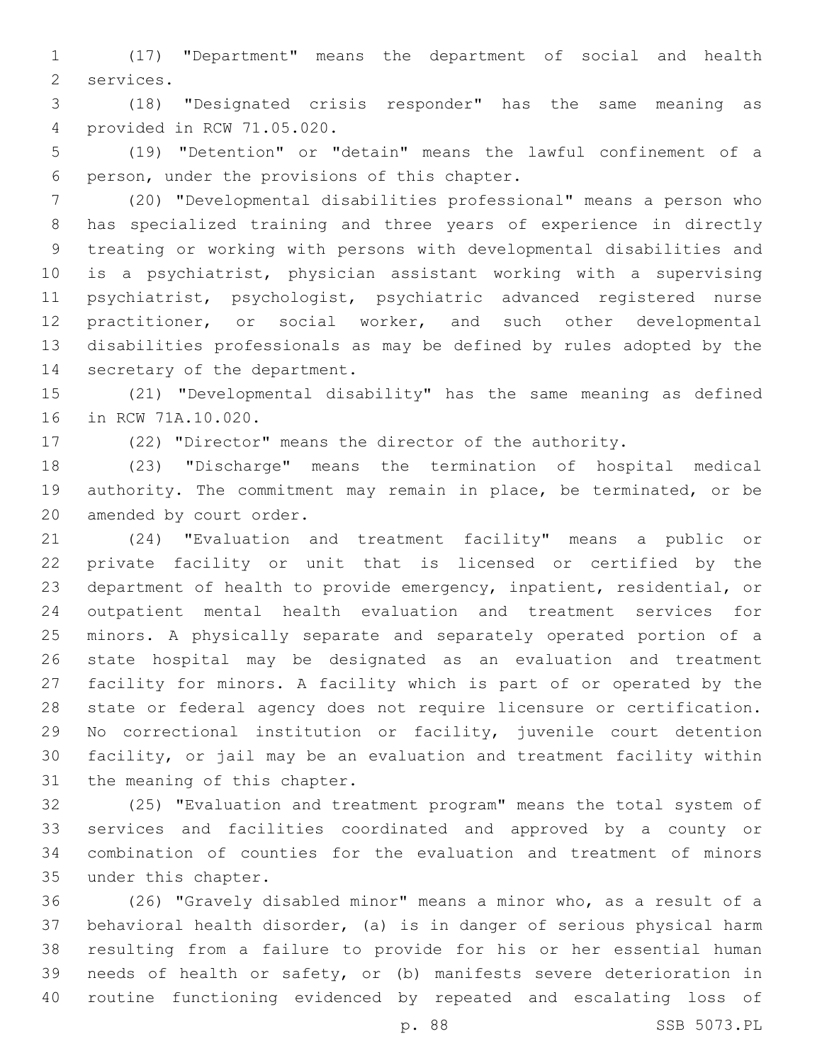(17) "Department" means the department of social and health 2 services.

 (18) "Designated crisis responder" has the same meaning as provided in RCW 71.05.020.4

 (19) "Detention" or "detain" means the lawful confinement of a 6 person, under the provisions of this chapter.

 (20) "Developmental disabilities professional" means a person who has specialized training and three years of experience in directly treating or working with persons with developmental disabilities and is a psychiatrist, physician assistant working with a supervising psychiatrist, psychologist, psychiatric advanced registered nurse practitioner, or social worker, and such other developmental disabilities professionals as may be defined by rules adopted by the 14 secretary of the department.

 (21) "Developmental disability" has the same meaning as defined 16 in RCW 71A.10.020.

(22) "Director" means the director of the authority.

 (23) "Discharge" means the termination of hospital medical authority. The commitment may remain in place, be terminated, or be 20 amended by court order.

 (24) "Evaluation and treatment facility" means a public or private facility or unit that is licensed or certified by the department of health to provide emergency, inpatient, residential, or outpatient mental health evaluation and treatment services for minors. A physically separate and separately operated portion of a state hospital may be designated as an evaluation and treatment facility for minors. A facility which is part of or operated by the state or federal agency does not require licensure or certification. No correctional institution or facility, juvenile court detention facility, or jail may be an evaluation and treatment facility within 31 the meaning of this chapter.

 (25) "Evaluation and treatment program" means the total system of services and facilities coordinated and approved by a county or combination of counties for the evaluation and treatment of minors 35 under this chapter.

 (26) "Gravely disabled minor" means a minor who, as a result of a behavioral health disorder, (a) is in danger of serious physical harm resulting from a failure to provide for his or her essential human needs of health or safety, or (b) manifests severe deterioration in routine functioning evidenced by repeated and escalating loss of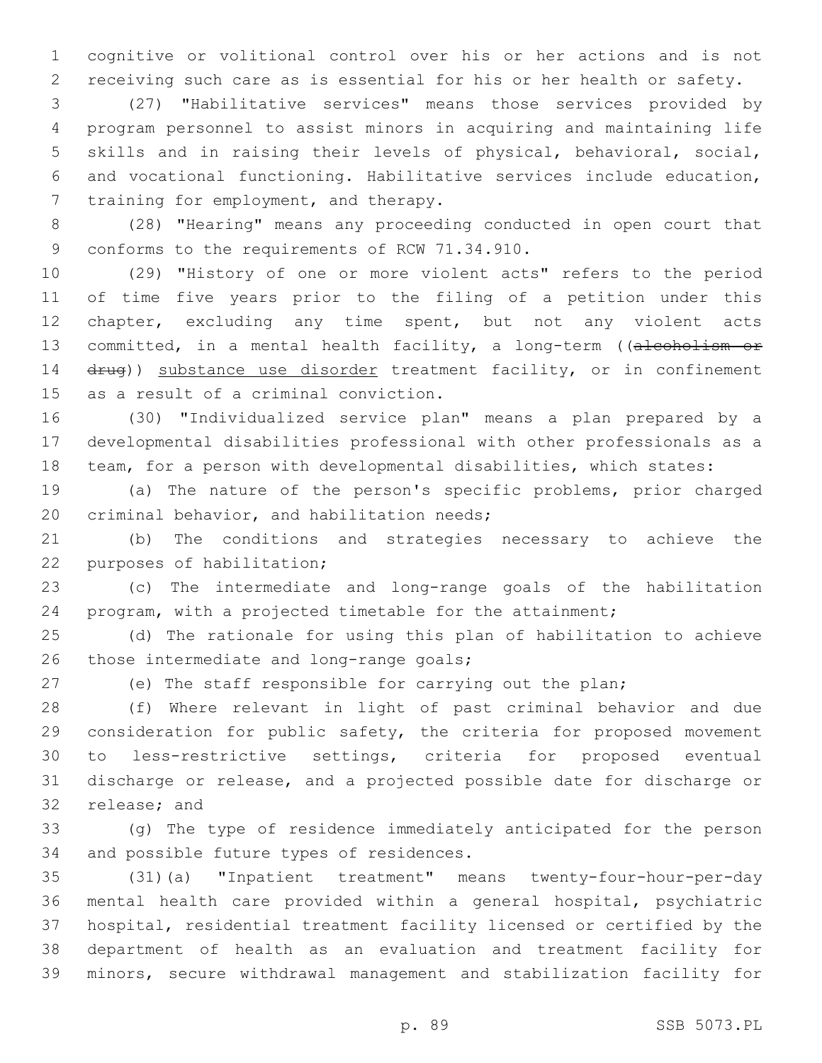cognitive or volitional control over his or her actions and is not receiving such care as is essential for his or her health or safety.

 (27) "Habilitative services" means those services provided by program personnel to assist minors in acquiring and maintaining life skills and in raising their levels of physical, behavioral, social, and vocational functioning. Habilitative services include education, 7 training for employment, and therapy.

 (28) "Hearing" means any proceeding conducted in open court that 9 conforms to the requirements of RCW 71.34.910.

 (29) "History of one or more violent acts" refers to the period of time five years prior to the filing of a petition under this chapter, excluding any time spent, but not any violent acts 13 committed, in a mental health facility, a long-term ((alcoholism or 14 drug)) substance use disorder treatment facility, or in confinement 15 as a result of a criminal conviction.

 (30) "Individualized service plan" means a plan prepared by a developmental disabilities professional with other professionals as a team, for a person with developmental disabilities, which states:

 (a) The nature of the person's specific problems, prior charged 20 criminal behavior, and habilitation needs;

 (b) The conditions and strategies necessary to achieve the 22 purposes of habilitation;

 (c) The intermediate and long-range goals of the habilitation program, with a projected timetable for the attainment;

 (d) The rationale for using this plan of habilitation to achieve 26 those intermediate and long-range goals;

(e) The staff responsible for carrying out the plan;

 (f) Where relevant in light of past criminal behavior and due consideration for public safety, the criteria for proposed movement to less-restrictive settings, criteria for proposed eventual discharge or release, and a projected possible date for discharge or 32 release; and

 (g) The type of residence immediately anticipated for the person 34 and possible future types of residences.

 (31)(a) "Inpatient treatment" means twenty-four-hour-per-day mental health care provided within a general hospital, psychiatric hospital, residential treatment facility licensed or certified by the department of health as an evaluation and treatment facility for minors, secure withdrawal management and stabilization facility for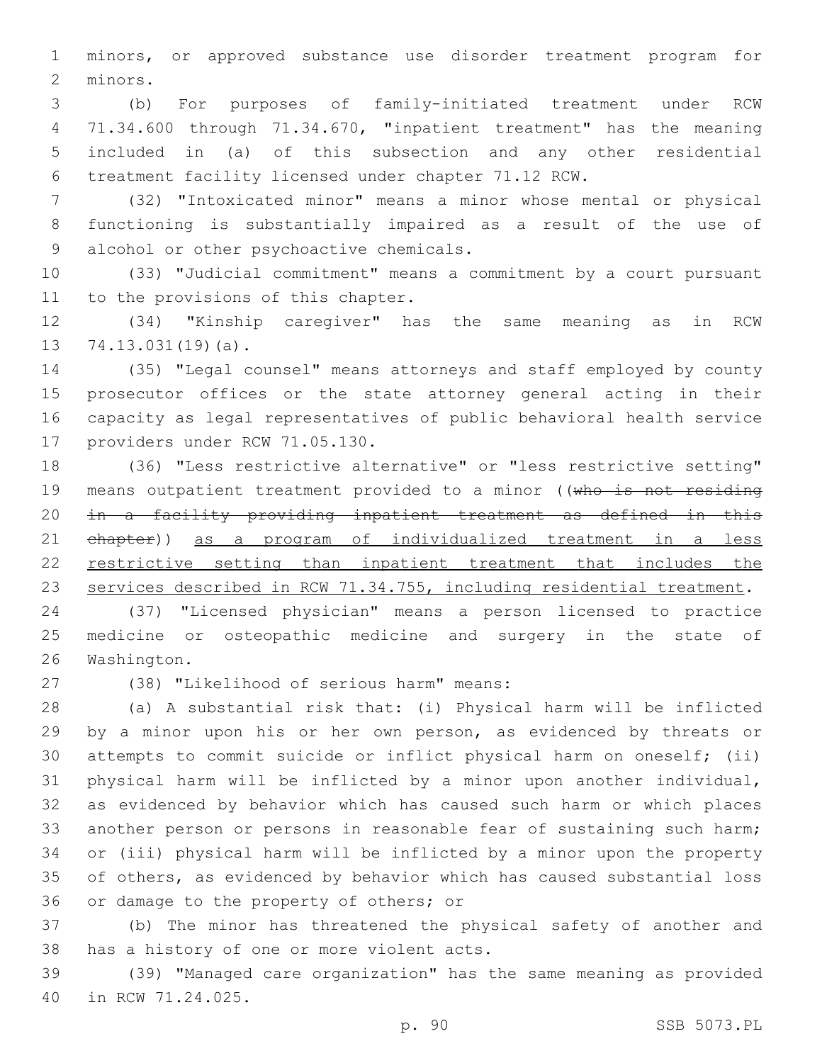minors, or approved substance use disorder treatment program for 2 minors.

 (b) For purposes of family-initiated treatment under RCW 71.34.600 through 71.34.670, "inpatient treatment" has the meaning included in (a) of this subsection and any other residential treatment facility licensed under chapter 71.12 RCW.

 (32) "Intoxicated minor" means a minor whose mental or physical functioning is substantially impaired as a result of the use of 9 alcohol or other psychoactive chemicals.

 (33) "Judicial commitment" means a commitment by a court pursuant 11 to the provisions of this chapter.

 (34) "Kinship caregiver" has the same meaning as in RCW  $74.13.031(19)(a)$ .

 (35) "Legal counsel" means attorneys and staff employed by county prosecutor offices or the state attorney general acting in their capacity as legal representatives of public behavioral health service 17 providers under RCW 71.05.130.

 (36) "Less restrictive alternative" or "less restrictive setting" 19 means outpatient treatment provided to a minor ((who is not residing in a facility providing inpatient treatment as defined in this chapter)) as a program of individualized treatment in a less restrictive setting than inpatient treatment that includes the 23 services described in RCW 71.34.755, including residential treatment.

 (37) "Licensed physician" means a person licensed to practice medicine or osteopathic medicine and surgery in the state of 26 Washington.

(38) "Likelihood of serious harm" means:27

 (a) A substantial risk that: (i) Physical harm will be inflicted by a minor upon his or her own person, as evidenced by threats or attempts to commit suicide or inflict physical harm on oneself; (ii) physical harm will be inflicted by a minor upon another individual, as evidenced by behavior which has caused such harm or which places another person or persons in reasonable fear of sustaining such harm; or (iii) physical harm will be inflicted by a minor upon the property of others, as evidenced by behavior which has caused substantial loss 36 or damage to the property of others; or

 (b) The minor has threatened the physical safety of another and 38 has a history of one or more violent acts.

 (39) "Managed care organization" has the same meaning as provided 40 in RCW 71.24.025.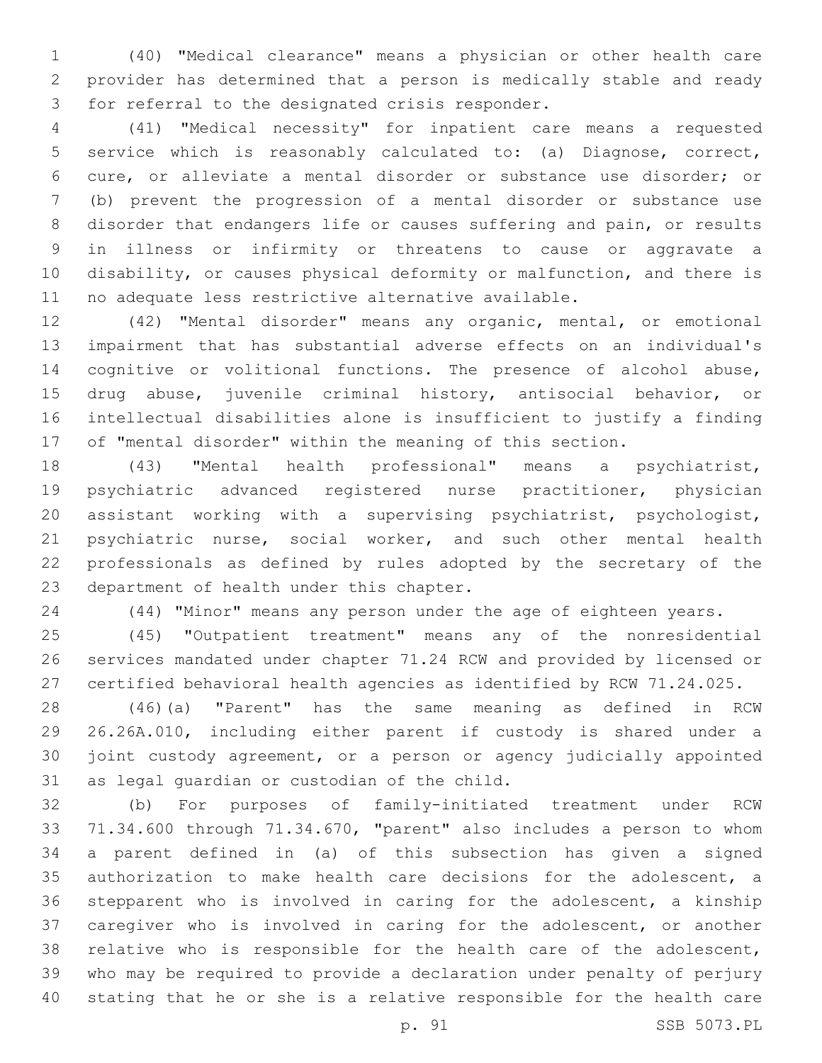(40) "Medical clearance" means a physician or other health care provider has determined that a person is medically stable and ready 3 for referral to the designated crisis responder.

 (41) "Medical necessity" for inpatient care means a requested service which is reasonably calculated to: (a) Diagnose, correct, cure, or alleviate a mental disorder or substance use disorder; or (b) prevent the progression of a mental disorder or substance use disorder that endangers life or causes suffering and pain, or results in illness or infirmity or threatens to cause or aggravate a disability, or causes physical deformity or malfunction, and there is no adequate less restrictive alternative available.

 (42) "Mental disorder" means any organic, mental, or emotional impairment that has substantial adverse effects on an individual's cognitive or volitional functions. The presence of alcohol abuse, drug abuse, juvenile criminal history, antisocial behavior, or intellectual disabilities alone is insufficient to justify a finding of "mental disorder" within the meaning of this section.

 (43) "Mental health professional" means a psychiatrist, psychiatric advanced registered nurse practitioner, physician assistant working with a supervising psychiatrist, psychologist, 21 psychiatric nurse, social worker, and such other mental health professionals as defined by rules adopted by the secretary of the 23 department of health under this chapter.

(44) "Minor" means any person under the age of eighteen years.

 (45) "Outpatient treatment" means any of the nonresidential services mandated under chapter 71.24 RCW and provided by licensed or certified behavioral health agencies as identified by RCW 71.24.025.

 (46)(a) "Parent" has the same meaning as defined in RCW 26.26A.010, including either parent if custody is shared under a joint custody agreement, or a person or agency judicially appointed 31 as legal guardian or custodian of the child.

 (b) For purposes of family-initiated treatment under RCW 71.34.600 through 71.34.670, "parent" also includes a person to whom a parent defined in (a) of this subsection has given a signed authorization to make health care decisions for the adolescent, a stepparent who is involved in caring for the adolescent, a kinship caregiver who is involved in caring for the adolescent, or another relative who is responsible for the health care of the adolescent, who may be required to provide a declaration under penalty of perjury stating that he or she is a relative responsible for the health care

p. 91 SSB 5073.PL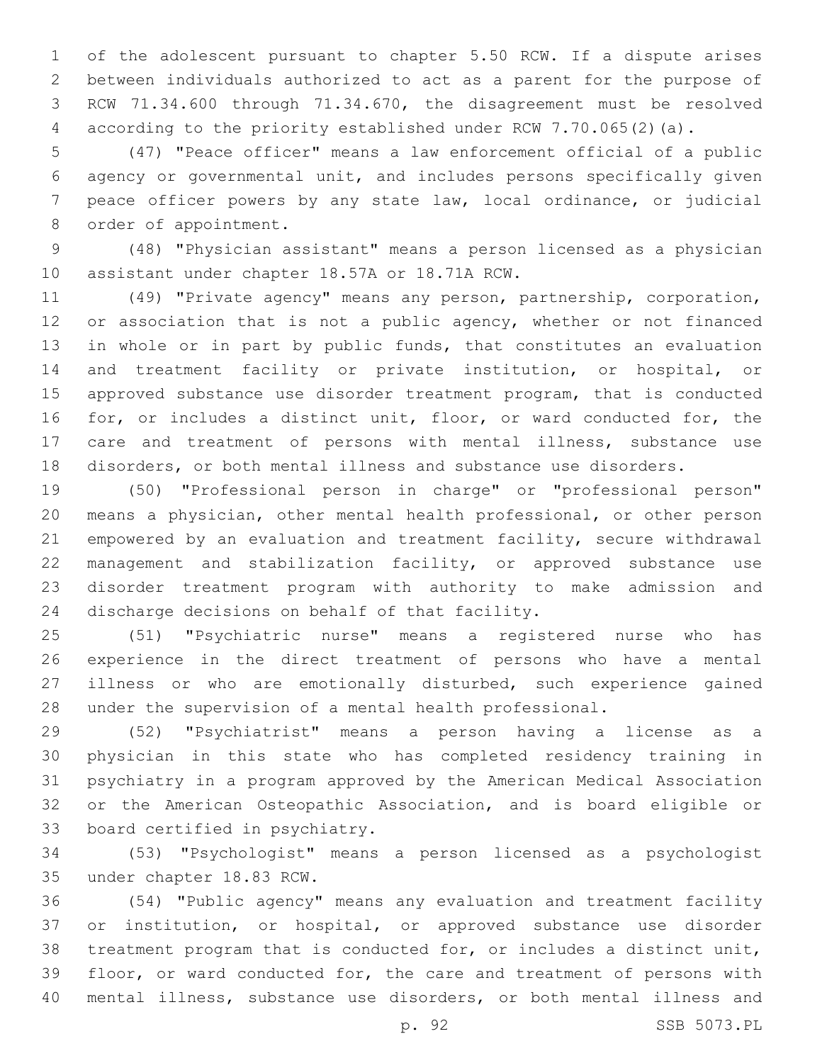of the adolescent pursuant to chapter 5.50 RCW. If a dispute arises between individuals authorized to act as a parent for the purpose of RCW 71.34.600 through 71.34.670, the disagreement must be resolved according to the priority established under RCW 7.70.065(2)(a).

 (47) "Peace officer" means a law enforcement official of a public agency or governmental unit, and includes persons specifically given peace officer powers by any state law, local ordinance, or judicial 8 order of appointment.

 (48) "Physician assistant" means a person licensed as a physician 10 assistant under chapter 18.57A or 18.71A RCW.

 (49) "Private agency" means any person, partnership, corporation, 12 or association that is not a public agency, whether or not financed in whole or in part by public funds, that constitutes an evaluation and treatment facility or private institution, or hospital, or approved substance use disorder treatment program, that is conducted for, or includes a distinct unit, floor, or ward conducted for, the care and treatment of persons with mental illness, substance use disorders, or both mental illness and substance use disorders.

 (50) "Professional person in charge" or "professional person" means a physician, other mental health professional, or other person empowered by an evaluation and treatment facility, secure withdrawal management and stabilization facility, or approved substance use disorder treatment program with authority to make admission and 24 discharge decisions on behalf of that facility.

 (51) "Psychiatric nurse" means a registered nurse who has experience in the direct treatment of persons who have a mental illness or who are emotionally disturbed, such experience gained under the supervision of a mental health professional.

 (52) "Psychiatrist" means a person having a license as a physician in this state who has completed residency training in psychiatry in a program approved by the American Medical Association or the American Osteopathic Association, and is board eligible or 33 board certified in psychiatry.

 (53) "Psychologist" means a person licensed as a psychologist 35 under chapter 18.83 RCW.

 (54) "Public agency" means any evaluation and treatment facility or institution, or hospital, or approved substance use disorder treatment program that is conducted for, or includes a distinct unit, floor, or ward conducted for, the care and treatment of persons with mental illness, substance use disorders, or both mental illness and

p. 92 SSB 5073.PL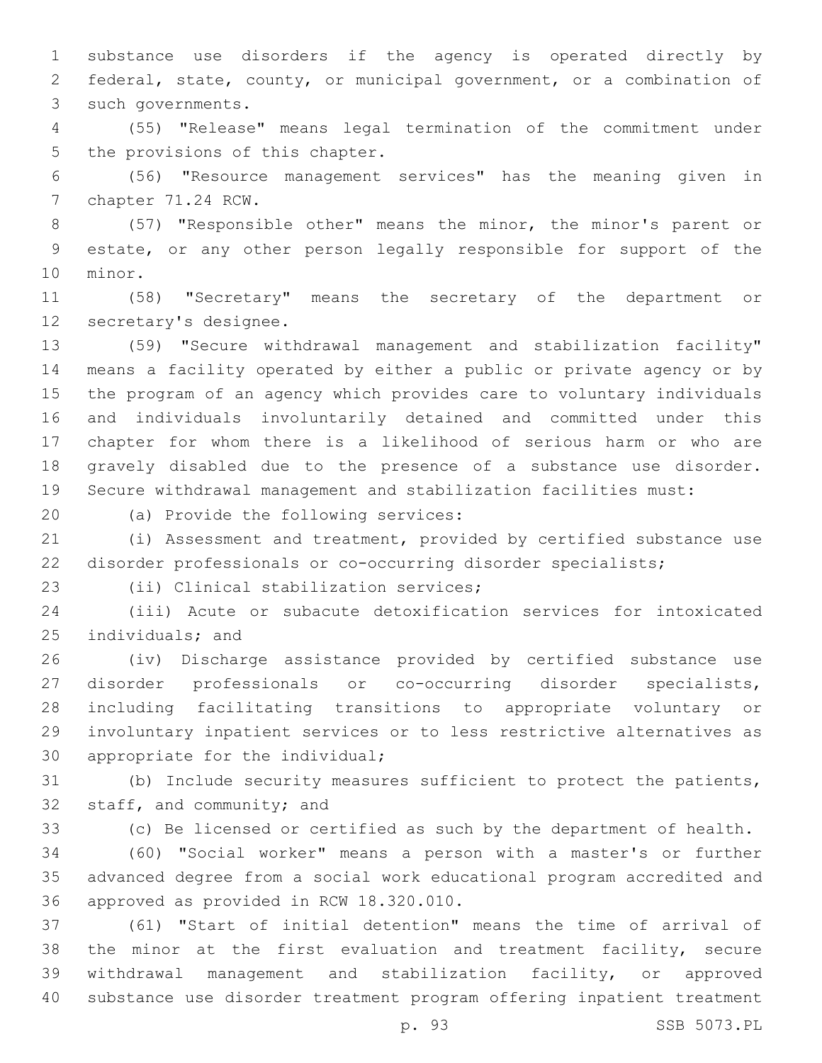substance use disorders if the agency is operated directly by federal, state, county, or municipal government, or a combination of 3 such governments.

 (55) "Release" means legal termination of the commitment under 5 the provisions of this chapter.

 (56) "Resource management services" has the meaning given in 7 chapter 71.24 RCW.

 (57) "Responsible other" means the minor, the minor's parent or estate, or any other person legally responsible for support of the 10 minor.

 (58) "Secretary" means the secretary of the department or 12 secretary's designee.

 (59) "Secure withdrawal management and stabilization facility" means a facility operated by either a public or private agency or by the program of an agency which provides care to voluntary individuals and individuals involuntarily detained and committed under this chapter for whom there is a likelihood of serious harm or who are gravely disabled due to the presence of a substance use disorder. Secure withdrawal management and stabilization facilities must:

20 (a) Provide the following services:

 (i) Assessment and treatment, provided by certified substance use disorder professionals or co-occurring disorder specialists;

23 (ii) Clinical stabilization services;

 (iii) Acute or subacute detoxification services for intoxicated 25 individuals; and

 (iv) Discharge assistance provided by certified substance use disorder professionals or co-occurring disorder specialists, including facilitating transitions to appropriate voluntary or involuntary inpatient services or to less restrictive alternatives as 30 appropriate for the individual;

 (b) Include security measures sufficient to protect the patients, 32 staff, and community; and

(c) Be licensed or certified as such by the department of health.

 (60) "Social worker" means a person with a master's or further advanced degree from a social work educational program accredited and 36 approved as provided in RCW 18.320.010.

 (61) "Start of initial detention" means the time of arrival of 38 the minor at the first evaluation and treatment facility, secure withdrawal management and stabilization facility, or approved substance use disorder treatment program offering inpatient treatment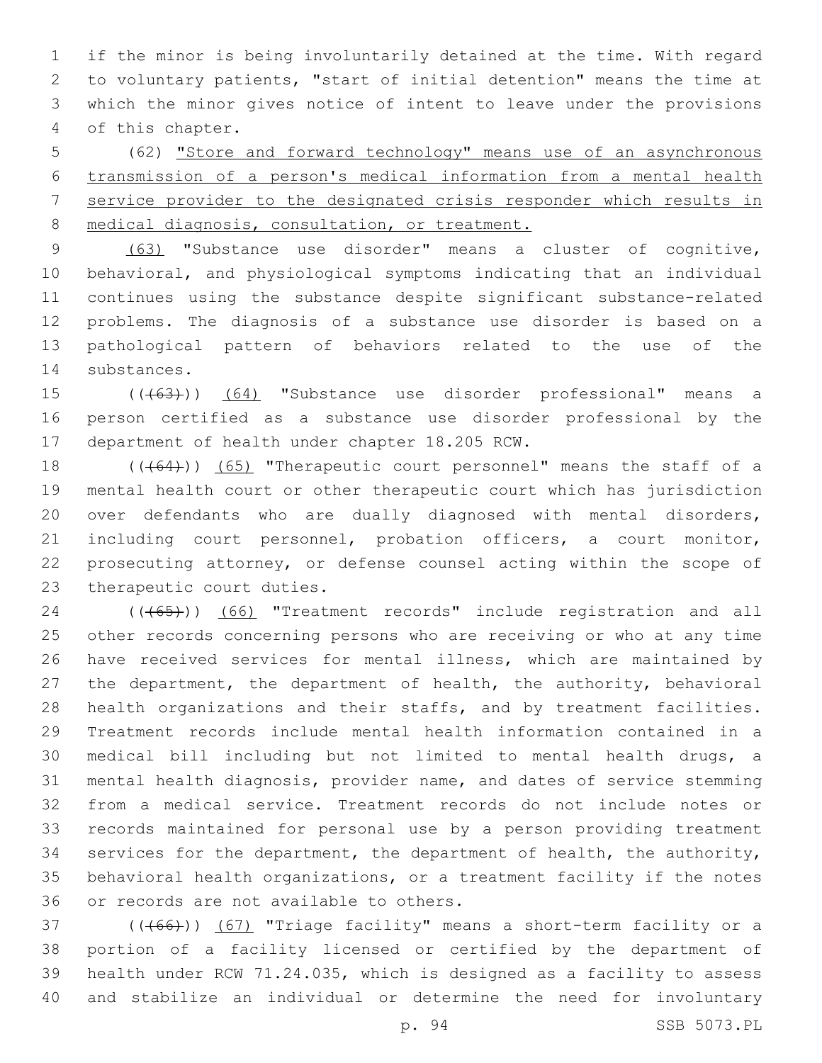if the minor is being involuntarily detained at the time. With regard to voluntary patients, "start of initial detention" means the time at which the minor gives notice of intent to leave under the provisions 4 of this chapter.

 (62) "Store and forward technology" means use of an asynchronous transmission of a person's medical information from a mental health service provider to the designated crisis responder which results in medical diagnosis, consultation, or treatment.

 (63) "Substance use disorder" means a cluster of cognitive, behavioral, and physiological symptoms indicating that an individual continues using the substance despite significant substance-related problems. The diagnosis of a substance use disorder is based on a pathological pattern of behaviors related to the use of the 14 substances.

15 ((+63))) (64) "Substance use disorder professional" means a person certified as a substance use disorder professional by the 17 department of health under chapter 18.205 RCW.

18 (((64))) (65) "Therapeutic court personnel" means the staff of a mental health court or other therapeutic court which has jurisdiction over defendants who are dually diagnosed with mental disorders, including court personnel, probation officers, a court monitor, prosecuting attorney, or defense counsel acting within the scope of 23 therapeutic court duties.

24 (((65))) (66) "Treatment records" include registration and all other records concerning persons who are receiving or who at any time have received services for mental illness, which are maintained by the department, the department of health, the authority, behavioral health organizations and their staffs, and by treatment facilities. Treatment records include mental health information contained in a medical bill including but not limited to mental health drugs, a mental health diagnosis, provider name, and dates of service stemming from a medical service. Treatment records do not include notes or records maintained for personal use by a person providing treatment services for the department, the department of health, the authority, behavioral health organizations, or a treatment facility if the notes 36 or records are not available to others.

37 (((66))) (67) "Triage facility" means a short-term facility or a portion of a facility licensed or certified by the department of health under RCW 71.24.035, which is designed as a facility to assess and stabilize an individual or determine the need for involuntary

p. 94 SSB 5073.PL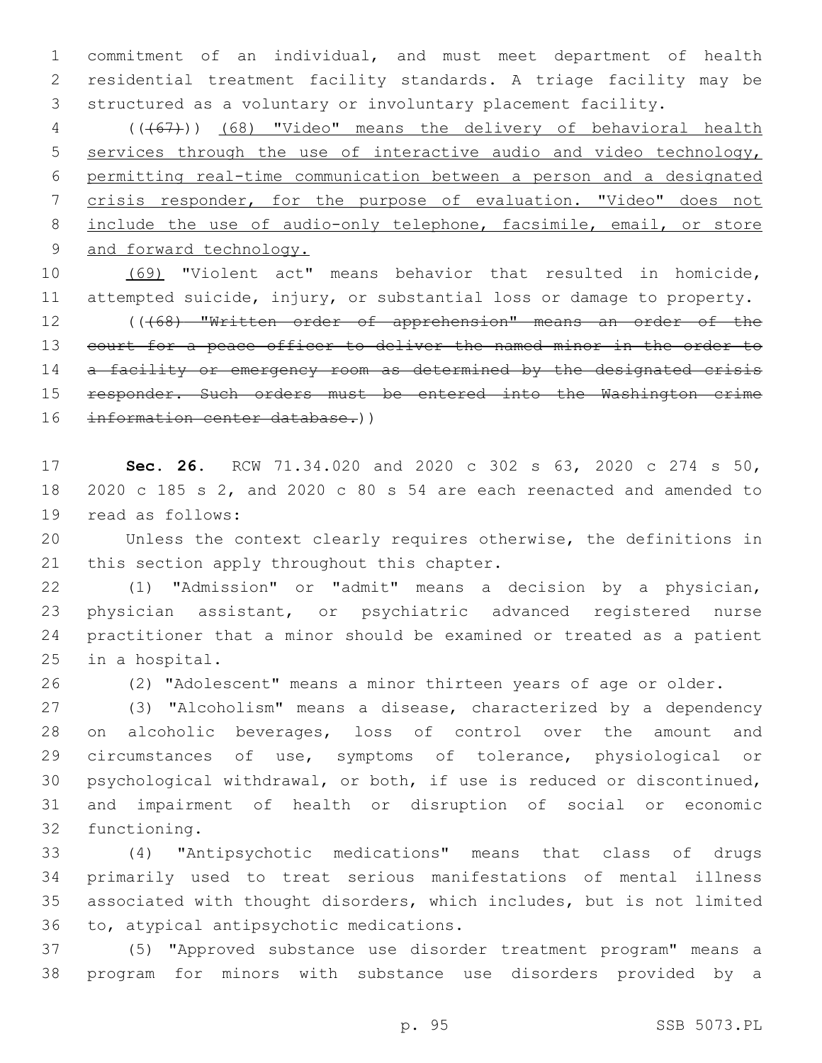commitment of an individual, and must meet department of health residential treatment facility standards. A triage facility may be structured as a voluntary or involuntary placement facility.

 (((67))) (68) "Video" means the delivery of behavioral health services through the use of interactive audio and video technology, permitting real-time communication between a person and a designated crisis responder, for the purpose of evaluation. "Video" does not 8 include the use of audio-only telephone, facsimile, email, or store 9 and forward technology.

 (69) "Violent act" means behavior that resulted in homicide, attempted suicide, injury, or substantial loss or damage to property. 12 ((468) "Written order of apprehension" means an order of the

13 court for a peace officer to deliver the named minor in the order to 14 a facility or emergency room as determined by the designated crisis 15 responder. Such orders must be entered into the Washington crime information center database.))

 **Sec. 26.** RCW 71.34.020 and 2020 c 302 s 63, 2020 c 274 s 50, 2020 c 185 s 2, and 2020 c 80 s 54 are each reenacted and amended to 19 read as follows:

 Unless the context clearly requires otherwise, the definitions in 21 this section apply throughout this chapter.

 (1) "Admission" or "admit" means a decision by a physician, physician assistant, or psychiatric advanced registered nurse practitioner that a minor should be examined or treated as a patient 25 in a hospital.

(2) "Adolescent" means a minor thirteen years of age or older.

 (3) "Alcoholism" means a disease, characterized by a dependency on alcoholic beverages, loss of control over the amount and circumstances of use, symptoms of tolerance, physiological or psychological withdrawal, or both, if use is reduced or discontinued, and impairment of health or disruption of social or economic 32 functioning.

 (4) "Antipsychotic medications" means that class of drugs primarily used to treat serious manifestations of mental illness associated with thought disorders, which includes, but is not limited 36 to, atypical antipsychotic medications.

 (5) "Approved substance use disorder treatment program" means a program for minors with substance use disorders provided by a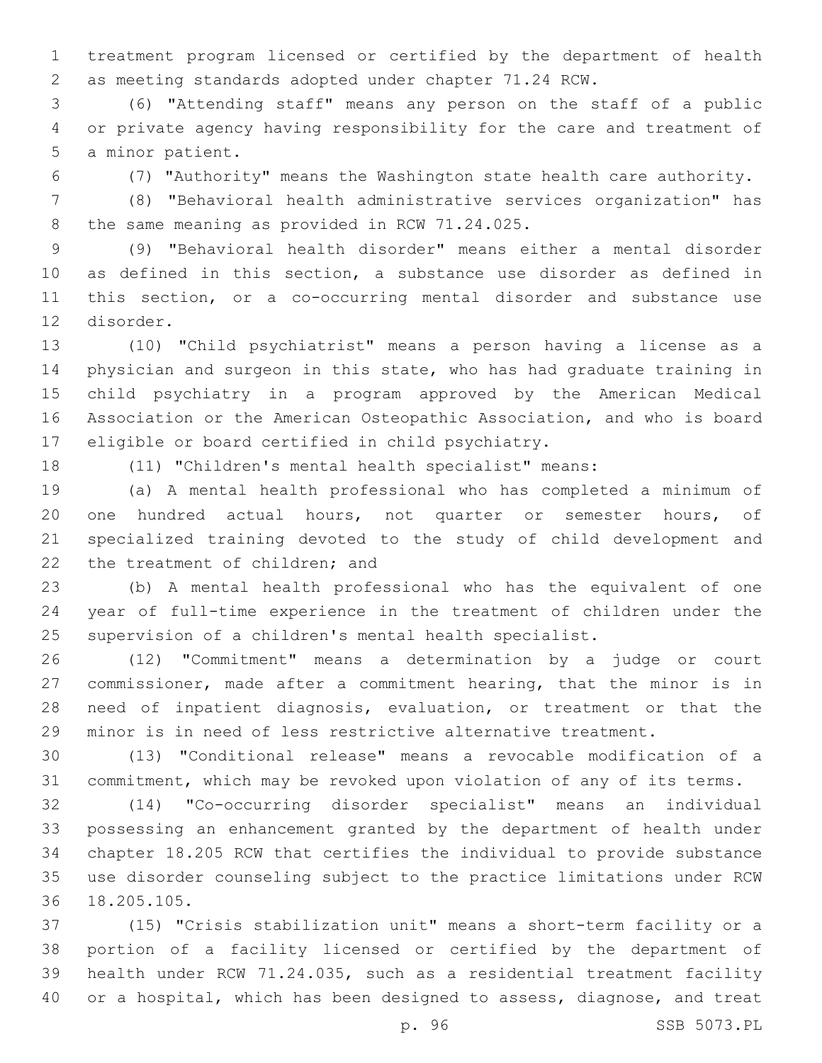treatment program licensed or certified by the department of health as meeting standards adopted under chapter 71.24 RCW.

 (6) "Attending staff" means any person on the staff of a public or private agency having responsibility for the care and treatment of 5 a minor patient.

(7) "Authority" means the Washington state health care authority.

 (8) "Behavioral health administrative services organization" has 8 the same meaning as provided in RCW 71.24.025.

 (9) "Behavioral health disorder" means either a mental disorder as defined in this section, a substance use disorder as defined in this section, or a co-occurring mental disorder and substance use 12 disorder.

 (10) "Child psychiatrist" means a person having a license as a physician and surgeon in this state, who has had graduate training in child psychiatry in a program approved by the American Medical Association or the American Osteopathic Association, and who is board 17 eligible or board certified in child psychiatry.

(11) "Children's mental health specialist" means:

 (a) A mental health professional who has completed a minimum of one hundred actual hours, not quarter or semester hours, of specialized training devoted to the study of child development and 22 the treatment of children; and

 (b) A mental health professional who has the equivalent of one year of full-time experience in the treatment of children under the supervision of a children's mental health specialist.

 (12) "Commitment" means a determination by a judge or court commissioner, made after a commitment hearing, that the minor is in need of inpatient diagnosis, evaluation, or treatment or that the minor is in need of less restrictive alternative treatment.

 (13) "Conditional release" means a revocable modification of a commitment, which may be revoked upon violation of any of its terms.

 (14) "Co-occurring disorder specialist" means an individual possessing an enhancement granted by the department of health under chapter 18.205 RCW that certifies the individual to provide substance use disorder counseling subject to the practice limitations under RCW 18.205.105.36

 (15) "Crisis stabilization unit" means a short-term facility or a portion of a facility licensed or certified by the department of health under RCW 71.24.035, such as a residential treatment facility or a hospital, which has been designed to assess, diagnose, and treat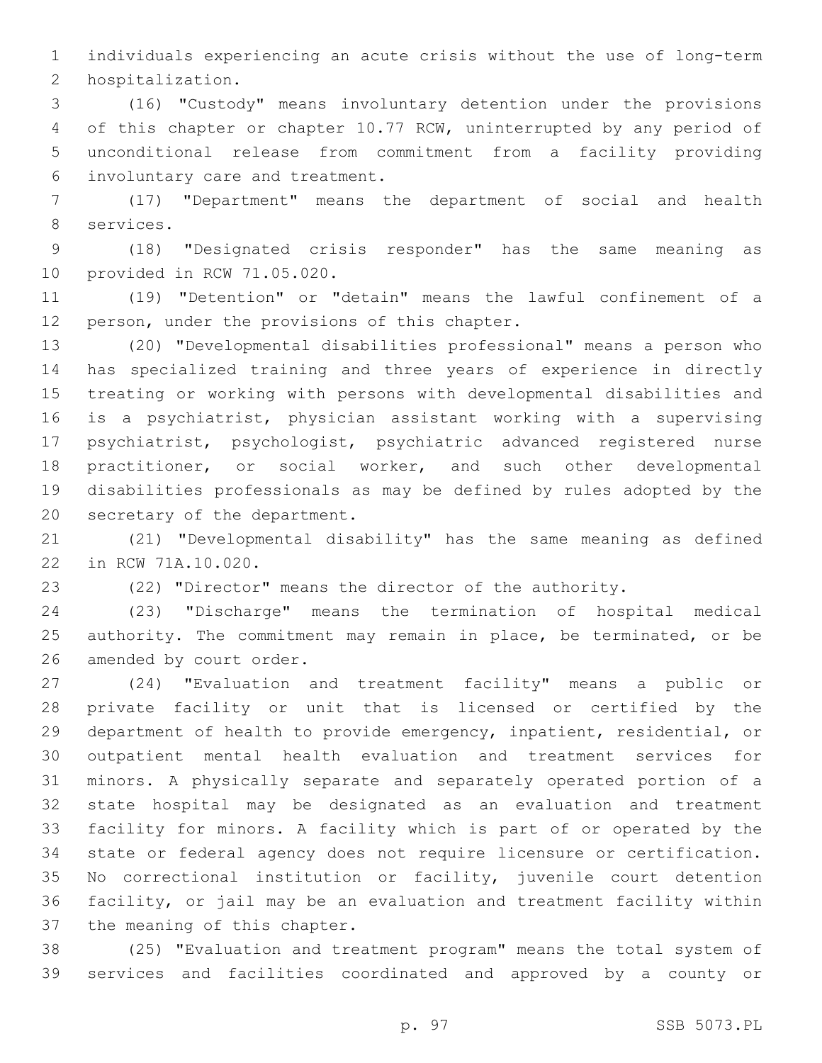individuals experiencing an acute crisis without the use of long-term 2 hospitalization.

 (16) "Custody" means involuntary detention under the provisions of this chapter or chapter 10.77 RCW, uninterrupted by any period of unconditional release from commitment from a facility providing involuntary care and treatment.6

 (17) "Department" means the department of social and health 8 services.

 (18) "Designated crisis responder" has the same meaning as 10 provided in RCW 71.05.020.

 (19) "Detention" or "detain" means the lawful confinement of a 12 person, under the provisions of this chapter.

 (20) "Developmental disabilities professional" means a person who has specialized training and three years of experience in directly treating or working with persons with developmental disabilities and is a psychiatrist, physician assistant working with a supervising psychiatrist, psychologist, psychiatric advanced registered nurse practitioner, or social worker, and such other developmental disabilities professionals as may be defined by rules adopted by the 20 secretary of the department.

 (21) "Developmental disability" has the same meaning as defined 22 in RCW 71A.10.020.

(22) "Director" means the director of the authority.

 (23) "Discharge" means the termination of hospital medical authority. The commitment may remain in place, be terminated, or be 26 amended by court order.

 (24) "Evaluation and treatment facility" means a public or private facility or unit that is licensed or certified by the department of health to provide emergency, inpatient, residential, or outpatient mental health evaluation and treatment services for minors. A physically separate and separately operated portion of a state hospital may be designated as an evaluation and treatment facility for minors. A facility which is part of or operated by the state or federal agency does not require licensure or certification. No correctional institution or facility, juvenile court detention facility, or jail may be an evaluation and treatment facility within 37 the meaning of this chapter.

 (25) "Evaluation and treatment program" means the total system of services and facilities coordinated and approved by a county or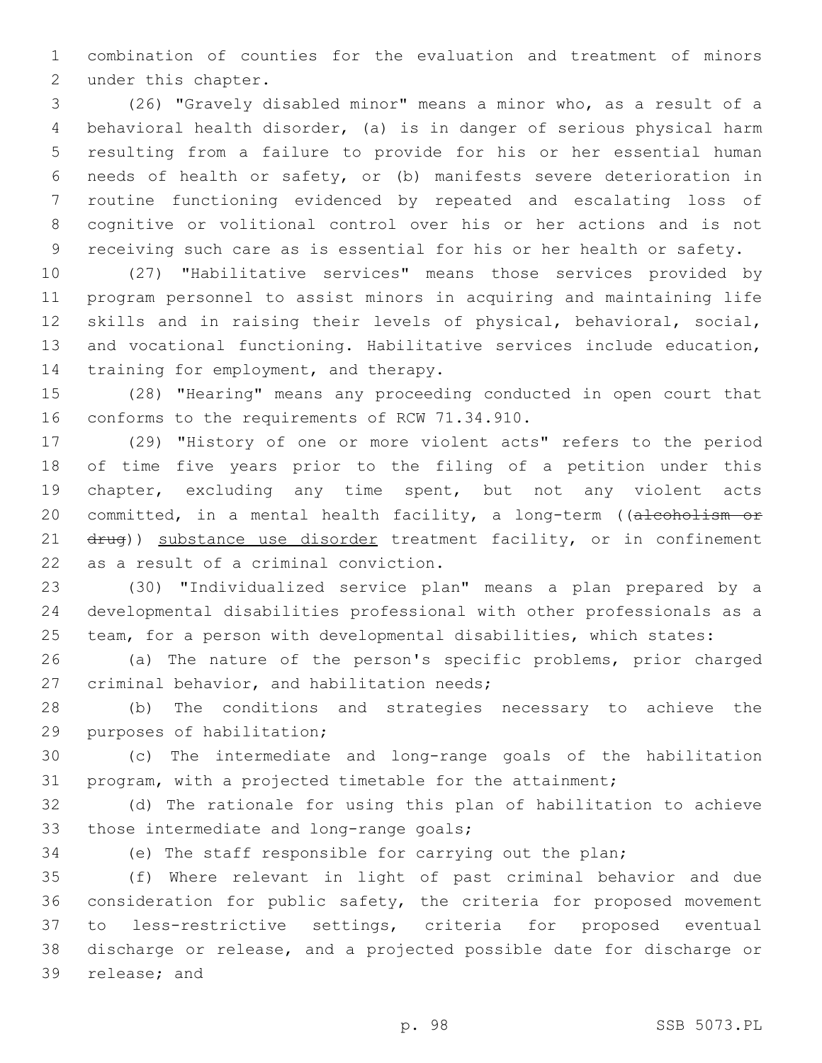combination of counties for the evaluation and treatment of minors 2 under this chapter.

 (26) "Gravely disabled minor" means a minor who, as a result of a behavioral health disorder, (a) is in danger of serious physical harm resulting from a failure to provide for his or her essential human needs of health or safety, or (b) manifests severe deterioration in routine functioning evidenced by repeated and escalating loss of cognitive or volitional control over his or her actions and is not receiving such care as is essential for his or her health or safety.

 (27) "Habilitative services" means those services provided by program personnel to assist minors in acquiring and maintaining life skills and in raising their levels of physical, behavioral, social, and vocational functioning. Habilitative services include education, 14 training for employment, and therapy.

 (28) "Hearing" means any proceeding conducted in open court that 16 conforms to the requirements of RCW 71.34.910.

 (29) "History of one or more violent acts" refers to the period of time five years prior to the filing of a petition under this chapter, excluding any time spent, but not any violent acts 20 committed, in a mental health facility, a long-term ((alcoholism or 21 drug)) substance use disorder treatment facility, or in confinement 22 as a result of a criminal conviction.

 (30) "Individualized service plan" means a plan prepared by a developmental disabilities professional with other professionals as a team, for a person with developmental disabilities, which states:

 (a) The nature of the person's specific problems, prior charged 27 criminal behavior, and habilitation needs;

 (b) The conditions and strategies necessary to achieve the 29 purposes of habilitation;

 (c) The intermediate and long-range goals of the habilitation program, with a projected timetable for the attainment;

 (d) The rationale for using this plan of habilitation to achieve 33 those intermediate and long-range goals;

(e) The staff responsible for carrying out the plan;

 (f) Where relevant in light of past criminal behavior and due consideration for public safety, the criteria for proposed movement to less-restrictive settings, criteria for proposed eventual discharge or release, and a projected possible date for discharge or 39 release; and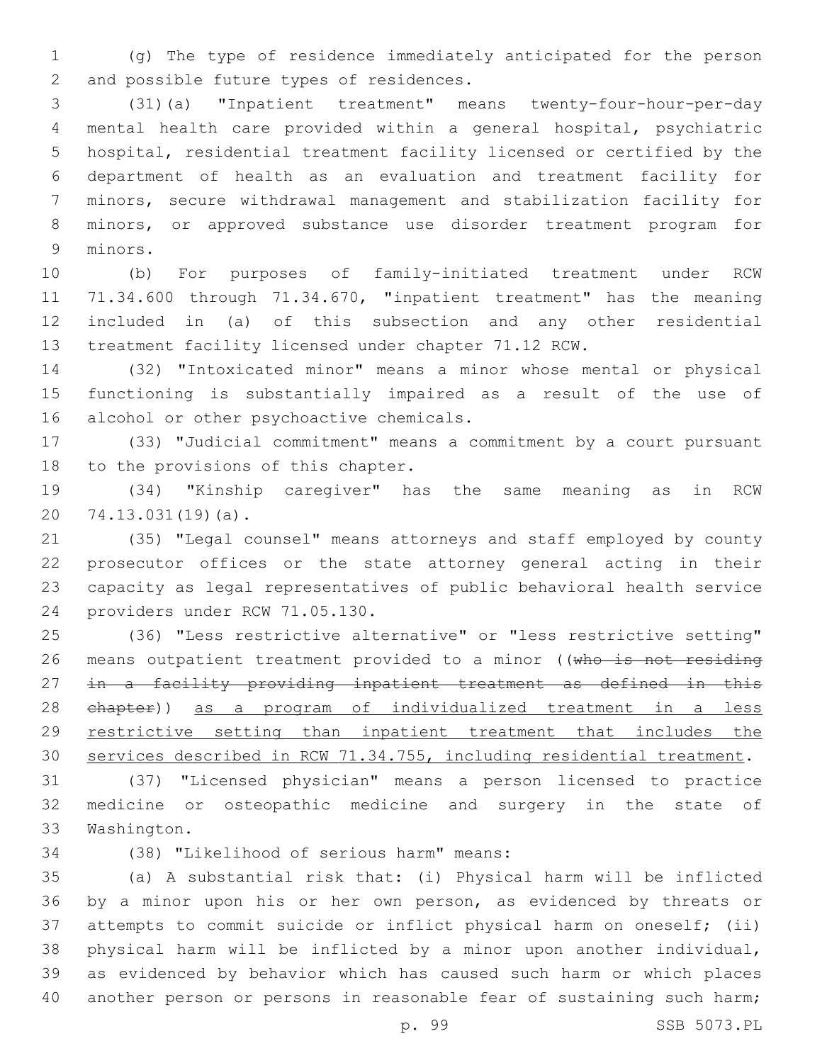(g) The type of residence immediately anticipated for the person 2 and possible future types of residences.

 (31)(a) "Inpatient treatment" means twenty-four-hour-per-day mental health care provided within a general hospital, psychiatric hospital, residential treatment facility licensed or certified by the department of health as an evaluation and treatment facility for minors, secure withdrawal management and stabilization facility for minors, or approved substance use disorder treatment program for 9 minors.

 (b) For purposes of family-initiated treatment under RCW 71.34.600 through 71.34.670, "inpatient treatment" has the meaning included in (a) of this subsection and any other residential treatment facility licensed under chapter 71.12 RCW.

 (32) "Intoxicated minor" means a minor whose mental or physical functioning is substantially impaired as a result of the use of 16 alcohol or other psychoactive chemicals.

 (33) "Judicial commitment" means a commitment by a court pursuant 18 to the provisions of this chapter.

 (34) "Kinship caregiver" has the same meaning as in RCW 20 74.13.031(19)(a).

 (35) "Legal counsel" means attorneys and staff employed by county prosecutor offices or the state attorney general acting in their capacity as legal representatives of public behavioral health service 24 providers under RCW 71.05.130.

 (36) "Less restrictive alternative" or "less restrictive setting" 26 means outpatient treatment provided to a minor ((who is not residing in a facility providing inpatient treatment as defined in this chapter)) as a program of individualized treatment in a less restrictive setting than inpatient treatment that includes the services described in RCW 71.34.755, including residential treatment.

 (37) "Licensed physician" means a person licensed to practice medicine or osteopathic medicine and surgery in the state of 33 Washington.

(38) "Likelihood of serious harm" means:34

 (a) A substantial risk that: (i) Physical harm will be inflicted by a minor upon his or her own person, as evidenced by threats or attempts to commit suicide or inflict physical harm on oneself; (ii) physical harm will be inflicted by a minor upon another individual, as evidenced by behavior which has caused such harm or which places 40 another person or persons in reasonable fear of sustaining such harm;

p. 99 SSB 5073.PL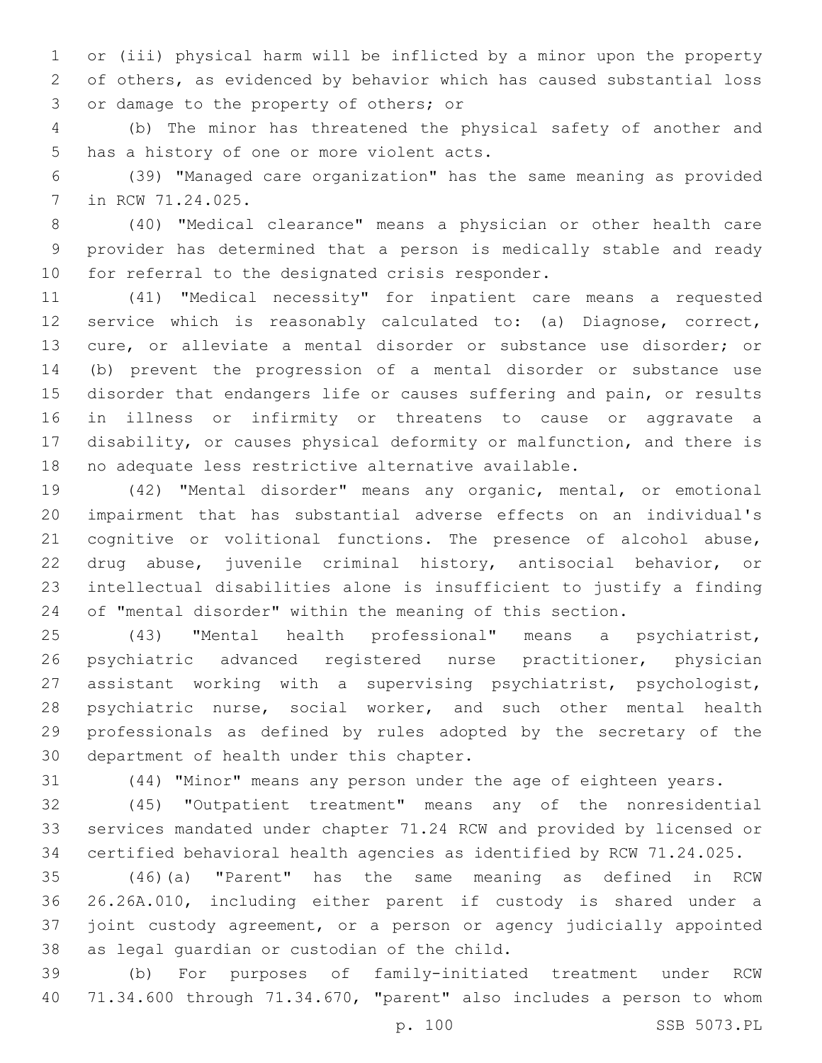or (iii) physical harm will be inflicted by a minor upon the property of others, as evidenced by behavior which has caused substantial loss 3 or damage to the property of others; or

 (b) The minor has threatened the physical safety of another and 5 has a history of one or more violent acts.

 (39) "Managed care organization" has the same meaning as provided 7 in RCW 71.24.025.

 (40) "Medical clearance" means a physician or other health care provider has determined that a person is medically stable and ready 10 for referral to the designated crisis responder.

 (41) "Medical necessity" for inpatient care means a requested service which is reasonably calculated to: (a) Diagnose, correct, cure, or alleviate a mental disorder or substance use disorder; or (b) prevent the progression of a mental disorder or substance use disorder that endangers life or causes suffering and pain, or results in illness or infirmity or threatens to cause or aggravate a disability, or causes physical deformity or malfunction, and there is no adequate less restrictive alternative available.

 (42) "Mental disorder" means any organic, mental, or emotional impairment that has substantial adverse effects on an individual's cognitive or volitional functions. The presence of alcohol abuse, drug abuse, juvenile criminal history, antisocial behavior, or intellectual disabilities alone is insufficient to justify a finding of "mental disorder" within the meaning of this section.

 (43) "Mental health professional" means a psychiatrist, psychiatric advanced registered nurse practitioner, physician assistant working with a supervising psychiatrist, psychologist, psychiatric nurse, social worker, and such other mental health professionals as defined by rules adopted by the secretary of the 30 department of health under this chapter.

(44) "Minor" means any person under the age of eighteen years.

 (45) "Outpatient treatment" means any of the nonresidential services mandated under chapter 71.24 RCW and provided by licensed or certified behavioral health agencies as identified by RCW 71.24.025.

 (46)(a) "Parent" has the same meaning as defined in RCW 26.26A.010, including either parent if custody is shared under a joint custody agreement, or a person or agency judicially appointed 38 as legal guardian or custodian of the child.

 (b) For purposes of family-initiated treatment under RCW 71.34.600 through 71.34.670, "parent" also includes a person to whom

p. 100 SSB 5073.PL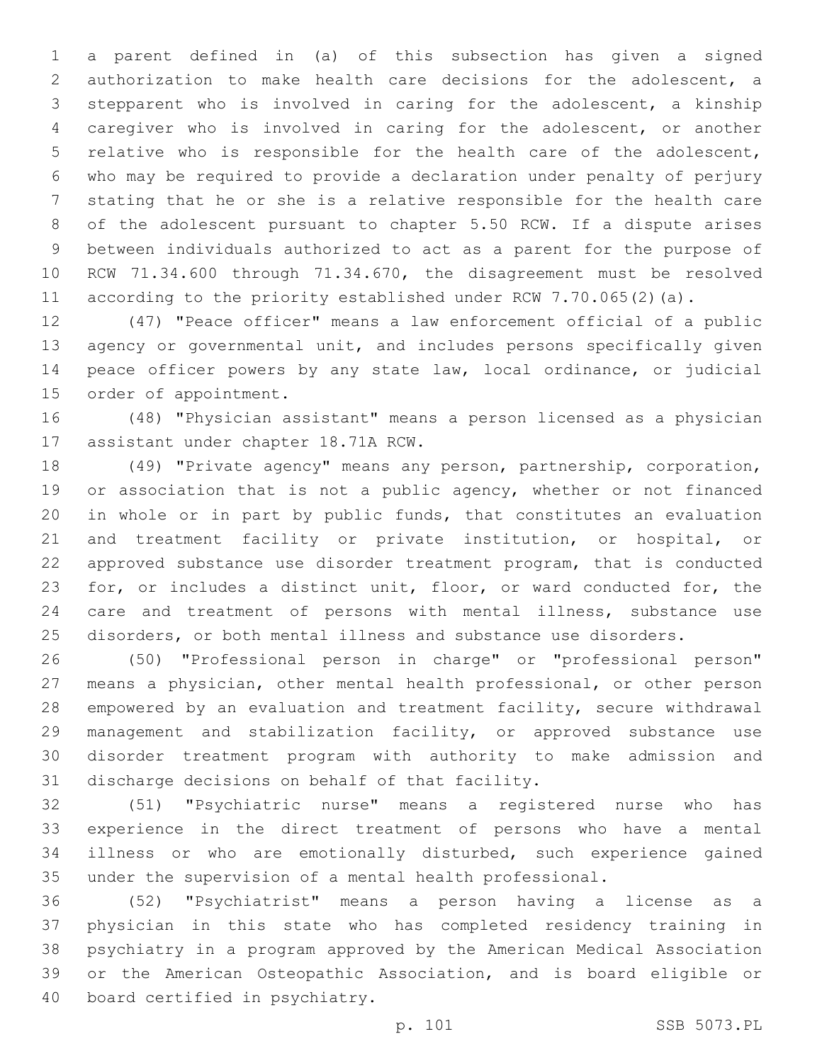a parent defined in (a) of this subsection has given a signed authorization to make health care decisions for the adolescent, a stepparent who is involved in caring for the adolescent, a kinship caregiver who is involved in caring for the adolescent, or another relative who is responsible for the health care of the adolescent, who may be required to provide a declaration under penalty of perjury stating that he or she is a relative responsible for the health care of the adolescent pursuant to chapter 5.50 RCW. If a dispute arises between individuals authorized to act as a parent for the purpose of RCW 71.34.600 through 71.34.670, the disagreement must be resolved according to the priority established under RCW 7.70.065(2)(a).

 (47) "Peace officer" means a law enforcement official of a public agency or governmental unit, and includes persons specifically given peace officer powers by any state law, local ordinance, or judicial 15 order of appointment.

 (48) "Physician assistant" means a person licensed as a physician 17 assistant under chapter 18.71A RCW.

 (49) "Private agency" means any person, partnership, corporation, 19 or association that is not a public agency, whether or not financed in whole or in part by public funds, that constitutes an evaluation and treatment facility or private institution, or hospital, or approved substance use disorder treatment program, that is conducted for, or includes a distinct unit, floor, or ward conducted for, the care and treatment of persons with mental illness, substance use disorders, or both mental illness and substance use disorders.

 (50) "Professional person in charge" or "professional person" means a physician, other mental health professional, or other person empowered by an evaluation and treatment facility, secure withdrawal management and stabilization facility, or approved substance use disorder treatment program with authority to make admission and 31 discharge decisions on behalf of that facility.

 (51) "Psychiatric nurse" means a registered nurse who has experience in the direct treatment of persons who have a mental illness or who are emotionally disturbed, such experience gained under the supervision of a mental health professional.

 (52) "Psychiatrist" means a person having a license as a physician in this state who has completed residency training in psychiatry in a program approved by the American Medical Association or the American Osteopathic Association, and is board eligible or 40 board certified in psychiatry.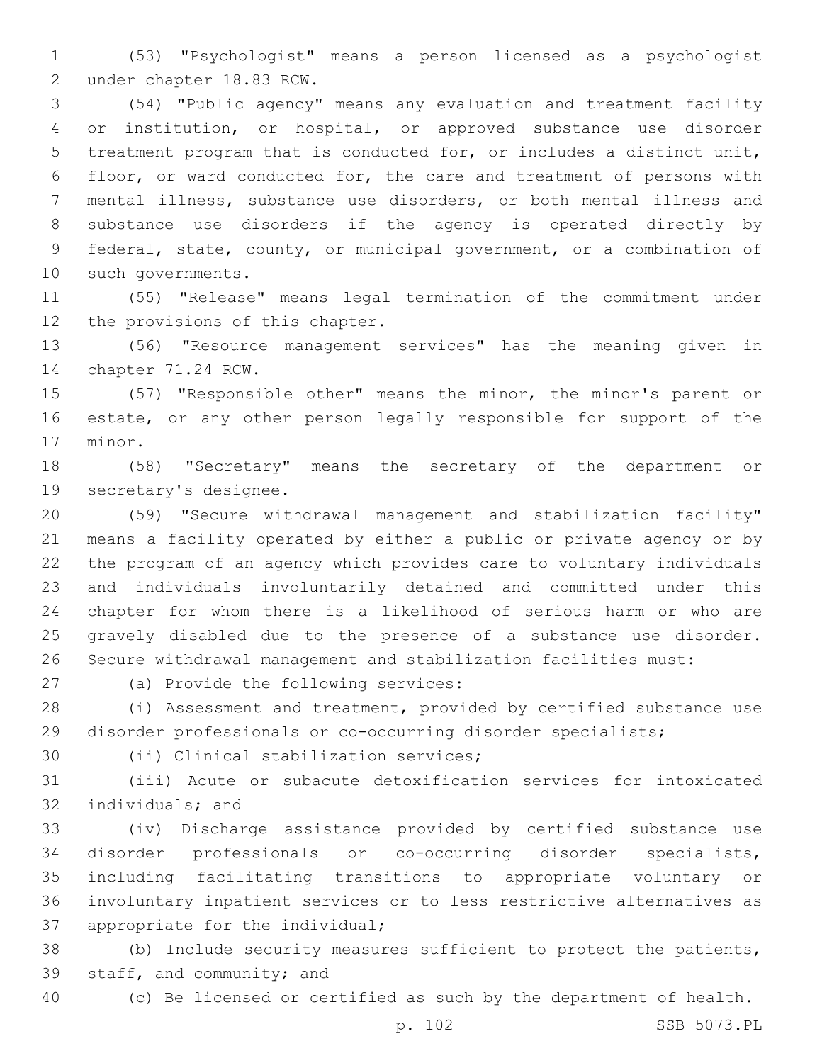(53) "Psychologist" means a person licensed as a psychologist 2 under chapter 18.83 RCW.

 (54) "Public agency" means any evaluation and treatment facility or institution, or hospital, or approved substance use disorder treatment program that is conducted for, or includes a distinct unit, floor, or ward conducted for, the care and treatment of persons with mental illness, substance use disorders, or both mental illness and substance use disorders if the agency is operated directly by federal, state, county, or municipal government, or a combination of 10 such governments.

 (55) "Release" means legal termination of the commitment under 12 the provisions of this chapter.

 (56) "Resource management services" has the meaning given in 14 chapter 71.24 RCW.

 (57) "Responsible other" means the minor, the minor's parent or estate, or any other person legally responsible for support of the 17 minor.

 (58) "Secretary" means the secretary of the department or 19 secretary's designee.

 (59) "Secure withdrawal management and stabilization facility" means a facility operated by either a public or private agency or by the program of an agency which provides care to voluntary individuals and individuals involuntarily detained and committed under this chapter for whom there is a likelihood of serious harm or who are gravely disabled due to the presence of a substance use disorder. Secure withdrawal management and stabilization facilities must:

27 (a) Provide the following services:

 (i) Assessment and treatment, provided by certified substance use disorder professionals or co-occurring disorder specialists;

30 (ii) Clinical stabilization services;

 (iii) Acute or subacute detoxification services for intoxicated 32 individuals; and

 (iv) Discharge assistance provided by certified substance use disorder professionals or co-occurring disorder specialists, including facilitating transitions to appropriate voluntary or involuntary inpatient services or to less restrictive alternatives as 37 appropriate for the individual;

 (b) Include security measures sufficient to protect the patients, 39 staff, and community; and

(c) Be licensed or certified as such by the department of health.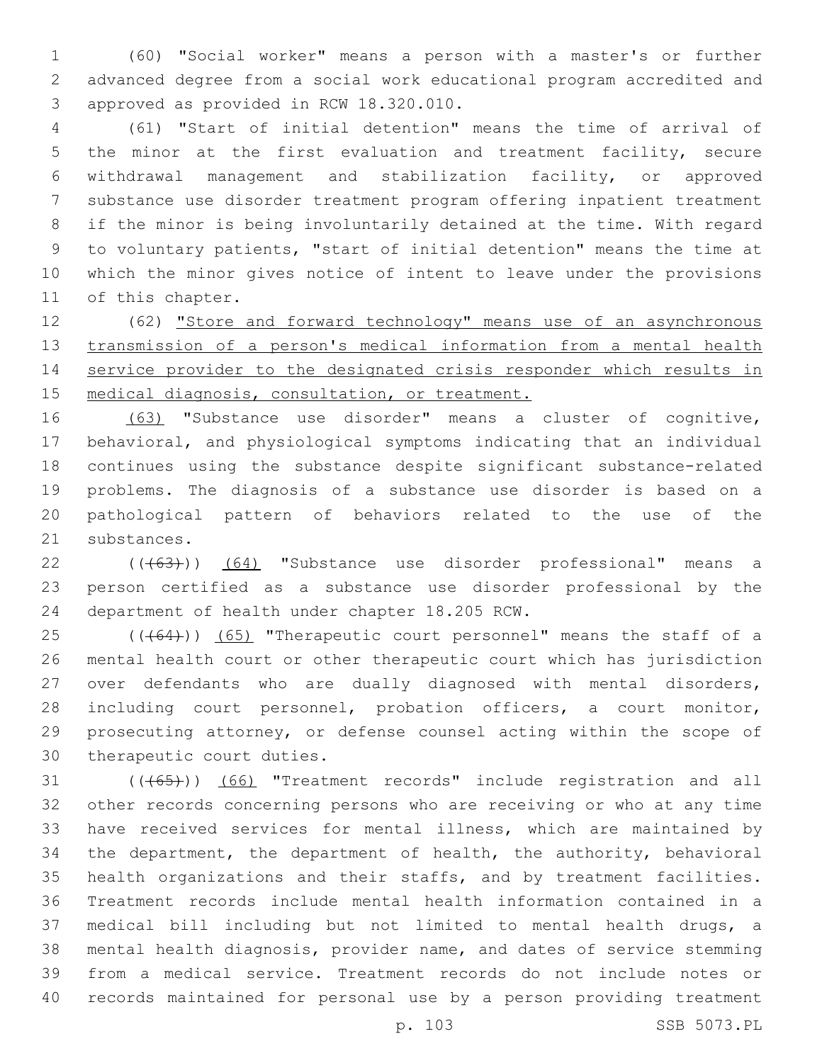(60) "Social worker" means a person with a master's or further advanced degree from a social work educational program accredited and 3 approved as provided in RCW 18.320.010.

 (61) "Start of initial detention" means the time of arrival of the minor at the first evaluation and treatment facility, secure withdrawal management and stabilization facility, or approved substance use disorder treatment program offering inpatient treatment if the minor is being involuntarily detained at the time. With regard to voluntary patients, "start of initial detention" means the time at which the minor gives notice of intent to leave under the provisions 11 of this chapter.

 (62) "Store and forward technology" means use of an asynchronous transmission of a person's medical information from a mental health service provider to the designated crisis responder which results in 15 medical diagnosis, consultation, or treatment.

 (63) "Substance use disorder" means a cluster of cognitive, behavioral, and physiological symptoms indicating that an individual continues using the substance despite significant substance-related problems. The diagnosis of a substance use disorder is based on a pathological pattern of behaviors related to the use of the 21 substances.

22 ((+63))) (64) "Substance use disorder professional" means a person certified as a substance use disorder professional by the 24 department of health under chapter 18.205 RCW.

 (( $(464)$ )) (65) "Therapeutic court personnel" means the staff of a mental health court or other therapeutic court which has jurisdiction over defendants who are dually diagnosed with mental disorders, including court personnel, probation officers, a court monitor, prosecuting attorney, or defense counsel acting within the scope of 30 therapeutic court duties.

31 (((65))) (66) "Treatment records" include registration and all other records concerning persons who are receiving or who at any time have received services for mental illness, which are maintained by the department, the department of health, the authority, behavioral health organizations and their staffs, and by treatment facilities. Treatment records include mental health information contained in a medical bill including but not limited to mental health drugs, a mental health diagnosis, provider name, and dates of service stemming from a medical service. Treatment records do not include notes or records maintained for personal use by a person providing treatment

p. 103 SSB 5073.PL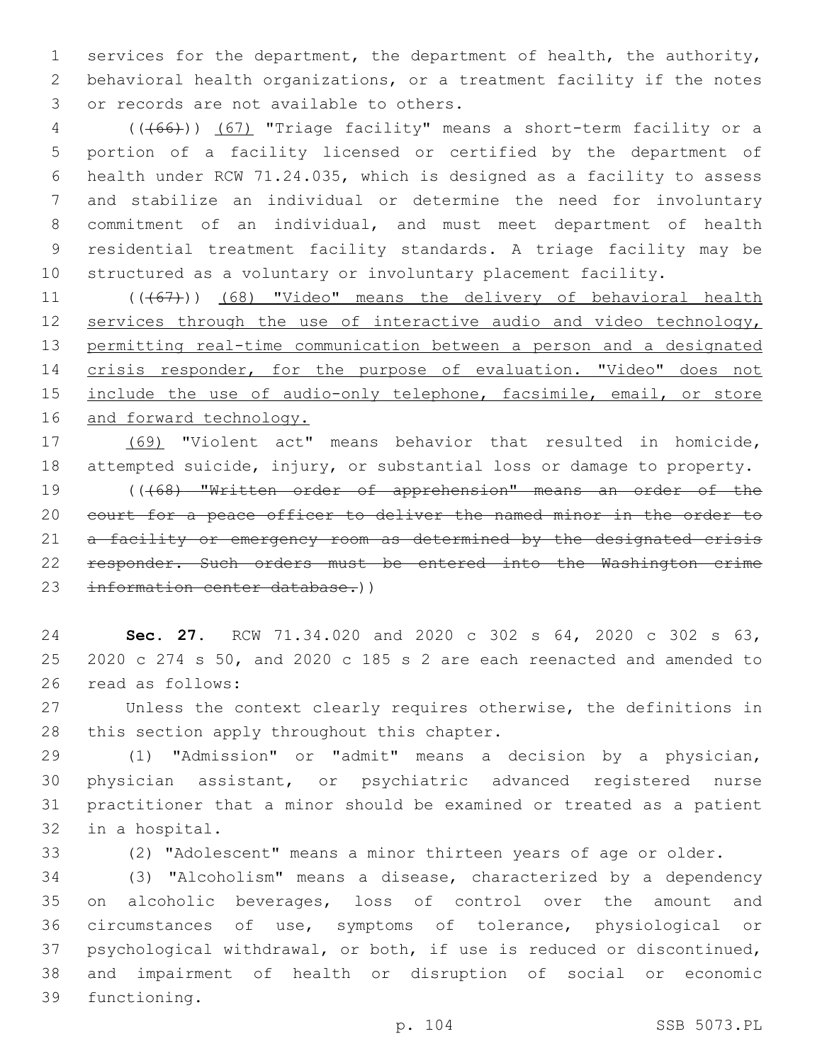services for the department, the department of health, the authority, behavioral health organizations, or a treatment facility if the notes 3 or records are not available to others.

 (((66))) (67) "Triage facility" means a short-term facility or a portion of a facility licensed or certified by the department of health under RCW 71.24.035, which is designed as a facility to assess and stabilize an individual or determine the need for involuntary commitment of an individual, and must meet department of health residential treatment facility standards. A triage facility may be structured as a voluntary or involuntary placement facility.

11 (((67))) (68) "Video" means the delivery of behavioral health 12 services through the use of interactive audio and video technology, permitting real-time communication between a person and a designated crisis responder, for the purpose of evaluation. "Video" does not 15 include the use of audio-only telephone, facsimile, email, or store 16 and forward technology.

 (69) "Violent act" means behavior that resulted in homicide, attempted suicide, injury, or substantial loss or damage to property. (((68) "Written order of apprehension" means an order of the court for a peace officer to deliver the named minor in the order to 21 a facility or emergency room as determined by the designated crisis responder. Such orders must be entered into the Washington crime information center database.))

 **Sec. 27.** RCW 71.34.020 and 2020 c 302 s 64, 2020 c 302 s 63, 2020 c 274 s 50, and 2020 c 185 s 2 are each reenacted and amended to 26 read as follows:

 Unless the context clearly requires otherwise, the definitions in 28 this section apply throughout this chapter.

 (1) "Admission" or "admit" means a decision by a physician, physician assistant, or psychiatric advanced registered nurse practitioner that a minor should be examined or treated as a patient 32 in a hospital.

(2) "Adolescent" means a minor thirteen years of age or older.

 (3) "Alcoholism" means a disease, characterized by a dependency on alcoholic beverages, loss of control over the amount and circumstances of use, symptoms of tolerance, physiological or psychological withdrawal, or both, if use is reduced or discontinued, and impairment of health or disruption of social or economic 39 functioning.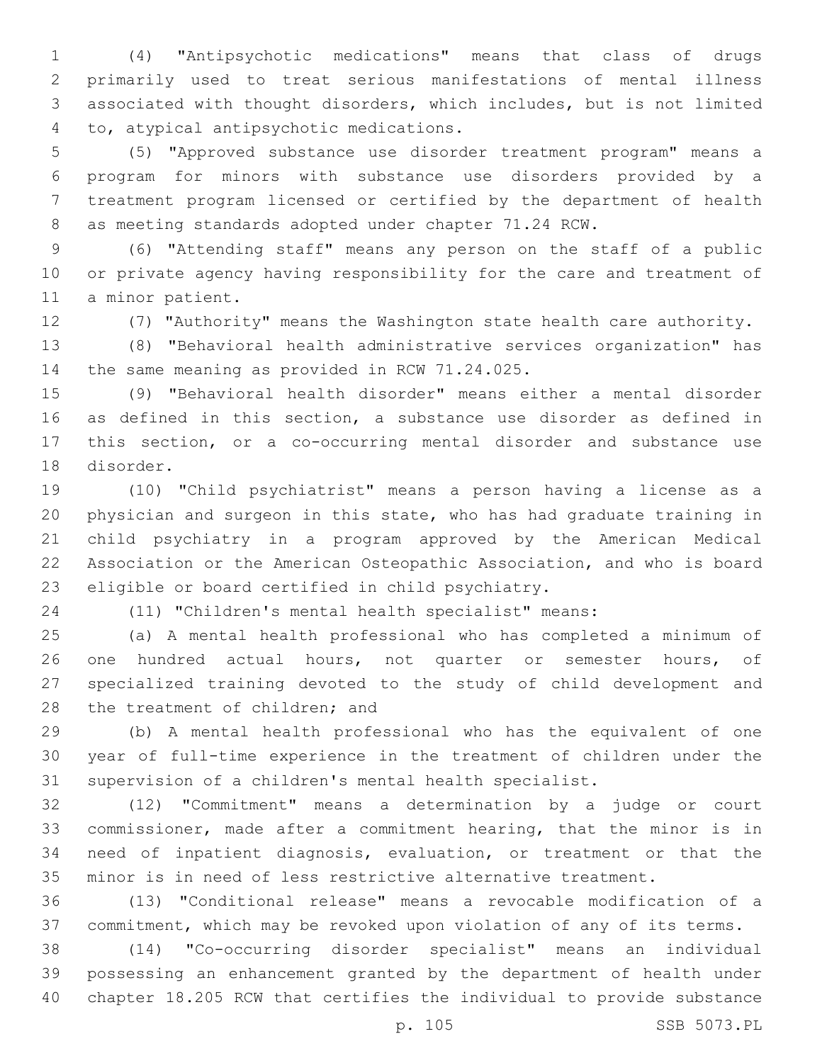(4) "Antipsychotic medications" means that class of drugs primarily used to treat serious manifestations of mental illness associated with thought disorders, which includes, but is not limited to, atypical antipsychotic medications.4

 (5) "Approved substance use disorder treatment program" means a program for minors with substance use disorders provided by a treatment program licensed or certified by the department of health as meeting standards adopted under chapter 71.24 RCW.

 (6) "Attending staff" means any person on the staff of a public or private agency having responsibility for the care and treatment of 11 a minor patient.

(7) "Authority" means the Washington state health care authority.

 (8) "Behavioral health administrative services organization" has 14 the same meaning as provided in RCW 71.24.025.

 (9) "Behavioral health disorder" means either a mental disorder as defined in this section, a substance use disorder as defined in this section, or a co-occurring mental disorder and substance use 18 disorder.

 (10) "Child psychiatrist" means a person having a license as a physician and surgeon in this state, who has had graduate training in child psychiatry in a program approved by the American Medical Association or the American Osteopathic Association, and who is board 23 eligible or board certified in child psychiatry.

(11) "Children's mental health specialist" means:

 (a) A mental health professional who has completed a minimum of 26 one hundred actual hours, not quarter or semester hours, of specialized training devoted to the study of child development and 28 the treatment of children; and

 (b) A mental health professional who has the equivalent of one year of full-time experience in the treatment of children under the supervision of a children's mental health specialist.

 (12) "Commitment" means a determination by a judge or court commissioner, made after a commitment hearing, that the minor is in need of inpatient diagnosis, evaluation, or treatment or that the minor is in need of less restrictive alternative treatment.

 (13) "Conditional release" means a revocable modification of a commitment, which may be revoked upon violation of any of its terms.

 (14) "Co-occurring disorder specialist" means an individual possessing an enhancement granted by the department of health under chapter 18.205 RCW that certifies the individual to provide substance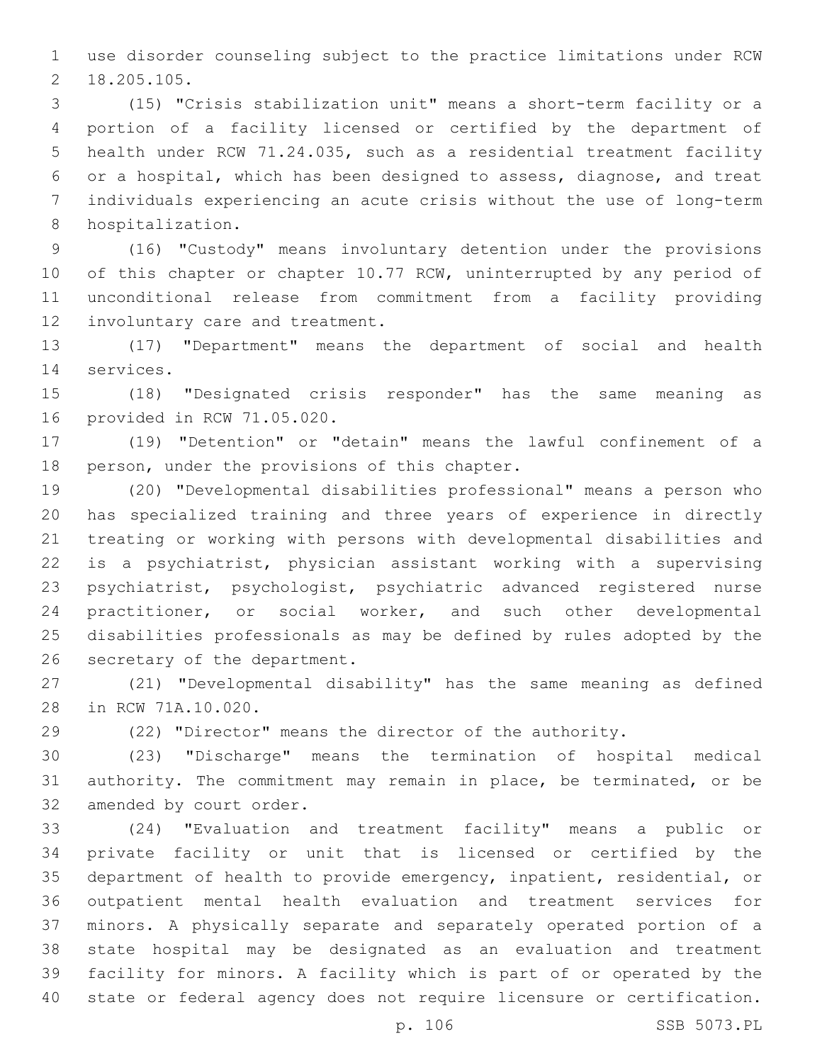use disorder counseling subject to the practice limitations under RCW 18.205.105.2

 (15) "Crisis stabilization unit" means a short-term facility or a portion of a facility licensed or certified by the department of health under RCW 71.24.035, such as a residential treatment facility or a hospital, which has been designed to assess, diagnose, and treat individuals experiencing an acute crisis without the use of long-term 8 hospitalization.

 (16) "Custody" means involuntary detention under the provisions 10 of this chapter or chapter 10.77 RCW, uninterrupted by any period of unconditional release from commitment from a facility providing 12 involuntary care and treatment.

 (17) "Department" means the department of social and health 14 services.

 (18) "Designated crisis responder" has the same meaning as 16 provided in RCW 71.05.020.

 (19) "Detention" or "detain" means the lawful confinement of a 18 person, under the provisions of this chapter.

 (20) "Developmental disabilities professional" means a person who has specialized training and three years of experience in directly treating or working with persons with developmental disabilities and is a psychiatrist, physician assistant working with a supervising psychiatrist, psychologist, psychiatric advanced registered nurse practitioner, or social worker, and such other developmental disabilities professionals as may be defined by rules adopted by the 26 secretary of the department.

 (21) "Developmental disability" has the same meaning as defined 28 in RCW 71A.10.020.

(22) "Director" means the director of the authority.

 (23) "Discharge" means the termination of hospital medical authority. The commitment may remain in place, be terminated, or be 32 amended by court order.

 (24) "Evaluation and treatment facility" means a public or private facility or unit that is licensed or certified by the department of health to provide emergency, inpatient, residential, or outpatient mental health evaluation and treatment services for minors. A physically separate and separately operated portion of a state hospital may be designated as an evaluation and treatment facility for minors. A facility which is part of or operated by the state or federal agency does not require licensure or certification.

p. 106 SSB 5073.PL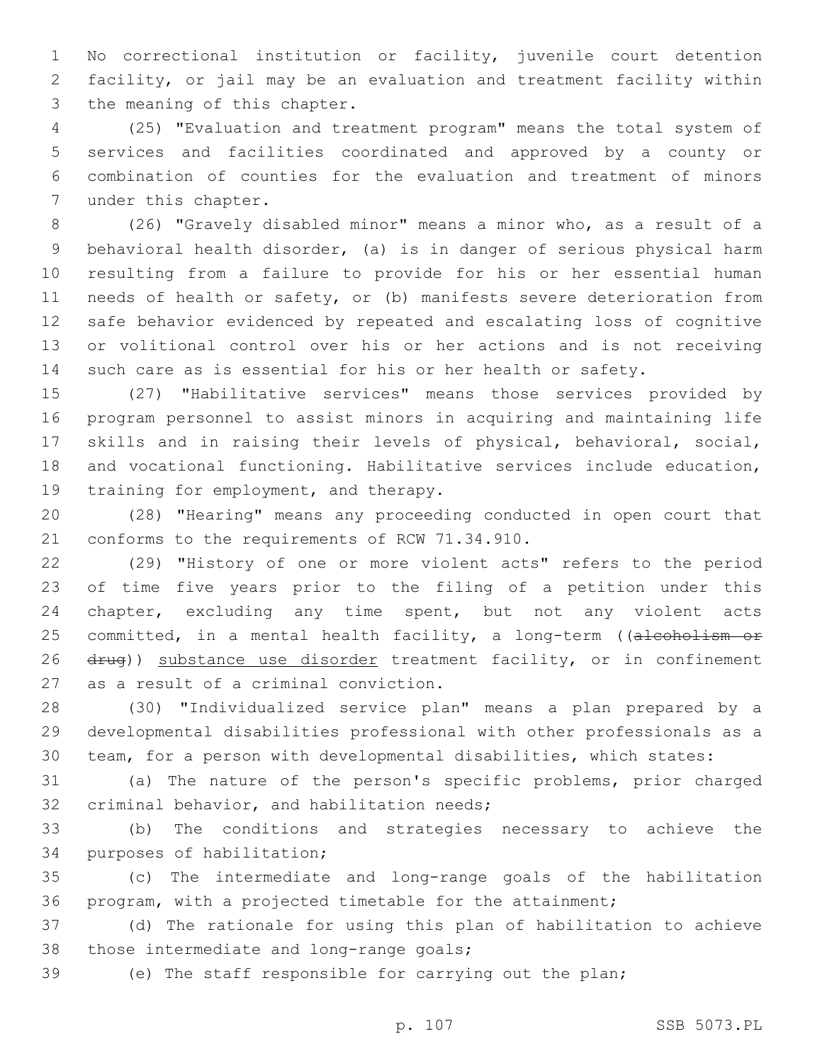No correctional institution or facility, juvenile court detention facility, or jail may be an evaluation and treatment facility within 3 the meaning of this chapter.

 (25) "Evaluation and treatment program" means the total system of services and facilities coordinated and approved by a county or combination of counties for the evaluation and treatment of minors 7 under this chapter.

 (26) "Gravely disabled minor" means a minor who, as a result of a behavioral health disorder, (a) is in danger of serious physical harm resulting from a failure to provide for his or her essential human needs of health or safety, or (b) manifests severe deterioration from safe behavior evidenced by repeated and escalating loss of cognitive or volitional control over his or her actions and is not receiving such care as is essential for his or her health or safety.

 (27) "Habilitative services" means those services provided by program personnel to assist minors in acquiring and maintaining life skills and in raising their levels of physical, behavioral, social, and vocational functioning. Habilitative services include education, 19 training for employment, and therapy.

 (28) "Hearing" means any proceeding conducted in open court that 21 conforms to the requirements of RCW 71.34.910.

 (29) "History of one or more violent acts" refers to the period of time five years prior to the filing of a petition under this chapter, excluding any time spent, but not any violent acts 25 committed, in a mental health facility, a long-term ((alcoholism or 26 drug)) substance use disorder treatment facility, or in confinement 27 as a result of a criminal conviction.

 (30) "Individualized service plan" means a plan prepared by a developmental disabilities professional with other professionals as a team, for a person with developmental disabilities, which states:

 (a) The nature of the person's specific problems, prior charged 32 criminal behavior, and habilitation needs;

 (b) The conditions and strategies necessary to achieve the 34 purposes of habilitation;

 (c) The intermediate and long-range goals of the habilitation program, with a projected timetable for the attainment;

 (d) The rationale for using this plan of habilitation to achieve 38 those intermediate and long-range goals;

(e) The staff responsible for carrying out the plan;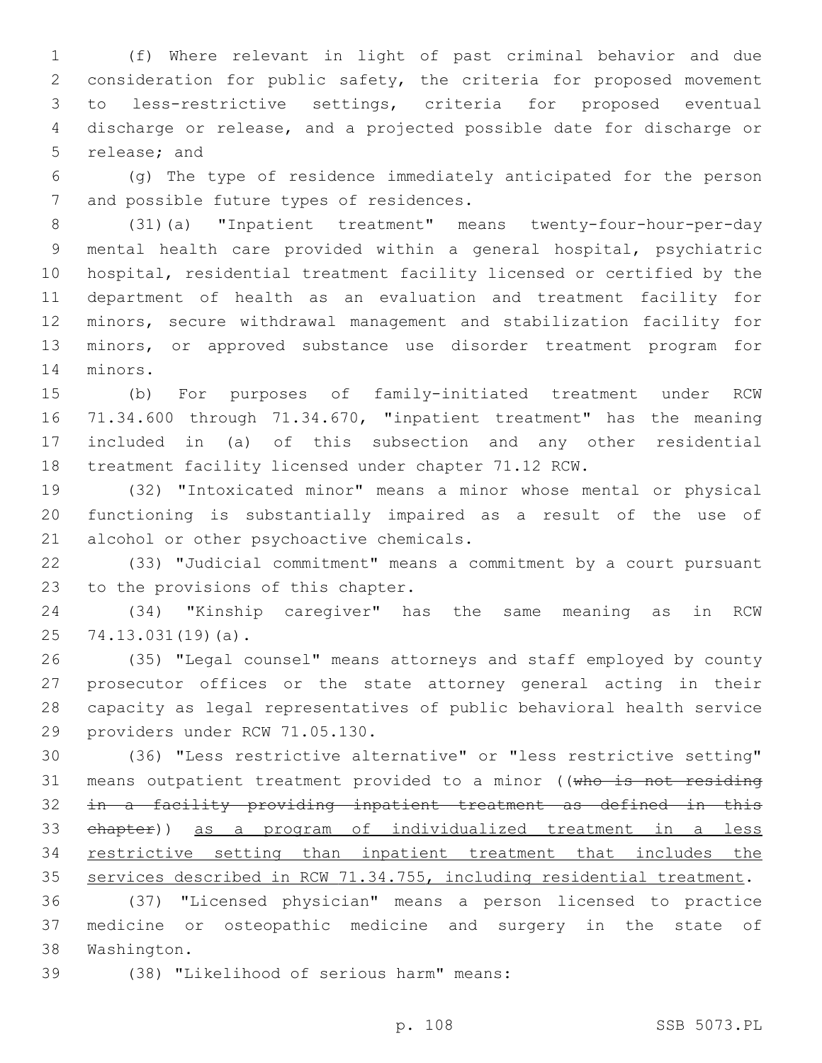(f) Where relevant in light of past criminal behavior and due consideration for public safety, the criteria for proposed movement to less-restrictive settings, criteria for proposed eventual discharge or release, and a projected possible date for discharge or 5 release; and

 (g) The type of residence immediately anticipated for the person 7 and possible future types of residences.

 (31)(a) "Inpatient treatment" means twenty-four-hour-per-day mental health care provided within a general hospital, psychiatric hospital, residential treatment facility licensed or certified by the department of health as an evaluation and treatment facility for minors, secure withdrawal management and stabilization facility for minors, or approved substance use disorder treatment program for 14 minors.

 (b) For purposes of family-initiated treatment under RCW 71.34.600 through 71.34.670, "inpatient treatment" has the meaning included in (a) of this subsection and any other residential treatment facility licensed under chapter 71.12 RCW.

 (32) "Intoxicated minor" means a minor whose mental or physical functioning is substantially impaired as a result of the use of 21 alcohol or other psychoactive chemicals.

 (33) "Judicial commitment" means a commitment by a court pursuant 23 to the provisions of this chapter.

 (34) "Kinship caregiver" has the same meaning as in RCW 25 74.13.031(19)(a).

 (35) "Legal counsel" means attorneys and staff employed by county prosecutor offices or the state attorney general acting in their capacity as legal representatives of public behavioral health service 29 providers under RCW 71.05.130.

 (36) "Less restrictive alternative" or "less restrictive setting" 31 means outpatient treatment provided to a minor ((who is not residing in a facility providing inpatient treatment as defined in this chapter)) as a program of individualized treatment in a less restrictive setting than inpatient treatment that includes the services described in RCW 71.34.755, including residential treatment.

 (37) "Licensed physician" means a person licensed to practice medicine or osteopathic medicine and surgery in the state of 38 Washington.

(38) "Likelihood of serious harm" means:39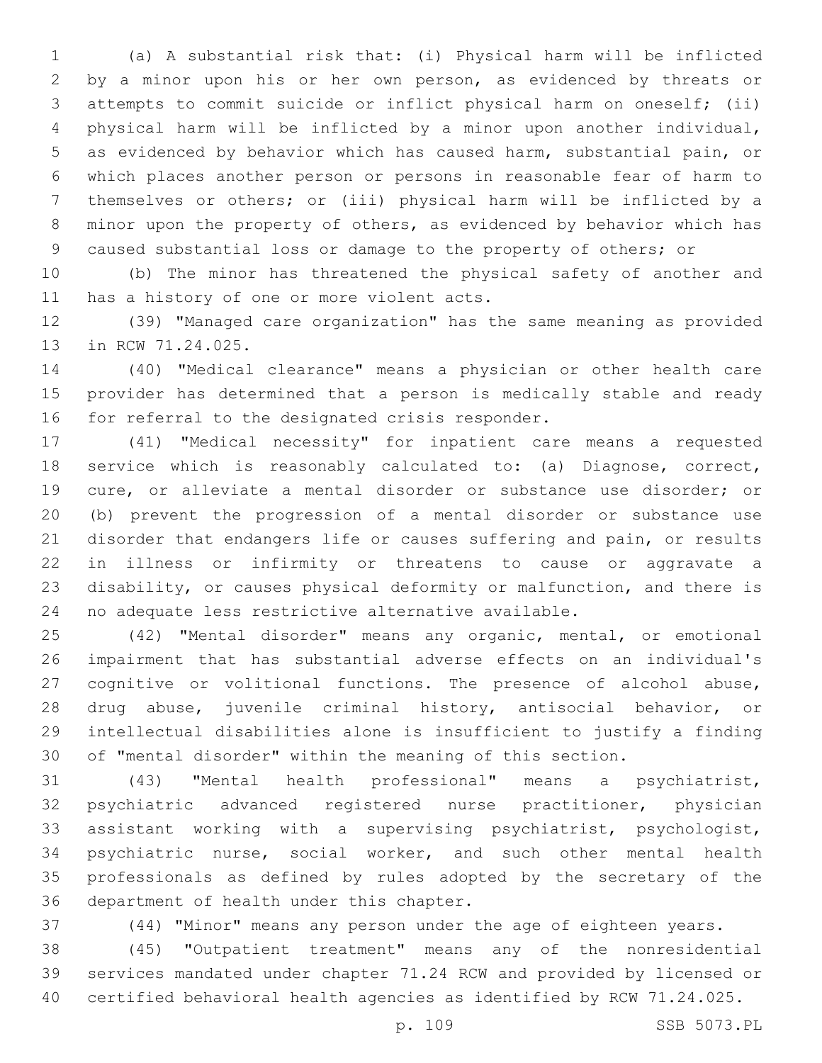(a) A substantial risk that: (i) Physical harm will be inflicted by a minor upon his or her own person, as evidenced by threats or attempts to commit suicide or inflict physical harm on oneself; (ii) physical harm will be inflicted by a minor upon another individual, as evidenced by behavior which has caused harm, substantial pain, or which places another person or persons in reasonable fear of harm to themselves or others; or (iii) physical harm will be inflicted by a minor upon the property of others, as evidenced by behavior which has caused substantial loss or damage to the property of others; or

 (b) The minor has threatened the physical safety of another and 11 has a history of one or more violent acts.

 (39) "Managed care organization" has the same meaning as provided 13 in RCW 71.24.025.

 (40) "Medical clearance" means a physician or other health care provider has determined that a person is medically stable and ready 16 for referral to the designated crisis responder.

 (41) "Medical necessity" for inpatient care means a requested service which is reasonably calculated to: (a) Diagnose, correct, cure, or alleviate a mental disorder or substance use disorder; or (b) prevent the progression of a mental disorder or substance use disorder that endangers life or causes suffering and pain, or results in illness or infirmity or threatens to cause or aggravate a disability, or causes physical deformity or malfunction, and there is no adequate less restrictive alternative available.

 (42) "Mental disorder" means any organic, mental, or emotional impairment that has substantial adverse effects on an individual's cognitive or volitional functions. The presence of alcohol abuse, drug abuse, juvenile criminal history, antisocial behavior, or intellectual disabilities alone is insufficient to justify a finding of "mental disorder" within the meaning of this section.

 (43) "Mental health professional" means a psychiatrist, psychiatric advanced registered nurse practitioner, physician assistant working with a supervising psychiatrist, psychologist, psychiatric nurse, social worker, and such other mental health professionals as defined by rules adopted by the secretary of the 36 department of health under this chapter.

(44) "Minor" means any person under the age of eighteen years.

 (45) "Outpatient treatment" means any of the nonresidential services mandated under chapter 71.24 RCW and provided by licensed or certified behavioral health agencies as identified by RCW 71.24.025.

p. 109 SSB 5073.PL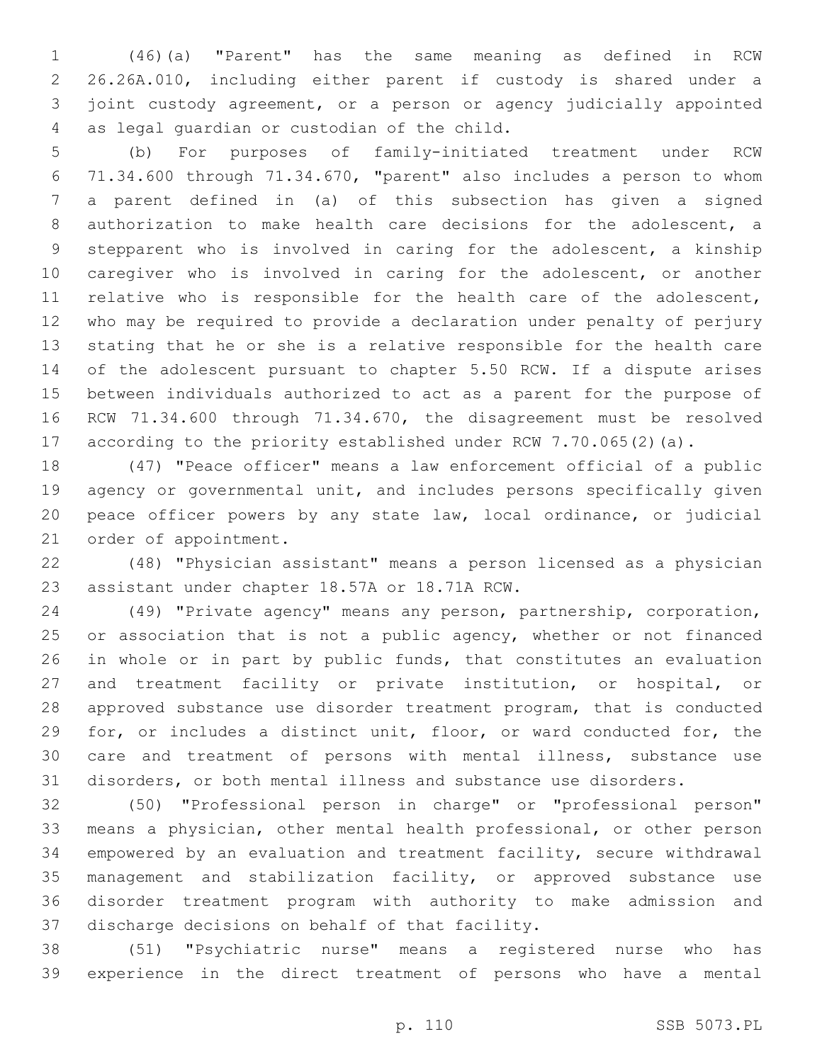(46)(a) "Parent" has the same meaning as defined in RCW 26.26A.010, including either parent if custody is shared under a joint custody agreement, or a person or agency judicially appointed 4 as legal guardian or custodian of the child.

 (b) For purposes of family-initiated treatment under RCW 71.34.600 through 71.34.670, "parent" also includes a person to whom a parent defined in (a) of this subsection has given a signed authorization to make health care decisions for the adolescent, a stepparent who is involved in caring for the adolescent, a kinship caregiver who is involved in caring for the adolescent, or another relative who is responsible for the health care of the adolescent, who may be required to provide a declaration under penalty of perjury stating that he or she is a relative responsible for the health care of the adolescent pursuant to chapter 5.50 RCW. If a dispute arises between individuals authorized to act as a parent for the purpose of RCW 71.34.600 through 71.34.670, the disagreement must be resolved according to the priority established under RCW 7.70.065(2)(a).

 (47) "Peace officer" means a law enforcement official of a public agency or governmental unit, and includes persons specifically given peace officer powers by any state law, local ordinance, or judicial 21 order of appointment.

 (48) "Physician assistant" means a person licensed as a physician 23 assistant under chapter 18.57A or 18.71A RCW.

 (49) "Private agency" means any person, partnership, corporation, 25 or association that is not a public agency, whether or not financed in whole or in part by public funds, that constitutes an evaluation and treatment facility or private institution, or hospital, or approved substance use disorder treatment program, that is conducted for, or includes a distinct unit, floor, or ward conducted for, the care and treatment of persons with mental illness, substance use disorders, or both mental illness and substance use disorders.

 (50) "Professional person in charge" or "professional person" means a physician, other mental health professional, or other person empowered by an evaluation and treatment facility, secure withdrawal management and stabilization facility, or approved substance use disorder treatment program with authority to make admission and 37 discharge decisions on behalf of that facility.

 (51) "Psychiatric nurse" means a registered nurse who has experience in the direct treatment of persons who have a mental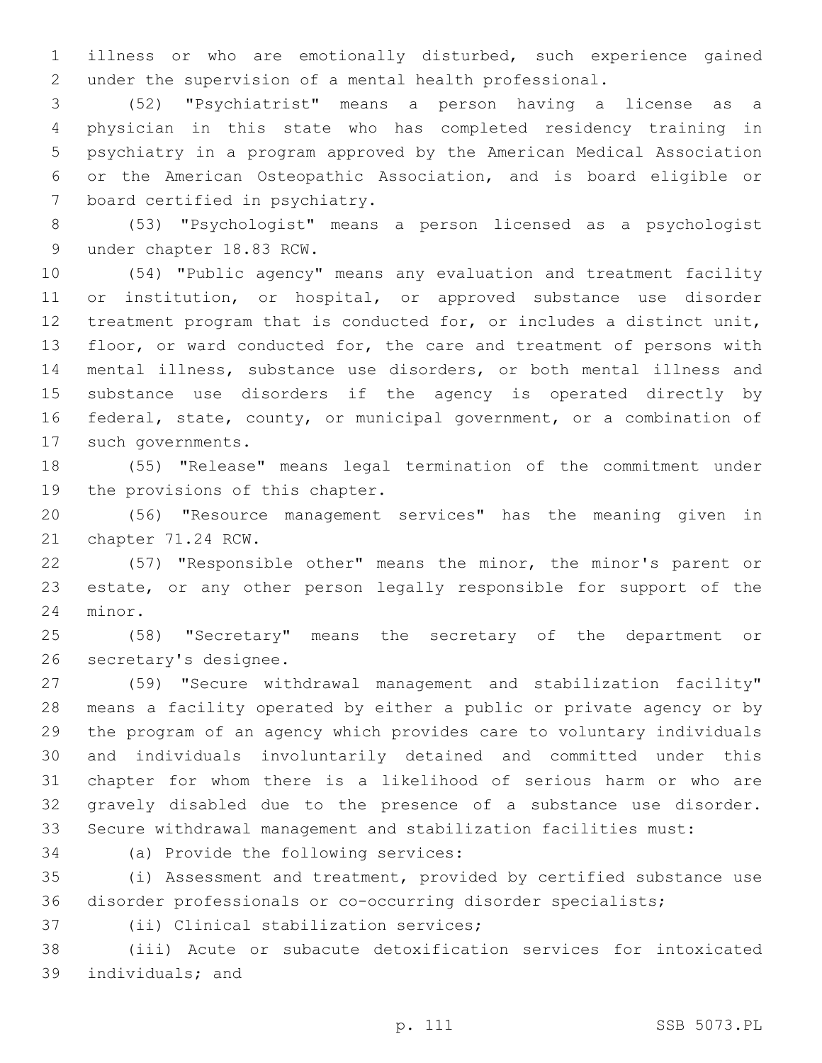illness or who are emotionally disturbed, such experience gained under the supervision of a mental health professional.

 (52) "Psychiatrist" means a person having a license as a physician in this state who has completed residency training in psychiatry in a program approved by the American Medical Association or the American Osteopathic Association, and is board eligible or 7 board certified in psychiatry.

 (53) "Psychologist" means a person licensed as a psychologist 9 under chapter 18.83 RCW.

 (54) "Public agency" means any evaluation and treatment facility or institution, or hospital, or approved substance use disorder treatment program that is conducted for, or includes a distinct unit, 13 floor, or ward conducted for, the care and treatment of persons with mental illness, substance use disorders, or both mental illness and substance use disorders if the agency is operated directly by federal, state, county, or municipal government, or a combination of 17 such governments.

 (55) "Release" means legal termination of the commitment under 19 the provisions of this chapter.

 (56) "Resource management services" has the meaning given in 21 chapter 71.24 RCW.

 (57) "Responsible other" means the minor, the minor's parent or estate, or any other person legally responsible for support of the 24 minor.

 (58) "Secretary" means the secretary of the department or 26 secretary's designee.

 (59) "Secure withdrawal management and stabilization facility" means a facility operated by either a public or private agency or by the program of an agency which provides care to voluntary individuals and individuals involuntarily detained and committed under this chapter for whom there is a likelihood of serious harm or who are gravely disabled due to the presence of a substance use disorder. Secure withdrawal management and stabilization facilities must:

34 (a) Provide the following services:

 (i) Assessment and treatment, provided by certified substance use disorder professionals or co-occurring disorder specialists;

37 (ii) Clinical stabilization services;

 (iii) Acute or subacute detoxification services for intoxicated 39 individuals; and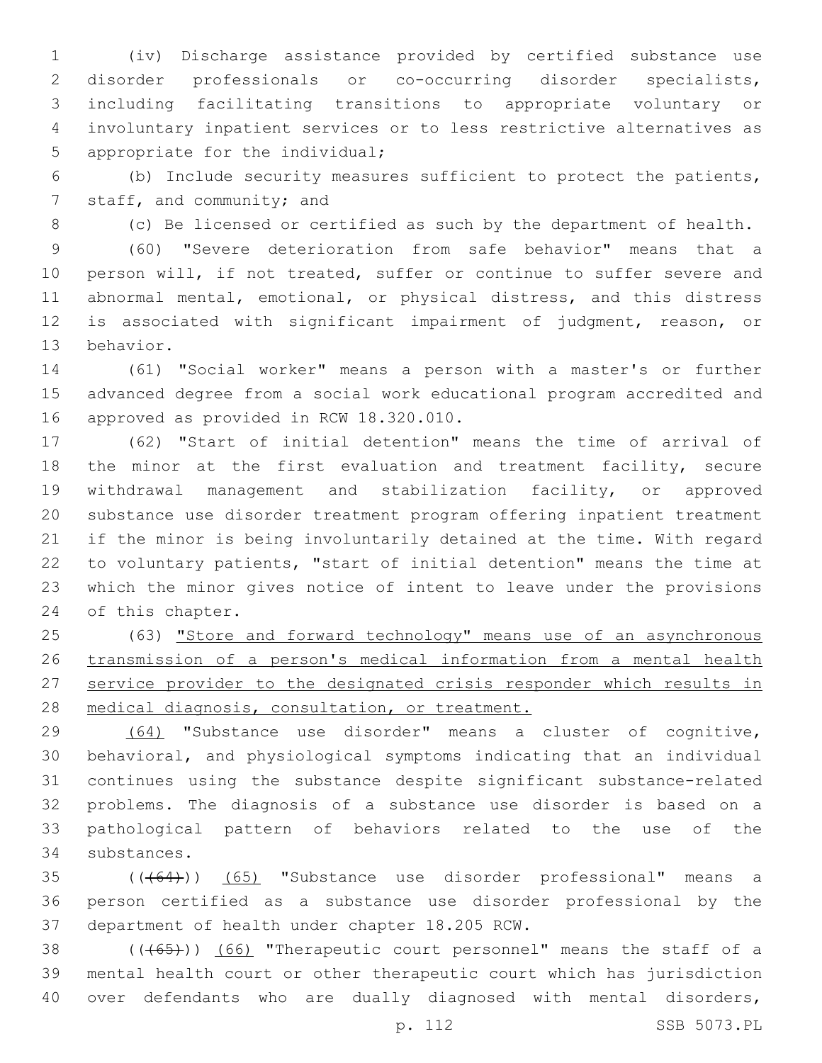(iv) Discharge assistance provided by certified substance use disorder professionals or co-occurring disorder specialists, including facilitating transitions to appropriate voluntary or involuntary inpatient services or to less restrictive alternatives as 5 appropriate for the individual;

 (b) Include security measures sufficient to protect the patients, 7 staff, and community; and

(c) Be licensed or certified as such by the department of health.

 (60) "Severe deterioration from safe behavior" means that a person will, if not treated, suffer or continue to suffer severe and abnormal mental, emotional, or physical distress, and this distress is associated with significant impairment of judgment, reason, or 13 behavior.

 (61) "Social worker" means a person with a master's or further advanced degree from a social work educational program accredited and 16 approved as provided in RCW 18.320.010.

 (62) "Start of initial detention" means the time of arrival of the minor at the first evaluation and treatment facility, secure withdrawal management and stabilization facility, or approved substance use disorder treatment program offering inpatient treatment if the minor is being involuntarily detained at the time. With regard to voluntary patients, "start of initial detention" means the time at which the minor gives notice of intent to leave under the provisions 24 of this chapter.

 (63) "Store and forward technology" means use of an asynchronous transmission of a person's medical information from a mental health service provider to the designated crisis responder which results in medical diagnosis, consultation, or treatment.

 (64) "Substance use disorder" means a cluster of cognitive, behavioral, and physiological symptoms indicating that an individual continues using the substance despite significant substance-related problems. The diagnosis of a substance use disorder is based on a pathological pattern of behaviors related to the use of the 34 substances.

 (((64))) (65) "Substance use disorder professional" means a person certified as a substance use disorder professional by the 37 department of health under chapter 18.205 RCW.

38 (((65))) (66) "Therapeutic court personnel" means the staff of a mental health court or other therapeutic court which has jurisdiction over defendants who are dually diagnosed with mental disorders,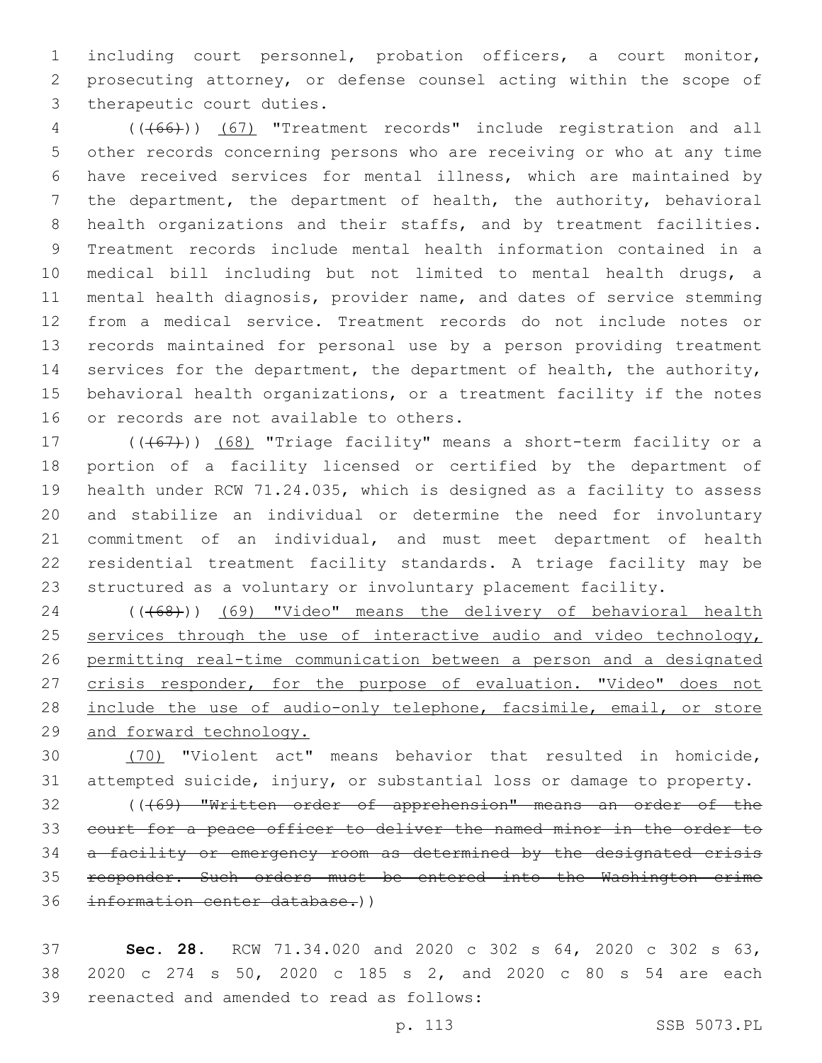including court personnel, probation officers, a court monitor, prosecuting attorney, or defense counsel acting within the scope of 3 therapeutic court duties.

 (((66))) (67) "Treatment records" include registration and all other records concerning persons who are receiving or who at any time have received services for mental illness, which are maintained by the department, the department of health, the authority, behavioral health organizations and their staffs, and by treatment facilities. Treatment records include mental health information contained in a medical bill including but not limited to mental health drugs, a mental health diagnosis, provider name, and dates of service stemming from a medical service. Treatment records do not include notes or records maintained for personal use by a person providing treatment services for the department, the department of health, the authority, behavioral health organizations, or a treatment facility if the notes 16 or records are not available to others.

17 (((67))) (68) "Triage facility" means a short-term facility or a portion of a facility licensed or certified by the department of health under RCW 71.24.035, which is designed as a facility to assess and stabilize an individual or determine the need for involuntary commitment of an individual, and must meet department of health residential treatment facility standards. A triage facility may be structured as a voluntary or involuntary placement facility.

24 (((68))) (69) "Video" means the delivery of behavioral health 25 services through the use of interactive audio and video technology, permitting real-time communication between a person and a designated 27 crisis responder, for the purpose of evaluation. "Video" does not 28 include the use of audio-only telephone, facsimile, email, or store and forward technology.

 (70) "Violent act" means behavior that resulted in homicide, attempted suicide, injury, or substantial loss or damage to property.

 (((69) "Written order of apprehension" means an order of the court for a peace officer to deliver the named minor in the order to a facility or emergency room as determined by the designated crisis responder. Such orders must be entered into the Washington crime information center database.))

 **Sec. 28.** RCW 71.34.020 and 2020 c 302 s 64, 2020 c 302 s 63, 2020 c 274 s 50, 2020 c 185 s 2, and 2020 c 80 s 54 are each 39 reenacted and amended to read as follows: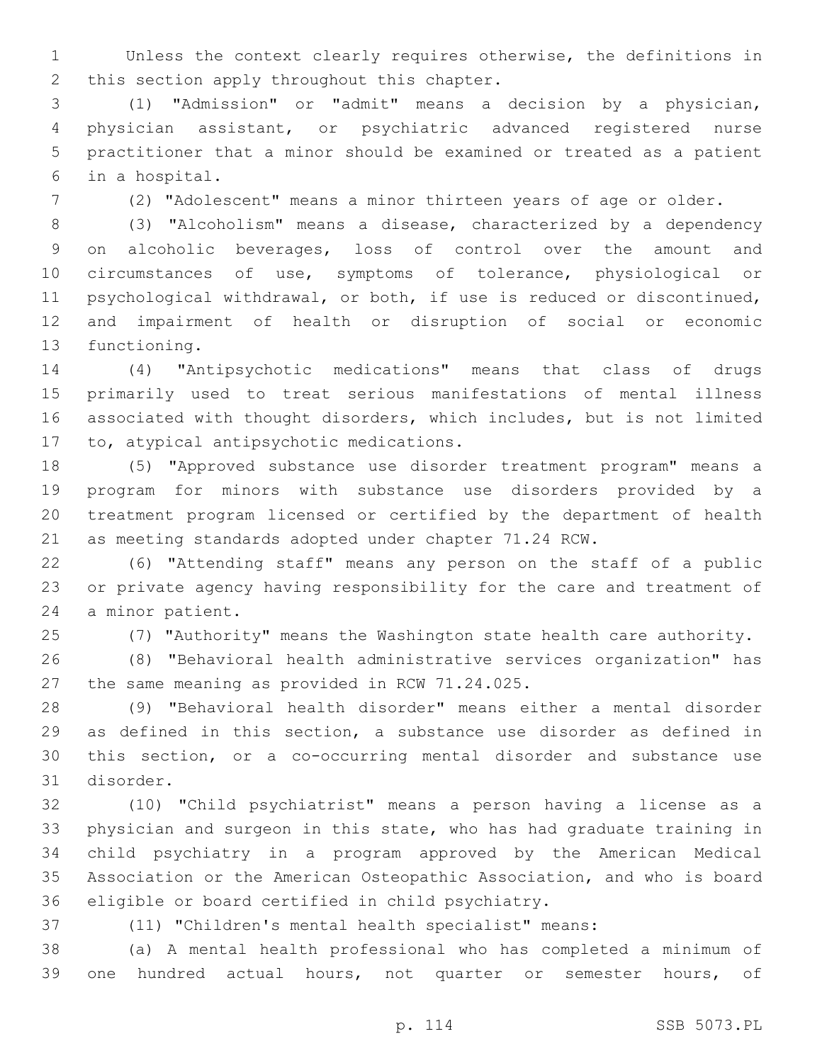Unless the context clearly requires otherwise, the definitions in 2 this section apply throughout this chapter.

 (1) "Admission" or "admit" means a decision by a physician, physician assistant, or psychiatric advanced registered nurse practitioner that a minor should be examined or treated as a patient in a hospital.6

(2) "Adolescent" means a minor thirteen years of age or older.

 (3) "Alcoholism" means a disease, characterized by a dependency on alcoholic beverages, loss of control over the amount and circumstances of use, symptoms of tolerance, physiological or psychological withdrawal, or both, if use is reduced or discontinued, and impairment of health or disruption of social or economic 13 functioning.

 (4) "Antipsychotic medications" means that class of drugs primarily used to treat serious manifestations of mental illness associated with thought disorders, which includes, but is not limited 17 to, atypical antipsychotic medications.

 (5) "Approved substance use disorder treatment program" means a program for minors with substance use disorders provided by a treatment program licensed or certified by the department of health as meeting standards adopted under chapter 71.24 RCW.

 (6) "Attending staff" means any person on the staff of a public or private agency having responsibility for the care and treatment of 24 a minor patient.

(7) "Authority" means the Washington state health care authority.

 (8) "Behavioral health administrative services organization" has 27 the same meaning as provided in RCW 71.24.025.

 (9) "Behavioral health disorder" means either a mental disorder as defined in this section, a substance use disorder as defined in this section, or a co-occurring mental disorder and substance use 31 disorder.

 (10) "Child psychiatrist" means a person having a license as a physician and surgeon in this state, who has had graduate training in child psychiatry in a program approved by the American Medical Association or the American Osteopathic Association, and who is board 36 eligible or board certified in child psychiatry.

(11) "Children's mental health specialist" means:

 (a) A mental health professional who has completed a minimum of one hundred actual hours, not quarter or semester hours, of

p. 114 SSB 5073.PL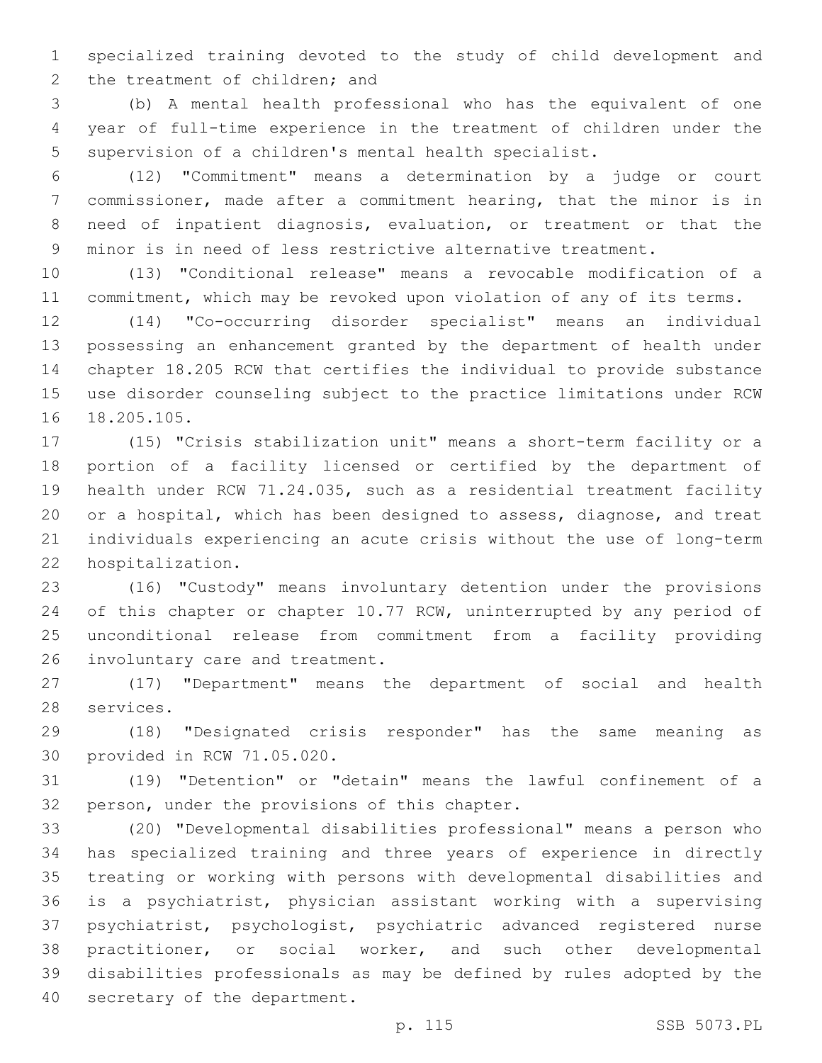specialized training devoted to the study of child development and 2 the treatment of children; and

 (b) A mental health professional who has the equivalent of one year of full-time experience in the treatment of children under the supervision of a children's mental health specialist.

 (12) "Commitment" means a determination by a judge or court commissioner, made after a commitment hearing, that the minor is in need of inpatient diagnosis, evaluation, or treatment or that the minor is in need of less restrictive alternative treatment.

 (13) "Conditional release" means a revocable modification of a commitment, which may be revoked upon violation of any of its terms.

 (14) "Co-occurring disorder specialist" means an individual possessing an enhancement granted by the department of health under chapter 18.205 RCW that certifies the individual to provide substance use disorder counseling subject to the practice limitations under RCW 16 18.205.105.

 (15) "Crisis stabilization unit" means a short-term facility or a portion of a facility licensed or certified by the department of health under RCW 71.24.035, such as a residential treatment facility or a hospital, which has been designed to assess, diagnose, and treat individuals experiencing an acute crisis without the use of long-term 22 hospitalization.

 (16) "Custody" means involuntary detention under the provisions 24 of this chapter or chapter 10.77 RCW, uninterrupted by any period of unconditional release from commitment from a facility providing 26 involuntary care and treatment.

 (17) "Department" means the department of social and health 28 services.

 (18) "Designated crisis responder" has the same meaning as 30 provided in RCW 71.05.020.

 (19) "Detention" or "detain" means the lawful confinement of a 32 person, under the provisions of this chapter.

 (20) "Developmental disabilities professional" means a person who has specialized training and three years of experience in directly treating or working with persons with developmental disabilities and is a psychiatrist, physician assistant working with a supervising psychiatrist, psychologist, psychiatric advanced registered nurse practitioner, or social worker, and such other developmental disabilities professionals as may be defined by rules adopted by the 40 secretary of the department.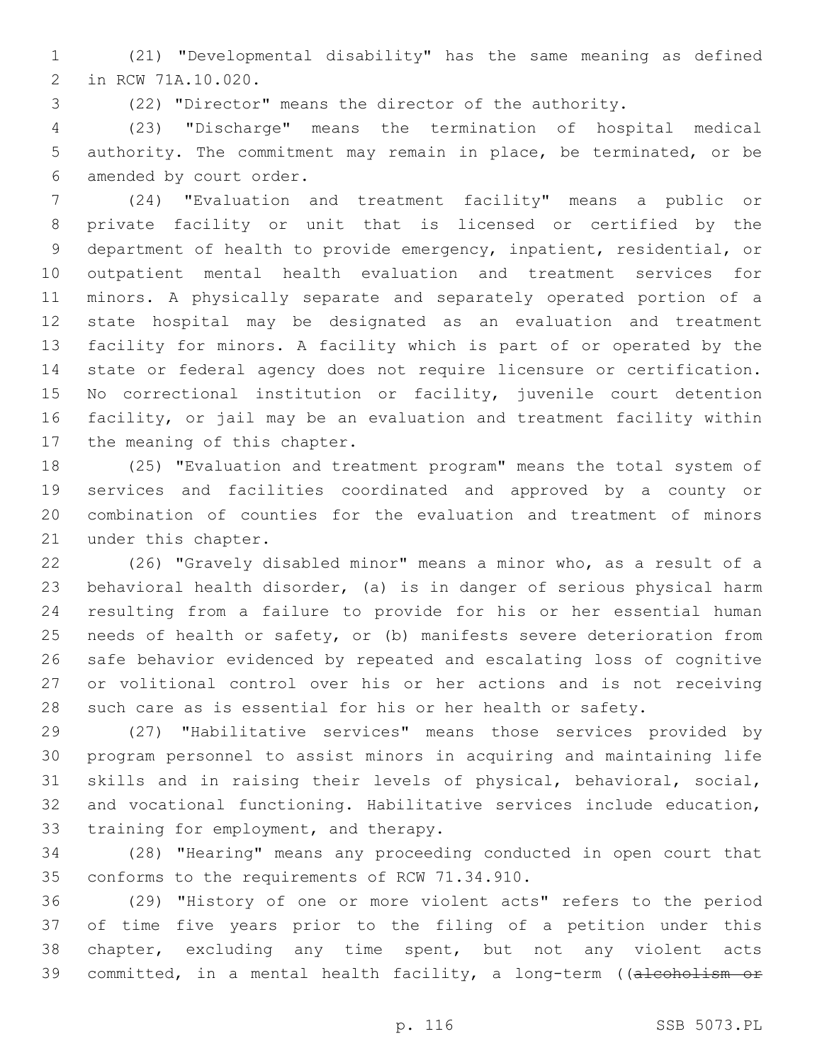(21) "Developmental disability" has the same meaning as defined 2 in RCW 71A.10.020.

(22) "Director" means the director of the authority.

 (23) "Discharge" means the termination of hospital medical authority. The commitment may remain in place, be terminated, or be 6 amended by court order.

 (24) "Evaluation and treatment facility" means a public or private facility or unit that is licensed or certified by the department of health to provide emergency, inpatient, residential, or outpatient mental health evaluation and treatment services for minors. A physically separate and separately operated portion of a state hospital may be designated as an evaluation and treatment facility for minors. A facility which is part of or operated by the state or federal agency does not require licensure or certification. No correctional institution or facility, juvenile court detention facility, or jail may be an evaluation and treatment facility within 17 the meaning of this chapter.

 (25) "Evaluation and treatment program" means the total system of services and facilities coordinated and approved by a county or combination of counties for the evaluation and treatment of minors 21 under this chapter.

 (26) "Gravely disabled minor" means a minor who, as a result of a behavioral health disorder, (a) is in danger of serious physical harm resulting from a failure to provide for his or her essential human needs of health or safety, or (b) manifests severe deterioration from safe behavior evidenced by repeated and escalating loss of cognitive or volitional control over his or her actions and is not receiving such care as is essential for his or her health or safety.

 (27) "Habilitative services" means those services provided by program personnel to assist minors in acquiring and maintaining life skills and in raising their levels of physical, behavioral, social, and vocational functioning. Habilitative services include education, 33 training for employment, and therapy.

 (28) "Hearing" means any proceeding conducted in open court that 35 conforms to the requirements of RCW 71.34.910.

 (29) "History of one or more violent acts" refers to the period of time five years prior to the filing of a petition under this chapter, excluding any time spent, but not any violent acts 39 committed, in a mental health facility, a long-term ((alcoholism or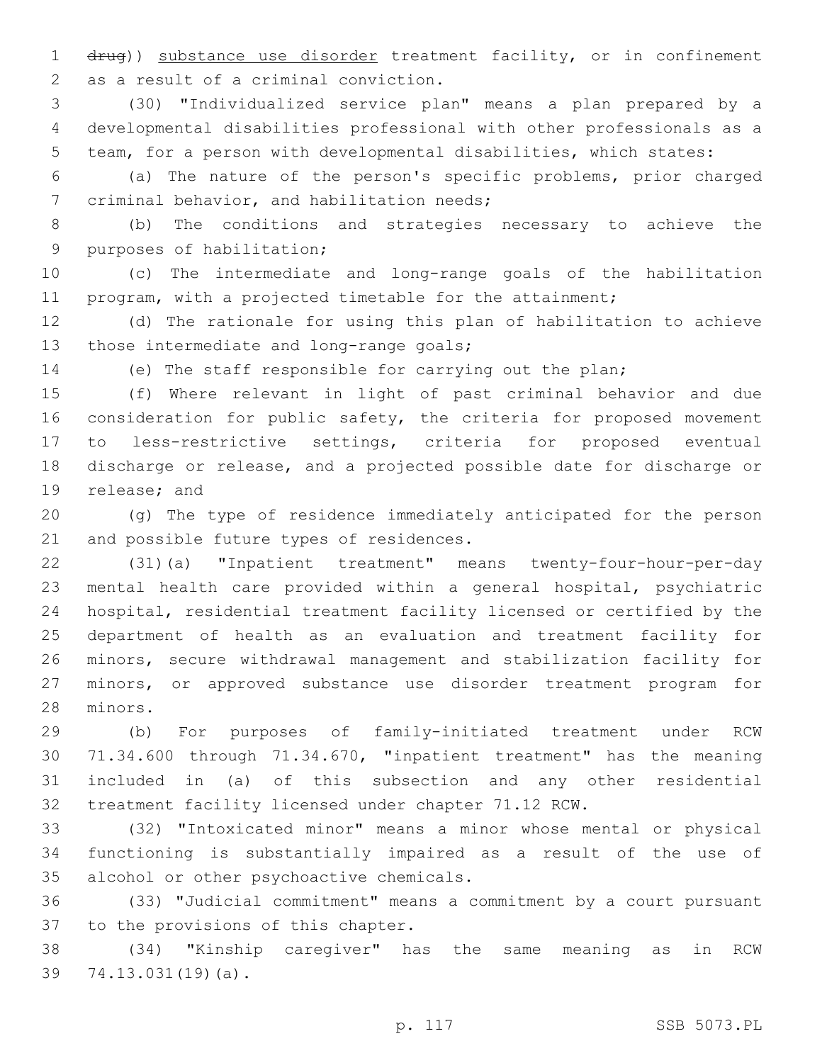drug)) substance use disorder treatment facility, or in confinement 2 as a result of a criminal conviction.

 (30) "Individualized service plan" means a plan prepared by a developmental disabilities professional with other professionals as a team, for a person with developmental disabilities, which states:

 (a) The nature of the person's specific problems, prior charged 7 criminal behavior, and habilitation needs;

 (b) The conditions and strategies necessary to achieve the 9 purposes of habilitation;

 (c) The intermediate and long-range goals of the habilitation program, with a projected timetable for the attainment;

 (d) The rationale for using this plan of habilitation to achieve 13 those intermediate and long-range goals;

(e) The staff responsible for carrying out the plan;

 (f) Where relevant in light of past criminal behavior and due 16 consideration for public safety, the criteria for proposed movement to less-restrictive settings, criteria for proposed eventual discharge or release, and a projected possible date for discharge or 19 release; and

 (g) The type of residence immediately anticipated for the person 21 and possible future types of residences.

 (31)(a) "Inpatient treatment" means twenty-four-hour-per-day mental health care provided within a general hospital, psychiatric hospital, residential treatment facility licensed or certified by the department of health as an evaluation and treatment facility for minors, secure withdrawal management and stabilization facility for minors, or approved substance use disorder treatment program for 28 minors.

 (b) For purposes of family-initiated treatment under RCW 71.34.600 through 71.34.670, "inpatient treatment" has the meaning included in (a) of this subsection and any other residential treatment facility licensed under chapter 71.12 RCW.

 (32) "Intoxicated minor" means a minor whose mental or physical functioning is substantially impaired as a result of the use of 35 alcohol or other psychoactive chemicals.

 (33) "Judicial commitment" means a commitment by a court pursuant 37 to the provisions of this chapter.

 (34) "Kinship caregiver" has the same meaning as in RCW 39 74.13.031(19)(a).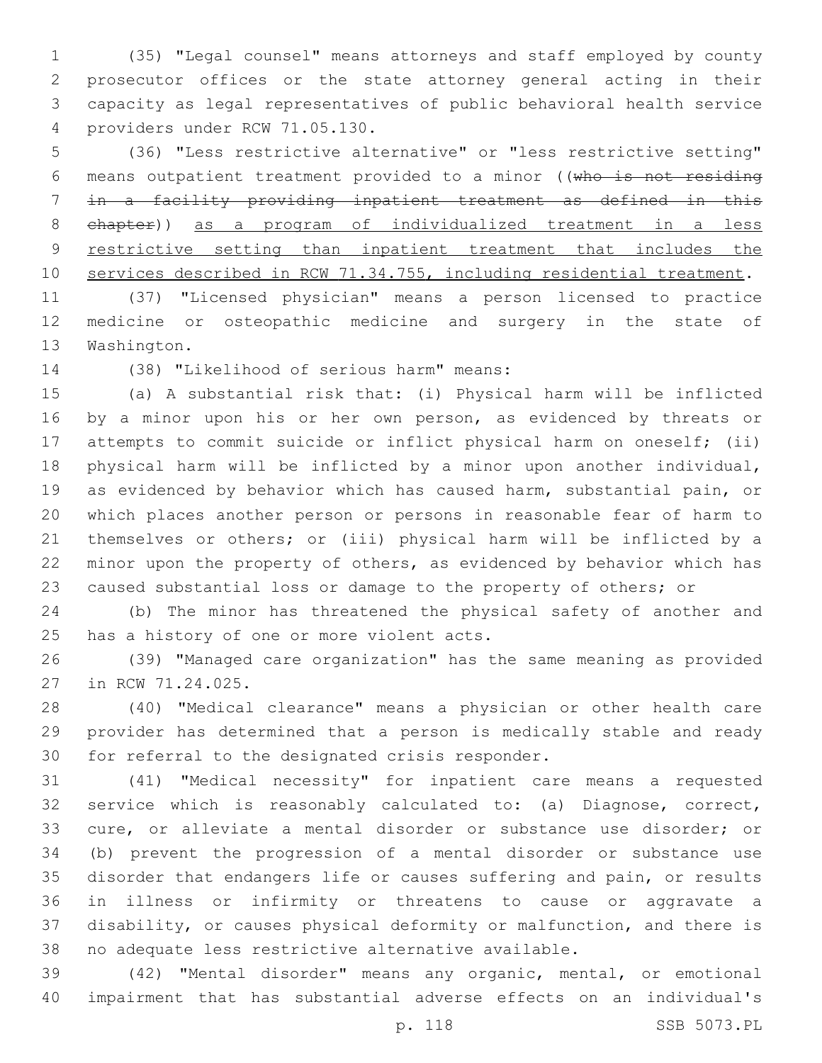(35) "Legal counsel" means attorneys and staff employed by county prosecutor offices or the state attorney general acting in their capacity as legal representatives of public behavioral health service providers under RCW 71.05.130.4

 (36) "Less restrictive alternative" or "less restrictive setting" means outpatient treatment provided to a minor ((who is not residing in a facility providing inpatient treatment as defined in this chapter)) as a program of individualized treatment in a less 9 restrictive setting than inpatient treatment that includes the services described in RCW 71.34.755, including residential treatment.

 (37) "Licensed physician" means a person licensed to practice medicine or osteopathic medicine and surgery in the state of 13 Washington.

14 (38) "Likelihood of serious harm" means:

 (a) A substantial risk that: (i) Physical harm will be inflicted 16 by a minor upon his or her own person, as evidenced by threats or attempts to commit suicide or inflict physical harm on oneself; (ii) physical harm will be inflicted by a minor upon another individual, as evidenced by behavior which has caused harm, substantial pain, or which places another person or persons in reasonable fear of harm to themselves or others; or (iii) physical harm will be inflicted by a minor upon the property of others, as evidenced by behavior which has caused substantial loss or damage to the property of others; or

 (b) The minor has threatened the physical safety of another and 25 has a history of one or more violent acts.

 (39) "Managed care organization" has the same meaning as provided 27 in RCW 71.24.025.

 (40) "Medical clearance" means a physician or other health care provider has determined that a person is medically stable and ready 30 for referral to the designated crisis responder.

 (41) "Medical necessity" for inpatient care means a requested service which is reasonably calculated to: (a) Diagnose, correct, cure, or alleviate a mental disorder or substance use disorder; or (b) prevent the progression of a mental disorder or substance use disorder that endangers life or causes suffering and pain, or results in illness or infirmity or threatens to cause or aggravate a disability, or causes physical deformity or malfunction, and there is no adequate less restrictive alternative available.

 (42) "Mental disorder" means any organic, mental, or emotional impairment that has substantial adverse effects on an individual's

p. 118 SSB 5073.PL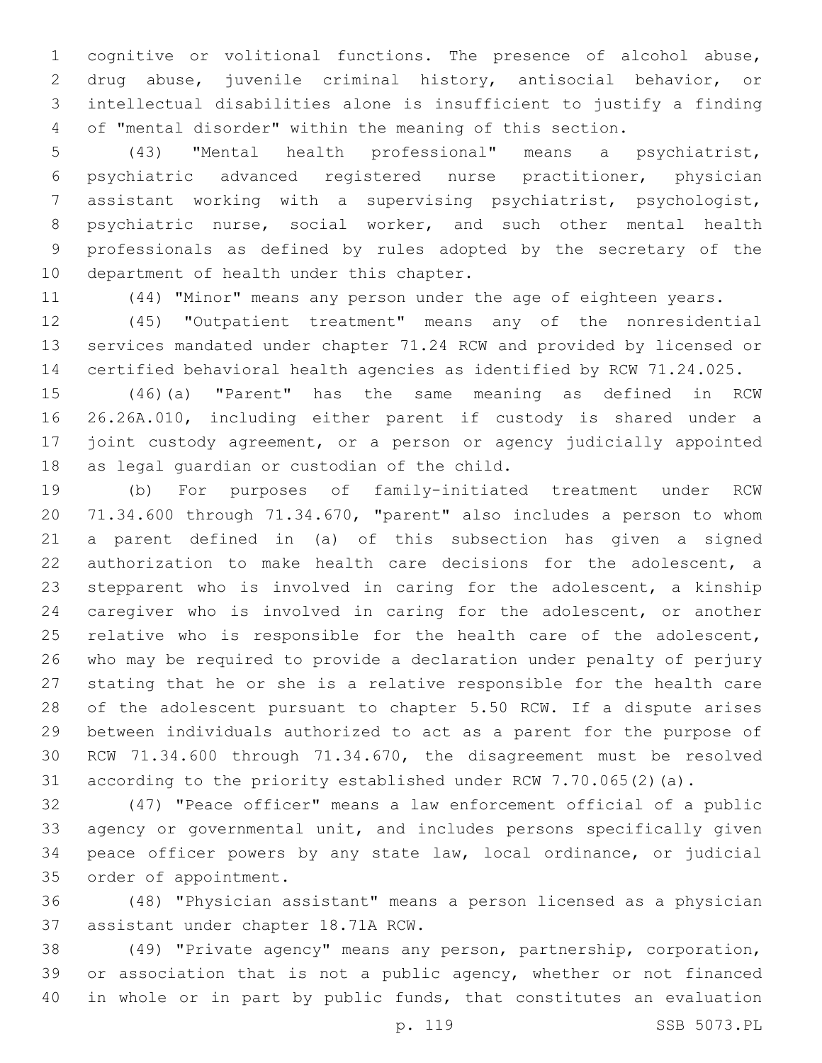cognitive or volitional functions. The presence of alcohol abuse, drug abuse, juvenile criminal history, antisocial behavior, or intellectual disabilities alone is insufficient to justify a finding of "mental disorder" within the meaning of this section.

 (43) "Mental health professional" means a psychiatrist, psychiatric advanced registered nurse practitioner, physician assistant working with a supervising psychiatrist, psychologist, psychiatric nurse, social worker, and such other mental health professionals as defined by rules adopted by the secretary of the 10 department of health under this chapter.

(44) "Minor" means any person under the age of eighteen years.

 (45) "Outpatient treatment" means any of the nonresidential services mandated under chapter 71.24 RCW and provided by licensed or certified behavioral health agencies as identified by RCW 71.24.025.

 (46)(a) "Parent" has the same meaning as defined in RCW 26.26A.010, including either parent if custody is shared under a joint custody agreement, or a person or agency judicially appointed 18 as legal guardian or custodian of the child.

 (b) For purposes of family-initiated treatment under RCW 71.34.600 through 71.34.670, "parent" also includes a person to whom a parent defined in (a) of this subsection has given a signed authorization to make health care decisions for the adolescent, a stepparent who is involved in caring for the adolescent, a kinship caregiver who is involved in caring for the adolescent, or another 25 relative who is responsible for the health care of the adolescent, who may be required to provide a declaration under penalty of perjury stating that he or she is a relative responsible for the health care of the adolescent pursuant to chapter 5.50 RCW. If a dispute arises between individuals authorized to act as a parent for the purpose of RCW 71.34.600 through 71.34.670, the disagreement must be resolved according to the priority established under RCW 7.70.065(2)(a).

 (47) "Peace officer" means a law enforcement official of a public agency or governmental unit, and includes persons specifically given peace officer powers by any state law, local ordinance, or judicial 35 order of appointment.

 (48) "Physician assistant" means a person licensed as a physician 37 assistant under chapter 18.71A RCW.

 (49) "Private agency" means any person, partnership, corporation, 39 or association that is not a public agency, whether or not financed in whole or in part by public funds, that constitutes an evaluation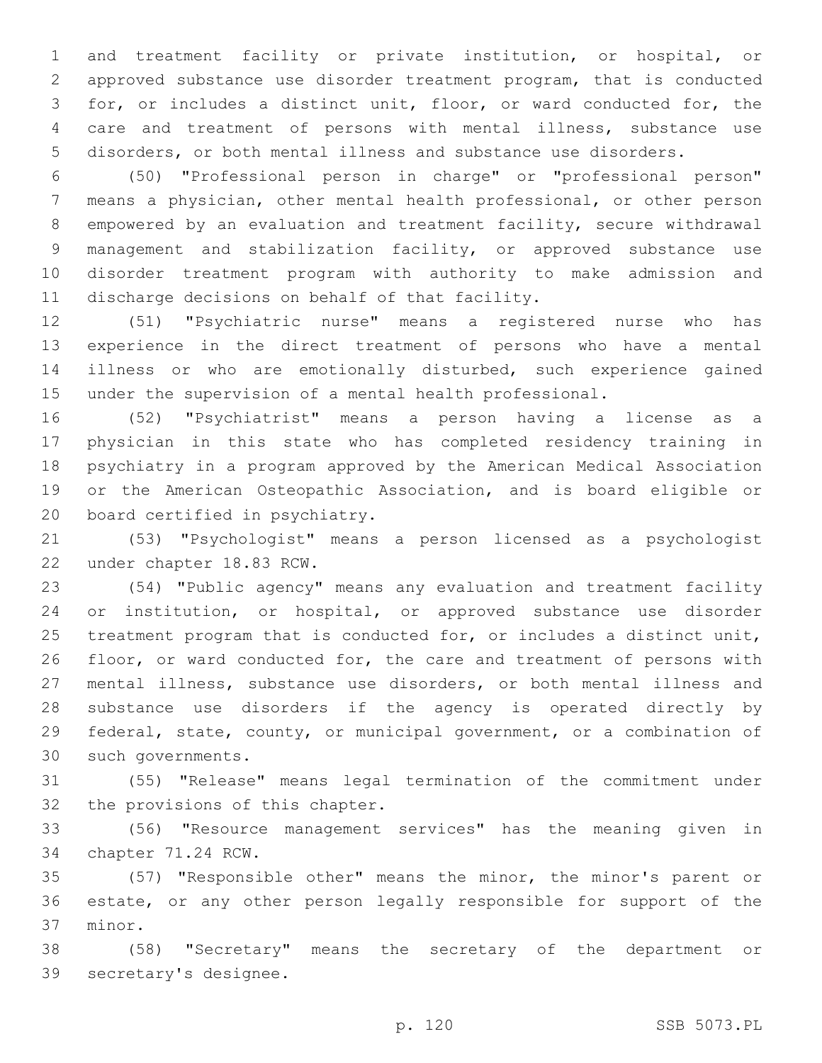and treatment facility or private institution, or hospital, or approved substance use disorder treatment program, that is conducted for, or includes a distinct unit, floor, or ward conducted for, the care and treatment of persons with mental illness, substance use disorders, or both mental illness and substance use disorders.

 (50) "Professional person in charge" or "professional person" means a physician, other mental health professional, or other person empowered by an evaluation and treatment facility, secure withdrawal management and stabilization facility, or approved substance use disorder treatment program with authority to make admission and 11 discharge decisions on behalf of that facility.

 (51) "Psychiatric nurse" means a registered nurse who has experience in the direct treatment of persons who have a mental illness or who are emotionally disturbed, such experience gained under the supervision of a mental health professional.

 (52) "Psychiatrist" means a person having a license as a physician in this state who has completed residency training in psychiatry in a program approved by the American Medical Association or the American Osteopathic Association, and is board eligible or 20 board certified in psychiatry.

 (53) "Psychologist" means a person licensed as a psychologist 22 under chapter 18.83 RCW.

 (54) "Public agency" means any evaluation and treatment facility or institution, or hospital, or approved substance use disorder treatment program that is conducted for, or includes a distinct unit, floor, or ward conducted for, the care and treatment of persons with mental illness, substance use disorders, or both mental illness and substance use disorders if the agency is operated directly by federal, state, county, or municipal government, or a combination of 30 such governments.

 (55) "Release" means legal termination of the commitment under 32 the provisions of this chapter.

 (56) "Resource management services" has the meaning given in 34 chapter 71.24 RCW.

 (57) "Responsible other" means the minor, the minor's parent or estate, or any other person legally responsible for support of the 37 minor.

 (58) "Secretary" means the secretary of the department or 39 secretary's designee.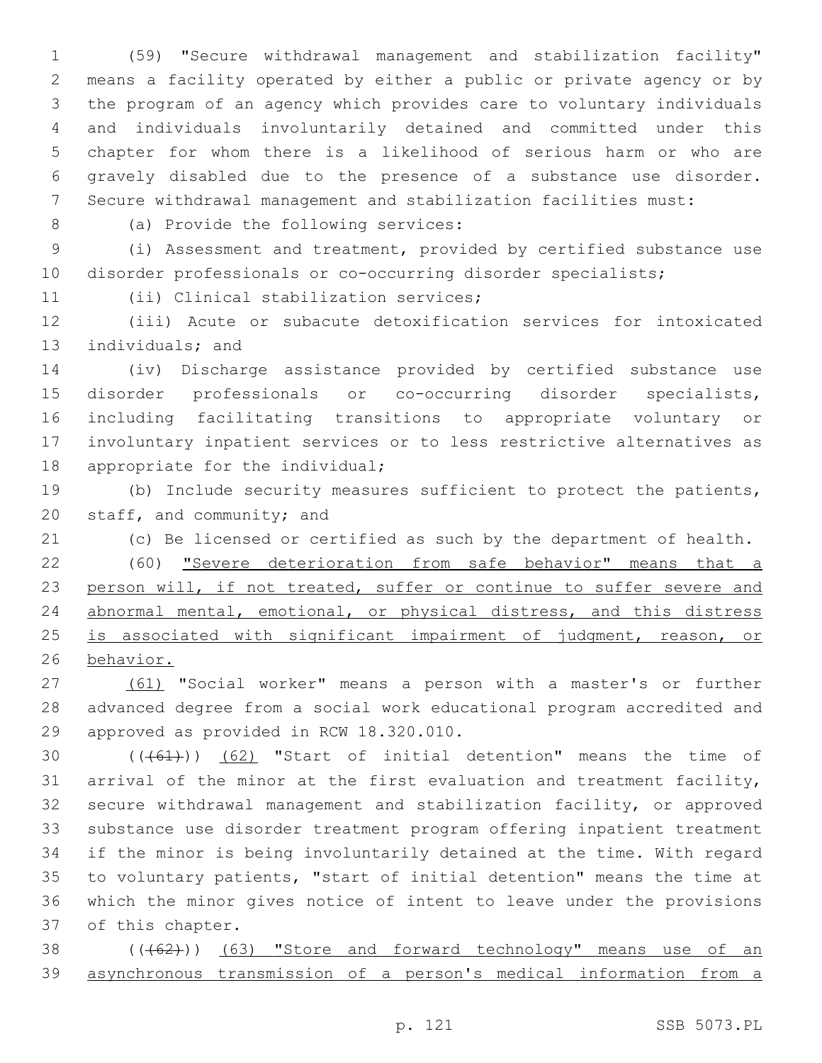(59) "Secure withdrawal management and stabilization facility" means a facility operated by either a public or private agency or by the program of an agency which provides care to voluntary individuals and individuals involuntarily detained and committed under this chapter for whom there is a likelihood of serious harm or who are gravely disabled due to the presence of a substance use disorder. Secure withdrawal management and stabilization facilities must:

8 (a) Provide the following services:

 (i) Assessment and treatment, provided by certified substance use disorder professionals or co-occurring disorder specialists;

11 (ii) Clinical stabilization services;

 (iii) Acute or subacute detoxification services for intoxicated 13 individuals; and

 (iv) Discharge assistance provided by certified substance use disorder professionals or co-occurring disorder specialists, including facilitating transitions to appropriate voluntary or involuntary inpatient services or to less restrictive alternatives as 18 appropriate for the individual;

 (b) Include security measures sufficient to protect the patients, 20 staff, and community; and

(c) Be licensed or certified as such by the department of health.

 (60) "Severe deterioration from safe behavior" means that a 23 person will, if not treated, suffer or continue to suffer severe and abnormal mental, emotional, or physical distress, and this distress 25 is associated with significant impairment of judgment, reason, or behavior.

 (61) "Social worker" means a person with a master's or further advanced degree from a social work educational program accredited and 29 approved as provided in RCW 18.320.010.

 $((+61))$   $(62)$  "Start of initial detention" means the time of arrival of the minor at the first evaluation and treatment facility, secure withdrawal management and stabilization facility, or approved substance use disorder treatment program offering inpatient treatment if the minor is being involuntarily detained at the time. With regard to voluntary patients, "start of initial detention" means the time at which the minor gives notice of intent to leave under the provisions 37 of this chapter.

38 (((62))) (63) "Store and forward technology" means use of an asynchronous transmission of a person's medical information from a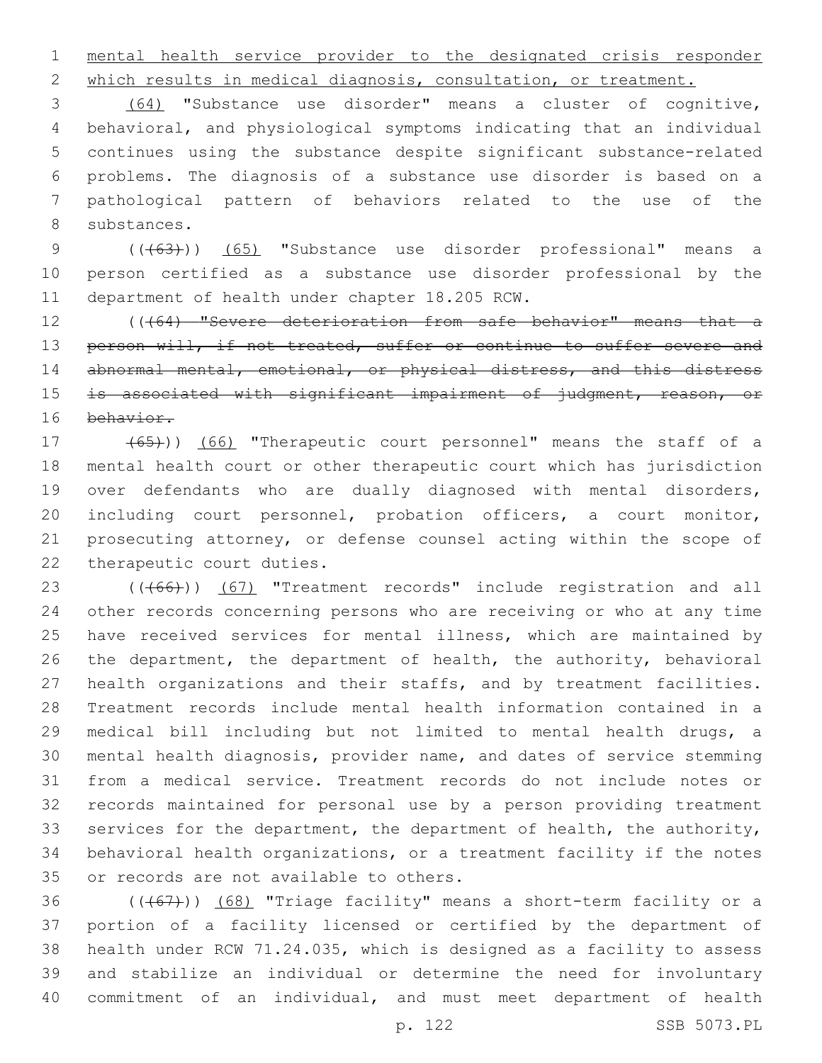mental health service provider to the designated crisis responder

which results in medical diagnosis, consultation, or treatment.

 (64) "Substance use disorder" means a cluster of cognitive, behavioral, and physiological symptoms indicating that an individual continues using the substance despite significant substance-related problems. The diagnosis of a substance use disorder is based on a pathological pattern of behaviors related to the use of the 8 substances.

9 (( $(63)$ )) (65) "Substance use disorder professional" means a person certified as a substance use disorder professional by the 11 department of health under chapter 18.205 RCW.

12 ((464) "Severe deterioration from safe behavior" means that a 13 person will, if not treated, suffer or continue to suffer severe and 14 abnormal mental, emotional, or physical distress, and this distress 15 is associated with significant impairment of judgment, reason, or behavior.

 (65))) (66) "Therapeutic court personnel" means the staff of a mental health court or other therapeutic court which has jurisdiction over defendants who are dually diagnosed with mental disorders, including court personnel, probation officers, a court monitor, prosecuting attorney, or defense counsel acting within the scope of 22 therapeutic court duties.

23 (((66))) (67) "Treatment records" include registration and all other records concerning persons who are receiving or who at any time have received services for mental illness, which are maintained by the department, the department of health, the authority, behavioral health organizations and their staffs, and by treatment facilities. Treatment records include mental health information contained in a medical bill including but not limited to mental health drugs, a mental health diagnosis, provider name, and dates of service stemming from a medical service. Treatment records do not include notes or records maintained for personal use by a person providing treatment 33 services for the department, the department of health, the authority, behavioral health organizations, or a treatment facility if the notes 35 or records are not available to others.

 $((+67))$   $(68)$  "Triage facility" means a short-term facility or a portion of a facility licensed or certified by the department of health under RCW 71.24.035, which is designed as a facility to assess and stabilize an individual or determine the need for involuntary commitment of an individual, and must meet department of health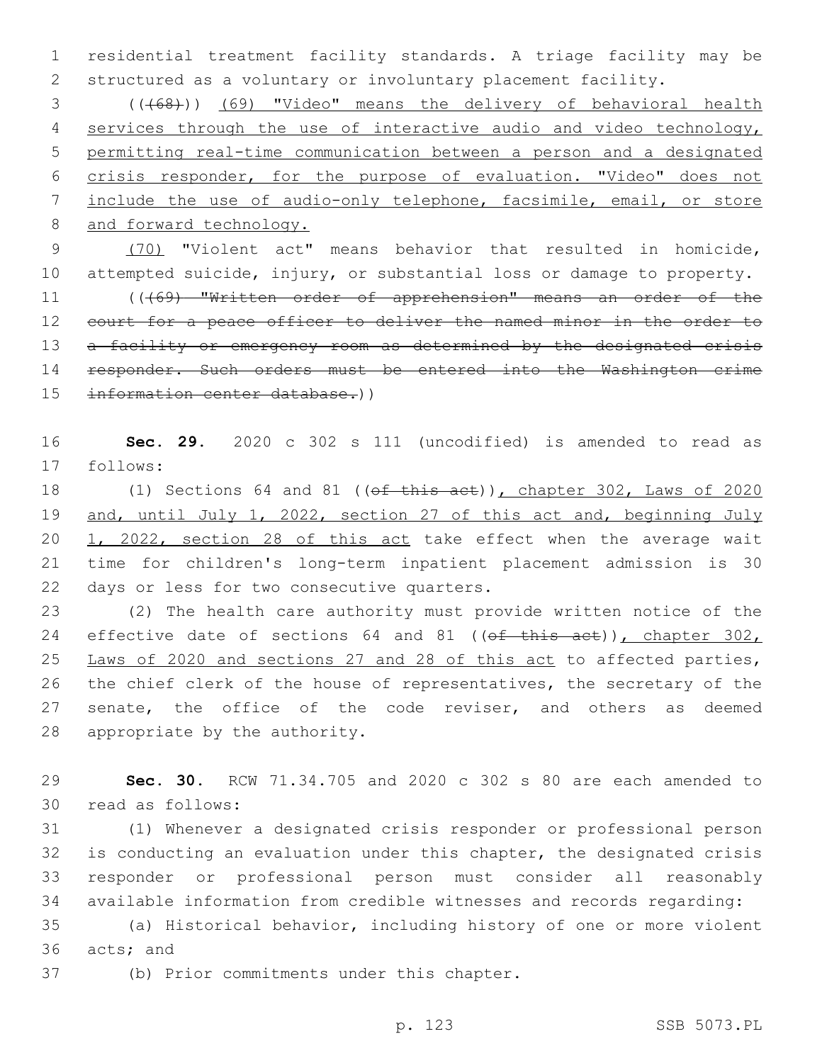1 residential treatment facility standards. A triage facility may be 2 structured as a voluntary or involuntary placement facility.

 (((68))) (69) "Video" means the delivery of behavioral health 4 services through the use of interactive audio and video technology, permitting real-time communication between a person and a designated crisis responder, for the purpose of evaluation. "Video" does not include the use of audio-only telephone, facsimile, email, or store 8 and forward technology.

9 (70) "Violent act" means behavior that resulted in homicide, 10 attempted suicide, injury, or substantial loss or damage to property. 11 (((69) "Written order of apprehension" means an order of the 12 court for a peace officer to deliver the named minor in the order to 13 a facility or emergency room as determined by the designated crisis 14 responder. Such orders must be entered into the Washington crime

15 information center database.))

16 **Sec. 29.** 2020 c 302 s 111 (uncodified) is amended to read as 17 follows:

18 (1) Sections 64 and 81 ((of this act)), chapter 302, Laws of 2020 19 and, until July 1, 2022, section 27 of this act and, beginning July 20 1, 2022, section 28 of this act take effect when the average wait 21 time for children's long-term inpatient placement admission is 30 22 days or less for two consecutive quarters.

23 (2) The health care authority must provide written notice of the 24 effective date of sections 64 and 81 ((of this act)), chapter 302, 25 Laws of 2020 and sections 27 and 28 of this act to affected parties, 26 the chief clerk of the house of representatives, the secretary of the 27 senate, the office of the code reviser, and others as deemed 28 appropriate by the authority.

29 **Sec. 30.** RCW 71.34.705 and 2020 c 302 s 80 are each amended to 30 read as follows:

 (1) Whenever a designated crisis responder or professional person is conducting an evaluation under this chapter, the designated crisis responder or professional person must consider all reasonably available information from credible witnesses and records regarding:

35 (a) Historical behavior, including history of one or more violent 36 acts; and

37 (b) Prior commitments under this chapter.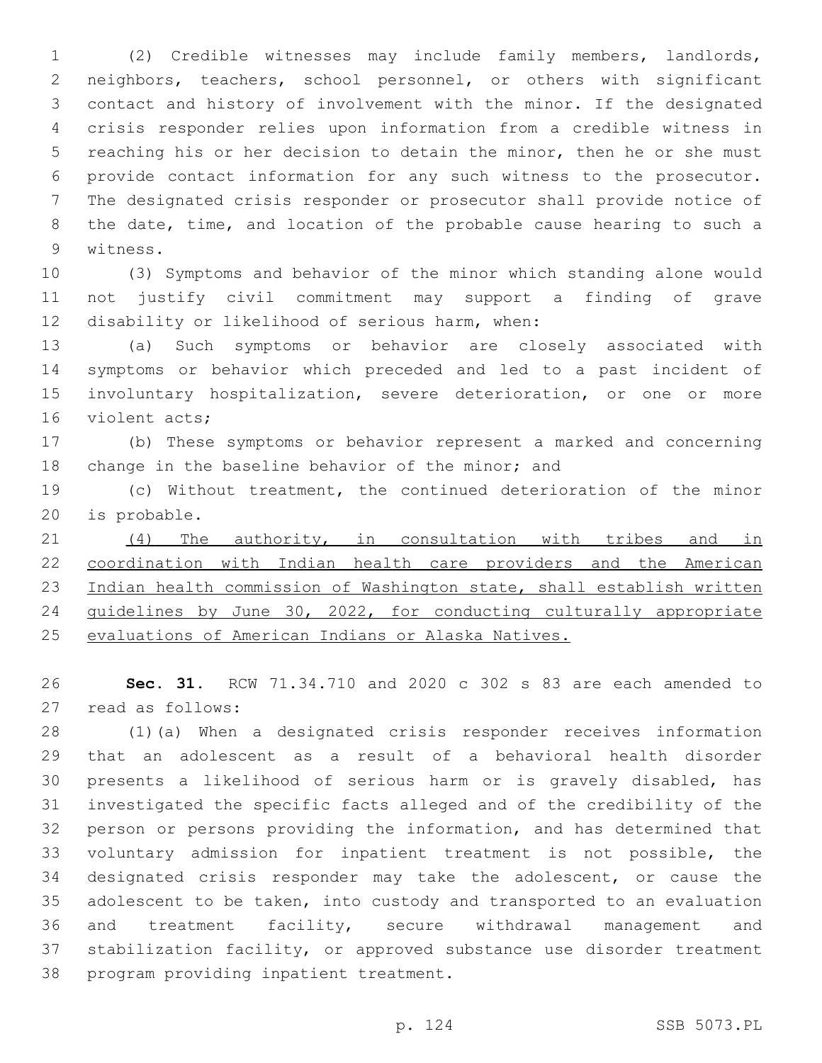(2) Credible witnesses may include family members, landlords, neighbors, teachers, school personnel, or others with significant contact and history of involvement with the minor. If the designated crisis responder relies upon information from a credible witness in reaching his or her decision to detain the minor, then he or she must provide contact information for any such witness to the prosecutor. The designated crisis responder or prosecutor shall provide notice of the date, time, and location of the probable cause hearing to such a 9 witness.

 (3) Symptoms and behavior of the minor which standing alone would not justify civil commitment may support a finding of grave 12 disability or likelihood of serious harm, when:

 (a) Such symptoms or behavior are closely associated with symptoms or behavior which preceded and led to a past incident of involuntary hospitalization, severe deterioration, or one or more 16 violent acts;

 (b) These symptoms or behavior represent a marked and concerning 18 change in the baseline behavior of the minor; and

 (c) Without treatment, the continued deterioration of the minor 20 is probable.

21 (4) The authority, in consultation with tribes and in coordination with Indian health care providers and the American Indian health commission of Washington state, shall establish written guidelines by June 30, 2022, for conducting culturally appropriate evaluations of American Indians or Alaska Natives.

 **Sec. 31.** RCW 71.34.710 and 2020 c 302 s 83 are each amended to 27 read as follows:

 (1)(a) When a designated crisis responder receives information that an adolescent as a result of a behavioral health disorder presents a likelihood of serious harm or is gravely disabled, has investigated the specific facts alleged and of the credibility of the person or persons providing the information, and has determined that voluntary admission for inpatient treatment is not possible, the designated crisis responder may take the adolescent, or cause the adolescent to be taken, into custody and transported to an evaluation and treatment facility, secure withdrawal management and stabilization facility, or approved substance use disorder treatment 38 program providing inpatient treatment.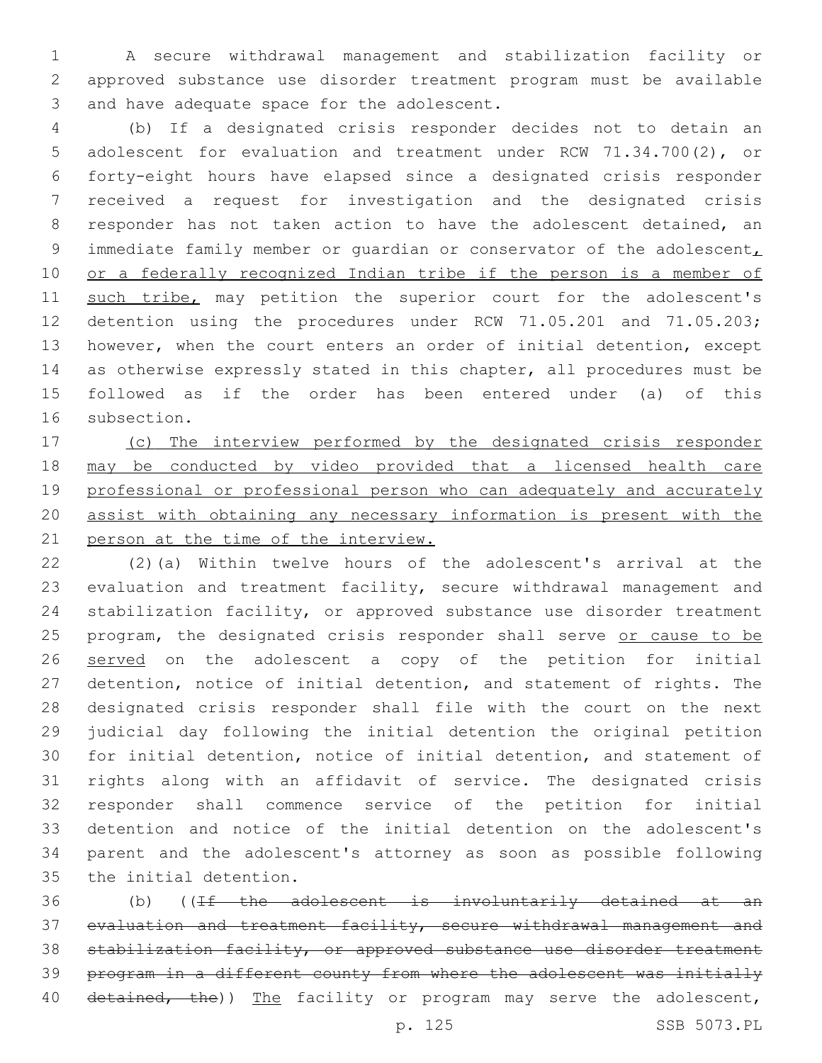A secure withdrawal management and stabilization facility or approved substance use disorder treatment program must be available 3 and have adequate space for the adolescent.

 (b) If a designated crisis responder decides not to detain an adolescent for evaluation and treatment under RCW 71.34.700(2), or forty-eight hours have elapsed since a designated crisis responder received a request for investigation and the designated crisis responder has not taken action to have the adolescent detained, an 9 immediate family member or quardian or conservator of the adolescent, 10 or a federally recognized Indian tribe if the person is a member of 11 such tribe, may petition the superior court for the adolescent's detention using the procedures under RCW 71.05.201 and 71.05.203; however, when the court enters an order of initial detention, except as otherwise expressly stated in this chapter, all procedures must be followed as if the order has been entered under (a) of this 16 subsection.

 (c) The interview performed by the designated crisis responder may be conducted by video provided that a licensed health care professional or professional person who can adequately and accurately assist with obtaining any necessary information is present with the person at the time of the interview.

 (2)(a) Within twelve hours of the adolescent's arrival at the evaluation and treatment facility, secure withdrawal management and stabilization facility, or approved substance use disorder treatment 25 program, the designated crisis responder shall serve or cause to be 26 served on the adolescent a copy of the petition for initial detention, notice of initial detention, and statement of rights. The designated crisis responder shall file with the court on the next judicial day following the initial detention the original petition for initial detention, notice of initial detention, and statement of rights along with an affidavit of service. The designated crisis responder shall commence service of the petition for initial detention and notice of the initial detention on the adolescent's parent and the adolescent's attorney as soon as possible following 35 the initial detention.

 (b) ((If the adolescent is involuntarily detained at an evaluation and treatment facility, secure withdrawal management and 38 stabilization facility, or approved substance use disorder treatment program in a different county from where the adolescent was initially 40 detained, the)) The facility or program may serve the adolescent,

p. 125 SSB 5073.PL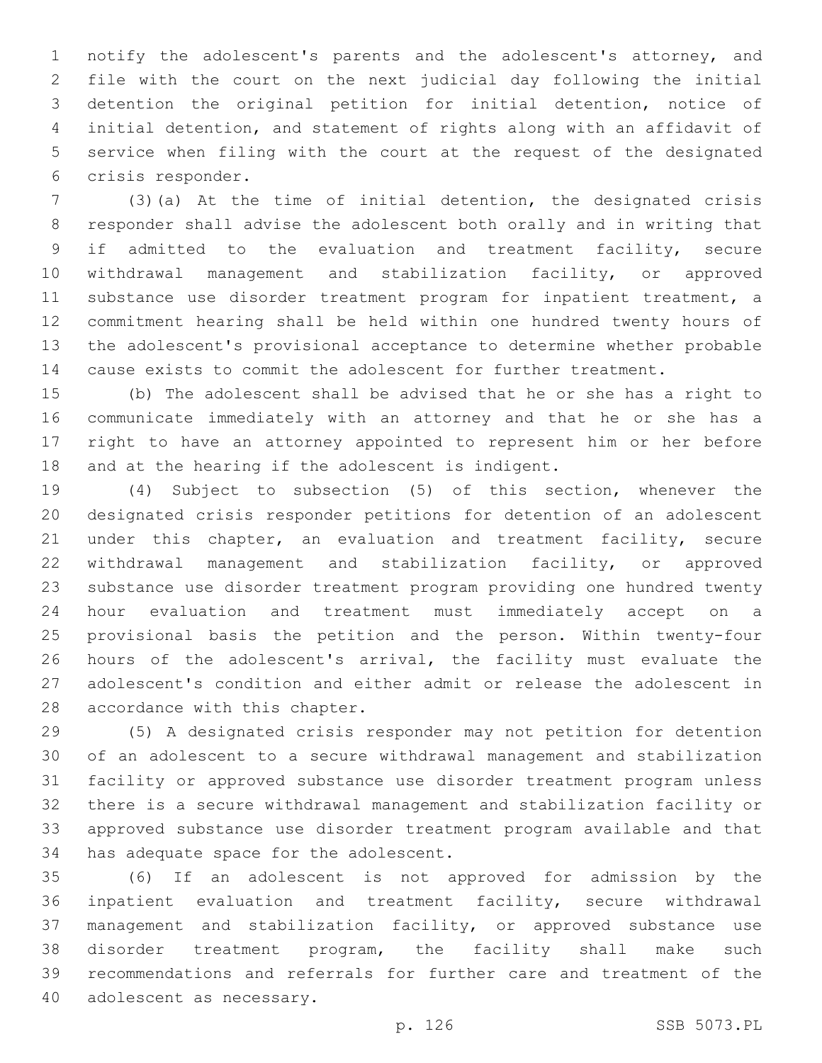notify the adolescent's parents and the adolescent's attorney, and file with the court on the next judicial day following the initial detention the original petition for initial detention, notice of initial detention, and statement of rights along with an affidavit of service when filing with the court at the request of the designated 6 crisis responder.

 (3)(a) At the time of initial detention, the designated crisis responder shall advise the adolescent both orally and in writing that if admitted to the evaluation and treatment facility, secure withdrawal management and stabilization facility, or approved substance use disorder treatment program for inpatient treatment, a commitment hearing shall be held within one hundred twenty hours of the adolescent's provisional acceptance to determine whether probable cause exists to commit the adolescent for further treatment.

 (b) The adolescent shall be advised that he or she has a right to communicate immediately with an attorney and that he or she has a right to have an attorney appointed to represent him or her before 18 and at the hearing if the adolescent is indigent.

 (4) Subject to subsection (5) of this section, whenever the designated crisis responder petitions for detention of an adolescent 21 under this chapter, an evaluation and treatment facility, secure withdrawal management and stabilization facility, or approved substance use disorder treatment program providing one hundred twenty hour evaluation and treatment must immediately accept on a provisional basis the petition and the person. Within twenty-four 26 hours of the adolescent's arrival, the facility must evaluate the adolescent's condition and either admit or release the adolescent in 28 accordance with this chapter.

 (5) A designated crisis responder may not petition for detention of an adolescent to a secure withdrawal management and stabilization facility or approved substance use disorder treatment program unless there is a secure withdrawal management and stabilization facility or approved substance use disorder treatment program available and that 34 has adequate space for the adolescent.

 (6) If an adolescent is not approved for admission by the inpatient evaluation and treatment facility, secure withdrawal management and stabilization facility, or approved substance use disorder treatment program, the facility shall make such recommendations and referrals for further care and treatment of the 40 adolescent as necessary.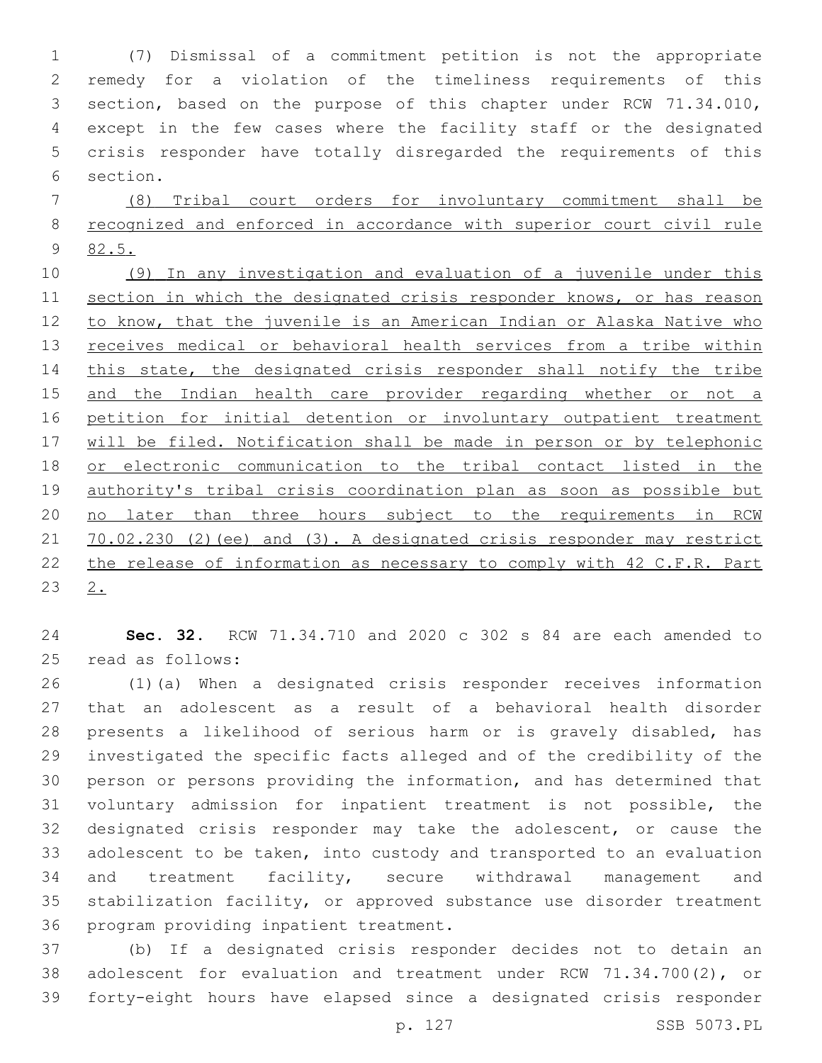(7) Dismissal of a commitment petition is not the appropriate remedy for a violation of the timeliness requirements of this section, based on the purpose of this chapter under RCW 71.34.010, except in the few cases where the facility staff or the designated crisis responder have totally disregarded the requirements of this 6 section.

 (8) Tribal court orders for involuntary commitment shall be recognized and enforced in accordance with superior court civil rule 82.5.

 (9) In any investigation and evaluation of a juvenile under this section in which the designated crisis responder knows, or has reason 12 to know, that the juvenile is an American Indian or Alaska Native who 13 receives medical or behavioral health services from a tribe within 14 this state, the designated crisis responder shall notify the tribe and the Indian health care provider regarding whether or not a petition for initial detention or involuntary outpatient treatment will be filed. Notification shall be made in person or by telephonic or electronic communication to the tribal contact listed in the authority's tribal crisis coordination plan as soon as possible but no later than three hours subject to the requirements in RCW 70.02.230 (2)(ee) and (3). A designated crisis responder may restrict the release of information as necessary to comply with 42 C.F.R. Part  $2.$ 

 **Sec. 32.** RCW 71.34.710 and 2020 c 302 s 84 are each amended to 25 read as follows:

 (1)(a) When a designated crisis responder receives information that an adolescent as a result of a behavioral health disorder presents a likelihood of serious harm or is gravely disabled, has investigated the specific facts alleged and of the credibility of the person or persons providing the information, and has determined that voluntary admission for inpatient treatment is not possible, the designated crisis responder may take the adolescent, or cause the adolescent to be taken, into custody and transported to an evaluation and treatment facility, secure withdrawal management and stabilization facility, or approved substance use disorder treatment 36 program providing inpatient treatment.

 (b) If a designated crisis responder decides not to detain an adolescent for evaluation and treatment under RCW 71.34.700(2), or forty-eight hours have elapsed since a designated crisis responder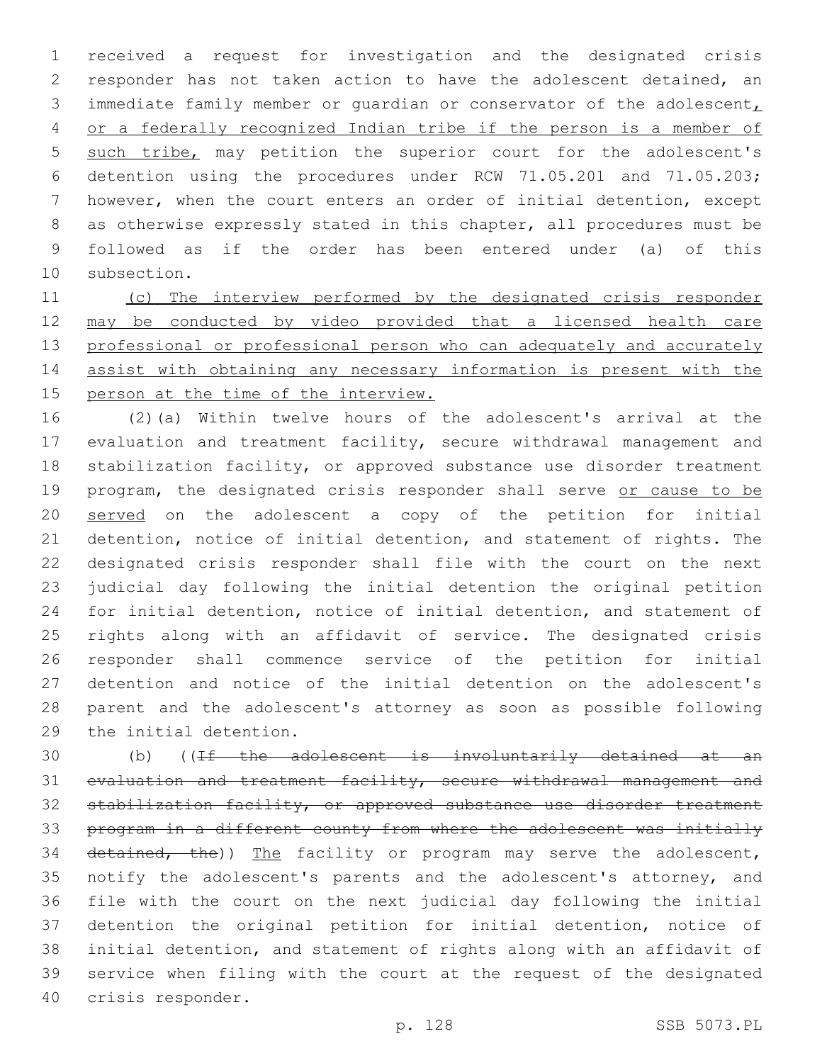received a request for investigation and the designated crisis responder has not taken action to have the adolescent detained, an 3 immediate family member or quardian or conservator of the adolescent, or a federally recognized Indian tribe if the person is a member of such tribe, may petition the superior court for the adolescent's detention using the procedures under RCW 71.05.201 and 71.05.203; however, when the court enters an order of initial detention, except as otherwise expressly stated in this chapter, all procedures must be followed as if the order has been entered under (a) of this 10 subsection.

 (c) The interview performed by the designated crisis responder may be conducted by video provided that a licensed health care 13 professional or professional person who can adequately and accurately assist with obtaining any necessary information is present with the person at the time of the interview.

 (2)(a) Within twelve hours of the adolescent's arrival at the evaluation and treatment facility, secure withdrawal management and 18 stabilization facility, or approved substance use disorder treatment 19 program, the designated crisis responder shall serve or cause to be 20 served on the adolescent a copy of the petition for initial detention, notice of initial detention, and statement of rights. The designated crisis responder shall file with the court on the next judicial day following the initial detention the original petition for initial detention, notice of initial detention, and statement of rights along with an affidavit of service. The designated crisis responder shall commence service of the petition for initial detention and notice of the initial detention on the adolescent's parent and the adolescent's attorney as soon as possible following 29 the initial detention.

 (b) ((If the adolescent is involuntarily detained at an evaluation and treatment facility, secure withdrawal management and stabilization facility, or approved substance use disorder treatment program in a different county from where the adolescent was initially 34 detained, the)) The facility or program may serve the adolescent, notify the adolescent's parents and the adolescent's attorney, and file with the court on the next judicial day following the initial detention the original petition for initial detention, notice of initial detention, and statement of rights along with an affidavit of service when filing with the court at the request of the designated 40 crisis responder.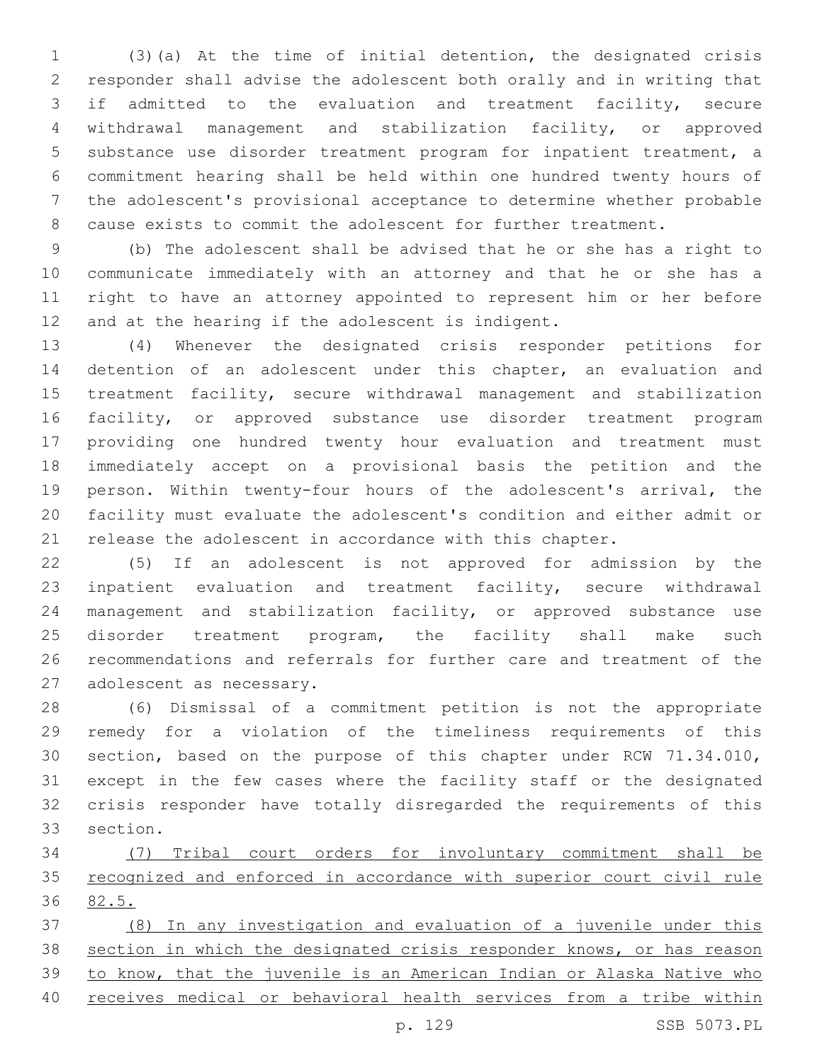(3)(a) At the time of initial detention, the designated crisis responder shall advise the adolescent both orally and in writing that if admitted to the evaluation and treatment facility, secure withdrawal management and stabilization facility, or approved substance use disorder treatment program for inpatient treatment, a commitment hearing shall be held within one hundred twenty hours of the adolescent's provisional acceptance to determine whether probable cause exists to commit the adolescent for further treatment.

 (b) The adolescent shall be advised that he or she has a right to communicate immediately with an attorney and that he or she has a right to have an attorney appointed to represent him or her before 12 and at the hearing if the adolescent is indigent.

 (4) Whenever the designated crisis responder petitions for detention of an adolescent under this chapter, an evaluation and treatment facility, secure withdrawal management and stabilization facility, or approved substance use disorder treatment program providing one hundred twenty hour evaluation and treatment must immediately accept on a provisional basis the petition and the person. Within twenty-four hours of the adolescent's arrival, the facility must evaluate the adolescent's condition and either admit or release the adolescent in accordance with this chapter.

 (5) If an adolescent is not approved for admission by the inpatient evaluation and treatment facility, secure withdrawal management and stabilization facility, or approved substance use 25 disorder treatment program, the facility shall make such recommendations and referrals for further care and treatment of the 27 adolescent as necessary.

 (6) Dismissal of a commitment petition is not the appropriate remedy for a violation of the timeliness requirements of this section, based on the purpose of this chapter under RCW 71.34.010, except in the few cases where the facility staff or the designated crisis responder have totally disregarded the requirements of this 33 section.

 (7) Tribal court orders for involuntary commitment shall be recognized and enforced in accordance with superior court civil rule 82.5.

 (8) In any investigation and evaluation of a juvenile under this section in which the designated crisis responder knows, or has reason to know, that the juvenile is an American Indian or Alaska Native who receives medical or behavioral health services from a tribe within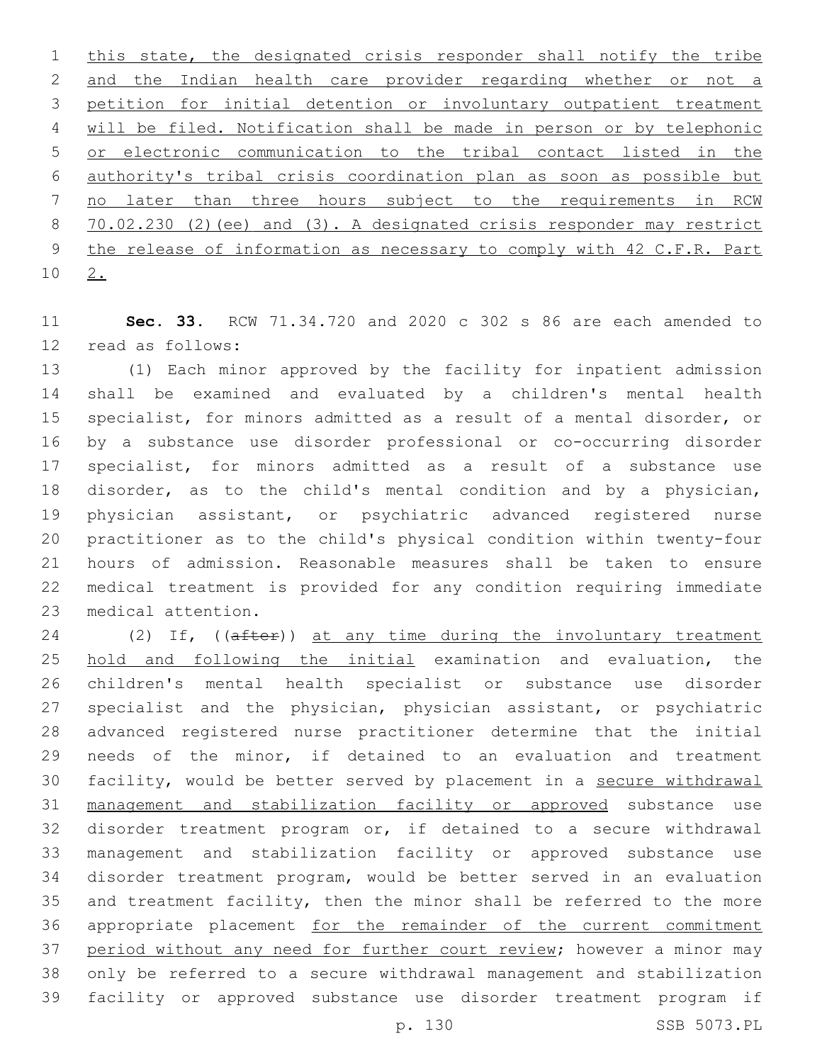1 this state, the designated crisis responder shall notify the tribe and the Indian health care provider regarding whether or not a petition for initial detention or involuntary outpatient treatment will be filed. Notification shall be made in person or by telephonic or electronic communication to the tribal contact listed in the authority's tribal crisis coordination plan as soon as possible but no later than three hours subject to the requirements in RCW 70.02.230 (2)(ee) and (3). A designated crisis responder may restrict the release of information as necessary to comply with 42 C.F.R. Part 10 <u>2.</u>

 **Sec. 33.** RCW 71.34.720 and 2020 c 302 s 86 are each amended to 12 read as follows:

 (1) Each minor approved by the facility for inpatient admission shall be examined and evaluated by a children's mental health specialist, for minors admitted as a result of a mental disorder, or by a substance use disorder professional or co-occurring disorder specialist, for minors admitted as a result of a substance use disorder, as to the child's mental condition and by a physician, physician assistant, or psychiatric advanced registered nurse practitioner as to the child's physical condition within twenty-four hours of admission. Reasonable measures shall be taken to ensure medical treatment is provided for any condition requiring immediate 23 medical attention.

24 (2) If, ((after)) at any time during the involuntary treatment hold and following the initial examination and evaluation, the children's mental health specialist or substance use disorder specialist and the physician, physician assistant, or psychiatric advanced registered nurse practitioner determine that the initial needs of the minor, if detained to an evaluation and treatment facility, would be better served by placement in a secure withdrawal management and stabilization facility or approved substance use disorder treatment program or, if detained to a secure withdrawal management and stabilization facility or approved substance use disorder treatment program, would be better served in an evaluation and treatment facility, then the minor shall be referred to the more appropriate placement for the remainder of the current commitment 37 period without any need for further court review; however a minor may only be referred to a secure withdrawal management and stabilization facility or approved substance use disorder treatment program if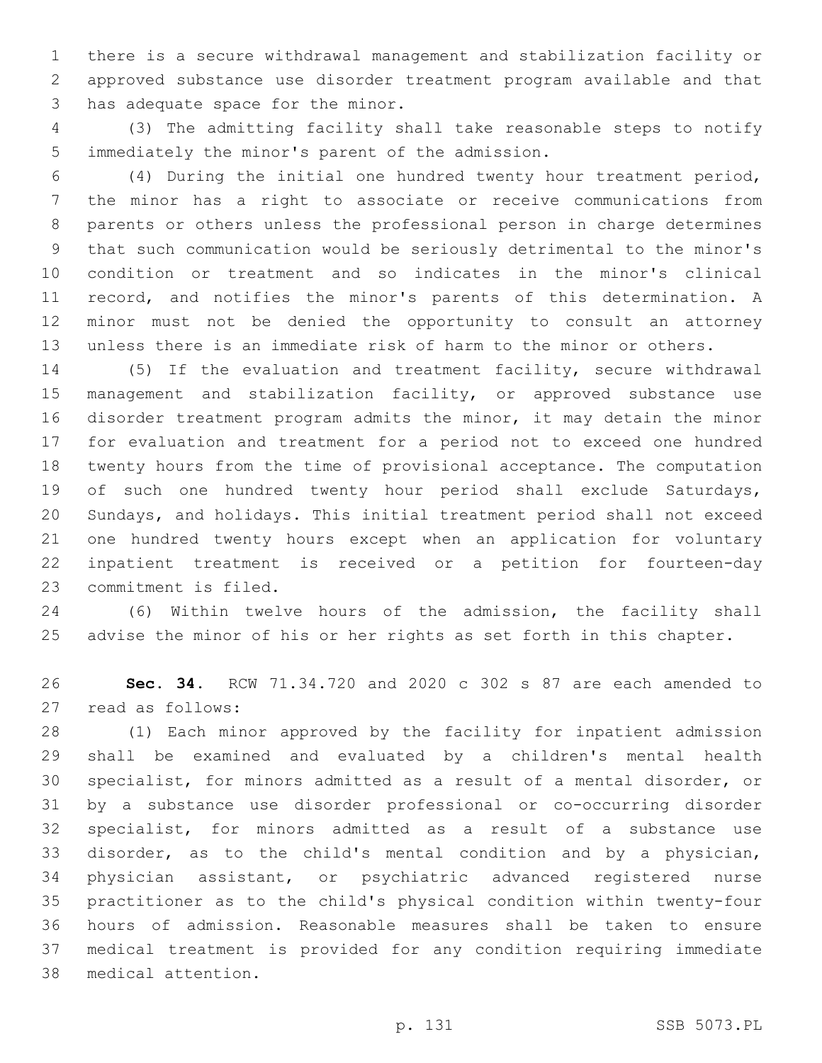there is a secure withdrawal management and stabilization facility or approved substance use disorder treatment program available and that 3 has adequate space for the minor.

 (3) The admitting facility shall take reasonable steps to notify 5 immediately the minor's parent of the admission.

 (4) During the initial one hundred twenty hour treatment period, the minor has a right to associate or receive communications from parents or others unless the professional person in charge determines that such communication would be seriously detrimental to the minor's condition or treatment and so indicates in the minor's clinical record, and notifies the minor's parents of this determination. A minor must not be denied the opportunity to consult an attorney unless there is an immediate risk of harm to the minor or others.

 (5) If the evaluation and treatment facility, secure withdrawal 15 management and stabilization facility, or approved substance use disorder treatment program admits the minor, it may detain the minor for evaluation and treatment for a period not to exceed one hundred twenty hours from the time of provisional acceptance. The computation of such one hundred twenty hour period shall exclude Saturdays, Sundays, and holidays. This initial treatment period shall not exceed one hundred twenty hours except when an application for voluntary inpatient treatment is received or a petition for fourteen-day 23 commitment is filed.

 (6) Within twelve hours of the admission, the facility shall 25 advise the minor of his or her rights as set forth in this chapter.

 **Sec. 34.** RCW 71.34.720 and 2020 c 302 s 87 are each amended to 27 read as follows:

 (1) Each minor approved by the facility for inpatient admission shall be examined and evaluated by a children's mental health specialist, for minors admitted as a result of a mental disorder, or by a substance use disorder professional or co-occurring disorder specialist, for minors admitted as a result of a substance use disorder, as to the child's mental condition and by a physician, physician assistant, or psychiatric advanced registered nurse practitioner as to the child's physical condition within twenty-four hours of admission. Reasonable measures shall be taken to ensure medical treatment is provided for any condition requiring immediate medical attention.38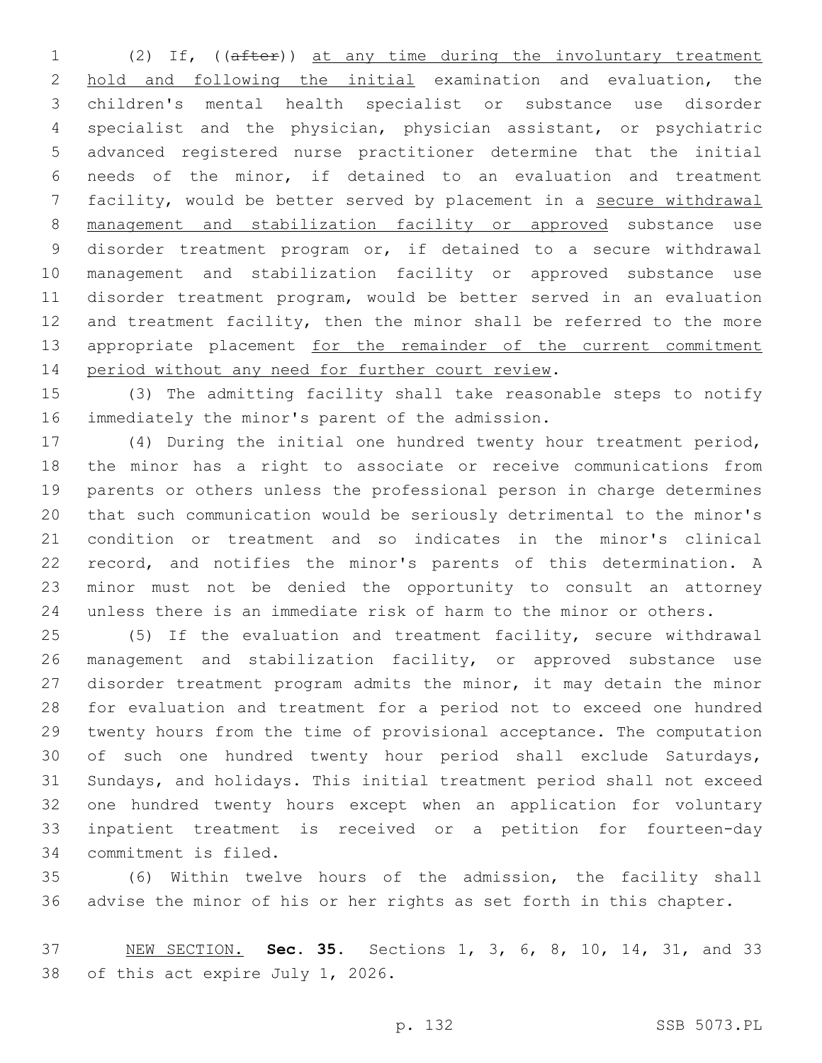(2) If, ((after)) at any time during the involuntary treatment hold and following the initial examination and evaluation, the children's mental health specialist or substance use disorder specialist and the physician, physician assistant, or psychiatric advanced registered nurse practitioner determine that the initial needs of the minor, if detained to an evaluation and treatment 7 facility, would be better served by placement in a secure withdrawal management and stabilization facility or approved substance use disorder treatment program or, if detained to a secure withdrawal management and stabilization facility or approved substance use disorder treatment program, would be better served in an evaluation 12 and treatment facility, then the minor shall be referred to the more 13 appropriate placement for the remainder of the current commitment 14 period without any need for further court review.

 (3) The admitting facility shall take reasonable steps to notify 16 immediately the minor's parent of the admission.

 (4) During the initial one hundred twenty hour treatment period, the minor has a right to associate or receive communications from parents or others unless the professional person in charge determines that such communication would be seriously detrimental to the minor's condition or treatment and so indicates in the minor's clinical record, and notifies the minor's parents of this determination. A minor must not be denied the opportunity to consult an attorney unless there is an immediate risk of harm to the minor or others.

 (5) If the evaluation and treatment facility, secure withdrawal management and stabilization facility, or approved substance use disorder treatment program admits the minor, it may detain the minor for evaluation and treatment for a period not to exceed one hundred twenty hours from the time of provisional acceptance. The computation of such one hundred twenty hour period shall exclude Saturdays, Sundays, and holidays. This initial treatment period shall not exceed one hundred twenty hours except when an application for voluntary inpatient treatment is received or a petition for fourteen-day 34 commitment is filed.

 (6) Within twelve hours of the admission, the facility shall advise the minor of his or her rights as set forth in this chapter.

 NEW SECTION. **Sec. 35.** Sections 1, 3, 6, 8, 10, 14, 31, and 33 of this act expire July 1, 2026.